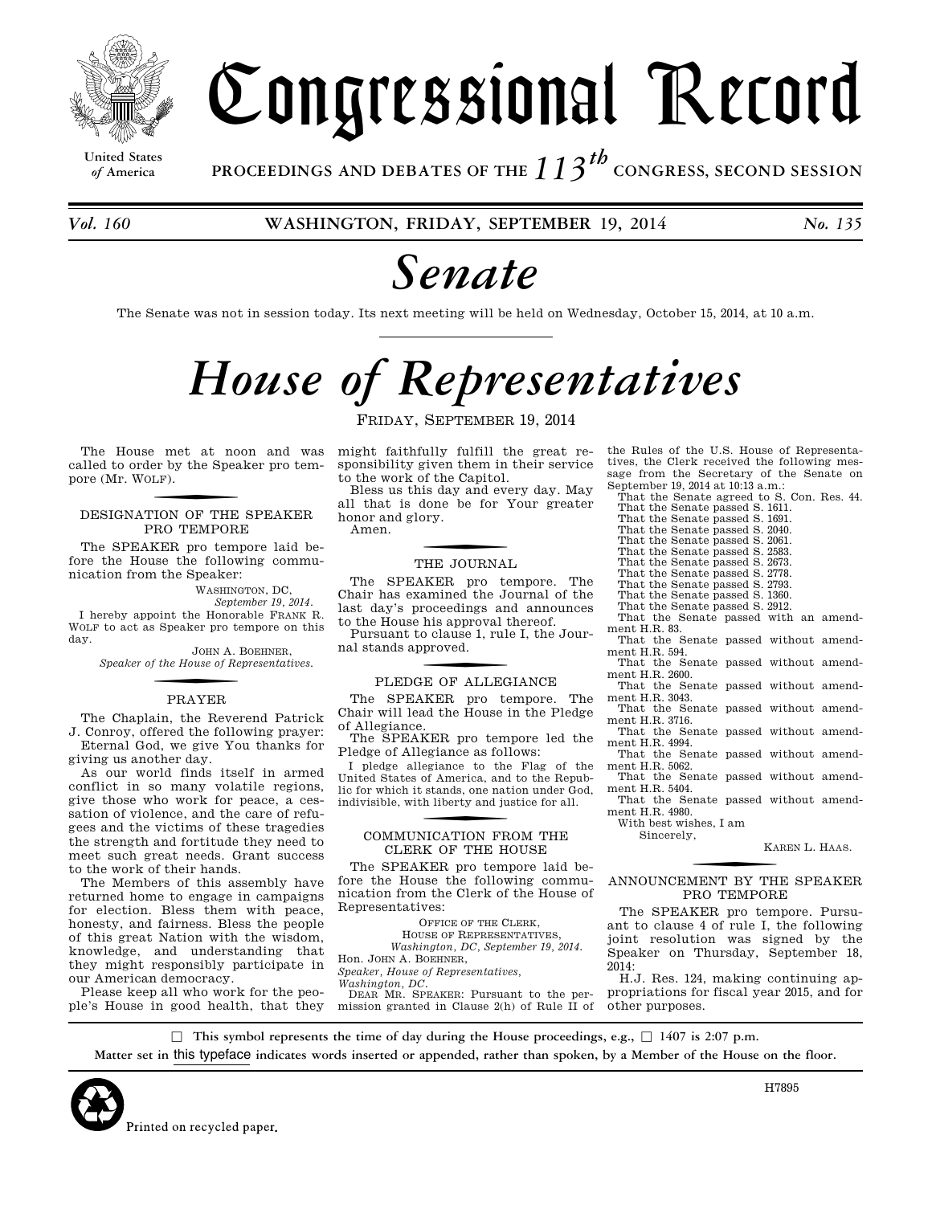

**United States**

Congressional Record

*of* **America PROCEEDINGS AND DEBATES OF THE** *113th*  **CONGRESS, SECOND SESSION**

*Vol. 160* **WASHINGTON, FRIDAY, SEPTEMBER 19, 2014** *No. 135* 

# *Senate*

The Senate was not in session today. Its next meeting will be held on Wednesday, October 15, 2014, at 10 a.m.

# *House of Representatives*

The House met at noon and was called to order by the Speaker pro tempore (Mr. WOLF ).

# DESIGNATION OF THE SPEAKER PRO TEMPORE

The SPEAKER pro tempore laid before the House the following communication from the Speaker:

WASHINGTON, DC,

*September 19, 2014.*  I hereby appoint the Honorable FRANK R. WOLF to act as Speaker pro tempore on this day.

JOHN A. BOEHNER, *Speaker of the House of Representatives.* 

# f PRAYER

The Chaplain, the Reverend Patrick J. Conroy, offered the following prayer:

Eternal God, we give You thanks for giving us another day.

As our world finds itself in armed conflict in so many volatile regions, give those who work for peace, a cessation of violence, and the care of refugees and the victims of these tragedies the strength and fortitude they need to meet such great needs. Grant success to the work of their hands.

The Members of this assembly have returned home to engage in campaigns for election. Bless them with peace, honesty, and fairness. Bless the people of this great Nation with the wisdom, knowledge, and understanding that they might responsibly participate in our American democracy.

Please keep all who work for the people's House in good health, that they FRIDAY, SEPTEMBER 19, 2014

might faithfully fulfill the great responsibility given them in their service to the work of the Capitol.

Bless us this day and every day. May all that is done be for Your greater honor and glory. Amen.

# THE JOURNAL

The SPEAKER pro tempore. The Chair has examined the Journal of the last day's proceedings and announces to the House his approval thereof.

Pursuant to clause 1, rule I, the Journal stands approved.

# f PLEDGE OF ALLEGIANCE

The SPEAKER pro tempore. The Chair will lead the House in the Pledge of Allegiance.

The SPEAKER pro tempore led the Pledge of Allegiance as follows:

I pledge allegiance to the Flag of the United States of America, and to the Republic for which it stands, one nation under God, indivisible, with liberty and justice for all.

# COMMUNICATION FROM THE CLERK OF THE HOUSE

The SPEAKER pro tempore laid before the House the following communication from the Clerk of the House of Representatives:

OFFICE OF THE CLERK, HOUSE OF REPRESENTATIVES, *Washington, DC, September 19, 2014.* 

Hon. JOHN A. BOEHNER,

*Speaker, House of Representatives, Washington, DC.* 

DEAR MR. SPEAKER: Pursuant to the permission granted in Clause 2(h) of Rule II of the Rules of the U.S. House of Representatives, the Clerk received the following message from the Secretary of the Senate on September 19, 2014 at 10:13 a.m.:

That the Senate agreed to S. Con. Res. 44.

- That the Senate passed S. 1611. That the Senate passed S. 1691.
- That the Senate passed S. 2040.
- That the Senate passed S. 2061. That the Senate passed S. 2583.
- That the Senate passed S. 2673.
- That the Senate passed S. 2778.
- That the Senate passed S. 2793. That the Senate passed S. 1360.
- That the Senate passed S. 2912.
- That the Senate passed with an amend-
- ment H.R. 83. That the Senate passed without amendment H.R. 594.
- That the Senate passed without amendment H.R. 2600.
- That the Senate passed without amendment H.R. 3043.
- That the Senate passed without amendment H.R. 3716.
- That the Senate passed without amendment H.R. 4994.
- That the Senate passed without amendment H.R. 5062.
- That the Senate passed without amendment H.R. 5404.
- That the Senate passed without amendment H.R. 4980.

With best wishes, I am Sincerely,

KAREN L. HAAS.

## ANNOUNCEMENT BY THE SPEAKER PRO TEMPORE

The SPEAKER pro tempore. Pursuant to clause 4 of rule I, the following joint resolution was signed by the Speaker on Thursday, September 18, 2014:

H.J. Res. 124, making continuing appropriations for fiscal year 2015, and for other purposes.

b **This symbol represents the time of day during the House proceedings, e.g.,** b **1407 is 2:07 p.m. Matter set in** this typeface **indicates words inserted or appended, rather than spoken, by a Member of the House on the floor.**

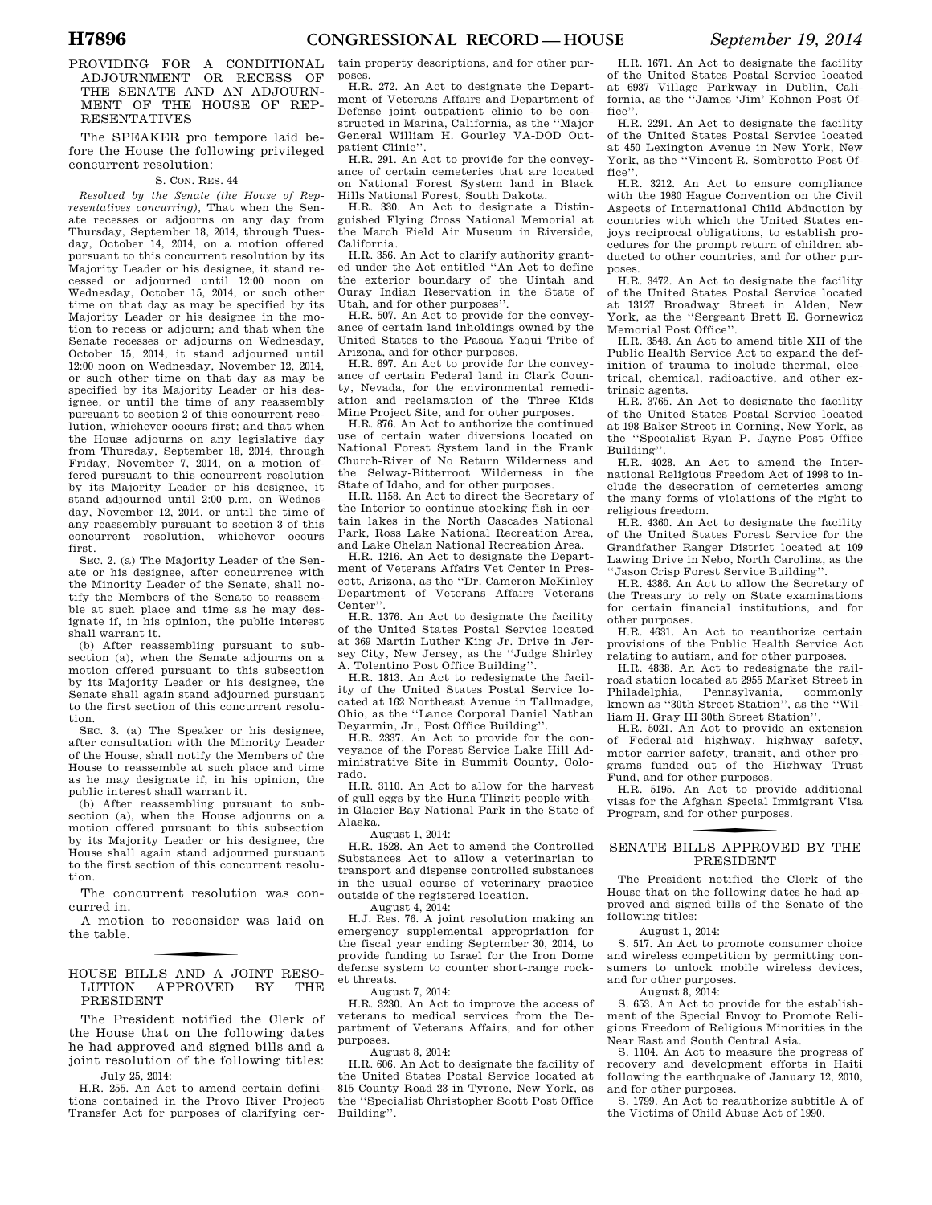#### PROVIDING FOR A CONDITIONAL ADJOURNMENT OR RECESS OF THE SENATE AND AN ADJOURN-MENT OF THE HOUSE OF REP-RESENTATIVES

The SPEAKER pro tempore laid before the House the following privileged concurrent resolution:

#### S. CON. RES. 44

*Resolved by the Senate (the House of Representatives concurring),* That when the Senate recesses or adjourns on any day from Thursday, September 18, 2014, through Tuesday, October 14, 2014, on a motion offered pursuant to this concurrent resolution by its Majority Leader or his designee, it stand recessed or adjourned until 12:00 noon on Wednesday, October 15, 2014, or such other time on that day as may be specified by its Majority Leader or his designee in the motion to recess or adjourn; and that when the Senate recesses or adjourns on Wednesday, October 15, 2014, it stand adjourned until 12:00 noon on Wednesday, November 12, 2014, or such other time on that day as may be specified by its Majority Leader or his designee, or until the time of any reassembly pursuant to section 2 of this concurrent resolution, whichever occurs first; and that when the House adjourns on any legislative day from Thursday, September 18, 2014, through Friday, November 7, 2014, on a motion offered pursuant to this concurrent resolution by its Majority Leader or his designee, it stand adjourned until 2:00 p.m. on Wednesday, November 12, 2014, or until the time of any reassembly pursuant to section 3 of this concurrent resolution, whichever occurs first.

SEC. 2. (a) The Majority Leader of the Senate or his designee, after concurrence with the Minority Leader of the Senate, shall notify the Members of the Senate to reassemble at such place and time as he may designate if, in his opinion, the public interest shall warrant it.

(b) After reassembling pursuant to subsection (a), when the Senate adjourns on a motion offered pursuant to this subsection by its Majority Leader or his designee, the Senate shall again stand adjourned pursuant to the first section of this concurrent resolution.

SEC. 3. (a) The Speaker or his designee, after consultation with the Minority Leader of the House, shall notify the Members of the House to reassemble at such place and time as he may designate if, in his opinion, the public interest shall warrant it.

(b) After reassembling pursuant to subsection (a), when the House adjourns on a motion offered pursuant to this subsection by its Majority Leader or his designee, the House shall again stand adjourned pursuant to the first section of this concurrent resolution.

The concurrent resolution was concurred in.

A motion to reconsider was laid on the table.

## f HOUSE BILLS AND A JOINT RESO-LUTION APPROVED BY THE PRESIDENT

The President notified the Clerk of the House that on the following dates he had approved and signed bills and a joint resolution of the following titles: July 25, 2014:

H.R. 255. An Act to amend certain definitions contained in the Provo River Project Transfer Act for purposes of clarifying cer-

tain property descriptions, and for other purposes.

H.R. 272. An Act to designate the Department of Veterans Affairs and Department of Defense joint outpatient clinic to be constructed in Marina, California, as the ''Major General William H. Gourley VA-DOD Outpatient Clinic''.

H.R. 291. An Act to provide for the conveyance of certain cemeteries that are located on National Forest System land in Black Hills National Forest, South Dakota.

H.R. 330. An Act to designate a Distinguished Flying Cross National Memorial at the March Field Air Museum in Riverside, California.

H.R. 356. An Act to clarify authority granted under the Act entitled ''An Act to define the exterior boundary of the Uintah and Ouray Indian Reservation in the State of Utah, and for other purposes''.

H.R. 507. An Act to provide for the conveyance of certain land inholdings owned by the United States to the Pascua Yaqui Tribe of Arizona, and for other purposes.

H.R. 697. An Act to provide for the conveyance of certain Federal land in Clark County, Nevada, for the environmental remediation and reclamation of the Three Kids Mine Project Site, and for other purposes.

H.R. 876. An Act to authorize the continued use of certain water diversions located on National Forest System land in the Frank Church-River of No Return Wilderness and the Selway-Bitterroot Wilderness in the State of Idaho, and for other purposes.

H.R. 1158. An Act to direct the Secretary of the Interior to continue stocking fish in certain lakes in the North Cascades National Park, Ross Lake National Recreation Area, and Lake Chelan National Recreation Area.

H.R. 1216. An Act to designate the Department of Veterans Affairs Vet Center in Prescott, Arizona, as the ''Dr. Cameron McKinley Department of Veterans Affairs Veterans Center''.

H.R. 1376. An Act to designate the facility of the United States Postal Service located at 369 Martin Luther King Jr. Drive in Jersey City, New Jersey, as the ''Judge Shirley A. Tolentino Post Office Building''.

H.R. 1813. An Act to redesignate the facility of the United States Postal Service located at 162 Northeast Avenue in Tallmadge, Ohio, as the ''Lance Corporal Daniel Nathan Deyarmin, Jr., Post Office Building''.

H.R. 2337. An Act to provide for the conveyance of the Forest Service Lake Hill Administrative Site in Summit County, Colorado.

H.R. 3110. An Act to allow for the harvest of gull eggs by the Huna Tlingit people within Glacier Bay National Park in the State of Alaska.

August 1, 2014:

H.R. 1528. An Act to amend the Controlled Substances Act to allow a veterinarian to transport and dispense controlled substances in the usual course of veterinary practice outside of the registered location.

August 4, 2014:

H.J. Res. 76. A joint resolution making an emergency supplemental appropriation for the fiscal year ending September 30, 2014, to provide funding to Israel for the Iron Dome defense system to counter short-range rocket threats.

August 7, 2014:

H.R. 3230. An Act to improve the access of veterans to medical services from the Department of Veterans Affairs, and for other purposes.

August 8, 2014:

H.R. 606. An Act to designate the facility of the United States Postal Service located at 815 County Road 23 in Tyrone, New York, as the ''Specialist Christopher Scott Post Office Building''.

H.R. 1671. An Act to designate the facility of the United States Postal Service located at 6937 Village Parkway in Dublin, California, as the ''James 'Jim' Kohnen Post Office''.

H.R. 2291. An Act to designate the facility of the United States Postal Service located at 450 Lexington Avenue in New York, New York, as the ''Vincent R. Sombrotto Post Office''.

H.R. 3212. An Act to ensure compliance with the 1980 Hague Convention on the Civil Aspects of International Child Abduction by countries with which the United States enjoys reciprocal obligations, to establish procedures for the prompt return of children abducted to other countries, and for other purposes.

H.R. 3472. An Act to designate the facility of the United States Postal Service located at 13127 Broadway Street in Alden, New York, as the ''Sergeant Brett E. Gornewicz Memorial Post Office''.

H.R. 3548. An Act to amend title XII of the Public Health Service Act to expand the definition of trauma to include thermal, electrical, chemical, radioactive, and other extrinsic agents.

H.R. 3765. An Act to designate the facility of the United States Postal Service located at 198 Baker Street in Corning, New York, as the ''Specialist Ryan P. Jayne Post Office Building''.

H.R. 4028. An Act to amend the International Religious Freedom Act of 1998 to include the desecration of cemeteries among the many forms of violations of the right to religious freedom.

H.R. 4360. An Act to designate the facility of the United States Forest Service for the Grandfather Ranger District located at 109 Lawing Drive in Nebo, North Carolina, as the ''Jason Crisp Forest Service Building''.

H.R. 4386. An Act to allow the Secretary of the Treasury to rely on State examinations for certain financial institutions, and for other purposes.

H.R. 4631. An Act to reauthorize certain provisions of the Public Health Service Act relating to autism, and for other purposes.

H.R. 4838. An Act to redesignate the railroad station located at 2955 Market Street in Philadelphia, Pennsylvania, commonly known as ''30th Street Station'', as the ''William H. Gray III 30th Street Station''.

H.R. 5021. An Act to provide an extension of Federal-aid highway, highway safety, motor carrier safety, transit, and other programs funded out of the Highway Trust Fund, and for other purposes.

H.R. 5195. An Act to provide additional visas for the Afghan Special Immigrant Visa Program, and for other purposes.

#### SENATE BILLS APPROVED BY THE PRESIDENT

The President notified the Clerk of the House that on the following dates he had approved and signed bills of the Senate of the following titles:

August 1, 2014:

S. 517. An Act to promote consumer choice and wireless competition by permitting consumers to unlock mobile wireless devices, and for other purposes.

August 8, 2014:

S. 653. An Act to provide for the establishment of the Special Envoy to Promote Religious Freedom of Religious Minorities in the Near East and South Central Asia.

S. 1104. An Act to measure the progress of recovery and development efforts in Haiti following the earthquake of January 12, 2010, and for other purposes.

S. 1799. An Act to reauthorize subtitle A of the Victims of Child Abuse Act of 1990.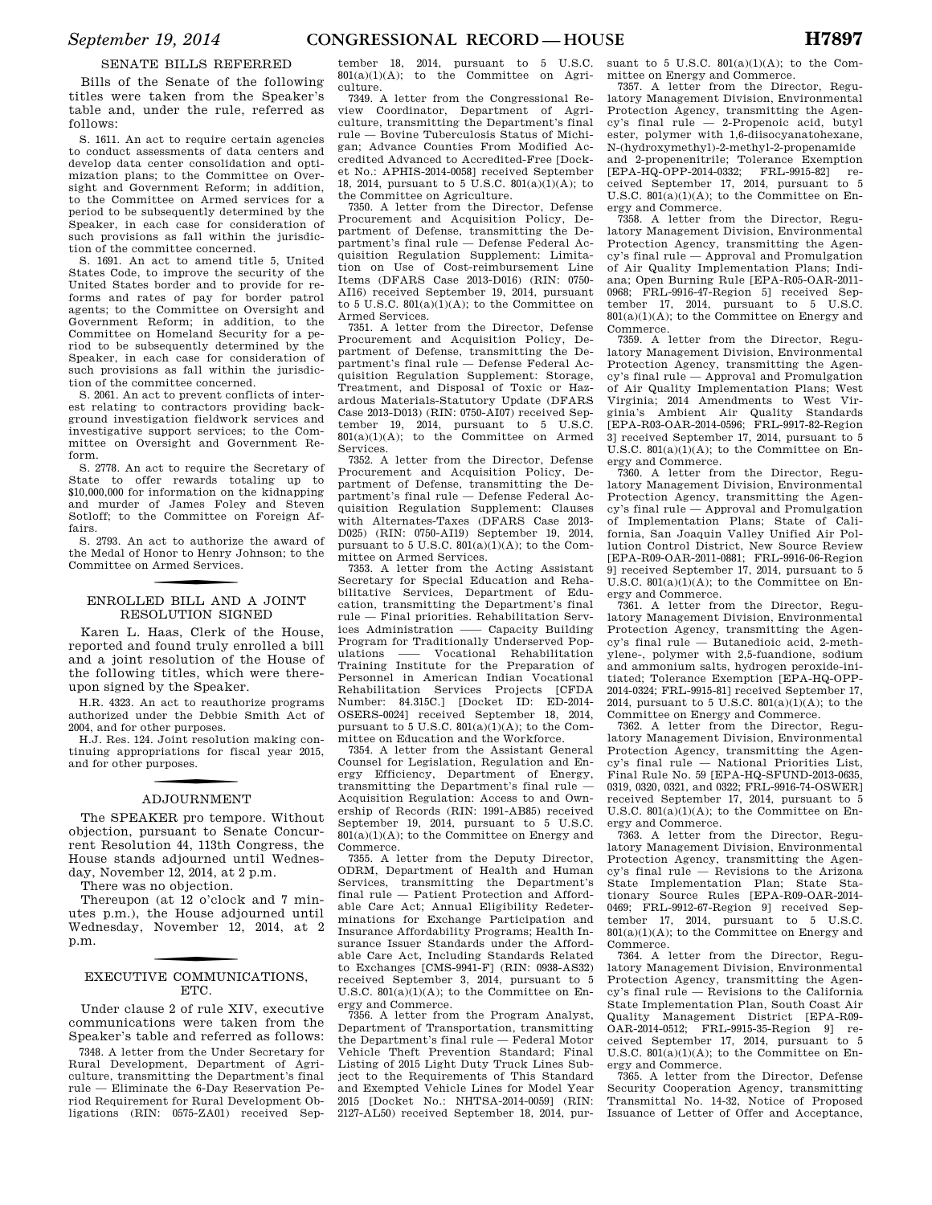# SENATE BILLS REFERRED

Bills of the Senate of the following titles were taken from the Speaker's table and, under the rule, referred as follows:

S. 1611. An act to require certain agencies to conduct assessments of data centers and develop data center consolidation and optimization plans; to the Committee on Oversight and Government Reform; in addition, to the Committee on Armed services for a period to be subsequently determined by the Speaker, in each case for consideration of such provisions as fall within the jurisdiction of the committee concerned.

S. 1691. An act to amend title 5, United States Code, to improve the security of the United States border and to provide for reforms and rates of pay for border patrol agents; to the Committee on Oversight and Government Reform; in addition, to the Committee on Homeland Security for a period to be subsequently determined by the Speaker, in each case for consideration of such provisions as fall within the jurisdiction of the committee concerned.

S. 2061. An act to prevent conflicts of interest relating to contractors providing background investigation fieldwork services and investigative support services; to the Committee on Oversight and Government Reform.

S. 2778. An act to require the Secretary of State to offer rewards totaling up to \$10,000,000 for information on the kidnapping and murder of James Foley and Steven Sotloff; to the Committee on Foreign Affairs.

S. 2793. An act to authorize the award of the Medal of Honor to Henry Johnson; to the Committee on Armed Services.

## f ENROLLED BILL AND A JOINT RESOLUTION SIGNED

Karen L. Haas, Clerk of the House, reported and found truly enrolled a bill and a joint resolution of the House of the following titles, which were thereupon signed by the Speaker.

H.R. 4323. An act to reauthorize programs authorized under the Debbie Smith Act of 2004, and for other purposes.

H.J. Res. 124. Joint resolution making continuing appropriations for fiscal year 2015, and for other purposes.

# f ADJOURNMENT

The SPEAKER pro tempore. Without objection, pursuant to Senate Concurrent Resolution 44, 113th Congress, the House stands adjourned until Wednesday, November 12, 2014, at 2 p.m.

There was no objection.

Thereupon (at 12 o'clock and 7 minutes p.m.), the House adjourned until Wednesday, November 12, 2014, at 2 p.m.

# EXECUTIVE COMMUNICATIONS, ETC.

Under clause 2 of rule XIV, executive communications were taken from the Speaker's table and referred as follows:

7348. A letter from the Under Secretary for Rural Development, Department of Agriculture, transmitting the Department's final rule — Eliminate the 6-Day Reservation Period Requirement for Rural Development Obligations (RIN: 0575-ZA01) received Sep-

tember 18, 2014, pursuant to 5 U.S.C.  $801(a)(1)(A);$  to the Committee on Agriculture.

7349. A letter from the Congressional Review Coordinator, Department of Agriculture, transmitting the Department's final rule — Bovine Tuberculosis Status of Michigan; Advance Counties From Modified Accredited Advanced to Accredited-Free [Docket No.: APHIS-2014-0058] received September 18, 2014, pursuant to 5 U.S.C. 801(a)(1)(A); to the Committee on Agriculture.

7350. A letter from the Director, Defense Procurement and Acquisition Policy, Department of Defense, transmitting the Department's final rule — Defense Federal Acquisition Regulation Supplement: Limitation on Use of Cost-reimbursement Line Items (DFARS Case 2013-D016) (RIN: 0750- AI16) received September 19, 2014, pursuant to 5 U.S.C.  $801(a)(1)(A)$ ; to the Committee on Armed Services.

7351. A letter from the Director, Defense Procurement and Acquisition Policy, Department of Defense, transmitting the Department's final rule — Defense Federal Acquisition Regulation Supplement: Storage, Treatment, and Disposal of Toxic or Hazardous Materials-Statutory Update (DFARS Case 2013-D013) (RIN: 0750-AI07) received September 19, 2014, pursuant to 5 U.S.C. 801(a)(1)(A); to the Committee on Armed Services.

7352. A letter from the Director, Defense Procurement and Acquisition Policy, Department of Defense, transmitting the Department's final rule — Defense Federal Acquisition Regulation Supplement: Clauses with Alternates-Taxes (DFARS Case 2013- D025) (RIN: 0750-AI19) September 19, 2014, pursuant to 5 U.S.C. 801(a)(1)(A); to the Committee on Armed Services.

7353. A letter from the Acting Assistant Secretary for Special Education and Rehabilitative Services, Department of Education, transmitting the Department's final rule — Final priorities. Rehabilitation Services Administration —— Capacity Building Program for Traditionally Underserved Populations —— Vocational Rehabilitation Training Institute for the Preparation of Personnel in American Indian Vocational Rehabilitation Services Projects [CFDA Number: 84.315C.] [Docket ID: ED-2014- OSERS-0024] received September 18, 2014, pursuant to 5 U.S.C.  $801(a)(1)(A)$ ; to the Committee on Education and the Workforce.

7354. A letter from the Assistant General Counsel for Legislation, Regulation and Energy Efficiency, Department of Energy, transmitting the Department's final rule — Acquisition Regulation: Access to and Ownership of Records (RIN: 1991-AB85) received September 19, 2014, pursuant to 5 U.S.C.  $801(a)(1)(A)$ ; to the Committee on Energy and Commerce.

7355. A letter from the Deputy Director, ODRM, Department of Health and Human Services, transmitting the Department's final rule — Patient Protection and Affordable Care Act; Annual Eligibility Redeterminations for Exchange Participation and Insurance Affordability Programs; Health Insurance Issuer Standards under the Affordable Care Act, Including Standards Related to Exchanges [CMS-9941-F] (RIN: 0938-AS32) received September 3, 2014, pursuant to 5 U.S.C.  $801(a)(1)(A)$ ; to the Committee on Energy and Commerce.

7356. A letter from the Program Analyst, Department of Transportation, transmitting the Department's final rule — Federal Motor Vehicle Theft Prevention Standard; Final Listing of 2015 Light Duty Truck Lines Subject to the Requirements of This Standard and Exempted Vehicle Lines for Model Year 2015 [Docket No.: NHTSA-2014-0059] (RIN: 2127-AL50) received September 18, 2014, pur-

suant to 5 U.S.C.  $801(a)(1)(A)$ ; to the Committee on Energy and Commerce.

7357. A letter from the Director, Regulatory Management Division, Environmental Protection Agency, transmitting the Agency's final rule — 2-Propenoic acid, butyl ester, polymer with 1,6-diisocyanatohexane, N-(hydroxymethyl)-2-methyl-2-propenamide and 2-propenenitrile; Tolerance Exemption [EPA-HQ-OPP-2014-0332; FRL-9915-82] received September 17, 2014, pursuant to 5 U.S.C.  $801(a)(1)(A)$ ; to the Committee on En-

ergy and Commerce. 7358. A letter from the Director, Regulatory Management Division, Environmental Protection Agency, transmitting the Agency's final rule — Approval and Promulgation of Air Quality Implementation Plans; Indiana; Open Burning Rule [EPA-R05-OAR-2011- 0968; FRL-9916-47-Region 5] received September 17, 2014, pursuant to 5 U.S.C.  $801(a)(1)(A)$ ; to the Committee on Energy and Commerce.

7359. A letter from the Director, Regulatory Management Division, Environmental Protection Agency, transmitting the Agency's final rule — Approval and Promulgation of Air Quality Implementation Plans; West Virginia; 2014 Amendments to West Virginia's Ambient Air Quality Standards [EPA-R03-OAR-2014-0596; FRL-9917-82-Region 3] received September 17, 2014, pursuant to 5 U.S.C.  $801(a)(1)(A)$ ; to the Committee on Energy and Commerce.

7360. A letter from the Director, Regulatory Management Division, Environmental Protection Agency, transmitting the Agency's final rule — Approval and Promulgation of Implementation Plans; State of California, San Joaquin Valley Unified Air Pollution Control District, New Source Review [EPA-R09-OAR-2011-0881; FRL-9916-06-Region 9] received September 17, 2014, pursuant to 5 U.S.C.  $801(a)(1)(A)$ ; to the Committee on Energy and Commerce.

7361. A letter from the Director, Regulatory Management Division, Environmental Protection Agency, transmitting the Agency's final rule — Butanedioic acid, 2-methylene-, polymer with 2,5-fuandione, sodium and ammonium salts, hydrogen peroxide-initiated; Tolerance Exemption [EPA-HQ-OPP-2014-0324; FRL-9915-81] received September 17, 2014, pursuant to 5 U.S.C.  $801(a)(1)(A)$ ; to the Committee on Energy and Commerce.

7362. A letter from the Director, Regulatory Management Division, Environmental Protection Agency, transmitting the Agency's final rule — National Priorities List, Final Rule No. 59 [EPA-HQ-SFUND-2013-0635, 0319, 0320, 0321, and 0322; FRL-9916-74-OSWER] received September 17, 2014, pursuant to 5 U.S.C.  $801(a)(1)(A)$ ; to the Committee on Energy and Commerce.

7363. A letter from the Director, Regulatory Management Division, Environmental Protection Agency, transmitting the Agency's final rule — Revisions to the Arizona State Implementation Plan; State Stationary Source Rules [EPA-R09-OAR-2014- 0469; FRL-9912-67-Region 9] received September 17, 2014, pursuant to 5 U.S.C.  $801(a)(1)(A)$ ; to the Committee on Energy and Commerce.

7364. A letter from the Director, Regulatory Management Division, Environmental Protection Agency, transmitting the Agency's final rule — Revisions to the California State Implementation Plan, South Coast Air Management District [EPA-R09-OAR-2014-0512; FRL-9915-35-Region 9] received September 17, 2014, pursuant to 5 U.S.C.  $801(a)(1)(A)$ ; to the Committee on Energy and Commerce.

7365. A letter from the Director, Defense Security Cooperation Agency, transmitting Transmittal No. 14-32, Notice of Proposed Issuance of Letter of Offer and Acceptance,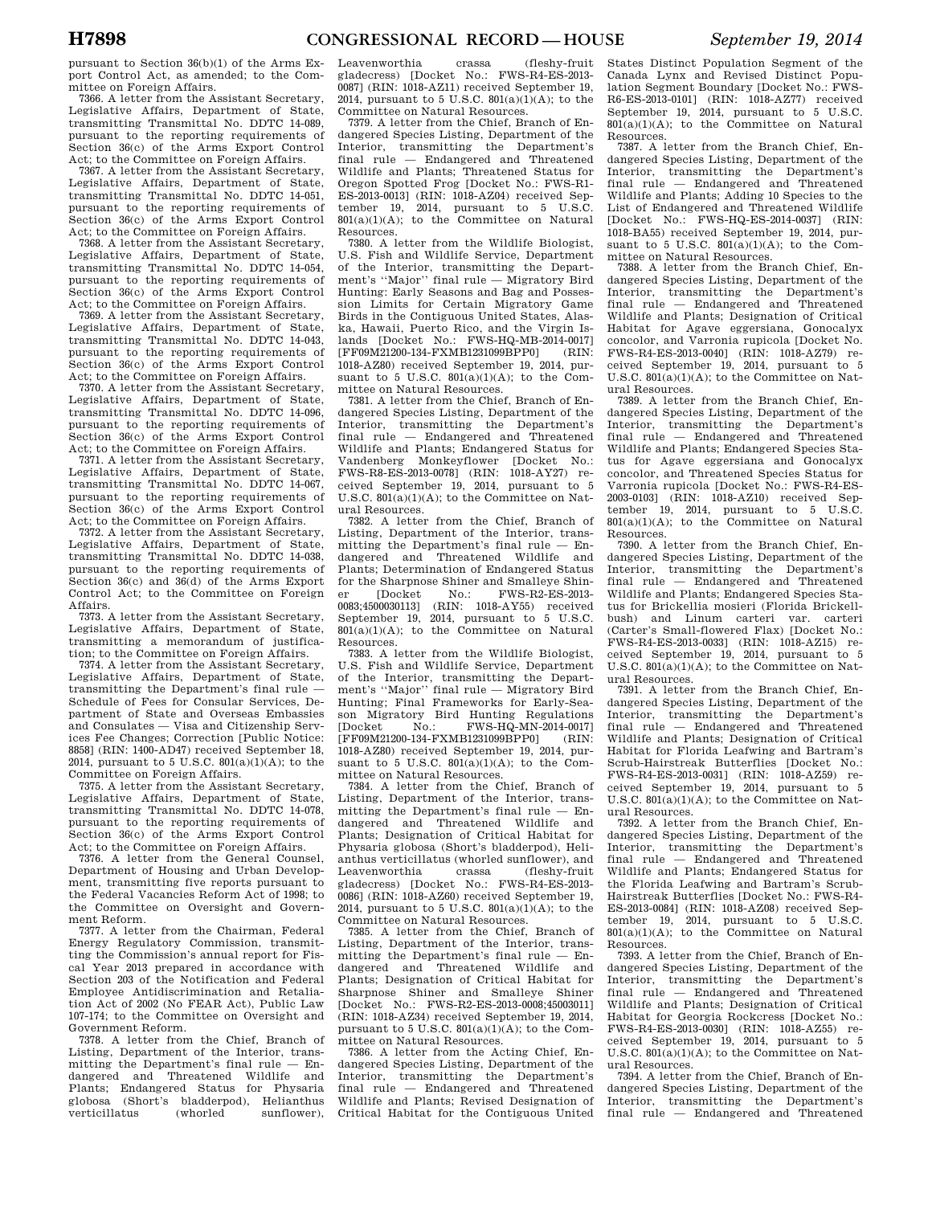pursuant to Section 36(b)(1) of the Arms Export Control Act, as amended; to the Committee on Foreign Affairs.

7366. A letter from the Assistant Secretary, Legislative Affairs, Department of State, transmitting Transmittal No. DDTC 14-089, pursuant to the reporting requirements of Section 36(c) of the Arms Export Control Act; to the Committee on Foreign Affairs.

7367. A letter from the Assistant Secretary, Legislative Affairs, Department of State, transmitting Transmittal No. DDTC 14-051, pursuant to the reporting requirements of Section 36(c) of the Arms Export Control Act; to the Committee on Foreign Affairs.

7368. A letter from the Assistant Secretary, Legislative Affairs, Department of State, transmitting Transmittal No. DDTC 14-054, pursuant to the reporting requirements of Section 36(c) of the Arms Export Control Act; to the Committee on Foreign Affairs.

7369. A letter from the Assistant Secretary, Legislative Affairs, Department of State, transmitting Transmittal No. DDTC 14-043, pursuant to the reporting requirements of Section 36(c) of the Arms Export Control Act; to the Committee on Foreign Affairs.

7370. A letter from the Assistant Secretary, Legislative Affairs, Department of State, transmitting Transmittal No. DDTC 14-096, pursuant to the reporting requirements of Section 36(c) of the Arms Export Control Act; to the Committee on Foreign Affairs.

7371. A letter from the Assistant Secretary, Legislative Affairs, Department of State, transmitting Transmittal No. DDTC 14-067, pursuant to the reporting requirements of Section 36(c) of the Arms Export Control Act; to the Committee on Foreign Affairs.

7372. A letter from the Assistant Secretary, Legislative Affairs, Department of State, transmitting Transmittal No. DDTC 14-038, pursuant to the reporting requirements of Section 36(c) and 36(d) of the Arms Export Control Act; to the Committee on Foreign Affairs.

7373. A letter from the Assistant Secretary, Legislative Affairs, Department of State, transmitting a memorandum of justification; to the Committee on Foreign Affairs.

7374. A letter from the Assistant Secretary, Legislative Affairs, Department of State, transmitting the Department's final rule — Schedule of Fees for Consular Services, Department of State and Overseas Embassies and Consulates — Visa and Citizenship Services Fee Changes; Correction [Public Notice: 8858] (RIN: 1400-AD47) received September 18, 2014, pursuant to 5 U.S.C.  $801(a)(1)(A)$ ; to the Committee on Foreign Affairs.

7375. A letter from the Assistant Secretary, Legislative Affairs, Department of State, transmitting Transmittal No. DDTC 14-078, pursuant to the reporting requirements of Section 36(c) of the Arms Export Control Act; to the Committee on Foreign Affairs.

7376. A letter from the General Counsel, Department of Housing and Urban Development, transmitting five reports pursuant to the Federal Vacancies Reform Act of 1998; to the Committee on Oversight and Government Reform.

7377. A letter from the Chairman, Federal Energy Regulatory Commission, transmitting the Commission's annual report for Fis-Year 2013 prepared in accordance with Section 203 of the Notification and Federal Employee Antidiscrimination and Retaliation Act of 2002 (No FEAR Act), Public Law 107-174; to the Committee on Oversight and Government Reform.

7378. A letter from the Chief, Branch of Listing, Department of the Interior, transmitting the Department's final rule — Endangered and Threatened Wildlife and Plants; Endangered Status for Physaria globosa (Short's bladderpod), Helianthus verticillatus (whorled sunflower),

Leavenworthia crassa (fleshy-fruit gladecress) [Docket No.: FWS-R4-ES-2013- 0087] (RIN: 1018-AZ11) received September 19, 2014, pursuant to 5 U.S.C.  $801(a)(1)(A)$ ; to the Committee on Natural Resources.

7379. A letter from the Chief, Branch of Endangered Species Listing, Department of the Interior, transmitting the Department's final rule — Endangered and Threatened Wildlife and Plants; Threatened Status for Oregon Spotted Frog [Docket No.: FWS-R1- ES-2013-0013] (RIN: 1018-AZ04) received September 19, 2014, pursuant to 5 U.S.C. 801(a)(1)(A); to the Committee on Natural Resources.

7380. A letter from the Wildlife Biologist, U.S. Fish and Wildlife Service, Department of the Interior, transmitting the Department's ''Major'' final rule — Migratory Bird Hunting: Early Seasons and Bag and Possession Limits for Certain Migratory Game Birds in the Contiguous United States, Alaska, Hawaii, Puerto Rico, and the Virgin Islands [Docket No.: FWS-HQ-MB-2014-0017] [FF09M21200-134-FXMB1231099BPP0] (RIN: 1018-AZ80) received September 19, 2014, pursuant to 5 U.S.C.  $801(a)(1)(A)$ ; to the Committee on Natural Resources.

7381. A letter from the Chief, Branch of Endangered Species Listing, Department of the Interior, transmitting the Department's final rule — Endangered and Threatened Wildlife and Plants; Endangered Status for Vandenberg Monkeyflower [Docket No.: FWS-R8-ES-2013-0078] (RIN: 1018-AY27) received September 19, 2014, pursuant to 5 U.S.C. 801(a)(1)(A); to the Committee on Natural Resources.

7382. A letter from the Chief, Branch of Listing, Department of the Interior, transmitting the Department's final rule — Endangered and Threatened Wildlife and Plants; Determination of Endangered Status for the Sharpnose Shiner and Smalleye Shiner [Docket No.: FWS-R2-ES-2013- 0083;4500030113] (RIN: 1018-AY55) received September 19, 2014, pursuant to 5 U.S.C.  $801(a)(1)(A)$ ; to the Committee on Natural Resources.

7383. A letter from the Wildlife Biologist, U.S. Fish and Wildlife Service, Department of the Interior, transmitting the Department's ''Major'' final rule — Migratory Bird Hunting; Final Frameworks for Early-Season Migratory Bird Hunting Regulations<br>
[Docket No.: FWS-HQ-MN-2014-0017]  $FWS-HQ-MN-2014-0017$ ] [FF09M21200-134-FXMB1231099BPP0] (RIN: 1018-AZ80) received September 19, 2014, pursuant to 5 U.S.C.  $801(a)(1)(A)$ ; to the Committee on Natural Resources.

7384. A letter from the Chief, Branch of Listing, Department of the Interior, transmitting the Department's final rule — Endangered and Threatened Wildlife and Plants; Designation of Critical Habitat for Physaria globosa (Short's bladderpod), Helianthus verticillatus (whorled sunflower), and<br>Leavenworthia crassa (fleshy-fruit Leavenworthia gladecress) [Docket No.: FWS-R4-ES-2013- 0086] (RIN: 1018-AZ60) received September 19, 2014, pursuant to 5 U.S.C.  $801(a)(1)(A)$ ; to the Committee on Natural Resources.

7385. A letter from the Chief, Branch of Listing, Department of the Interior, transmitting the Department's final rule — Endangered and Threatened Wildlife and Plants; Designation of Critical Habitat for Sharpnose Shiner and Smalleye Shiner [Docket No.: FWS-R2-ES-2013-0008;45003011] (RIN: 1018-AZ34) received September 19, 2014, pursuant to 5 U.S.C.  $801(a)(1)(A)$ ; to the Committee on Natural Resources.

7386. A letter from the Acting Chief, Endangered Species Listing, Department of the Interior, transmitting the Department's final rule — Endangered and Threatened Wildlife and Plants; Revised Designation of Critical Habitat for the Contiguous United

States Distinct Population Segment of the Canada Lynx and Revised Distinct Population Segment Boundary [Docket No.: FWS-R6-ES-2013-0101] (RIN: 1018-AZ77) received September 19, 2014, pursuant to 5 U.S.C.  $801(a)(1)(A)$ ; to the Committee on Natural Resources.

7387. A letter from the Branch Chief, Endangered Species Listing, Department of the Interior, transmitting the Department's final rule — Endangered and Threatened Wildlife and Plants; Adding 10 Species to the List of Endangered and Threatened Wildlife [Docket No.: FWS-HQ-ES-2014-0037] (RIN: 1018-BA55) received September 19, 2014, pursuant to  $5$  U.S.C.  $801(a)(1)(A)$ ; to the Committee on Natural Resources.

7388. A letter from the Branch Chief, Endangered Species Listing, Department of the Interior, transmitting the Department's final rule — Endangered and Threatened Wildlife and Plants; Designation of Critical Habitat for Agave eggersiana, Gonocalyx concolor, and Varronia rupicola [Docket No. FWS-R4-ES-2013-0040] (RIN: 1018-AZ79) received September 19, 2014, pursuant to 5 U.S.C. 801(a)(1)(A); to the Committee on Natural Resources.

7389. A letter from the Branch Chief, Endangered Species Listing, Department of the Interior, transmitting the Department's final rule — Endangered and Threatened Wildlife and Plants; Endangered Species Status for Agave eggersiana and Gonocalyx concolor, and Threatened Species Status for Varronia rupicola [Docket No.: FWS-R4-ES-2003-0103] (RIN: 1018-AZ10) received September 19, 2014, pursuant to 5 U.S.C.  $801(a)(1)(A)$ ; to the Committee on Natural Resources.

7390. A letter from the Branch Chief, Endangered Species Listing, Department of the Interior, transmitting the Department's final rule — Endangered and Threatened Wildlife and Plants; Endangered Species Status for Brickellia mosieri (Florida Brickellbush) and Linum carteri var. carteri (Carter's Small-flowered Flax) [Docket No.: FWS-R4-ES-2013-0033] (RIN: 1018-AZ15) received September 19, 2014, pursuant to 5 U.S.C.  $801(a)(1)(A)$ ; to the Committee on Natural Resources.

7391. A letter from the Branch Chief, Endangered Species Listing, Department of the Interior, transmitting the Department's final rule — Endangered and Threatened Wildlife and Plants; Designation of Critical Habitat for Florida Leafwing and Bartram's Scrub-Hairstreak Butterflies [Docket No.: FWS-R4-ES-2013-0031] (RIN: 1018-AZ59) received September 19, 2014, pursuant to 5 U.S.C.  $801(a)(1)(A)$ ; to the Committee on Natural Resources.

7392. A letter from the Branch Chief, Endangered Species Listing, Department of the Interior, transmitting the Department's final rule — Endangered and Threatened Wildlife and Plants; Endangered Status for the Florida Leafwing and Bartram's Scrub-Hairstreak Butterflies [Docket No.: FWS-R4- ES-2013-0084] (RIN: 1018-AZ08) received September 19, 2014, pursuant to 5 U.S.C.  $801(a)(1)(A)$ ; to the Committee on Natural Resources.

7393. A letter from the Chief, Branch of Endangered Species Listing, Department of the Interior, transmitting the Department's final rule — Endangered and Threatened Wildlife and Plants; Designation of Critical Habitat for Georgia Rockcress [Docket No.: FWS-R4-ES-2013-0030] (RIN: 1018-AZ55) received September 19, 2014, pursuant to 5 U.S.C.  $801(a)(1)(A)$ ; to the Committee on Natural Resources.

7394. A letter from the Chief, Branch of Endangered Species Listing, Department of the Interior, transmitting the Department's final rule — Endangered and Threatened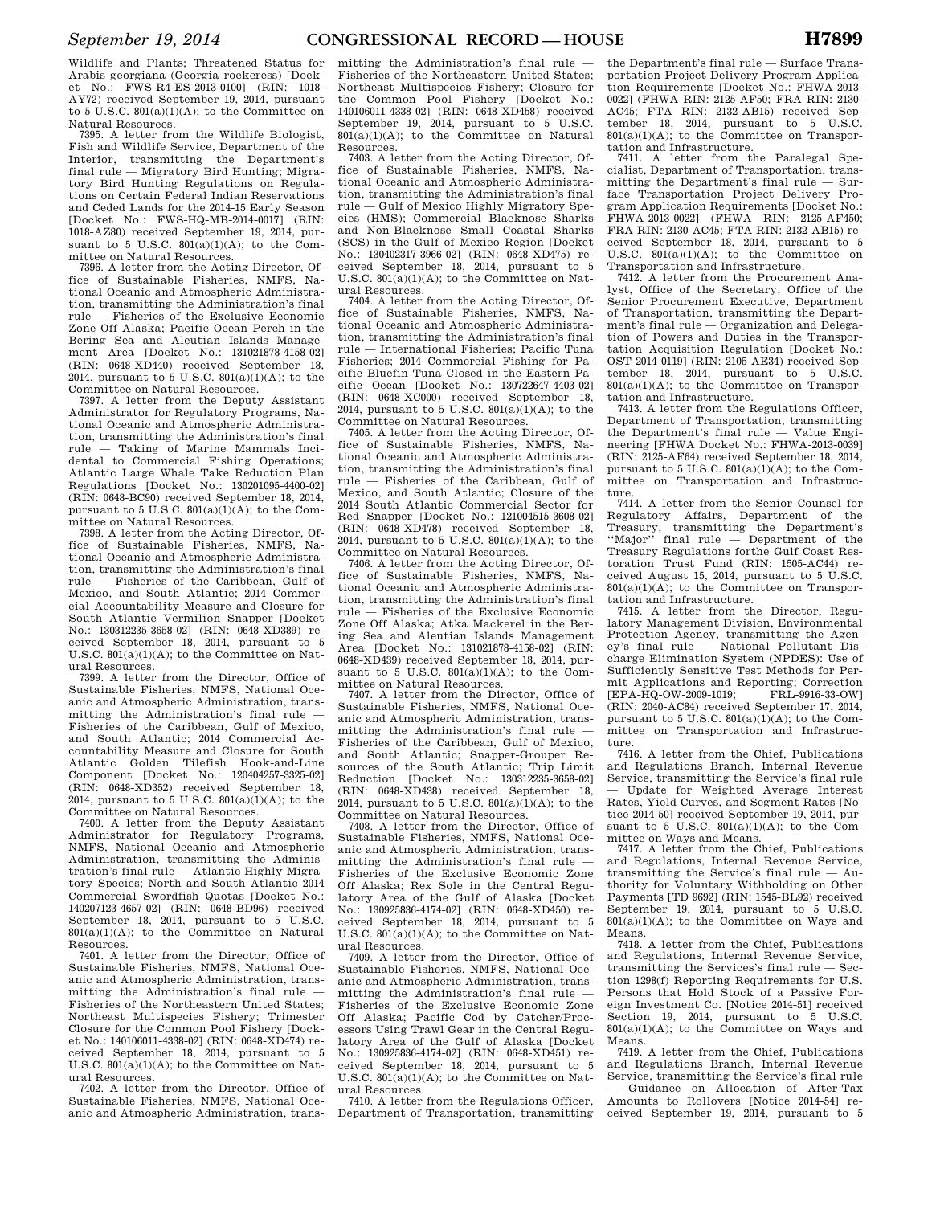Wildlife and Plants; Threatened Status for Arabis georgiana (Georgia rockcress) [Docket No.: FWS-R4-ES-2013-0100] (RIN: 1018- AY72) received September 19, 2014, pursuant to 5 U.S.C.  $801(a)(1)(A)$ ; to the Committee on Natural Resources.

7395. A letter from the Wildlife Biologist, Fish and Wildlife Service, Department of the Interior, transmitting the Department's final rule — Migratory Bird Hunting; Migratory Bird Hunting Regulations on Regulations on Certain Federal Indian Reservations and Ceded Lands for the 2014-15 Early Season [Docket No.: FWS-HQ-MB-2014-0017] (RIN: 1018-AZ80) received September 19, 2014, pursuant to 5 U.S.C.  $801(a)(1)(A)$ ; to the Committee on Natural Resources.

7396. A letter from the Acting Director, Office of Sustainable Fisheries, NMFS, National Oceanic and Atmospheric Administration, transmitting the Administration's final rule — Fisheries of the Exclusive Economic Zone Off Alaska; Pacific Ocean Perch in the Bering Sea and Aleutian Islands Management Area [Docket No.: 131021878-4158-02] (RIN: 0648-XD440) received September 18, 2014, pursuant to 5 U.S.C.  $801(a)(1)(A)$ ; to the Committee on Natural Resources.

7397. A letter from the Deputy Assistant Administrator for Regulatory Programs, National Oceanic and Atmospheric Administration, transmitting the Administration's final rule — Taking of Marine Mammals Incidental to Commercial Fishing Operations; Atlantic Large Whale Take Reduction Plan Regulations [Docket No.: 130201095-4400-02] (RIN: 0648-BC90) received September 18, 2014, pursuant to 5 U.S.C.  $801(a)(1)(A)$ ; to the Committee on Natural Resources.

7398. A letter from the Acting Director, Office of Sustainable Fisheries, NMFS, National Oceanic and Atmospheric Administration, transmitting the Administration's final rule — Fisheries of the Caribbean, Gulf of Mexico, and South Atlantic; 2014 Commercial Accountability Measure and Closure for South Atlantic Vermilion Snapper [Docket No.: 130312235-3658-02] (RIN: 0648-XD389) received September 18, 2014, pursuant to 5 U.S.C. 801(a)(1)(A); to the Committee on Natural Resources.

7399. A letter from the Director, Office of Sustainable Fisheries, NMFS, National Oceanic and Atmospheric Administration, transmitting the Administration's final rule — Fisheries of the Caribbean, Gulf of Mexico, and South Atlantic; 2014 Commercial Accountability Measure and Closure for South Atlantic Golden Tilefish Hook-and-Line Component [Docket No.: 120404257-3325-02] (RIN: 0648-XD352) received September 18, 2014, pursuant to 5 U.S.C.  $801(a)(1)(A)$ ; to the Committee on Natural Resources.

7400. A letter from the Deputy Assistant Administrator for Regulatory NMFS, National Oceanic and Atmospheric Administration, transmitting the Administration's final rule — Atlantic Highly Migratory Species; North and South Atlantic 2014 Commercial Swordfish Quotas [Docket No.: 140207123-4657-02] (RIN: 0648-BD96) received September 18, 2014, pursuant to 5 U.S.C.  $801(a)(1)(A)$ ; to the Committee on Natural Resources.

7401. A letter from the Director, Office of Sustainable Fisheries, NMFS, National Oceanic and Atmospheric Administration, transmitting the Administration's final rule — Fisheries of the Northeastern United States; Northeast Multispecies Fishery; Trimester Closure for the Common Pool Fishery [Docket No.: 140106011-4338-02] (RIN: 0648-XD474) received September 18, 2014, pursuant to 5 U.S.C.  $801(a)(1)(A)$ ; to the Committee on Natural Resources.

7402. A letter from the Director, Office of Sustainable Fisheries, NMFS, National Oceanic and Atmospheric Administration, trans-

mitting the Administration's final rule — Fisheries of the Northeastern United States; Northeast Multispecies Fishery; Closure for the Common Pool Fishery [Docket No.: 140106011-4338-02] (RIN: 0648-XD458) received September 19, 2014, pursuant to 5 U.S.C. 801(a)(1)(A); to the Committee on Natural Resources.

7403. A letter from the Acting Director, Office of Sustainable Fisheries, NMFS, National Oceanic and Atmospheric Administration, transmitting the Administration's final rule — Gulf of Mexico Highly Migratory Species (HMS); Commercial Blacknose Sharks and Non-Blacknose Small Coastal Sharks (SCS) in the Gulf of Mexico Region [Docket No.: 130402317-3966-02] (RIN: 0648-XD475) received September 18, 2014, pursuant to 5 U.S.C. 801(a)(1)(A); to the Committee on Natural Resources.

7404. A letter from the Acting Director, Office of Sustainable Fisheries, NMFS, National Oceanic and Atmospheric Administration, transmitting the Administration's final rule — International Fisheries; Pacific Tuna Fisheries; 2014 Commercial Fishing for Pacific Bluefin Tuna Closed in the Eastern Pacific Ocean [Docket No.: 130722647-4403-02] (RIN: 0648-XC000) received September 18, 2014, pursuant to 5 U.S.C.  $801(a)(1)(A)$ ; to the Committee on Natural Resources.

7405. A letter from the Acting Director, Office of Sustainable Fisheries, NMFS, National Oceanic and Atmospheric Administration, transmitting the Administration's final rule — Fisheries of the Caribbean, Gulf of Mexico, and South Atlantic; Closure of the 2014 South Atlantic Commercial Sector for Red Snapper [Docket No.: 121004515-3608-02] (RIN: 0648-XD478) received September 18, 2014, pursuant to 5 U.S.C. 801(a)(1)(A); to the Committee on Natural Resources.

7406. A letter from the Acting Director, Office of Sustainable Fisheries, NMFS, National Oceanic and Atmospheric Administration, transmitting the Administration's final rule — Fisheries of the Exclusive Economic Zone Off Alaska; Atka Mackerel in the Bering Sea and Aleutian Islands Management Area [Docket No.: 131021878-4158-02] (RIN: 0648-XD439) received September 18, 2014, pursuant to 5 U.S.C.  $801(a)(1)(A)$ ; to the Committee on Natural Resources.

7407. A letter from the Director, Office of Sustainable Fisheries, NMFS, National Oceanic and Atmospheric Administration, transmitting the Administration's final rule — Fisheries of the Caribbean, Gulf of Mexico, and South Atlantic; Snapper-Grouper Resources of the South Atlantic; Trip Limit Reduction [Docket No.: 130312235-3658-02] [Docket No.: 130312235-3658-02] (RIN: 0648-XD438) received September 18, 2014, pursuant to 5 U.S.C.  $801(a)(1)(A)$ ; to the Committee on Natural Resources.

7408. A letter from the Director, Office of Sustainable Fisheries, NMFS, National Oceanic and Atmospheric Administration, transmitting the Administration's final rule — Fisheries of the Exclusive Economic Zone Off Alaska; Rex Sole in the Central Regulatory Area of the Gulf of Alaska [Docket No.: 130925836-4174-02] (RIN: 0648-XD450) received September 18, 2014, pursuant to 5 U.S.C. 801(a)(1)(A); to the Committee on Natural Resources.

7409. A letter from the Director, Office of Sustainable Fisheries, NMFS, National Oceanic and Atmospheric Administration, transmitting the Administration's final rule — Fisheries of the Exclusive Economic Zone Off Alaska; Pacific Cod by Catcher/Processors Using Trawl Gear in the Central Regulatory Area of the Gulf of Alaska [Docket] No.: 130925836-4174-02] (RIN: 0648-XD451) received September 18, 2014, pursuant to 5 U.S.C.  $801(a)(1)(A)$ ; to the Committee on Natural Resources.

7410. A letter from the Regulations Officer, Department of Transportation, transmitting

the Department's final rule — Surface Transportation Project Delivery Program Application Requirements [Docket No.: FHWA-2013- 0022] (FHWA RIN: 2125-AF50; FRA RIN: 2130- AC45; FTA RIN: 2132-AB15) received September 18, 2014, pursuant to 5 U.S.C.  $801(a)(1)(A)$ ; to the Committee on Transportation and Infrastructure.

7411. A letter from the Paralegal Specialist, Department of Transportation, transmitting the Department's final rule — Surface Transportation Project Delivery Program Application Requirements [Docket No.: FHWA-2013-0022] (FHWA RIN: 2125-AF450; FRA RIN: 2130-AC45; FTA RIN: 2132-AB15) received September 18, 2014, pursuant to 5 U.S.C.  $801(a)(1)(A)$ ; to the Committee on Transportation and Infrastructure.

7412. A letter from the Procurement Analyst, Office of the Secretary, Office of the Senior Procurement Executive, Department of Transportation, transmitting the Department's final rule — Organization and Delegation of Powers and Duties in the Transportation Acquisition Regulation [Docket No.: OST-2014-0119] (RIN: 2105-AE34) received September 18, 2014, pursuant to 5 U.S.C.  $801(a)(1)(A)$ ; to the Committee on Transportation and Infrastructure.

7413. A letter from the Regulations Officer, Department of Transportation, transmitting the Department's final rule — Value Engineering [FHWA Docket No.: FHWA-2013-0039] (RIN: 2125-AF64) received September 18, 2014, pursuant to 5 U.S.C. 801(a)(1)(A); to the Committee on Transportation and Infrastructure.

7414. A letter from the Senior Counsel for Regulatory Affairs, Department of the Treasury, transmitting the Department's ''Major'' final rule — Department of the Treasury Regulations forthe Gulf Coast Restoration Trust Fund (RIN: 1505-AC44) received August 15, 2014, pursuant to 5 U.S.C.  $801(a)(1)(A)$ ; to the Committee on Transportation and Infrastructure.

7415. A letter from the Director, Regulatory Management Division, Environmental Protection Agency, transmitting the Agency's final rule — National Pollutant Discharge Elimination System (NPDES): Use of Sufficiently Sensitive Test Methods for Permit Applications and Reporting; Correction<br>
[EPA-HQ-OW-2009-1019: FRL-9916-33-OW]  $[EPA-HQ-OW-2009-1019;$ (RIN: 2040-AC84) received September 17, 2014, pursuant to  $5 \text{ U.S.C. } 801(a)(1)(\text{A})$ ; to the Committee on Transportation and Infrastructure.

7416. A letter from the Chief, Publications and Regulations Branch, Internal Revenue Service, transmitting the Service's final rule

— Update for Weighted Average Interest Rates, Yield Curves, and Segment Rates [Notice 2014-50] received September 19, 2014, pursuant to 5 U.S.C.  $801(a)(1)(A)$ ; to the Com-

mittee on Ways and Means. 7417. A letter from the Chief, Publications and Regulations, Internal Revenue Service, transmitting the Service's final rule — Authority for Voluntary Withholding on Other Payments [TD 9692] (RIN: 1545-BL92) received September 19, 2014, pursuant to 5 U.S.C.  $801(a)(1)(A)$ ; to the Committee on Ways and Means.

7418. A letter from the Chief, Publications and Regulations, Internal Revenue Service, transmitting the Services's final rule — Section 1298(f) Reporting Requirements for U.S. Persons that Hold Stock of a Passive Foreign Investment Co. [Notice 2014-51] received Section 19, 2014, pursuant to 5 U.S.C.  $801(a)(1)(A)$ ; to the Committee on Ways and Means.

7419. A letter from the Chief, Publications and Regulations Branch, Internal Revenue Service, transmitting the Service's final rule — Guidance on Allocation of After-Tax Amounts to Rollovers [Notice 2014-54] received September 19, 2014, pursuant to 5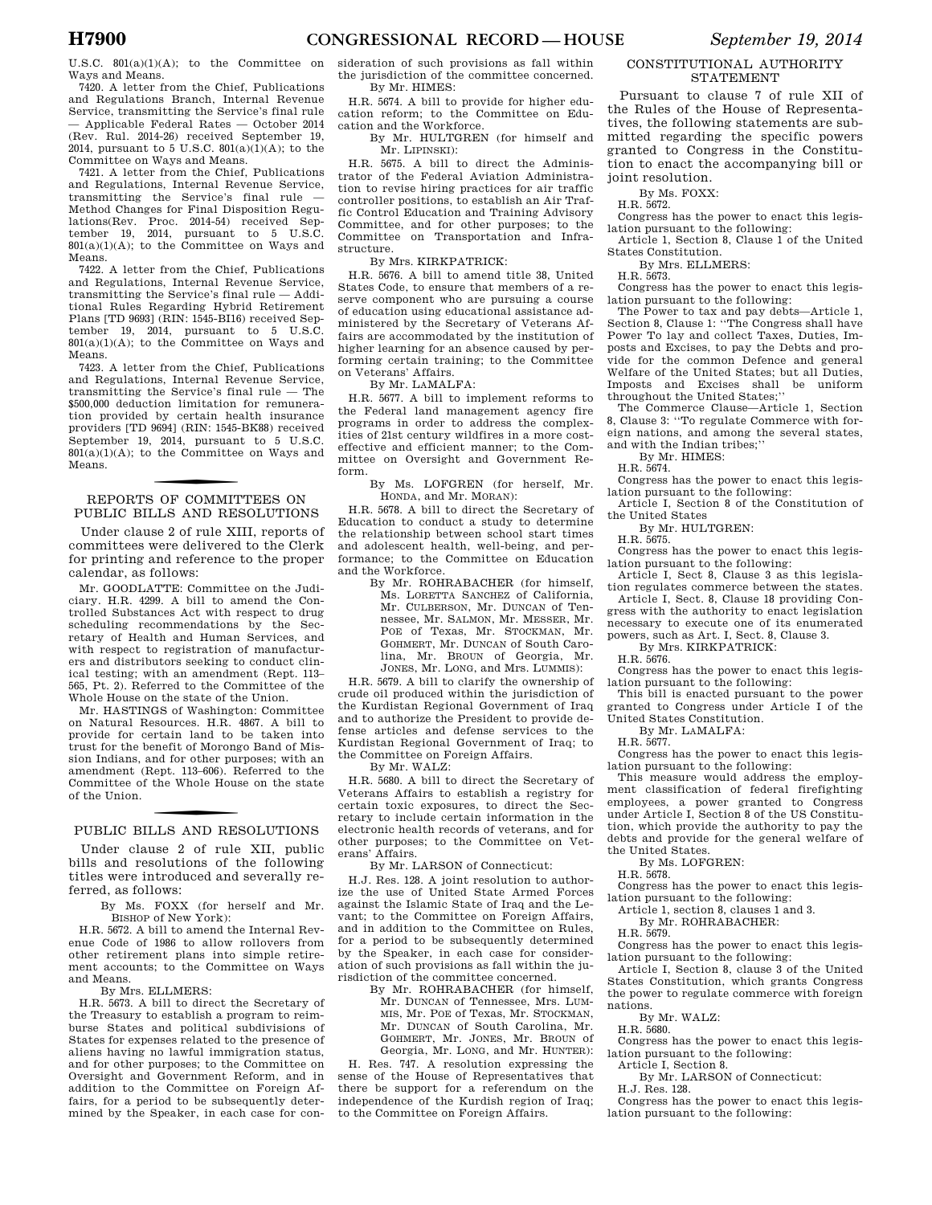U.S.C.  $801(a)(1)(A)$ ; to the Committee on Ways and Means.

7420. A letter from the Chief, Publications and Regulations Branch, Internal Revenue Service, transmitting the Service's final rule — Applicable Federal Rates — October 2014 (Rev. Rul. 2014-26) received September 19, 2014, pursuant to 5 U.S.C.  $801(a)(1)(A)$ ; to the Committee on Ways and Means.

7421. A letter from the Chief, Publications and Regulations, Internal Revenue Service, transmitting the Service's final rule — Method Changes for Final Disposition Regulations(Rev. Proc. 2014-54) received September 19, 2014, pursuant to 5 U.S.C. 801(a)(1)(A); to the Committee on Ways and Means.

7422. A letter from the Chief, Publications and Regulations, Internal Revenue Service, transmitting the Service's final rule — Additional Rules Regarding Hybrid Retirement Plans [TD 9693] (RIN: 1545-BI16) received September 19, 2014, pursuant to 5 U.S.C.  $801(a)(1)(A);$  to the Committee on Ways and Means.

7423. A letter from the Chief, Publications and Regulations, Internal Revenue Service, transmitting the Service's final rule — The \$500,000 deduction limitation for remuneration provided by certain health insurance providers [TD 9694] (RIN: 1545-BK88) received September 19, 2014, pursuant to 5 U.S.C. 801(a)(1)(A); to the Committee on Ways and Means.

## f REPORTS OF COMMITTEES ON PUBLIC BILLS AND RESOLUTIONS

Under clause 2 of rule XIII, reports of committees were delivered to the Clerk for printing and reference to the proper calendar, as follows:

Mr. GOODLATTE: Committee on the Judiciary. H.R. 4299. A bill to amend the Controlled Substances Act with respect to drug scheduling recommendations by the Secretary of Health and Human Services, and with respect to registration of manufacturers and distributors seeking to conduct clinical testing; with an amendment (Rept. 113– 565, Pt. 2). Referred to the Committee of the Whole House on the state of the Union.

Mr. HASTINGS of Washington: Committee on Natural Resources. H.R. 4867. A bill to provide for certain land to be taken into trust for the benefit of Morongo Band of Mission Indians, and for other purposes; with an amendment (Rept. 113–606). Referred to the Committee of the Whole House on the state of the Union.

# PUBLIC BILLS AND RESOLUTIONS

Under clause 2 of rule XII, public bills and resolutions of the following titles were introduced and severally referred, as follows:

By Ms. FOXX (for herself and Mr. BISHOP of New York):

H.R. 5672. A bill to amend the Internal Revenue Code of 1986 to allow rollovers from other retirement plans into simple retirement accounts; to the Committee on Ways and Means.

By Mrs. ELLMERS:

H.R. 5673. A bill to direct the Secretary of the Treasury to establish a program to reimburse States and political subdivisions of States for expenses related to the presence of aliens having no lawful immigration status, and for other purposes; to the Committee on Oversight and Government Reform, and in addition to the Committee on Foreign Affairs, for a period to be subsequently determined by the Speaker, in each case for consideration of such provisions as fall within the jurisdiction of the committee concerned. By Mr. HIMES:

H.R. 5674. A bill to provide for higher education reform; to the Committee on Education and the Workforce.

By Mr. HULTGREN (for himself and Mr. LIPINSKI):

H.R. 5675. A bill to direct the Administrator of the Federal Aviation Administration to revise hiring practices for air traffic controller positions, to establish an Air Traffic Control Education and Training Advisory Committee, and for other purposes; to the Committee on Transportation and Infrastructure.

By Mrs. KIRKPATRICK:

H.R. 5676. A bill to amend title 38, United States Code, to ensure that members of a reserve component who are pursuing a course of education using educational assistance administered by the Secretary of Veterans Affairs are accommodated by the institution of higher learning for an absence caused by performing certain training; to the Committee on Veterans' Affairs.

#### By Mr. LAMALFA:

H.R. 5677. A bill to implement reforms to the Federal land management agency fire programs in order to address the complexities of 21st century wildfires in a more costeffective and efficient manner; to the Committee on Oversight and Government Reform.

By Ms. LOFGREN (for herself, Mr. HONDA, and Mr. MORAN):

H.R. 5678. A bill to direct the Secretary of Education to conduct a study to determine the relationship between school start times and adolescent health, well-being, and performance; to the Committee on Education and the Workforce.

By Mr. ROHRABACHER (for himself, Ms. LORETTA SANCHEZ of California, Mr. CULBERSON, Mr. DUNCAN of Tennessee, Mr. SALMON, Mr. MESSER, Mr. POE of Texas, Mr. STOCKMAN, Mr. GOHMERT, Mr. DUNCAN of South Carolina, Mr. BROUN of Georgia, Mr. JONES, Mr. LONG, and Mrs. LUMMIS):

H.R. 5679. A bill to clarify the ownership of crude oil produced within the jurisdiction of the Kurdistan Regional Government of Iraq and to authorize the President to provide defense articles and defense services to the Kurdistan Regional Government of Iraq; to the Committee on Foreign Affairs.

By Mr. WALZ:

H.R. 5680. A bill to direct the Secretary of Veterans Affairs to establish a registry for certain toxic exposures, to direct the Secretary to include certain information in the electronic health records of veterans, and for other purposes; to the Committee on Veterans' Affairs.

By Mr. LARSON of Connecticut:

H.J. Res. 128. A joint resolution to authorize the use of United State Armed Forces against the Islamic State of Iraq and the Levant; to the Committee on Foreign Affairs, and in addition to the Committee on Rules, for a period to be subsequently determined by the Speaker, in each case for consideration of such provisions as fall within the jurisdiction of the committee concerned.

By Mr. ROHRABACHER (for himself, Mr. DUNCAN of Tennessee, Mrs. LUM-MIS, Mr. POE of Texas, Mr. STOCKMAN, Mr. DUNCAN of South Carolina, Mr. GOHMERT, Mr. JONES, Mr. BROUN of Georgia, Mr. LONG, and Mr. HUNTER):

H. Res. 747. A resolution expressing the sense of the House of Representatives that there be support for a referendum on the independence of the Kurdish region of Iraq; to the Committee on Foreign Affairs.

#### CONSTITUTIONAL AUTHORITY **STATEMENT**

Pursuant to clause 7 of rule XII of the Rules of the House of Representatives, the following statements are submitted regarding the specific powers granted to Congress in the Constitution to enact the accompanying bill or joint resolution.

By Ms. FOXX:

H.R. 5672.

Congress has the power to enact this legislation pursuant to the following:

Article 1, Section 8, Clause 1 of the United States Constitution.

By Mrs. ELLMERS:

H.R. 5673.

Congress has the power to enact this legislation pursuant to the following:

The Power to tax and pay debts—Article 1, Section 8, Clause 1: ''The Congress shall have Power To lay and collect Taxes, Duties, Imposts and Excises, to pay the Debts and provide for the common Defence and general Welfare of the United States; but all Duties, Imposts and Excises shall be uniform throughout the United States;''

The Commerce Clause—Article 1, Section 8, Clause 3: ''To regulate Commerce with foreign nations, and among the several states, and with the Indian tribes;''

By Mr. HIMES:

H.R. 5674.

Congress has the power to enact this legislation pursuant to the following:

Article I, Section 8 of the Constitution of the United States

By Mr. HULTGREN: H.R. 5675.

Congress has the power to enact this legislation pursuant to the following:

Article I, Sect 8, Clause 3 as this legislation regulates commerce between the states.

Article I, Sect. 8, Clause 18 providing Congress with the authority to enact legislation necessary to execute one of its enumerated powers, such as Art. I, Sect. 8, Clause 3.

By Mrs. KIRKPATRICK:

H.R. 5676.

Congress has the power to enact this legislation pursuant to the following:

This bill is enacted pursuant to the power granted to Congress under Article I of the United States Constitution.

By Mr. LAMALFA:

H.R. 5677.

Congress has the power to enact this legislation pursuant to the following:

This measure would address the employment classification of federal firefighting employees, a power granted to Congress under Article I, Section 8 of the US Constitution, which provide the authority to pay the debts and provide for the general welfare of the United States.

By Ms. LOFGREN:

H.R. 5678.

Congress has the power to enact this legislation pursuant to the following:

Article 1, section 8, clauses 1 and 3.

By Mr. ROHRABACHER: H.R. 5679.

Congress has the power to enact this legislation pursuant to the following:

Article I, Section 8, clause 3 of the United States Constitution, which grants Congress the power to regulate commerce with foreign nations.

By Mr. WALZ:

H.R. 5680.

Congress has the power to enact this legislation pursuant to the following:

Article I, Section 8.

By Mr. LARSON of Connecticut:

H.J. Res. 128.

Congress has the power to enact this legislation pursuant to the following: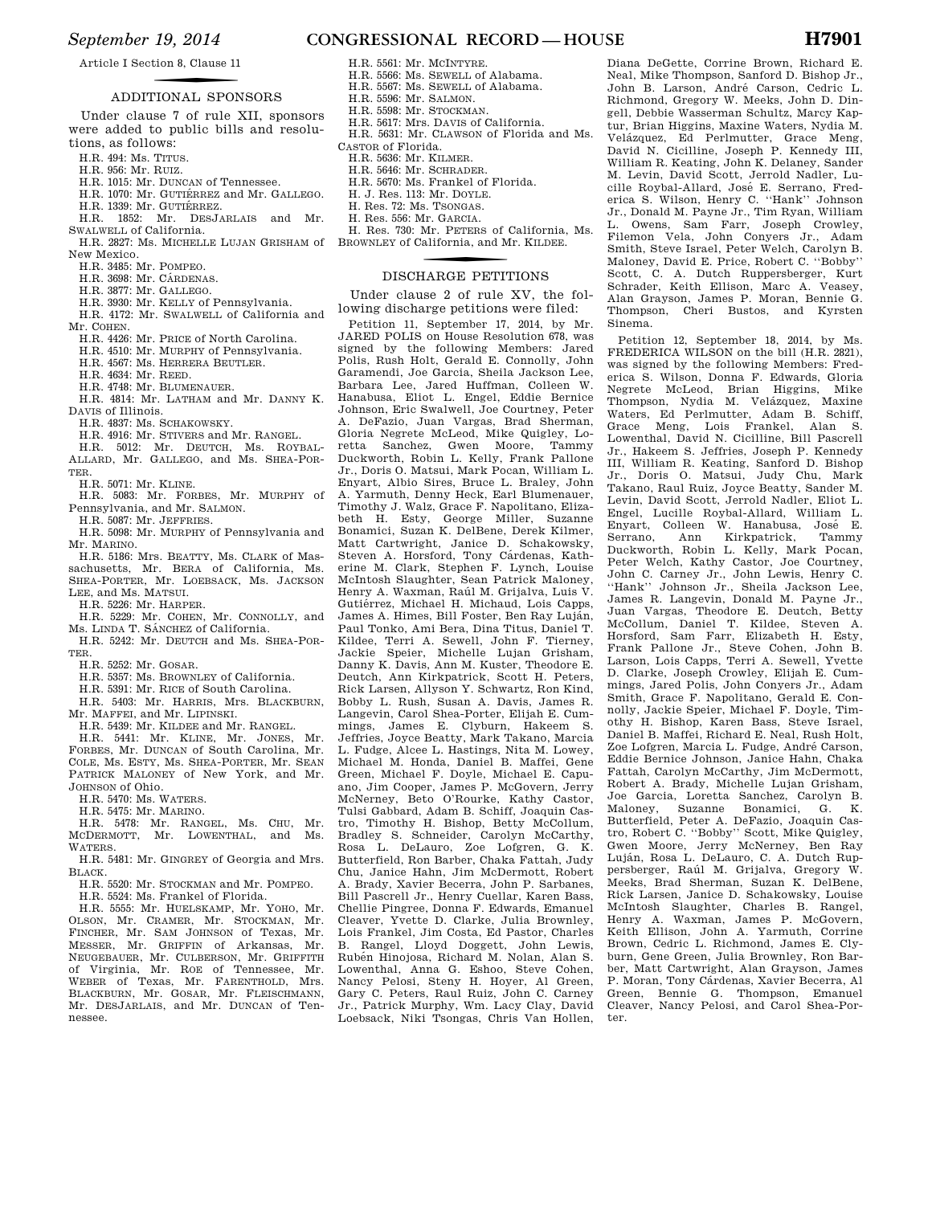Article I Section 8, Clause 11

# f ADDITIONAL SPONSORS

Under clause 7 of rule XII, sponsors were added to public bills and resolutions, as follows:

- H.R. 494: Ms. TITUS.
- H.R. 956: Mr. RUIZ.
- H.R. 1015: Mr. DUNCAN of Tennessee.
- H.R. 1070: Mr. GUTIÉRREZ and Mr. GALLEGO.
- H.R. 1339<sup>.</sup> Mr. GUTIÉRREZ.
- H.R. 1852: Mr. DESJARLAIS and Mr.
- SWALWELL of California. H.R. 2827: Ms. MICHELLE LUJAN GRISHAM of BROWNLEY of California, and Mr. K ILDEE.
- New Mexico.
- H.R. 3485: Mr. POMPEO.
- H.R. 3698: Mr. CARDENAS.
- H.R. 3877: Mr. GALLEGO.
- H.R. 3930: Mr. KELLY of Pennsylvania.

H.R. 4172: Mr. SWALWELL of California and Mr. COHEN.

- H.R. 4426: Mr. PRICE of North Carolina.
- H.R. 4510: Mr. MURPHY of Pennsylvania.
- H.R. 4567: Ms. HERRERA BEUTLER.
- H.R. 4634: Mr. REED.

H.R. 4748: Mr. BLUMENAUER.

H.R. 4814: Mr. LATHAM and Mr. DANNY K. DAVIS of Illinois.

- H.R. 4837: Ms. SCHAKOWSKY.
- H.R. 4916: Mr. STIVERS and Mr. RANGEL.
- H.R. 5012: Mr. DEUTCH, Ms. ROYBAL-ALLARD, Mr. GALLEGO, and Ms. SHEA-POR-TER.
- $H$  R. 5071: Mr. KLINE.
- H.R. 5083: Mr. FORBES, Mr. MURPHY of Pennsylvania, and Mr. SALMON.
- H.R. 5087: Mr. JEFFRIES.
- H.R. 5098: Mr. MURPHY of Pennsylvania and Mr. MARINO.
- H.R. 5186: Mrs. BEATTY, Ms. CLARK of Massachusetts, Mr. BERA of California, Ms. SHEA-PORTER, Mr. LOEBSACK, Ms. JACKSON LEE, and Ms. MATSUI.
- H.R. 5226: Mr. HARPER.

H.R. 5229: Mr. COHEN, Mr. CONNOLLY, and

- Ms. LINDA T. SÁNCHEZ of California. H.R. 5242: Mr. DEUTCH and Ms. SHEA-POR-
- TER.
- H.R. 5252: Mr. GOSAR.
- H.R. 5357: Ms. BROWNLEY of California.
- H.R. 5391: Mr. RICE of South Carolina.
- H.R. 5403: Mr. HARRIS, Mrs. BLACKBURN, Mr. MAFFEI, and Mr. LIPINSKI.
- H.R. 5439: Mr. KILDEE and Mr. RANGEL.

H.R. 5441: Mr. KLINE, Mr. JONES, Mr. FORBES, Mr. DUNCAN of South Carolina, Mr. COLE, Ms. ESTY, Ms. SHEA-PORTER, Mr. SEAN PATRICK MALONEY of New York, and Mr. JOHNSON of Ohio.

- H.R. 5470: Ms. WATERS.
- H.R. 5475: Mr. MARINO.

H.R. 5478: Mr. RANGEL, Ms. CHU, Mr. MCDERMOTT, Mr. LOWENTHAL, and Ms. WATERS.

H.R. 5481: Mr. GINGREY of Georgia and Mrs. BLACK.

H.R. 5520: Mr. STOCKMAN and Mr. POMPEO.

H.R. 5524: Ms. Frankel of Florida.

H.R. 5555: Mr. HUELSKAMP, Mr. YOHO, Mr. OLSON, Mr. CRAMER, Mr. STOCKMAN, Mr. FINCHER, Mr. SAM JOHNSON of Texas, Mr. MESSER, Mr. GRIFFIN of Arkansas, Mr. NEUGEBAUER, Mr. CULBERSON, Mr. GRIFFITH of Virginia, Mr. ROE of Tennessee, Mr. WEBER of Texas, Mr. FARENTHOLD, Mrs. BLACKBURN, Mr. GOSAR, Mr. FLEISCHMANN, Mr. DESJARLAIS, and Mr. DUNCAN of Tennessee.

- *September 19, 2014* **CONGRESSIONAL RECORD HOUSE H7901** 
	- H.R. 5561: Mr. MCINTYRE.
	- H.R. 5566: Ms. SEWELL of Alabama.
	- H.R. 5567: Ms. SEWELL of Alabama.
	- H.R. 5596: Mr. SALMON.
	- H.R. 5598: Mr. STOCKMAN.
	- H.R. 5617: Mrs. DAVIS of California. H.R. 5631: Mr. CLAWSON of Florida and Ms.
	- CASTOR of Florida.
	- H.R. 5636: Mr. KILMER.
	- H.R. 5646: Mr. SCHRADER. H.R. 5670: Ms. Frankel of Florida.
	- H. J. Res. 113: Mr. DOYLE.
	- H. Res. 72: Ms. TSONGAS.
	- H. Res. 556: Mr. GARCIA.
	- H. Res. 730: Mr. PETERS of California, Ms.

# f DISCHARGE PETITIONS

Under clause 2 of rule XV, the following discharge petitions were filed:

Petition 11, September 17, 2014, by Mr. JARED POLIS on House Resolution 678, was signed by the following Members: Jared Polis, Rush Holt, Gerald E. Connolly, John Garamendi, Joe Garcia, Sheila Jackson Lee, Barbara Lee, Jared Huffman, Colleen W. Hanabusa, Eliot L. Engel, Eddie Bernice Johnson, Eric Swalwell, Joe Courtney, Peter A. DeFazio, Juan Vargas, Brad Sherman, Gloria Negrete McLeod, Mike Quigley, Loretta Sanchez, Gwen Moore, Tammy Duckworth, Robin L. Kelly, Frank Pallone Jr., Doris O. Matsui, Mark Pocan, William L. Enyart, Albio Sires, Bruce L. Braley, John A. Yarmuth, Denny Heck, Earl Blumenauer, Timothy J. Walz, Grace F. Napolitano, Elizabeth H. Esty, George Miller, Suzanne Bonamici, Suzan K. DelBene, Derek Kilmer, Matt Cartwright, Janice D. Schakowsky, Steven A. Horsford, Tony Cárdenas, Katherine M. Clark, Stephen F. Lynch, Louise McIntosh Slaughter, Sean Patrick Maloney, Henry A. Waxman, Raúl M. Grijalva, Luis V. Gutiérrez, Michael H. Michaud, Lois Capps, James A. Himes, Bill Foster, Ben Ray Luján, Paul Tonko, Ami Bera, Dina Titus, Daniel T. Kildee, Terri A. Sewell, John F. Tierney, Jackie Speier, Michelle Lujan Grisham, Danny K. Davis, Ann M. Kuster, Theodore E. Deutch, Ann Kirkpatrick, Scott H. Peters, Rick Larsen, Allyson Y. Schwartz, Ron Kind, Bobby L. Rush, Susan A. Davis, James R. Langevin, Carol Shea-Porter, Elijah E. Cummings, James E. Clyburn, Hakeem S. Jeffries, Joyce Beatty, Mark Takano, Marcia L. Fudge, Alcee L. Hastings, Nita M. Lowey, Michael M. Honda, Daniel B. Maffei, Gene Green, Michael F. Doyle, Michael E. Capuano, Jim Cooper, James P. McGovern, Jerry McNerney, Beto O'Rourke, Kathy Castor, Tulsi Gabbard, Adam B. Schiff, Joaquin Castro, Timothy H. Bishop, Betty McCollum, Bradley S. Schneider, Carolyn McCarthy, Rosa L. DeLauro, Zoe Lofgren, G. K. Butterfield, Ron Barber, Chaka Fattah, Judy Chu, Janice Hahn, Jim McDermott, Robert A. Brady, Xavier Becerra, John P. Sarbanes, Bill Pascrell Jr., Henry Cuellar, Karen Bass, Chellie Pingree, Donna F. Edwards, Emanuel Cleaver, Yvette D. Clarke, Julia Brownley, Lois Frankel, Jim Costa, Ed Pastor, Charles B. Rangel, Lloyd Doggett, John Lewis, Rubén Hinojosa, Richard M. Nolan, Alan S. Lowenthal, Anna G. Eshoo, Steve Cohen, Nancy Pelosi, Steny H. Hoyer, Al Green, Gary C. Peters, Raul Ruiz, John C. Carney Jr., Patrick Murphy, Wm. Lacy Clay, David Loebsack, Niki Tsongas, Chris Van Hollen,

Diana DeGette, Corrine Brown, Richard E. Neal, Mike Thompson, Sanford D. Bishop Jr., John B. Larson, André Carson, Cedric L. Richmond, Gregory W. Meeks, John D. Dingell, Debbie Wasserman Schultz, Marcy Kaptur, Brian Higgins, Maxine Waters, Nydia M. Velázquez, Ed Perlmutter, Grace Meng, David N. Cicilline, Joseph P. Kennedy III, William R. Keating, John K. Delaney, Sander M. Levin, David Scott, Jerrold Nadler, Lucille Roybal-Allard, José E. Serrano, Frederica S. Wilson, Henry C. ''Hank'' Johnson Jr., Donald M. Payne Jr., Tim Ryan, William L. Owens, Sam Farr, Joseph Crowley, Filemon Vela, John Conyers Jr., Adam Smith, Steve Israel, Peter Welch, Carolyn B. Maloney, David E. Price, Robert C. ''Bobby'' Scott, C. A. Dutch Ruppersberger, Kurt Schrader, Keith Ellison, Marc A. Veasey, Alan Grayson, James P. Moran, Bennie G. Thompson, Cheri Bustos, and Kyrsten Sinema.

Petition 12, September 18, 2014, by Ms. FREDERICA WILSON on the bill (H.R. 2821), was signed by the following Members: Frederica S. Wilson, Donna F. Edwards, Gloria Negrete McLeod, Brian Higgins, Mike<br>Thompson, Nydia M. Velázquez, Maxine Waters, Ed Perlmutter, Adam B. Schiff, Grace Meng, Lois Frankel, Alan S. Lowenthal, David N. Cicilline, Bill Pascrell Jr., Hakeem S. Jeffries, Joseph P. Kennedy III, William R. Keating, Sanford D. Bishop Jr., Doris O. Matsui, Judy Chu, Mark Takano, Raul Ruiz, Joyce Beatty, Sander M. Levin, David Scott, Jerrold Nadler, Eliot L. Engel, Lucille Roybal-Allard, William L. Enyart, Colleen W. Hanabusa, José E.<br>Serrano, Ann Kirkpatrick, Tammy Serrano, Ann Kirkpatrick, Duckworth, Robin L. Kelly, Mark Pocan, Peter Welch, Kathy Castor, Joe Courtney, John C. Carney Jr., John Lewis, Henry C. ''Hank'' Johnson Jr., Sheila Jackson Lee, James R. Langevin, Donald M. Payne Jr., Juan Vargas, Theodore E. Deutch, Betty McCollum, Daniel T. Kildee, Steven A. Horsford, Sam Farr, Elizabeth H. Esty, Frank Pallone Jr., Steve Cohen, John B. Larson, Lois Capps, Terri A. Sewell, Yvette D. Clarke, Joseph Crowley, Elijah E. Cummings, Jared Polis, John Conyers Jr., Adam Smith, Grace F. Napolitano, Gerald E. Connolly, Jackie Speier, Michael F. Doyle, Timothy H. Bishop, Karen Bass, Steve Israel, Daniel B. Maffei, Richard E. Neal, Rush Holt, Zoe Lofgren, Marcia L. Fudge, André Carson, Eddie Bernice Johnson, Janice Hahn, Chaka Fattah, Carolyn McCarthy, Jim McDermott, Robert A. Brady, Michelle Lujan Grisham, Joe Garcia, Loretta Sanchez, Carolyn B. Maloney, Suzanne Bonamici, G. K. Butterfield, Peter A. DeFazio, Joaquin Castro, Robert C. ''Bobby'' Scott, Mike Quigley, Gwen Moore, Jerry McNerney, Ben Ray Luján, Rosa L. DeLauro, C. A. Dutch Ruppersberger, Rau´l M. Grijalva, Gregory W. Meeks, Brad Sherman, Suzan K. DelBene, Rick Larsen, Janice D. Schakowsky, Louise McIntosh Slaughter, Charles B. Rangel, Henry A. Waxman, James P. McGovern, Keith Ellison, John A. Yarmuth, Corrine Brown, Cedric L. Richmond, James E. Clyburn, Gene Green, Julia Brownley, Ron Barber, Matt Cartwright, Alan Grayson, James P. Moran, Tony Cárdenas, Xavier Becerra, Al Green, Bennie G. Thompson, Emanuel Cleaver, Nancy Pelosi, and Carol Shea-Porter.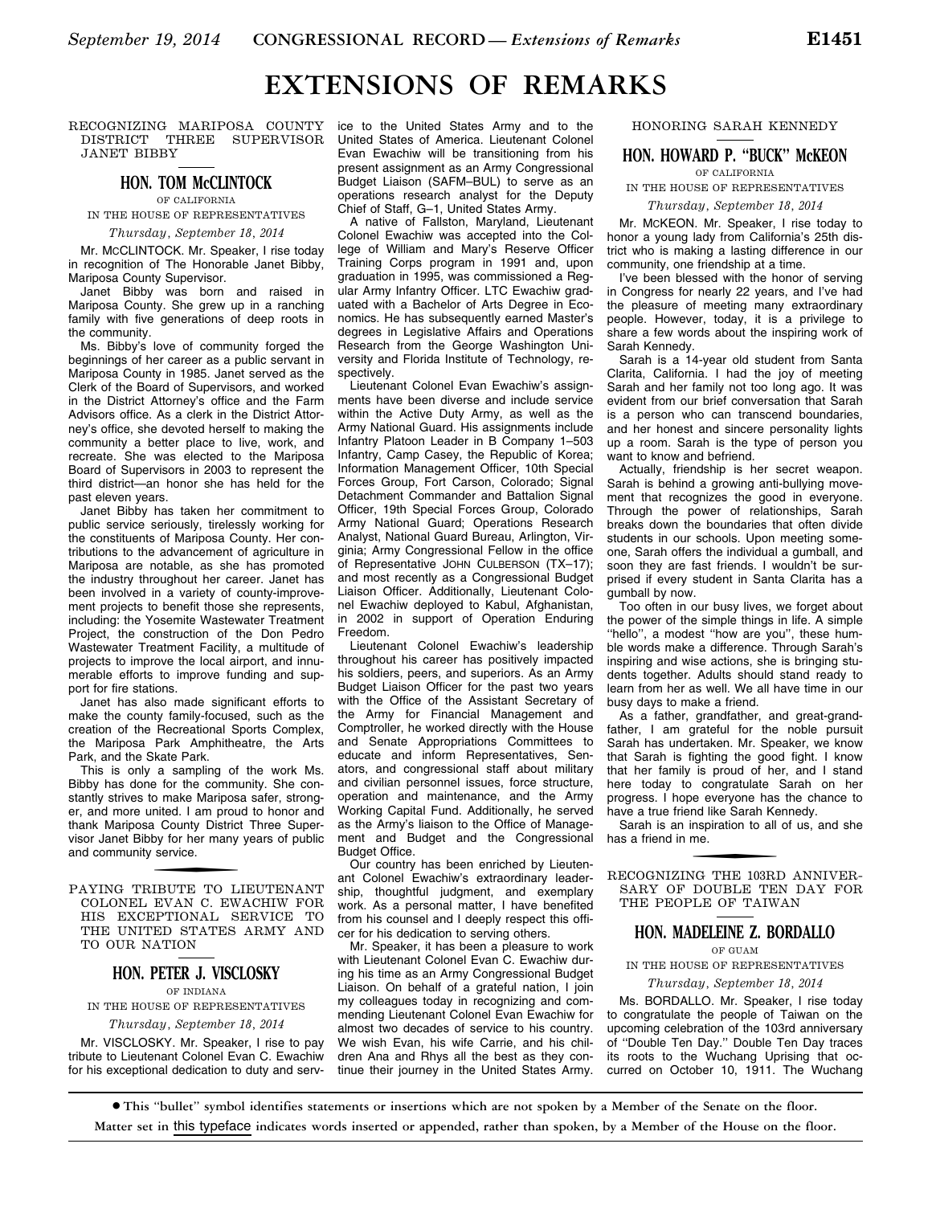# **EXTENSIONS OF REMARKS**

RECOGNIZING MARIPOSA COUNTY DISTRICT THREE SUPERVISOR JANET BIBBY

# **HON. TOM McCLINTOCK**

OF CALIFORNIA IN THE HOUSE OF REPRESENTATIVES

*Thursday, September 18, 2014* 

Mr. MCCLINTOCK. Mr. Speaker, I rise today in recognition of The Honorable Janet Bibby, Mariposa County Supervisor.

Janet Bibby was born and raised in Mariposa County. She grew up in a ranching family with five generations of deep roots in the community.

Ms. Bibby's love of community forged the beginnings of her career as a public servant in Mariposa County in 1985. Janet served as the Clerk of the Board of Supervisors, and worked in the District Attorney's office and the Farm Advisors office. As a clerk in the District Attorney's office, she devoted herself to making the community a better place to live, work, and recreate. She was elected to the Mariposa Board of Supervisors in 2003 to represent the third district—an honor she has held for the past eleven years.

Janet Bibby has taken her commitment to public service seriously, tirelessly working for the constituents of Mariposa County. Her contributions to the advancement of agriculture in Mariposa are notable, as she has promoted the industry throughout her career. Janet has been involved in a variety of county-improvement projects to benefit those she represents, including: the Yosemite Wastewater Treatment Project, the construction of the Don Pedro Wastewater Treatment Facility, a multitude of projects to improve the local airport, and innumerable efforts to improve funding and support for fire stations.

Janet has also made significant efforts to make the county family-focused, such as the creation of the Recreational Sports Complex, the Mariposa Park Amphitheatre, the Arts Park, and the Skate Park.

This is only a sampling of the work Ms. Bibby has done for the community. She constantly strives to make Mariposa safer, stronger, and more united. I am proud to honor and thank Mariposa County District Three Supervisor Janet Bibby for her many years of public and community service.

f PAYING TRIBUTE TO LIEUTENANT COLONEL EVAN C. EWACHIW FOR HIS EXCEPTIONAL SERVICE TO THE UNITED STATES ARMY AND TO OUR NATION

# **HON. PETER J. VISCLOSKY**

OF INDIANA

IN THE HOUSE OF REPRESENTATIVES *Thursday, September 18, 2014* 

Mr. VISCLOSKY. Mr. Speaker, I rise to pay tribute to Lieutenant Colonel Evan C. Ewachiw for his exceptional dedication to duty and serv-

ice to the United States Army and to the United States of America. Lieutenant Colonel Evan Ewachiw will be transitioning from his present assignment as an Army Congressional Budget Liaison (SAFM–BUL) to serve as an operations research analyst for the Deputy Chief of Staff, G–1, United States Army.

A native of Fallston, Maryland, Lieutenant Colonel Ewachiw was accepted into the College of William and Mary's Reserve Officer Training Corps program in 1991 and, upon graduation in 1995, was commissioned a Regular Army Infantry Officer. LTC Ewachiw graduated with a Bachelor of Arts Degree in Economics. He has subsequently earned Master's degrees in Legislative Affairs and Operations Research from the George Washington University and Florida Institute of Technology, respectively.

Lieutenant Colonel Evan Ewachiw's assignments have been diverse and include service within the Active Duty Army, as well as the Army National Guard. His assignments include Infantry Platoon Leader in B Company 1–503 Infantry, Camp Casey, the Republic of Korea; Information Management Officer, 10th Special Forces Group, Fort Carson, Colorado; Signal Detachment Commander and Battalion Signal Officer, 19th Special Forces Group, Colorado Army National Guard; Operations Research Analyst, National Guard Bureau, Arlington, Virginia; Army Congressional Fellow in the office of Representative JOHN CULBERSON (TX–17); and most recently as a Congressional Budget Liaison Officer. Additionally, Lieutenant Colonel Ewachiw deployed to Kabul, Afghanistan, in 2002 in support of Operation Enduring Freedom.

Lieutenant Colonel Ewachiw's leadership throughout his career has positively impacted his soldiers, peers, and superiors. As an Army Budget Liaison Officer for the past two years with the Office of the Assistant Secretary of the Army for Financial Management and Comptroller, he worked directly with the House and Senate Appropriations Committees to educate and inform Representatives, Senators, and congressional staff about military and civilian personnel issues, force structure, operation and maintenance, and the Army Working Capital Fund. Additionally, he served as the Army's liaison to the Office of Management and Budget and the Congressional Budget Office.

Our country has been enriched by Lieutenant Colonel Ewachiw's extraordinary leadership, thoughtful judgment, and exemplary work. As a personal matter, I have benefited from his counsel and I deeply respect this officer for his dedication to serving others.

Mr. Speaker, it has been a pleasure to work with Lieutenant Colonel Evan C. Ewachiw during his time as an Army Congressional Budget Liaison. On behalf of a grateful nation, I join my colleagues today in recognizing and commending Lieutenant Colonel Evan Ewachiw for almost two decades of service to his country. We wish Evan, his wife Carrie, and his children Ana and Rhys all the best as they continue their journey in the United States Army.

#### HONORING SARAH KENNEDY

# **HON. HOWARD P. ''BUCK'' McKEON**

OF CALIFORNIA IN THE HOUSE OF REPRESENTATIVES

*Thursday, September 18, 2014* 

Mr. MCKEON. Mr. Speaker, I rise today to honor a young lady from California's 25th district who is making a lasting difference in our community, one friendship at a time.

I've been blessed with the honor of serving in Congress for nearly 22 years, and I've had the pleasure of meeting many extraordinary people. However, today, it is a privilege to share a few words about the inspiring work of Sarah Kennedy.

Sarah is a 14-year old student from Santa Clarita, California. I had the joy of meeting Sarah and her family not too long ago. It was evident from our brief conversation that Sarah is a person who can transcend boundaries, and her honest and sincere personality lights up a room. Sarah is the type of person you want to know and befriend.

Actually, friendship is her secret weapon. Sarah is behind a growing anti-bullying movement that recognizes the good in everyone. Through the power of relationships, Sarah breaks down the boundaries that often divide students in our schools. Upon meeting someone, Sarah offers the individual a gumball, and soon they are fast friends. I wouldn't be surprised if every student in Santa Clarita has a gumball by now.

Too often in our busy lives, we forget about the power of the simple things in life. A simple ''hello'', a modest ''how are you'', these humble words make a difference. Through Sarah's inspiring and wise actions, she is bringing students together. Adults should stand ready to learn from her as well. We all have time in our busy days to make a friend.

As a father, grandfather, and great-grandfather, I am grateful for the noble pursuit Sarah has undertaken. Mr. Speaker, we know that Sarah is fighting the good fight. I know that her family is proud of her, and I stand here today to congratulate Sarah on her progress. I hope everyone has the chance to have a true friend like Sarah Kennedy.

Sarah is an inspiration to all of us, and she has a friend in me.

f RECOGNIZING THE 103RD ANNIVER-SARY OF DOUBLE TEN DAY FOR THE PEOPLE OF TAIWAN

## **HON. MADELEINE Z. BORDALLO**

OF GUAM

IN THE HOUSE OF REPRESENTATIVES

*Thursday, September 18, 2014* 

Ms. BORDALLO. Mr. Speaker, I rise today to congratulate the people of Taiwan on the upcoming celebration of the 103rd anniversary of ''Double Ten Day.'' Double Ten Day traces its roots to the Wuchang Uprising that occurred on October 10, 1911. The Wuchang

∑ **This ''bullet'' symbol identifies statements or insertions which are not spoken by a Member of the Senate on the floor. Matter set in** this typeface **indicates words inserted or appended, rather than spoken, by a Member of the House on the floor.**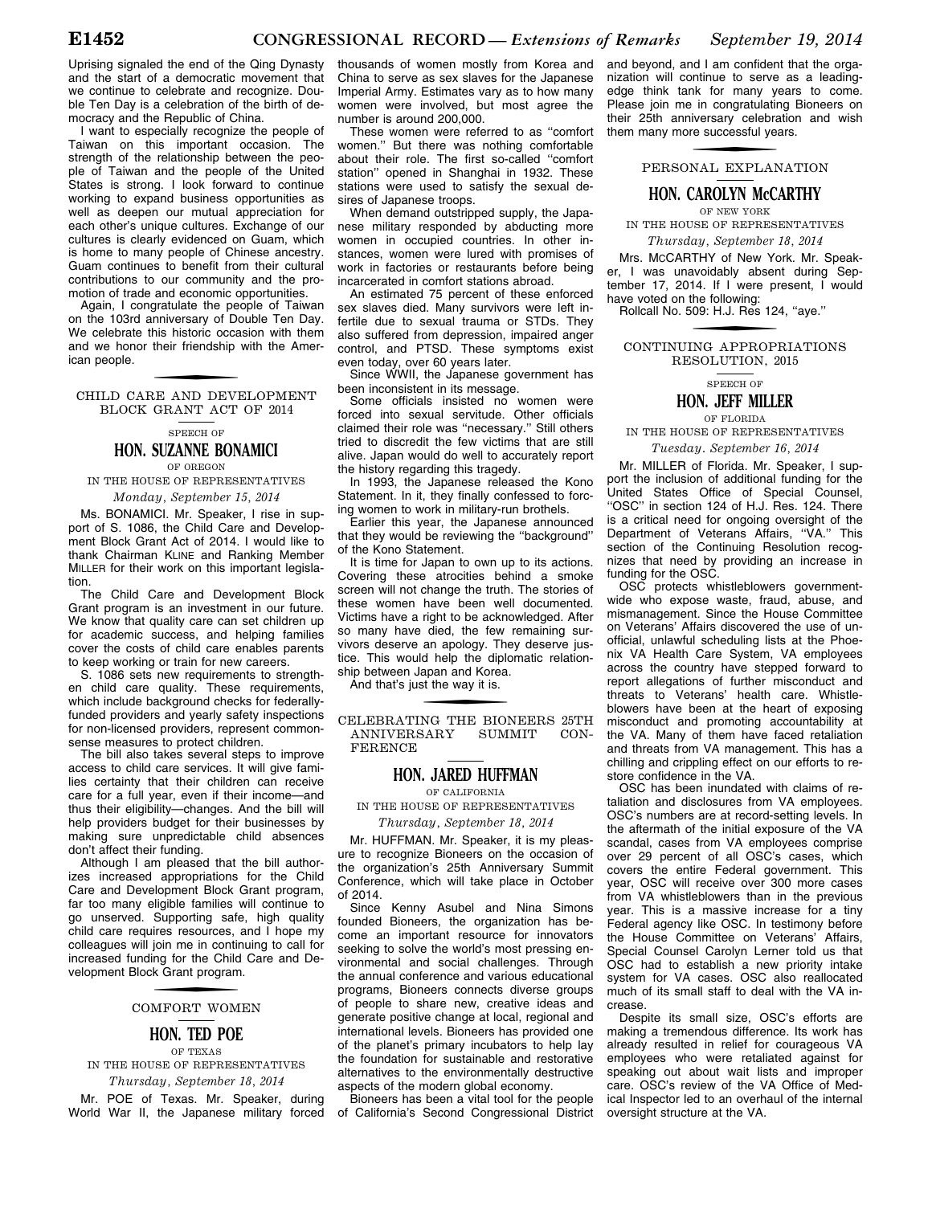Uprising signaled the end of the Qing Dynasty and the start of a democratic movement that we continue to celebrate and recognize. Double Ten Day is a celebration of the birth of democracy and the Republic of China.

I want to especially recognize the people of Taiwan on this important occasion. The strength of the relationship between the people of Taiwan and the people of the United States is strong. I look forward to continue working to expand business opportunities as well as deepen our mutual appreciation for each other's unique cultures. Exchange of our cultures is clearly evidenced on Guam, which is home to many people of Chinese ancestry. Guam continues to benefit from their cultural contributions to our community and the promotion of trade and economic opportunities.

Again, I congratulate the people of Taiwan on the 103rd anniversary of Double Ten Day. We celebrate this historic occasion with them and we honor their friendship with the American people.

CHILD CARE AND DEVELOPMENT BLOCK GRANT ACT OF 2014

SPEECH OF

#### **HON. SUZANNE BONAMICI** OF OREGON

IN THE HOUSE OF REPRESENTATIVES *Monday, September 15, 2014* 

Ms. BONAMICI. Mr. Speaker, I rise in support of S. 1086, the Child Care and Development Block Grant Act of 2014. I would like to thank Chairman KLINE and Ranking Member MILLER for their work on this important legislation.

The Child Care and Development Block Grant program is an investment in our future. We know that quality care can set children up for academic success, and helping families cover the costs of child care enables parents to keep working or train for new careers.

S. 1086 sets new requirements to strengthen child care quality. These requirements, which include background checks for federallyfunded providers and yearly safety inspections for non-licensed providers, represent commonsense measures to protect children.

The bill also takes several steps to improve access to child care services. It will give families certainty that their children can receive care for a full year, even if their income—and thus their eligibility—changes. And the bill will help providers budget for their businesses by making sure unpredictable child absences don't affect their funding.

Although I am pleased that the bill authorizes increased appropriations for the Child Care and Development Block Grant program, far too many eligible families will continue to go unserved. Supporting safe, high quality child care requires resources, and I hope my colleagues will join me in continuing to call for increased funding for the Child Care and Development Block Grant program.

# COMFORT WOMEN

# **HON. TED POE**

OF TEXAS IN THE HOUSE OF REPRESENTATIVES *Thursday, September 18, 2014* 

Mr. POE of Texas. Mr. Speaker, during World War II, the Japanese military forced

thousands of women mostly from Korea and China to serve as sex slaves for the Japanese Imperial Army. Estimates vary as to how many women were involved, but most agree the number is around 200,000.

These women were referred to as ''comfort women.'' But there was nothing comfortable about their role. The first so-called ''comfort station'' opened in Shanghai in 1932. These stations were used to satisfy the sexual desires of Japanese troops.

When demand outstripped supply, the Japanese military responded by abducting more women in occupied countries. In other instances, women were lured with promises of work in factories or restaurants before being incarcerated in comfort stations abroad.

An estimated 75 percent of these enforced sex slaves died. Many survivors were left infertile due to sexual trauma or STDs. They also suffered from depression, impaired anger control, and PTSD. These symptoms exist even today, over 60 years later.

Since WWII, the Japanese government has been inconsistent in its message.

Some officials insisted no women were forced into sexual servitude. Other officials claimed their role was ''necessary.'' Still others tried to discredit the few victims that are still alive. Japan would do well to accurately report the history regarding this tragedy.

In 1993, the Japanese released the Kono Statement. In it, they finally confessed to forcing women to work in military-run brothels.

Earlier this year, the Japanese announced that they would be reviewing the ''background'' of the Kono Statement.

It is time for Japan to own up to its actions. Covering these atrocities behind a smoke screen will not change the truth. The stories of these women have been well documented. Victims have a right to be acknowledged. After so many have died, the few remaining survivors deserve an apology. They deserve justice. This would help the diplomatic relationship between Japan and Korea.

And that's just the way it is.

CELEBRATING THE BIONEERS 25TH ANNIVERSARY SUMMIT CON-FERENCE

#### **HON. JARED HUFFMAN**

OF CALIFORNIA

IN THE HOUSE OF REPRESENTATIVES *Thursday, September 18, 2014* 

Mr. HUFFMAN. Mr. Speaker, it is my pleasure to recognize Bioneers on the occasion of the organization's 25th Anniversary Summit Conference, which will take place in October of 2014.

Since Kenny Asubel and Nina Simons founded Bioneers, the organization has become an important resource for innovators seeking to solve the world's most pressing environmental and social challenges. Through the annual conference and various educational programs, Bioneers connects diverse groups of people to share new, creative ideas and generate positive change at local, regional and international levels. Bioneers has provided one of the planet's primary incubators to help lay the foundation for sustainable and restorative alternatives to the environmentally destructive aspects of the modern global economy.

Bioneers has been a vital tool for the people of California's Second Congressional District and beyond, and I am confident that the organization will continue to serve as a leadingedge think tank for many years to come. Please join me in congratulating Bioneers on their 25th anniversary celebration and wish them many more successful years.

f PERSONAL EXPLANATION

#### **HON. CAROLYN McCARTHY** OF NEW YORK

IN THE HOUSE OF REPRESENTATIVES *Thursday, September 18, 2014* 

Mrs. MCCARTHY of New York. Mr. Speaker, I was unavoidably absent during September 17, 2014. If I were present, I would have voted on the following:

Rollcall No. 509: H.J. Res 124, ''aye.''

f CONTINUING APPROPRIATIONS RESOLUTION, 2015

> SPEECH OF **HON. JEFF MILLER**

# OF FLORIDA

IN THE HOUSE OF REPRESENTATIVES

*Tuesday. September 16, 2014* 

Mr. MILLER of Florida. Mr. Speaker, I support the inclusion of additional funding for the United States Office of Special Counsel, ''OSC'' in section 124 of H.J. Res. 124. There is a critical need for ongoing oversight of the Department of Veterans Affairs, "VA." This section of the Continuing Resolution recognizes that need by providing an increase in funding for the OSC.

OSC protects whistleblowers governmentwide who expose waste, fraud, abuse, and mismanagement. Since the House Committee on Veterans' Affairs discovered the use of unofficial, unlawful scheduling lists at the Phoenix VA Health Care System, VA employees across the country have stepped forward to report allegations of further misconduct and threats to Veterans' health care. Whistleblowers have been at the heart of exposing misconduct and promoting accountability at the VA. Many of them have faced retaliation and threats from VA management. This has a chilling and crippling effect on our efforts to restore confidence in the VA.

OSC has been inundated with claims of retaliation and disclosures from VA employees. OSC's numbers are at record-setting levels. In the aftermath of the initial exposure of the VA scandal, cases from VA employees comprise over 29 percent of all OSC's cases, which covers the entire Federal government. This year, OSC will receive over 300 more cases from VA whistleblowers than in the previous year. This is a massive increase for a tiny Federal agency like OSC. In testimony before the House Committee on Veterans' Affairs, Special Counsel Carolyn Lerner told us that OSC had to establish a new priority intake system for VA cases. OSC also reallocated much of its small staff to deal with the VA increase.

Despite its small size, OSC's efforts are making a tremendous difference. Its work has already resulted in relief for courageous VA employees who were retaliated against for speaking out about wait lists and improper care. OSC's review of the VA Office of Medical Inspector led to an overhaul of the internal oversight structure at the VA.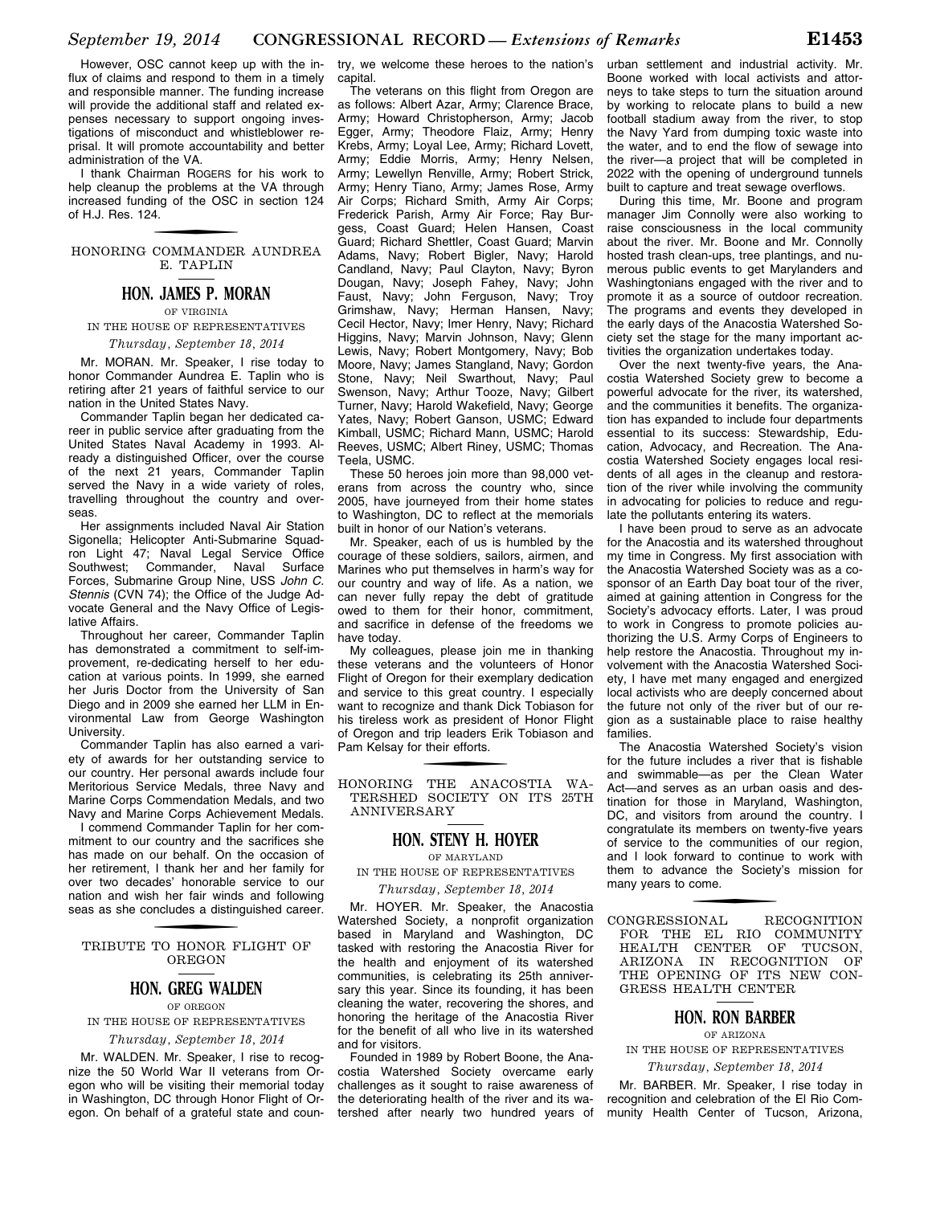However, OSC cannot keep up with the influx of claims and respond to them in a timely and responsible manner. The funding increase will provide the additional staff and related expenses necessary to support ongoing investigations of misconduct and whistleblower reprisal. It will promote accountability and better administration of the VA.

I thank Chairman ROGERS for his work to help cleanup the problems at the VA through increased funding of the OSC in section 124 of H.J. Res. 124.

f HONORING COMMANDER AUNDREA E. TAPLIN

#### **HON. JAMES P. MORAN**

OF VIRGINIA

#### IN THE HOUSE OF REPRESENTATIVES *Thursday, September 18, 2014*

Mr. MORAN. Mr. Speaker, I rise today to honor Commander Aundrea E. Taplin who is retiring after 21 years of faithful service to our nation in the United States Navy.

Commander Taplin began her dedicated career in public service after graduating from the United States Naval Academy in 1993. Already a distinguished Officer, over the course of the next 21 years, Commander Taplin served the Navy in a wide variety of roles, travelling throughout the country and overseas.

Her assignments included Naval Air Station Sigonella; Helicopter Anti-Submarine Squadron Light 47; Naval Legal Service Office Southwest; Commander, Naval Surface Forces, Submarine Group Nine, USS *John C. Stennis* (CVN 74); the Office of the Judge Advocate General and the Navy Office of Legislative Affairs.

Throughout her career, Commander Taplin has demonstrated a commitment to self-improvement, re-dedicating herself to her education at various points. In 1999, she earned her Juris Doctor from the University of San Diego and in 2009 she earned her LLM in Environmental Law from George Washington University.

Commander Taplin has also earned a variety of awards for her outstanding service to our country. Her personal awards include four Meritorious Service Medals, three Navy and Marine Corps Commendation Medals, and two Navy and Marine Corps Achievement Medals.

I commend Commander Taplin for her commitment to our country and the sacrifices she has made on our behalf. On the occasion of her retirement, I thank her and her family for over two decades' honorable service to our nation and wish her fair winds and following seas as she concludes a distinguished career.

f TRIBUTE TO HONOR FLIGHT OF OREGON

# **HON. GREG WALDEN**

OF OREGON IN THE HOUSE OF REPRESENTATIVES

*Thursday, September 18, 2014* 

Mr. WALDEN. Mr. Speaker, I rise to recognize the 50 World War II veterans from Oregon who will be visiting their memorial today in Washington, DC through Honor Flight of Oregon. On behalf of a grateful state and country, we welcome these heroes to the nation's capital.

The veterans on this flight from Oregon are as follows: Albert Azar, Army; Clarence Brace, Army; Howard Christopherson, Army; Jacob Egger, Army; Theodore Flaiz, Army; Henry Krebs, Army; Loyal Lee, Army; Richard Lovett, Army; Eddie Morris, Army; Henry Nelsen, Army; Lewellyn Renville, Army; Robert Strick, Army; Henry Tiano, Army; James Rose, Army Air Corps; Richard Smith, Army Air Corps; Frederick Parish, Army Air Force; Ray Burgess, Coast Guard; Helen Hansen, Coast Guard; Richard Shettler, Coast Guard; Marvin Adams, Navy; Robert Bigler, Navy; Harold Candland, Navy; Paul Clayton, Navy; Byron Dougan, Navy; Joseph Fahey, Navy; John Faust, Navy; John Ferguson, Navy; Troy Grimshaw, Navy; Herman Hansen, Navy; Cecil Hector, Navy; Imer Henry, Navy; Richard Higgins, Navy; Marvin Johnson, Navy; Glenn Lewis, Navy; Robert Montgomery, Navy; Bob Moore, Navy; James Stangland, Navy; Gordon Stone, Navy; Neil Swarthout, Navy; Paul Swenson, Navy; Arthur Tooze, Navy; Gilbert Turner, Navy; Harold Wakefield, Navy; George Yates, Navy; Robert Ganson, USMC; Edward Kimball, USMC; Richard Mann, USMC; Harold Reeves, USMC; Albert Riney, USMC; Thomas Teela, USMC.

These 50 heroes join more than 98,000 veterans from across the country who, since 2005, have journeyed from their home states to Washington, DC to reflect at the memorials built in honor of our Nation's veterans.

Mr. Speaker, each of us is humbled by the courage of these soldiers, sailors, airmen, and Marines who put themselves in harm's way for our country and way of life. As a nation, we can never fully repay the debt of gratitude owed to them for their honor, commitment, and sacrifice in defense of the freedoms we have today.

My colleagues, please join me in thanking these veterans and the volunteers of Honor Flight of Oregon for their exemplary dedication and service to this great country. I especially want to recognize and thank Dick Tobiason for his tireless work as president of Honor Flight of Oregon and trip leaders Erik Tobiason and Pam Kelsay for their efforts.

HONORING THE ANACOSTIA WA-TERSHED SOCIETY ON ITS 25TH ANNIVERSARY

# **HON. STENY H. HOYER**

OF MARYLAND

IN THE HOUSE OF REPRESENTATIVES

*Thursday, September 18, 2014* 

Mr. HOYER. Mr. Speaker, the Anacostia Watershed Society, a nonprofit organization based in Maryland and Washington, DC tasked with restoring the Anacostia River for the health and enjoyment of its watershed communities, is celebrating its 25th anniversary this year. Since its founding, it has been cleaning the water, recovering the shores, and honoring the heritage of the Anacostia River for the benefit of all who live in its watershed and for visitors.

Founded in 1989 by Robert Boone, the Anacostia Watershed Society overcame early challenges as it sought to raise awareness of the deteriorating health of the river and its watershed after nearly two hundred years of urban settlement and industrial activity. Mr. Boone worked with local activists and attorneys to take steps to turn the situation around by working to relocate plans to build a new football stadium away from the river, to stop the Navy Yard from dumping toxic waste into the water, and to end the flow of sewage into the river—a project that will be completed in 2022 with the opening of underground tunnels built to capture and treat sewage overflows.

During this time, Mr. Boone and program manager Jim Connolly were also working to raise consciousness in the local community about the river. Mr. Boone and Mr. Connolly hosted trash clean-ups, tree plantings, and numerous public events to get Marylanders and Washingtonians engaged with the river and to promote it as a source of outdoor recreation. The programs and events they developed in the early days of the Anacostia Watershed Society set the stage for the many important activities the organization undertakes today.

Over the next twenty-five years, the Anacostia Watershed Society grew to become a powerful advocate for the river, its watershed, and the communities it benefits. The organization has expanded to include four departments essential to its success: Stewardship, Education, Advocacy, and Recreation. The Anacostia Watershed Society engages local residents of all ages in the cleanup and restoration of the river while involving the community in advocating for policies to reduce and regulate the pollutants entering its waters.

I have been proud to serve as an advocate for the Anacostia and its watershed throughout my time in Congress. My first association with the Anacostia Watershed Society was as a cosponsor of an Earth Day boat tour of the river. aimed at gaining attention in Congress for the Society's advocacy efforts. Later, I was proud to work in Congress to promote policies authorizing the U.S. Army Corps of Engineers to help restore the Anacostia. Throughout my involvement with the Anacostia Watershed Society, I have met many engaged and energized local activists who are deeply concerned about the future not only of the river but of our region as a sustainable place to raise healthy families.

The Anacostia Watershed Society's vision for the future includes a river that is fishable and swimmable—as per the Clean Water Act—and serves as an urban oasis and destination for those in Maryland, Washington, DC, and visitors from around the country. I congratulate its members on twenty-five years of service to the communities of our region, and I look forward to continue to work with them to advance the Society's mission for many years to come.

CONGRESSIONAL RECOGNITION FOR THE EL RIO COMMUNITY HEALTH CENTER OF TUCSON, ARIZONA IN RECOGNITION OF THE OPENING OF ITS NEW CON-GRESS HEALTH CENTER

#### **HON. RON BARBER**

OF ARIZONA IN THE HOUSE OF REPRESENTATIVES

*Thursday, September 18, 2014* 

Mr. BARBER. Mr. Speaker, I rise today in recognition and celebration of the El Rio Community Health Center of Tucson, Arizona,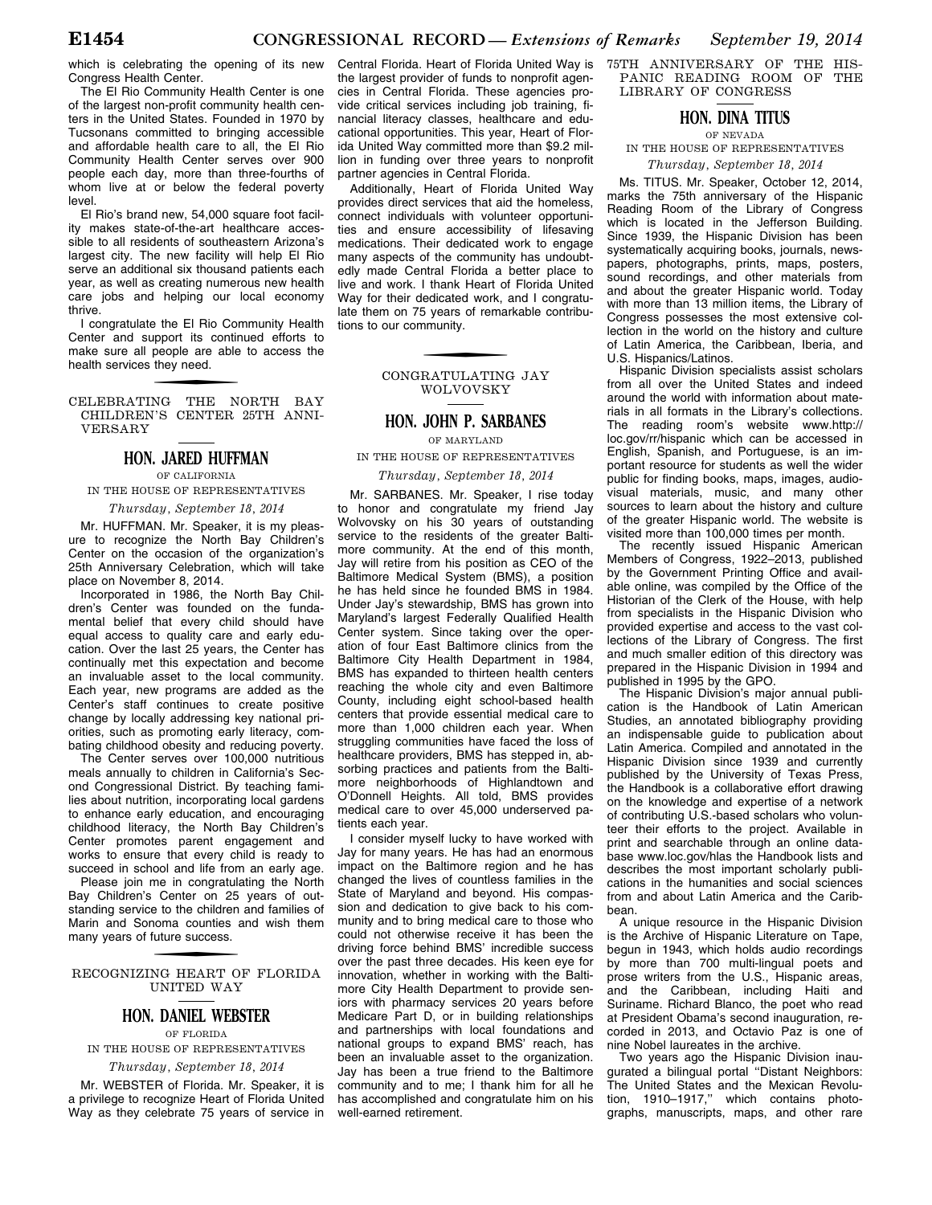which is celebrating the opening of its new Congress Health Center.

The El Rio Community Health Center is one of the largest non-profit community health centers in the United States. Founded in 1970 by Tucsonans committed to bringing accessible and affordable health care to all, the El Rio Community Health Center serves over 900 people each day, more than three-fourths of whom live at or below the federal poverty level.

El Rio's brand new, 54,000 square foot facility makes state-of-the-art healthcare accessible to all residents of southeastern Arizona's largest city. The new facility will help El Rio serve an additional six thousand patients each year, as well as creating numerous new health care jobs and helping our local economy thrive.

I congratulate the El Rio Community Health Center and support its continued efforts to make sure all people are able to access the health services they need.

CELEBRATING THE NORTH BAY CHILDREN'S CENTER 25TH ANNI-VERSARY

#### **HON. JARED HUFFMAN**

OF CALIFORNIA IN THE HOUSE OF REPRESENTATIVES

*Thursday, September 18, 2014* 

Mr. HUFFMAN. Mr. Speaker, it is my pleasure to recognize the North Bay Children's Center on the occasion of the organization's 25th Anniversary Celebration, which will take place on November 8, 2014.

Incorporated in 1986, the North Bay Children's Center was founded on the fundamental belief that every child should have equal access to quality care and early education. Over the last 25 years, the Center has continually met this expectation and become an invaluable asset to the local community. Each year, new programs are added as the Center's staff continues to create positive change by locally addressing key national priorities, such as promoting early literacy, combating childhood obesity and reducing poverty.

The Center serves over 100,000 nutritious meals annually to children in California's Second Congressional District. By teaching families about nutrition, incorporating local gardens to enhance early education, and encouraging childhood literacy, the North Bay Children's Center promotes parent engagement and works to ensure that every child is ready to succeed in school and life from an early age.

Please join me in congratulating the North Bay Children's Center on 25 years of outstanding service to the children and families of Marin and Sonoma counties and wish them many years of future success.

f RECOGNIZING HEART OF FLORIDA UNITED WAY

#### **HON. DANIEL WEBSTER**

OF FLORIDA IN THE HOUSE OF REPRESENTATIVES

*Thursday, September 18, 2014* 

Mr. WEBSTER of Florida. Mr. Speaker, it is a privilege to recognize Heart of Florida United Way as they celebrate 75 years of service in

Central Florida. Heart of Florida United Way is the largest provider of funds to nonprofit agencies in Central Florida. These agencies provide critical services including job training, financial literacy classes, healthcare and educational opportunities. This year, Heart of Florida United Way committed more than \$9.2 million in funding over three years to nonprofit partner agencies in Central Florida.

Additionally, Heart of Florida United Way provides direct services that aid the homeless, connect individuals with volunteer opportunities and ensure accessibility of lifesaving medications. Their dedicated work to engage many aspects of the community has undoubtedly made Central Florida a better place to live and work. I thank Heart of Florida United Way for their dedicated work, and I congratulate them on 75 years of remarkable contributions to our community.

> CONGRATULATING JAY WOLVOVSKY

#### **HON. JOHN P. SARBANES**

OF MARYLAND

IN THE HOUSE OF REPRESENTATIVES

*Thursday, September 18, 2014* 

Mr. SARBANES. Mr. Speaker, I rise today to honor and congratulate my friend Jay Wolvovsky on his 30 years of outstanding service to the residents of the greater Baltimore community. At the end of this month, Jay will retire from his position as CEO of the Baltimore Medical System (BMS), a position he has held since he founded BMS in 1984. Under Jay's stewardship, BMS has grown into Maryland's largest Federally Qualified Health Center system. Since taking over the operation of four East Baltimore clinics from the Baltimore City Health Department in 1984, BMS has expanded to thirteen health centers reaching the whole city and even Baltimore County, including eight school-based health centers that provide essential medical care to more than 1,000 children each year. When struggling communities have faced the loss of healthcare providers, BMS has stepped in, absorbing practices and patients from the Baltimore neighborhoods of Highlandtown and O'Donnell Heights. All told, BMS provides medical care to over 45,000 underserved patients each year.

I consider myself lucky to have worked with Jay for many years. He has had an enormous impact on the Baltimore region and he has changed the lives of countless families in the State of Maryland and beyond. His compassion and dedication to give back to his community and to bring medical care to those who could not otherwise receive it has been the driving force behind BMS' incredible success over the past three decades. His keen eye for innovation, whether in working with the Baltimore City Health Department to provide seniors with pharmacy services 20 years before Medicare Part D, or in building relationships and partnerships with local foundations and national groups to expand BMS' reach, has been an invaluable asset to the organization. Jay has been a true friend to the Baltimore community and to me; I thank him for all he has accomplished and congratulate him on his well-earned retirement.

75TH ANNIVERSARY OF THE HIS-PANIC READING ROOM OF THE LIBRARY OF CONGRESS

#### **HON. DINA TITUS** OF NEVADA

IN THE HOUSE OF REPRESENTATIVES

*Thursday, September 18, 2014* 

Ms. TITUS. Mr. Speaker, October 12, 2014, marks the 75th anniversary of the Hispanic Reading Room of the Library of Congress which is located in the Jefferson Building. Since 1939, the Hispanic Division has been systematically acquiring books, journals, newspapers, photographs, prints, maps, posters, sound recordings, and other materials from and about the greater Hispanic world. Today with more than 13 million items, the Library of Congress possesses the most extensive collection in the world on the history and culture of Latin America, the Caribbean, Iberia, and U.S. Hispanics/Latinos.

Hispanic Division specialists assist scholars from all over the United States and indeed around the world with information about materials in all formats in the Library's collections. The reading room's website www.http:// loc.gov/rr/hispanic which can be accessed in English, Spanish, and Portuguese, is an important resource for students as well the wider public for finding books, maps, images, audiovisual materials, music, and many other sources to learn about the history and culture of the greater Hispanic world. The website is visited more than 100,000 times per month.

The recently issued Hispanic American Members of Congress, 1922–2013, published by the Government Printing Office and available online, was compiled by the Office of the Historian of the Clerk of the House, with help from specialists in the Hispanic Division who provided expertise and access to the vast collections of the Library of Congress. The first and much smaller edition of this directory was prepared in the Hispanic Division in 1994 and published in 1995 by the GPO.

The Hispanic Division's major annual publication is the Handbook of Latin American Studies, an annotated bibliography providing an indispensable guide to publication about Latin America. Compiled and annotated in the Hispanic Division since 1939 and currently published by the University of Texas Press, the Handbook is a collaborative effort drawing on the knowledge and expertise of a network of contributing U.S.-based scholars who volunteer their efforts to the project. Available in print and searchable through an online database www.loc.gov/hlas the Handbook lists and describes the most important scholarly publications in the humanities and social sciences from and about Latin America and the Caribbean.

A unique resource in the Hispanic Division is the Archive of Hispanic Literature on Tape, begun in 1943, which holds audio recordings by more than 700 multi-lingual poets and prose writers from the U.S., Hispanic areas, and the Caribbean, including Haiti and Suriname. Richard Blanco, the poet who read at President Obama's second inauguration, recorded in 2013, and Octavio Paz is one of nine Nobel laureates in the archive.

Two years ago the Hispanic Division inaugurated a bilingual portal ''Distant Neighbors: The United States and the Mexican Revolution, 1910–1917,'' which contains photographs, manuscripts, maps, and other rare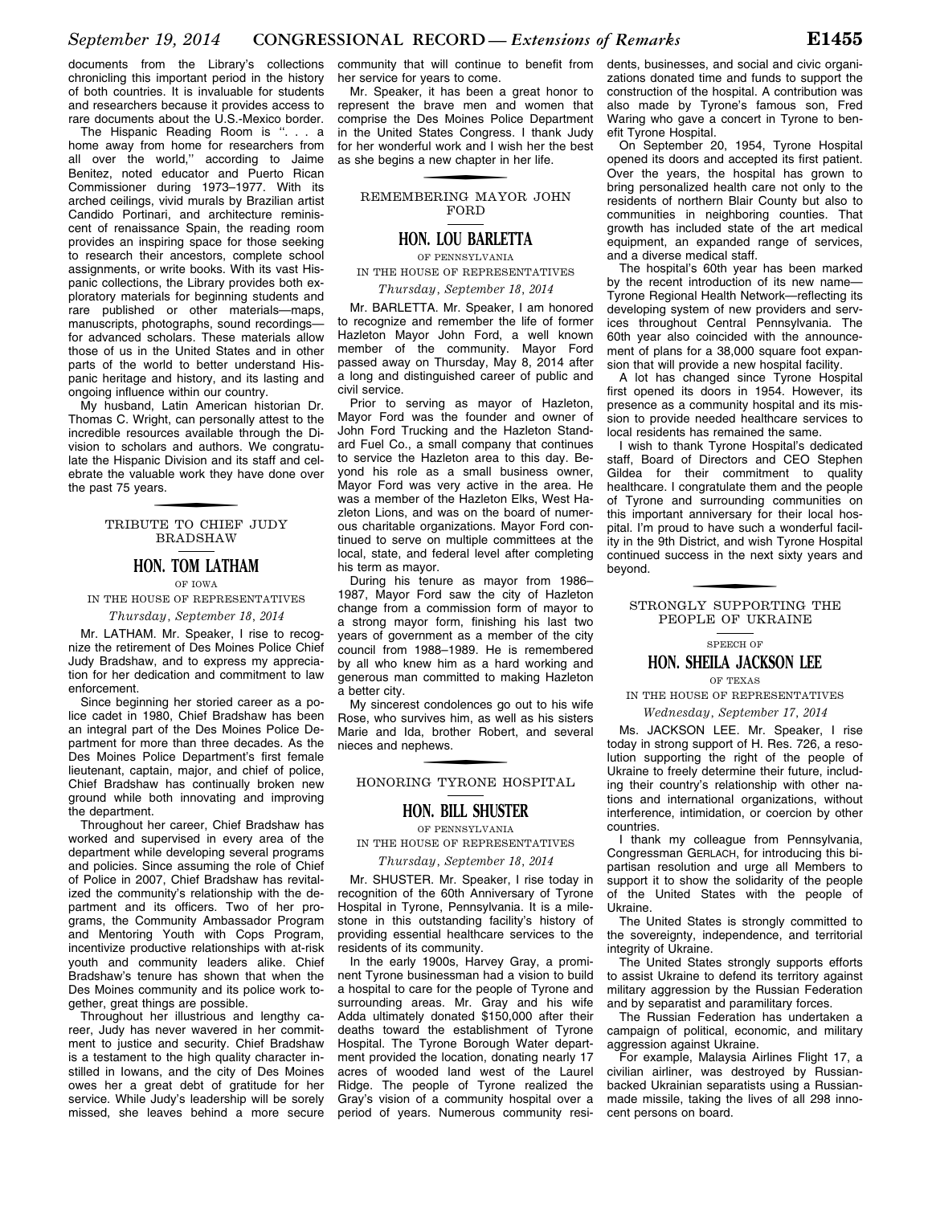documents from the Library's collections chronicling this important period in the history of both countries. It is invaluable for students and researchers because it provides access to rare documents about the U.S.-Mexico border.

The Hispanic Reading Room is ". . . a home away from home for researchers from all over the world,'' according to Jaime Benitez, noted educator and Puerto Rican Commissioner during 1973–1977. With its arched ceilings, vivid murals by Brazilian artist Candido Portinari, and architecture reminiscent of renaissance Spain, the reading room provides an inspiring space for those seeking to research their ancestors, complete school assignments, or write books. With its vast Hispanic collections, the Library provides both exploratory materials for beginning students and rare published or other materials—maps, manuscripts, photographs, sound recordings for advanced scholars. These materials allow those of us in the United States and in other parts of the world to better understand Hispanic heritage and history, and its lasting and ongoing influence within our country.

My husband, Latin American historian Dr. Thomas C. Wright, can personally attest to the incredible resources available through the Division to scholars and authors. We congratulate the Hispanic Division and its staff and celebrate the valuable work they have done over the past 75 years.

# f TRIBUTE TO CHIEF JUDY BRADSHAW

#### **HON. TOM LATHAM**

#### OF IOWA

IN THE HOUSE OF REPRESENTATIVES

*Thursday, September 18, 2014* 

Mr. LATHAM. Mr. Speaker, I rise to recognize the retirement of Des Moines Police Chief Judy Bradshaw, and to express my appreciation for her dedication and commitment to law enforcement.

Since beginning her storied career as a police cadet in 1980, Chief Bradshaw has been an integral part of the Des Moines Police Department for more than three decades. As the Des Moines Police Department's first female lieutenant, captain, major, and chief of police, Chief Bradshaw has continually broken new ground while both innovating and improving the department.

Throughout her career, Chief Bradshaw has worked and supervised in every area of the department while developing several programs and policies. Since assuming the role of Chief of Police in 2007, Chief Bradshaw has revitalized the community's relationship with the department and its officers. Two of her programs, the Community Ambassador Program and Mentoring Youth with Cops Program, incentivize productive relationships with at-risk youth and community leaders alike. Chief Bradshaw's tenure has shown that when the Des Moines community and its police work together, great things are possible.

Throughout her illustrious and lengthy career, Judy has never wavered in her commitment to justice and security. Chief Bradshaw is a testament to the high quality character instilled in Iowans, and the city of Des Moines owes her a great debt of gratitude for her service. While Judy's leadership will be sorely missed, she leaves behind a more secure

community that will continue to benefit from her service for years to come.

Mr. Speaker, it has been a great honor to represent the brave men and women that comprise the Des Moines Police Department in the United States Congress. I thank Judy for her wonderful work and I wish her the best as she begins a new chapter in her life.

f REMEMBERING MAYOR JOHN FORD

#### **HON. LOU BARLETTA**

OF PENNSYLVANIA

IN THE HOUSE OF REPRESENTATIVES

# *Thursday, September 18, 2014*

Mr. BARLETTA. Mr. Speaker, I am honored to recognize and remember the life of former Hazleton Mayor John Ford, a well known member of the community. Mayor Ford passed away on Thursday, May 8, 2014 after a long and distinguished career of public and civil service.

Prior to serving as mayor of Hazleton, Mayor Ford was the founder and owner of John Ford Trucking and the Hazleton Standard Fuel Co., a small company that continues to service the Hazleton area to this day. Beyond his role as a small business owner, Mayor Ford was very active in the area. He was a member of the Hazleton Elks, West Hazleton Lions, and was on the board of numerous charitable organizations. Mayor Ford continued to serve on multiple committees at the local, state, and federal level after completing his term as mayor.

During his tenure as mayor from 1986– 1987, Mayor Ford saw the city of Hazleton change from a commission form of mayor to a strong mayor form, finishing his last two years of government as a member of the city council from 1988–1989. He is remembered by all who knew him as a hard working and generous man committed to making Hazleton a better city.

My sincerest condolences go out to his wife Rose, who survives him, as well as his sisters Marie and Ida, brother Robert, and several nieces and nephews.

# f HONORING TYRONE HOSPITAL

#### **HON. BILL SHUSTER**

OF PENNSYLVANIA

IN THE HOUSE OF REPRESENTATIVES

#### *Thursday, September 18, 2014*

Mr. SHUSTER. Mr. Speaker, I rise today in recognition of the 60th Anniversary of Tyrone Hospital in Tyrone, Pennsylvania. It is a milestone in this outstanding facility's history of providing essential healthcare services to the residents of its community.

In the early 1900s, Harvey Gray, a prominent Tyrone businessman had a vision to build a hospital to care for the people of Tyrone and surrounding areas. Mr. Gray and his wife Adda ultimately donated \$150,000 after their deaths toward the establishment of Tyrone Hospital. The Tyrone Borough Water department provided the location, donating nearly 17 acres of wooded land west of the Laurel Ridge. The people of Tyrone realized the Gray's vision of a community hospital over a period of years. Numerous community residents, businesses, and social and civic organizations donated time and funds to support the construction of the hospital. A contribution was also made by Tyrone's famous son, Fred Waring who gave a concert in Tyrone to benefit Tyrone Hospital.

On September 20, 1954, Tyrone Hospital opened its doors and accepted its first patient. Over the years, the hospital has grown to bring personalized health care not only to the residents of northern Blair County but also to communities in neighboring counties. That growth has included state of the art medical equipment, an expanded range of services, and a diverse medical staff.

The hospital's 60th year has been marked by the recent introduction of its new name— Tyrone Regional Health Network—reflecting its developing system of new providers and services throughout Central Pennsylvania. The 60th year also coincided with the announcement of plans for a 38,000 square foot expansion that will provide a new hospital facility.

A lot has changed since Tyrone Hospital first opened its doors in 1954. However, its presence as a community hospital and its mission to provide needed healthcare services to local residents has remained the same.

I wish to thank Tyrone Hospital's dedicated staff, Board of Directors and CEO Stephen Gildea for their commitment to quality healthcare. I congratulate them and the people of Tyrone and surrounding communities on this important anniversary for their local hospital. I'm proud to have such a wonderful facility in the 9th District, and wish Tyrone Hospital continued success in the next sixty years and beyond.

#### STRONGLY SUPPORTING THE PEOPLE OF UKRAINE

#### SPEECH OF

# **HON. SHEILA JACKSON LEE**

OF TEXAS

IN THE HOUSE OF REPRESENTATIVES *Wednesday, September 17, 2014* 

Ms. JACKSON LEE. Mr. Speaker, I rise today in strong support of H. Res. 726, a resolution supporting the right of the people of Ukraine to freely determine their future, including their country's relationship with other nations and international organizations, without interference, intimidation, or coercion by other countries.

I thank my colleague from Pennsylvania, Congressman GERLACH, for introducing this bipartisan resolution and urge all Members to support it to show the solidarity of the people of the United States with the people of Ukraine.

The United States is strongly committed to the sovereignty, independence, and territorial integrity of Ukraine.

The United States strongly supports efforts to assist Ukraine to defend its territory against military aggression by the Russian Federation and by separatist and paramilitary forces.

The Russian Federation has undertaken a campaign of political, economic, and military aggression against Ukraine.

For example, Malaysia Airlines Flight 17, a civilian airliner, was destroyed by Russianbacked Ukrainian separatists using a Russianmade missile, taking the lives of all 298 innocent persons on board.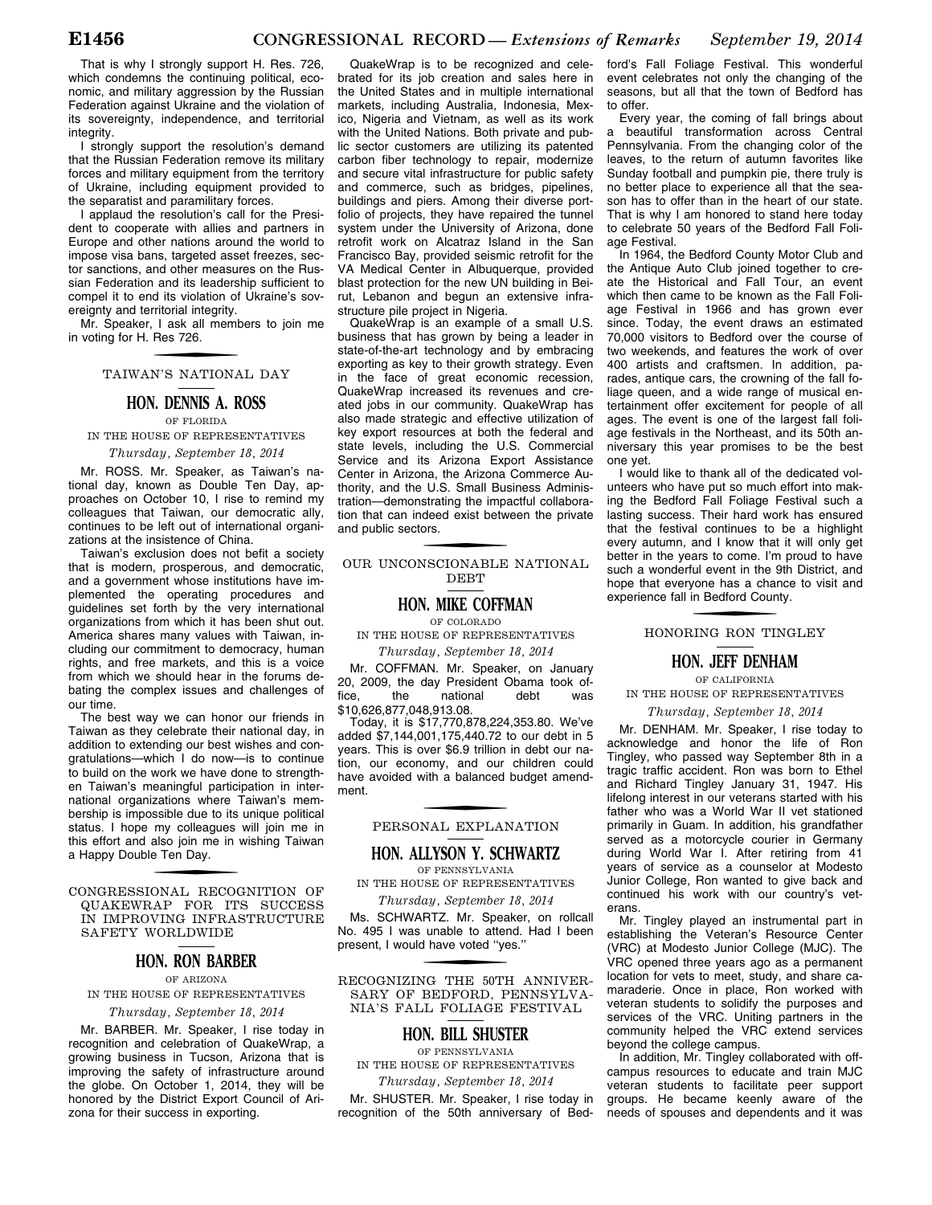That is why I strongly support H. Res. 726, which condemns the continuing political, economic, and military aggression by the Russian Federation against Ukraine and the violation of its sovereignty, independence, and territorial integrity.

I strongly support the resolution's demand that the Russian Federation remove its military forces and military equipment from the territory of Ukraine, including equipment provided to the separatist and paramilitary forces.

I applaud the resolution's call for the President to cooperate with allies and partners in Europe and other nations around the world to impose visa bans, targeted asset freezes, sector sanctions, and other measures on the Russian Federation and its leadership sufficient to compel it to end its violation of Ukraine's sovereignty and territorial integrity.

Mr. Speaker, I ask all members to join me in voting for H. Res 726.

f TAIWAN'S NATIONAL DAY

#### **HON. DENNIS A. ROSS**

OF FLORIDA IN THE HOUSE OF REPRESENTATIVES

*Thursday, September 18, 2014* 

Mr. ROSS. Mr. Speaker, as Taiwan's national day, known as Double Ten Day, approaches on October 10, I rise to remind my colleagues that Taiwan, our democratic ally, continues to be left out of international organizations at the insistence of China.

Taiwan's exclusion does not befit a society that is modern, prosperous, and democratic, and a government whose institutions have implemented the operating procedures and guidelines set forth by the very international organizations from which it has been shut out. America shares many values with Taiwan, including our commitment to democracy, human rights, and free markets, and this is a voice from which we should hear in the forums debating the complex issues and challenges of our time.

The best way we can honor our friends in Taiwan as they celebrate their national day, in addition to extending our best wishes and congratulations—which I do now—is to continue to build on the work we have done to strengthen Taiwan's meaningful participation in international organizations where Taiwan's membership is impossible due to its unique political status. I hope my colleagues will join me in this effort and also join me in wishing Taiwan a Happy Double Ten Day.

f CONGRESSIONAL RECOGNITION OF QUAKEWRAP FOR ITS SUCCESS IN IMPROVING INFRASTRUCTURE SAFETY WORLDWIDE

#### **HON. RON BARBER**

OF ARIZONA

IN THE HOUSE OF REPRESENTATIVES *Thursday, September 18, 2014* 

Mr. BARBER. Mr. Speaker, I rise today in recognition and celebration of QuakeWrap, a growing business in Tucson, Arizona that is improving the safety of infrastructure around the globe. On October 1, 2014, they will be honored by the District Export Council of Arizona for their success in exporting.

QuakeWrap is to be recognized and celebrated for its job creation and sales here in the United States and in multiple international markets, including Australia, Indonesia, Mexico, Nigeria and Vietnam, as well as its work with the United Nations. Both private and public sector customers are utilizing its patented carbon fiber technology to repair, modernize and secure vital infrastructure for public safety and commerce, such as bridges, pipelines, buildings and piers. Among their diverse portfolio of projects, they have repaired the tunnel system under the University of Arizona, done retrofit work on Alcatraz Island in the San Francisco Bay, provided seismic retrofit for the VA Medical Center in Albuquerque, provided blast protection for the new UN building in Beirut, Lebanon and begun an extensive infrastructure pile project in Nigeria.

QuakeWrap is an example of a small U.S. business that has grown by being a leader in state-of-the-art technology and by embracing exporting as key to their growth strategy. Even in the face of great economic recession, QuakeWrap increased its revenues and created jobs in our community. QuakeWrap has also made strategic and effective utilization of key export resources at both the federal and state levels, including the U.S. Commercial Service and its Arizona Export Assistance Center in Arizona, the Arizona Commerce Authority, and the U.S. Small Business Administration—demonstrating the impactful collaboration that can indeed exist between the private and public sectors.

# OUR UNCONSCIONABLE NATIONAL DEBT

#### **HON. MIKE COFFMAN**

OF COLORADO

IN THE HOUSE OF REPRESENTATIVES *Thursday, September 18, 2014* 

Mr. COFFMAN. Mr. Speaker, on January 20, 2009, the day President Obama took of-<br>fice. the national debt was the national debt \$10,626,877,048,913.08.

Today, it is \$17,770,878,224,353.80. We've added \$7,144,001,175,440.72 to our debt in 5 years. This is over \$6.9 trillion in debt our nation, our economy, and our children could have avoided with a balanced budget amendment.

# f PERSONAL EXPLANATION

#### **HON. ALLYSON Y. SCHWARTZ** OF PENNSYLVANIA

IN THE HOUSE OF REPRESENTATIVES *Thursday, September 18, 2014* 

Ms. SCHWARTZ. Mr. Speaker, on rollcall No. 495 I was unable to attend. Had I been present, I would have voted ''yes.''

f RECOGNIZING THE 50TH ANNIVER-SARY OF BEDFORD, PENNSYLVA-NIA'S FALL FOLIAGE FESTIVAL

#### **HON. BILL SHUSTER**

OF PENNSYLVANIA IN THE HOUSE OF REPRESENTATIVES

*Thursday, September 18, 2014*  Mr. SHUSTER. Mr. Speaker, I rise today in recognition of the 50th anniversary of Bedford's Fall Foliage Festival. This wonderful event celebrates not only the changing of the seasons, but all that the town of Bedford has to offer.

Every year, the coming of fall brings about a beautiful transformation across Central Pennsylvania. From the changing color of the leaves, to the return of autumn favorites like Sunday football and pumpkin pie, there truly is no better place to experience all that the season has to offer than in the heart of our state. That is why I am honored to stand here today to celebrate 50 years of the Bedford Fall Foliage Festival.

In 1964, the Bedford County Motor Club and the Antique Auto Club joined together to create the Historical and Fall Tour, an event which then came to be known as the Fall Foliage Festival in 1966 and has grown ever since. Today, the event draws an estimated 70,000 visitors to Bedford over the course of two weekends, and features the work of over 400 artists and craftsmen. In addition, parades, antique cars, the crowning of the fall foliage queen, and a wide range of musical entertainment offer excitement for people of all ages. The event is one of the largest fall foliage festivals in the Northeast, and its 50th anniversary this year promises to be the best one yet.

I would like to thank all of the dedicated volunteers who have put so much effort into making the Bedford Fall Foliage Festival such a lasting success. Their hard work has ensured that the festival continues to be a highlight every autumn, and I know that it will only get better in the years to come. I'm proud to have such a wonderful event in the 9th District, and hope that everyone has a chance to visit and experience fall in Bedford County.

# f HONORING RON TINGLEY

#### **HON. JEFF DENHAM**

OF CALIFORNIA

IN THE HOUSE OF REPRESENTATIVES *Thursday, September 18, 2014* 

Mr. DENHAM. Mr. Speaker, I rise today to acknowledge and honor the life of Ron Tingley, who passed way September 8th in a tragic traffic accident. Ron was born to Ethel and Richard Tingley January 31, 1947. His lifelong interest in our veterans started with his father who was a World War II vet stationed primarily in Guam. In addition, his grandfather served as a motorcycle courier in Germany during World War I. After retiring from 41 years of service as a counselor at Modesto Junior College, Ron wanted to give back and continued his work with our country's veterans.

Mr. Tingley played an instrumental part in establishing the Veteran's Resource Center (VRC) at Modesto Junior College (MJC). The VRC opened three years ago as a permanent location for vets to meet, study, and share camaraderie. Once in place, Ron worked with veteran students to solidify the purposes and services of the VRC. Uniting partners in the community helped the VRC extend services beyond the college campus.

In addition, Mr. Tingley collaborated with offcampus resources to educate and train MJC veteran students to facilitate peer support groups. He became keenly aware of the needs of spouses and dependents and it was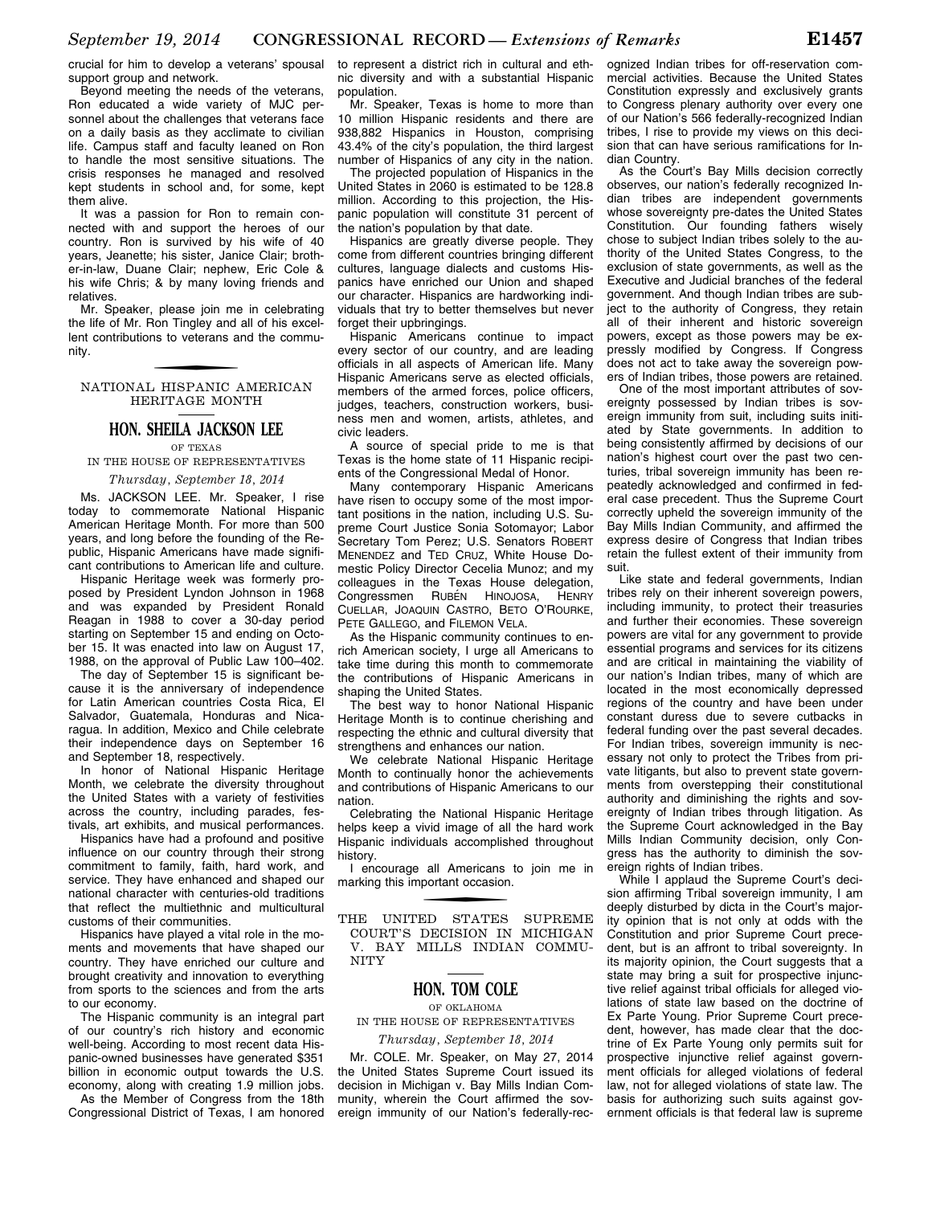crucial for him to develop a veterans' spousal support group and network.

Beyond meeting the needs of the veterans, Ron educated a wide variety of MJC personnel about the challenges that veterans face on a daily basis as they acclimate to civilian life. Campus staff and faculty leaned on Ron to handle the most sensitive situations. The crisis responses he managed and resolved kept students in school and, for some, kept them alive.

It was a passion for Ron to remain connected with and support the heroes of our country. Ron is survived by his wife of 40 years, Jeanette; his sister, Janice Clair; brother-in-law, Duane Clair; nephew, Eric Cole & his wife Chris; & by many loving friends and relatives.

Mr. Speaker, please join me in celebrating the life of Mr. Ron Tingley and all of his excellent contributions to veterans and the community.

f NATIONAL HISPANIC AMERICAN HERITAGE MONTH

# **HON. SHEILA JACKSON LEE**

OF TEXAS

IN THE HOUSE OF REPRESENTATIVES *Thursday, September 18, 2014* 

Ms. JACKSON LEE. Mr. Speaker, I rise today to commemorate National Hispanic American Heritage Month. For more than 500 years, and long before the founding of the Republic, Hispanic Americans have made significant contributions to American life and culture.

Hispanic Heritage week was formerly proposed by President Lyndon Johnson in 1968 and was expanded by President Ronald Reagan in 1988 to cover a 30-day period starting on September 15 and ending on October 15. It was enacted into law on August 17, 1988, on the approval of Public Law 100–402.

The day of September 15 is significant because it is the anniversary of independence for Latin American countries Costa Rica, El Salvador, Guatemala, Honduras and Nicaragua. In addition, Mexico and Chile celebrate their independence days on September 16 and September 18, respectively.

In honor of National Hispanic Heritage Month, we celebrate the diversity throughout the United States with a variety of festivities across the country, including parades, festivals, art exhibits, and musical performances.

Hispanics have had a profound and positive influence on our country through their strong commitment to family, faith, hard work, and service. They have enhanced and shaped our national character with centuries-old traditions that reflect the multiethnic and multicultural customs of their communities.

Hispanics have played a vital role in the moments and movements that have shaped our country. They have enriched our culture and brought creativity and innovation to everything from sports to the sciences and from the arts to our economy.

The Hispanic community is an integral part of our country's rich history and economic well-being. According to most recent data Hispanic-owned businesses have generated \$351 billion in economic output towards the U.S. economy, along with creating 1.9 million jobs.

As the Member of Congress from the 18th Congressional District of Texas, I am honored

to represent a district rich in cultural and ethnic diversity and with a substantial Hispanic population.

Mr. Speaker, Texas is home to more than 10 million Hispanic residents and there are 938,882 Hispanics in Houston, comprising 43.4% of the city's population, the third largest number of Hispanics of any city in the nation.

The projected population of Hispanics in the United States in 2060 is estimated to be 128.8 million. According to this projection, the Hispanic population will constitute 31 percent of the nation's population by that date.

Hispanics are greatly diverse people. They come from different countries bringing different cultures, language dialects and customs Hispanics have enriched our Union and shaped our character. Hispanics are hardworking individuals that try to better themselves but never forget their upbringings.

Hispanic Americans continue to impact every sector of our country, and are leading officials in all aspects of American life. Many Hispanic Americans serve as elected officials, members of the armed forces, police officers, judges, teachers, construction workers, business men and women, artists, athletes, and civic leaders.

A source of special pride to me is that Texas is the home state of 11 Hispanic recipients of the Congressional Medal of Honor.

Many contemporary Hispanic Americans have risen to occupy some of the most important positions in the nation, including U.S. Supreme Court Justice Sonia Sotomayor; Labor Secretary Tom Perez; U.S. Senators ROBERT MENENDEZ and TED CRUZ, White House Domestic Policy Director Cecelia Munoz; and my colleagues in the Texas House delegation, Congressmen RUBEN HINOJOSA, HENRY CUELLAR, JOAQUIN CASTRO, BETO O'ROURKE, PETE GALLEGO, and FILEMON VELA.

As the Hispanic community continues to enrich American society, I urge all Americans to take time during this month to commemorate the contributions of Hispanic Americans in shaping the United States.

The best way to honor National Hispanic Heritage Month is to continue cherishing and respecting the ethnic and cultural diversity that strengthens and enhances our nation.

We celebrate National Hispanic Heritage Month to continually honor the achievements and contributions of Hispanic Americans to our nation.

Celebrating the National Hispanic Heritage helps keep a vivid image of all the hard work Hispanic individuals accomplished throughout history.

I encourage all Americans to join me in marking this important occasion.

THE UNITED STATES SUPREME COURT'S DECISION IN MICHIGAN V. BAY MILLS INDIAN COMMU-**NITY** 

## **HON. TOM COLE**

OF OKLAHOMA IN THE HOUSE OF REPRESENTATIVES

*Thursday, September 18, 2014* 

Mr. COLE. Mr. Speaker, on May 27, 2014 the United States Supreme Court issued its decision in Michigan v. Bay Mills Indian Community, wherein the Court affirmed the sovereign immunity of our Nation's federally-recognized Indian tribes for off-reservation commercial activities. Because the United States Constitution expressly and exclusively grants to Congress plenary authority over every one of our Nation's 566 federally-recognized Indian tribes, I rise to provide my views on this decision that can have serious ramifications for Indian Country.

As the Court's Bay Mills decision correctly observes, our nation's federally recognized Indian tribes are independent governments whose sovereignty pre-dates the United States Constitution. Our founding fathers wisely chose to subject Indian tribes solely to the authority of the United States Congress, to the exclusion of state governments, as well as the Executive and Judicial branches of the federal government. And though Indian tribes are subject to the authority of Congress, they retain all of their inherent and historic sovereign powers, except as those powers may be expressly modified by Congress. If Congress does not act to take away the sovereign powers of Indian tribes, those powers are retained.

One of the most important attributes of sovereignty possessed by Indian tribes is sovereign immunity from suit, including suits initiated by State governments. In addition to being consistently affirmed by decisions of our nation's highest court over the past two centuries, tribal sovereign immunity has been repeatedly acknowledged and confirmed in federal case precedent. Thus the Supreme Court correctly upheld the sovereign immunity of the Bay Mills Indian Community, and affirmed the express desire of Congress that Indian tribes retain the fullest extent of their immunity from suit.

Like state and federal governments, Indian tribes rely on their inherent sovereign powers, including immunity, to protect their treasuries and further their economies. These sovereign powers are vital for any government to provide essential programs and services for its citizens and are critical in maintaining the viability of our nation's Indian tribes, many of which are located in the most economically depressed regions of the country and have been under constant duress due to severe cutbacks in federal funding over the past several decades. For Indian tribes, sovereign immunity is necessary not only to protect the Tribes from private litigants, but also to prevent state governments from overstepping their constitutional authority and diminishing the rights and sovereignty of Indian tribes through litigation. As the Supreme Court acknowledged in the Bay Mills Indian Community decision, only Congress has the authority to diminish the sovereign rights of Indian tribes.

While I applaud the Supreme Court's decision affirming Tribal sovereign immunity, I am deeply disturbed by dicta in the Court's majority opinion that is not only at odds with the Constitution and prior Supreme Court precedent, but is an affront to tribal sovereignty. In its majority opinion, the Court suggests that a state may bring a suit for prospective injunctive relief against tribal officials for alleged violations of state law based on the doctrine of Ex Parte Young. Prior Supreme Court precedent, however, has made clear that the doctrine of Ex Parte Young only permits suit for prospective injunctive relief against government officials for alleged violations of federal law, not for alleged violations of state law. The basis for authorizing such suits against government officials is that federal law is supreme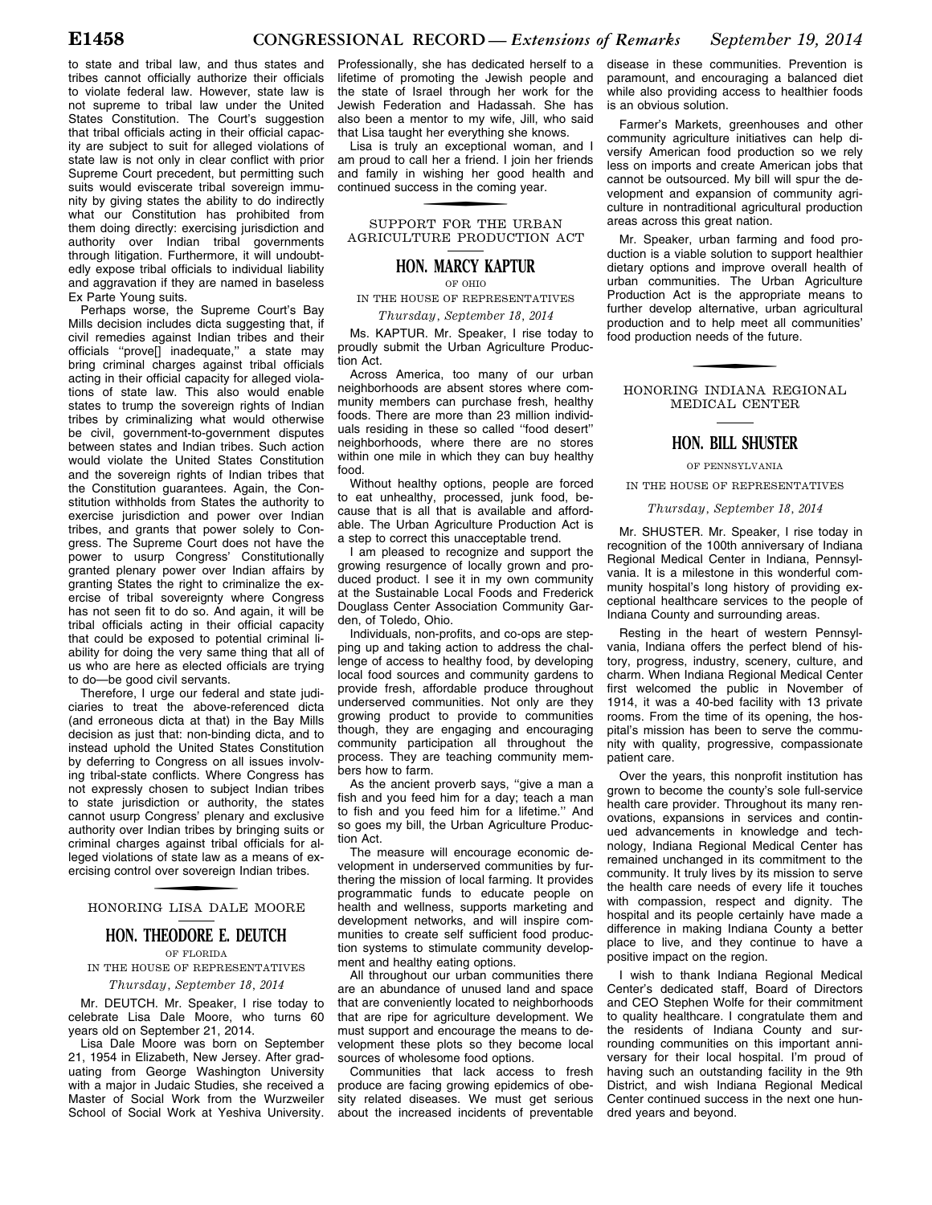to state and tribal law, and thus states and tribes cannot officially authorize their officials to violate federal law. However, state law is not supreme to tribal law under the United States Constitution. The Court's suggestion that tribal officials acting in their official capacity are subject to suit for alleged violations of state law is not only in clear conflict with prior Supreme Court precedent, but permitting such suits would eviscerate tribal sovereign immunity by giving states the ability to do indirectly what our Constitution has prohibited from them doing directly: exercising jurisdiction and authority over Indian tribal governments through litigation. Furthermore, it will undoubtedly expose tribal officials to individual liability and aggravation if they are named in baseless Ex Parte Young suits.

Perhaps worse, the Supreme Court's Bay Mills decision includes dicta suggesting that, if civil remedies against Indian tribes and their officials ''prove[] inadequate,'' a state may bring criminal charges against tribal officials acting in their official capacity for alleged violations of state law. This also would enable states to trump the sovereign rights of Indian tribes by criminalizing what would otherwise be civil, government-to-government disputes between states and Indian tribes. Such action would violate the United States Constitution and the sovereign rights of Indian tribes that the Constitution guarantees. Again, the Constitution withholds from States the authority to exercise jurisdiction and power over Indian tribes, and grants that power solely to Congress. The Supreme Court does not have the power to usurp Congress' Constitutionally granted plenary power over Indian affairs by granting States the right to criminalize the exercise of tribal sovereignty where Congress has not seen fit to do so. And again, it will be tribal officials acting in their official capacity that could be exposed to potential criminal liability for doing the very same thing that all of us who are here as elected officials are trying to do—be good civil servants.

Therefore, I urge our federal and state judiciaries to treat the above-referenced dicta (and erroneous dicta at that) in the Bay Mills decision as just that: non-binding dicta, and to instead uphold the United States Constitution by deferring to Congress on all issues involving tribal-state conflicts. Where Congress has not expressly chosen to subject Indian tribes to state jurisdiction or authority, the states cannot usurp Congress' plenary and exclusive authority over Indian tribes by bringing suits or criminal charges against tribal officials for alleged violations of state law as a means of exercising control over sovereign Indian tribes.

f HONORING LISA DALE MOORE

# **HON. THEODORE E. DEUTCH**

OF FLORIDA

IN THE HOUSE OF REPRESENTATIVES *Thursday, September 18, 2014* 

Mr. DEUTCH. Mr. Speaker, I rise today to celebrate Lisa Dale Moore, who turns 60 years old on September 21, 2014.

Lisa Dale Moore was born on September 21, 1954 in Elizabeth, New Jersey. After graduating from George Washington University with a major in Judaic Studies, she received a Master of Social Work from the Wurzweiler School of Social Work at Yeshiva University.

Professionally, she has dedicated herself to a lifetime of promoting the Jewish people and the state of Israel through her work for the Jewish Federation and Hadassah. She has also been a mentor to my wife, Jill, who said that Lisa taught her everything she knows.

Lisa is truly an exceptional woman, and I am proud to call her a friend. I join her friends and family in wishing her good health and continued success in the coming year.

SUPPORT FOR THE URBAN AGRICULTURE PRODUCTION ACT

## **HON. MARCY KAPTUR**

OF OHIO

IN THE HOUSE OF REPRESENTATIVES

*Thursday, September 18, 2014* 

Ms. KAPTUR. Mr. Speaker, I rise today to proudly submit the Urban Agriculture Production Act.

Across America, too many of our urban neighborhoods are absent stores where community members can purchase fresh, healthy foods. There are more than 23 million individuals residing in these so called ''food desert'' neighborhoods, where there are no stores within one mile in which they can buy healthy food.

Without healthy options, people are forced to eat unhealthy, processed, junk food, because that is all that is available and affordable. The Urban Agriculture Production Act is a step to correct this unacceptable trend.

I am pleased to recognize and support the growing resurgence of locally grown and produced product. I see it in my own community at the Sustainable Local Foods and Frederick Douglass Center Association Community Garden, of Toledo, Ohio.

Individuals, non-profits, and co-ops are stepping up and taking action to address the challenge of access to healthy food, by developing local food sources and community gardens to provide fresh, affordable produce throughout underserved communities. Not only are they growing product to provide to communities though, they are engaging and encouraging community participation all throughout the process. They are teaching community members how to farm.

As the ancient proverb says, ''give a man a fish and you feed him for a day; teach a man to fish and you feed him for a lifetime.'' And so goes my bill, the Urban Agriculture Production Act.

The measure will encourage economic development in underserved communities by furthering the mission of local farming. It provides programmatic funds to educate people on health and wellness, supports marketing and development networks, and will inspire communities to create self sufficient food production systems to stimulate community development and healthy eating options.

All throughout our urban communities there are an abundance of unused land and space that are conveniently located to neighborhoods that are ripe for agriculture development. We must support and encourage the means to development these plots so they become local sources of wholesome food options.

Communities that lack access to fresh produce are facing growing epidemics of obesity related diseases. We must get serious about the increased incidents of preventable

disease in these communities. Prevention is paramount, and encouraging a balanced diet while also providing access to healthier foods is an obvious solution.

Farmer's Markets, greenhouses and other community agriculture initiatives can help diversify American food production so we rely less on imports and create American jobs that cannot be outsourced. My bill will spur the development and expansion of community agriculture in nontraditional agricultural production areas across this great nation.

Mr. Speaker, urban farming and food production is a viable solution to support healthier dietary options and improve overall health of urban communities. The Urban Agriculture Production Act is the appropriate means to further develop alternative, urban agricultural production and to help meet all communities' food production needs of the future.

HONORING INDIANA REGIONAL MEDICAL CENTER

### **HON. BILL SHUSTER**

#### OF PENNSYLVANIA

IN THE HOUSE OF REPRESENTATIVES

*Thursday, September 18, 2014* 

Mr. SHUSTER. Mr. Speaker, I rise today in recognition of the 100th anniversary of Indiana Regional Medical Center in Indiana, Pennsylvania. It is a milestone in this wonderful community hospital's long history of providing exceptional healthcare services to the people of Indiana County and surrounding areas.

Resting in the heart of western Pennsylvania, Indiana offers the perfect blend of history, progress, industry, scenery, culture, and charm. When Indiana Regional Medical Center first welcomed the public in November of 1914, it was a 40-bed facility with 13 private rooms. From the time of its opening, the hospital's mission has been to serve the community with quality, progressive, compassionate patient care.

Over the years, this nonprofit institution has grown to become the county's sole full-service health care provider. Throughout its many renovations, expansions in services and continued advancements in knowledge and technology, Indiana Regional Medical Center has remained unchanged in its commitment to the community. It truly lives by its mission to serve the health care needs of every life it touches with compassion, respect and dignity. The hospital and its people certainly have made a difference in making Indiana County a better place to live, and they continue to have a positive impact on the region.

I wish to thank Indiana Regional Medical Center's dedicated staff, Board of Directors and CEO Stephen Wolfe for their commitment to quality healthcare. I congratulate them and the residents of Indiana County and surrounding communities on this important anniversary for their local hospital. I'm proud of having such an outstanding facility in the 9th District, and wish Indiana Regional Medical Center continued success in the next one hundred years and beyond.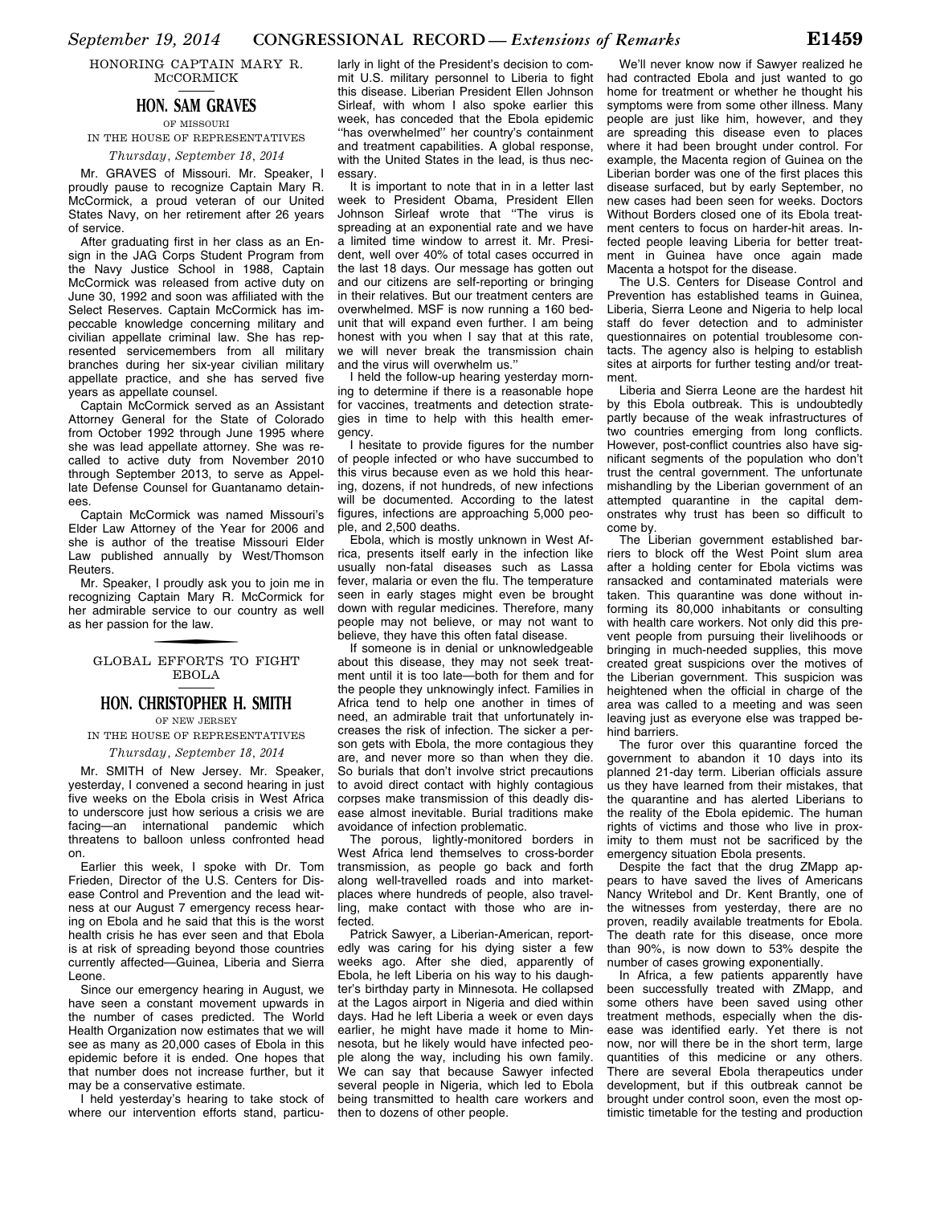HONORING CAPTAIN MARY R. MCCORMICK

#### **HON. SAM GRAVES**

OF MISSOURI

IN THE HOUSE OF REPRESENTATIVES

*Thursday, September 18, 2014* 

Mr. GRAVES of Missouri. Mr. Speaker, I proudly pause to recognize Captain Mary R. McCormick, a proud veteran of our United States Navy, on her retirement after 26 years of service.

After graduating first in her class as an Ensign in the JAG Corps Student Program from the Navy Justice School in 1988, Captain McCormick was released from active duty on June 30, 1992 and soon was affiliated with the Select Reserves. Captain McCormick has impeccable knowledge concerning military and civilian appellate criminal law. She has represented servicemembers from all military branches during her six-year civilian military appellate practice, and she has served five years as appellate counsel.

Captain McCormick served as an Assistant Attorney General for the State of Colorado from October 1992 through June 1995 where she was lead appellate attorney. She was recalled to active duty from November 2010 through September 2013, to serve as Appellate Defense Counsel for Guantanamo detainees.

Captain McCormick was named Missouri's Elder Law Attorney of the Year for 2006 and she is author of the treatise Missouri Elder Law published annually by West/Thomson Reuters.

Mr. Speaker, I proudly ask you to join me in recognizing Captain Mary R. McCormick for her admirable service to our country as well as her passion for the law.

# f GLOBAL EFFORTS TO FIGHT EBOLA

#### **HON. CHRISTOPHER H. SMITH** OF NEW JERSEY

IN THE HOUSE OF REPRESENTATIVES

*Thursday, September 18, 2014* 

Mr. SMITH of New Jersey. Mr. Speaker, yesterday, I convened a second hearing in just five weeks on the Ebola crisis in West Africa to underscore just how serious a crisis we are facing—an international pandemic which threatens to balloon unless confronted head on.

Earlier this week, I spoke with Dr. Tom Frieden, Director of the U.S. Centers for Disease Control and Prevention and the lead witness at our August 7 emergency recess hearing on Ebola and he said that this is the worst health crisis he has ever seen and that Ebola is at risk of spreading beyond those countries currently affected—Guinea, Liberia and Sierra Leone.

Since our emergency hearing in August, we have seen a constant movement upwards in the number of cases predicted. The World Health Organization now estimates that we will see as many as 20,000 cases of Ebola in this epidemic before it is ended. One hopes that that number does not increase further, but it may be a conservative estimate.

I held yesterday's hearing to take stock of where our intervention efforts stand, particu-

larly in light of the President's decision to commit U.S. military personnel to Liberia to fight this disease. Liberian President Ellen Johnson Sirleaf, with whom I also spoke earlier this week, has conceded that the Ebola epidemic ''has overwhelmed'' her country's containment and treatment capabilities. A global response, with the United States in the lead, is thus necessary.

It is important to note that in in a letter last week to President Obama, President Ellen Johnson Sirleaf wrote that ''The virus is spreading at an exponential rate and we have a limited time window to arrest it. Mr. President, well over 40% of total cases occurred in the last 18 days. Our message has gotten out and our citizens are self-reporting or bringing in their relatives. But our treatment centers are overwhelmed. MSF is now running a 160 bedunit that will expand even further. I am being honest with you when I say that at this rate, we will never break the transmission chain and the virus will overwhelm us.''

I held the follow-up hearing yesterday morning to determine if there is a reasonable hope for vaccines, treatments and detection strategies in time to help with this health emergency.

I hesitate to provide figures for the number of people infected or who have succumbed to this virus because even as we hold this hearing, dozens, if not hundreds, of new infections will be documented. According to the latest figures, infections are approaching 5,000 people, and 2,500 deaths.

Ebola, which is mostly unknown in West Africa, presents itself early in the infection like usually non-fatal diseases such as Lassa fever, malaria or even the flu. The temperature seen in early stages might even be brought down with regular medicines. Therefore, many people may not believe, or may not want to believe, they have this often fatal disease.

If someone is in denial or unknowledgeable about this disease, they may not seek treatment until it is too late—both for them and for the people they unknowingly infect. Families in Africa tend to help one another in times of need, an admirable trait that unfortunately increases the risk of infection. The sicker a person gets with Ebola, the more contagious they are, and never more so than when they die. So burials that don't involve strict precautions to avoid direct contact with highly contagious corpses make transmission of this deadly disease almost inevitable. Burial traditions make avoidance of infection problematic.

The porous, lightly-monitored borders in West Africa lend themselves to cross-border transmission, as people go back and forth along well-travelled roads and into marketplaces where hundreds of people, also travelling, make contact with those who are infected.

Patrick Sawyer, a Liberian-American, reportedly was caring for his dying sister a few weeks ago. After she died, apparently of Ebola, he left Liberia on his way to his daughter's birthday party in Minnesota. He collapsed at the Lagos airport in Nigeria and died within days. Had he left Liberia a week or even days earlier, he might have made it home to Minnesota, but he likely would have infected people along the way, including his own family. We can say that because Sawyer infected several people in Nigeria, which led to Ebola being transmitted to health care workers and then to dozens of other people.

We'll never know now if Sawyer realized he had contracted Ebola and just wanted to go home for treatment or whether he thought his symptoms were from some other illness. Many people are just like him, however, and they are spreading this disease even to places where it had been brought under control. For example, the Macenta region of Guinea on the Liberian border was one of the first places this disease surfaced, but by early September, no new cases had been seen for weeks. Doctors Without Borders closed one of its Ebola treatment centers to focus on harder-hit areas. Infected people leaving Liberia for better treatment in Guinea have once again made Macenta a hotspot for the disease.

The U.S. Centers for Disease Control and Prevention has established teams in Guinea, Liberia, Sierra Leone and Nigeria to help local staff do fever detection and to administer questionnaires on potential troublesome contacts. The agency also is helping to establish sites at airports for further testing and/or treatment.

Liberia and Sierra Leone are the hardest hit by this Ebola outbreak. This is undoubtedly partly because of the weak infrastructures of two countries emerging from long conflicts. However, post-conflict countries also have significant segments of the population who don't trust the central government. The unfortunate mishandling by the Liberian government of an attempted quarantine in the capital demonstrates why trust has been so difficult to come by.

The Liberian government established barriers to block off the West Point slum area after a holding center for Ebola victims was ransacked and contaminated materials were taken. This quarantine was done without informing its 80,000 inhabitants or consulting with health care workers. Not only did this prevent people from pursuing their livelihoods or bringing in much-needed supplies, this move created great suspicions over the motives of the Liberian government. This suspicion was heightened when the official in charge of the area was called to a meeting and was seen leaving just as everyone else was trapped behind barriers.

The furor over this quarantine forced the government to abandon it 10 days into its planned 21-day term. Liberian officials assure us they have learned from their mistakes, that the quarantine and has alerted Liberians to the reality of the Ebola epidemic. The human rights of victims and those who live in proximity to them must not be sacrificed by the emergency situation Ebola presents.

Despite the fact that the drug ZMapp appears to have saved the lives of Americans Nancy Writebol and Dr. Kent Brantly, one of the witnesses from yesterday, there are no proven, readily available treatments for Ebola. The death rate for this disease, once more than 90%, is now down to 53% despite the number of cases growing exponentially.

In Africa, a few patients apparently have been successfully treated with ZMapp, and some others have been saved using other treatment methods, especially when the disease was identified early. Yet there is not now, nor will there be in the short term, large quantities of this medicine or any others. There are several Ebola therapeutics under development, but if this outbreak cannot be brought under control soon, even the most optimistic timetable for the testing and production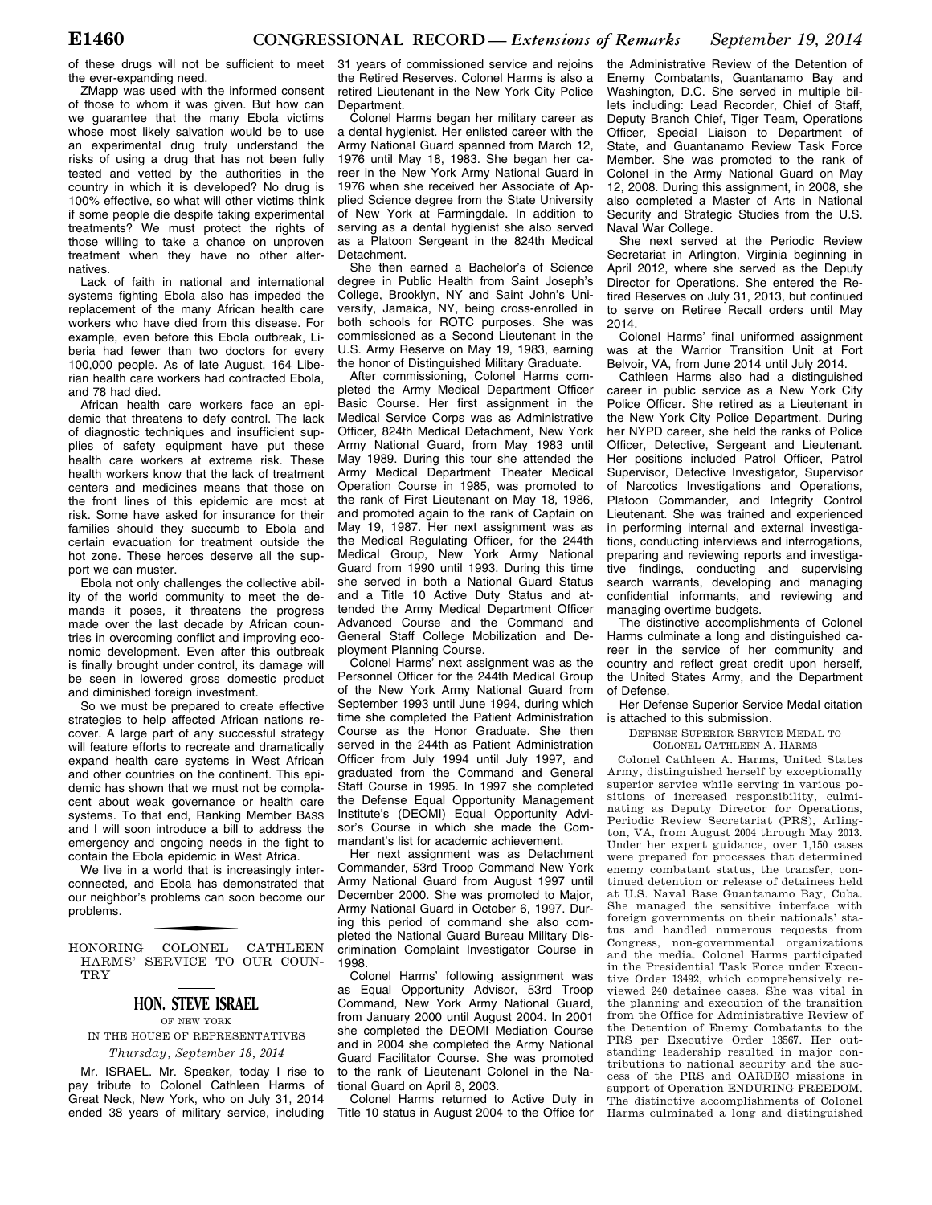of these drugs will not be sufficient to meet the ever-expanding need.

ZMapp was used with the informed consent of those to whom it was given. But how can we guarantee that the many Ebola victims whose most likely salvation would be to use an experimental drug truly understand the risks of using a drug that has not been fully tested and vetted by the authorities in the country in which it is developed? No drug is 100% effective, so what will other victims think if some people die despite taking experimental treatments? We must protect the rights of those willing to take a chance on unproven treatment when they have no other alternatives.

Lack of faith in national and international systems fighting Ebola also has impeded the replacement of the many African health care workers who have died from this disease. For example, even before this Ebola outbreak, Liberia had fewer than two doctors for every 100,000 people. As of late August, 164 Liberian health care workers had contracted Ebola, and 78 had died.

African health care workers face an epidemic that threatens to defy control. The lack of diagnostic techniques and insufficient supplies of safety equipment have put these health care workers at extreme risk. These health workers know that the lack of treatment centers and medicines means that those on the front lines of this epidemic are most at risk. Some have asked for insurance for their families should they succumb to Ebola and certain evacuation for treatment outside the hot zone. These heroes deserve all the support we can muster.

Ebola not only challenges the collective ability of the world community to meet the demands it poses, it threatens the progress made over the last decade by African countries in overcoming conflict and improving economic development. Even after this outbreak is finally brought under control, its damage will be seen in lowered gross domestic product and diminished foreign investment.

So we must be prepared to create effective strategies to help affected African nations recover. A large part of any successful strategy will feature efforts to recreate and dramatically expand health care systems in West African and other countries on the continent. This epidemic has shown that we must not be complacent about weak governance or health care systems. To that end, Ranking Member BASS and I will soon introduce a bill to address the emergency and ongoing needs in the fight to contain the Ebola epidemic in West Africa.

We live in a world that is increasingly interconnected, and Ebola has demonstrated that our neighbor's problems can soon become our problems.

f HONORING COLONEL CATHLEEN HARMS' SERVICE TO OUR COUN-TRY

#### **HON. STEVE ISRAEL**

OF NEW YORK

IN THE HOUSE OF REPRESENTATIVES

*Thursday, September 18, 2014* 

Mr. ISRAEL. Mr. Speaker, today I rise to pay tribute to Colonel Cathleen Harms of Great Neck, New York, who on July 31, 2014 ended 38 years of military service, including 31 years of commissioned service and rejoins the Retired Reserves. Colonel Harms is also a retired Lieutenant in the New York City Police Department.

Colonel Harms began her military career as a dental hygienist. Her enlisted career with the Army National Guard spanned from March 12, 1976 until May 18, 1983. She began her career in the New York Army National Guard in 1976 when she received her Associate of Applied Science degree from the State University of New York at Farmingdale. In addition to serving as a dental hygienist she also served as a Platoon Sergeant in the 824th Medical Detachment.

She then earned a Bachelor's of Science degree in Public Health from Saint Joseph's College, Brooklyn, NY and Saint John's University, Jamaica, NY, being cross-enrolled in both schools for ROTC purposes. She was commissioned as a Second Lieutenant in the U.S. Army Reserve on May 19, 1983, earning the honor of Distinguished Military Graduate.

After commissioning, Colonel Harms completed the Army Medical Department Officer Basic Course. Her first assignment in the Medical Service Corps was as Administrative Officer, 824th Medical Detachment, New York Army National Guard, from May 1983 until May 1989. During this tour she attended the Army Medical Department Theater Medical Operation Course in 1985, was promoted to the rank of First Lieutenant on May 18, 1986, and promoted again to the rank of Captain on May 19, 1987. Her next assignment was as the Medical Regulating Officer, for the 244th Medical Group, New York Army National Guard from 1990 until 1993. During this time she served in both a National Guard Status and a Title 10 Active Duty Status and attended the Army Medical Department Officer Advanced Course and the Command and General Staff College Mobilization and Deployment Planning Course.

Colonel Harms' next assignment was as the Personnel Officer for the 244th Medical Group of the New York Army National Guard from September 1993 until June 1994, during which time she completed the Patient Administration Course as the Honor Graduate. She then served in the 244th as Patient Administration Officer from July 1994 until July 1997, and graduated from the Command and General Staff Course in 1995. In 1997 she completed the Defense Equal Opportunity Management Institute's (DEOMI) Equal Opportunity Advisor's Course in which she made the Commandant's list for academic achievement.

Her next assignment was as Detachment Commander, 53rd Troop Command New York Army National Guard from August 1997 until December 2000. She was promoted to Major, Army National Guard in October 6, 1997. During this period of command she also completed the National Guard Bureau Military Discrimination Complaint Investigator Course in 1998.

Colonel Harms' following assignment was as Equal Opportunity Advisor, 53rd Troop Command, New York Army National Guard, from January 2000 until August 2004. In 2001 she completed the DEOMI Mediation Course and in 2004 she completed the Army National Guard Facilitator Course. She was promoted to the rank of Lieutenant Colonel in the National Guard on April 8, 2003.

Colonel Harms returned to Active Duty in Title 10 status in August 2004 to the Office for the Administrative Review of the Detention of Enemy Combatants, Guantanamo Bay and Washington, D.C. She served in multiple billets including: Lead Recorder, Chief of Staff, Deputy Branch Chief, Tiger Team, Operations Officer, Special Liaison to Department of State, and Guantanamo Review Task Force Member. She was promoted to the rank of Colonel in the Army National Guard on May 12, 2008. During this assignment, in 2008, she also completed a Master of Arts in National Security and Strategic Studies from the U.S. Naval War College.

She next served at the Periodic Review Secretariat in Arlington, Virginia beginning in April 2012, where she served as the Deputy Director for Operations. She entered the Retired Reserves on July 31, 2013, but continued to serve on Retiree Recall orders until May 2014.

Colonel Harms' final uniformed assignment was at the Warrior Transition Unit at Fort Belvoir, VA, from June 2014 until July 2014.

Cathleen Harms also had a distinguished career in public service as a New York City Police Officer. She retired as a Lieutenant in the New York City Police Department. During her NYPD career, she held the ranks of Police Officer, Detective, Sergeant and Lieutenant. Her positions included Patrol Officer, Patrol Supervisor, Detective Investigator, Supervisor of Narcotics Investigations and Operations, Platoon Commander, and Integrity Control Lieutenant. She was trained and experienced in performing internal and external investigations, conducting interviews and interrogations, preparing and reviewing reports and investigative findings, conducting and supervising search warrants, developing and managing confidential informants, and reviewing and managing overtime budgets.

The distinctive accomplishments of Colonel Harms culminate a long and distinguished career in the service of her community and country and reflect great credit upon herself, the United States Army, and the Department of Defense.

Her Defense Superior Service Medal citation is attached to this submission.

DEFENSE SUPERIOR SERVICE MEDAL TO

COLONEL CATHLEEN A. HARMS

Colonel Cathleen A. Harms, United States Army, distinguished herself by exceptionally superior service while serving in various positions of increased responsibility, culminating as Deputy Director for Operations, Periodic Review Secretariat (PRS), Arlington, VA, from August 2004 through May 2013. Under her expert guidance, over 1,150 cases were prepared for processes that determined enemy combatant status, the transfer, continued detention or release of detainees held at U.S. Naval Base Guantanamo Bay, Cuba. She managed the sensitive interface with foreign governments on their nationals' status and handled numerous requests from Congress, non-governmental organizations and the media. Colonel Harms participated in the Presidential Task Force under Executive Order 13492, which comprehensively reviewed 240 detainee cases. She was vital in the planning and execution of the transition from the Office for Administrative Review of the Detention of Enemy Combatants to the PRS per Executive Order 13567. Her outstanding leadership resulted in major contributions to national security and the success of the PRS and OARDEC missions in support of Operation ENDURING FREEDOM. The distinctive accomplishments of Colonel Harms culminated a long and distinguished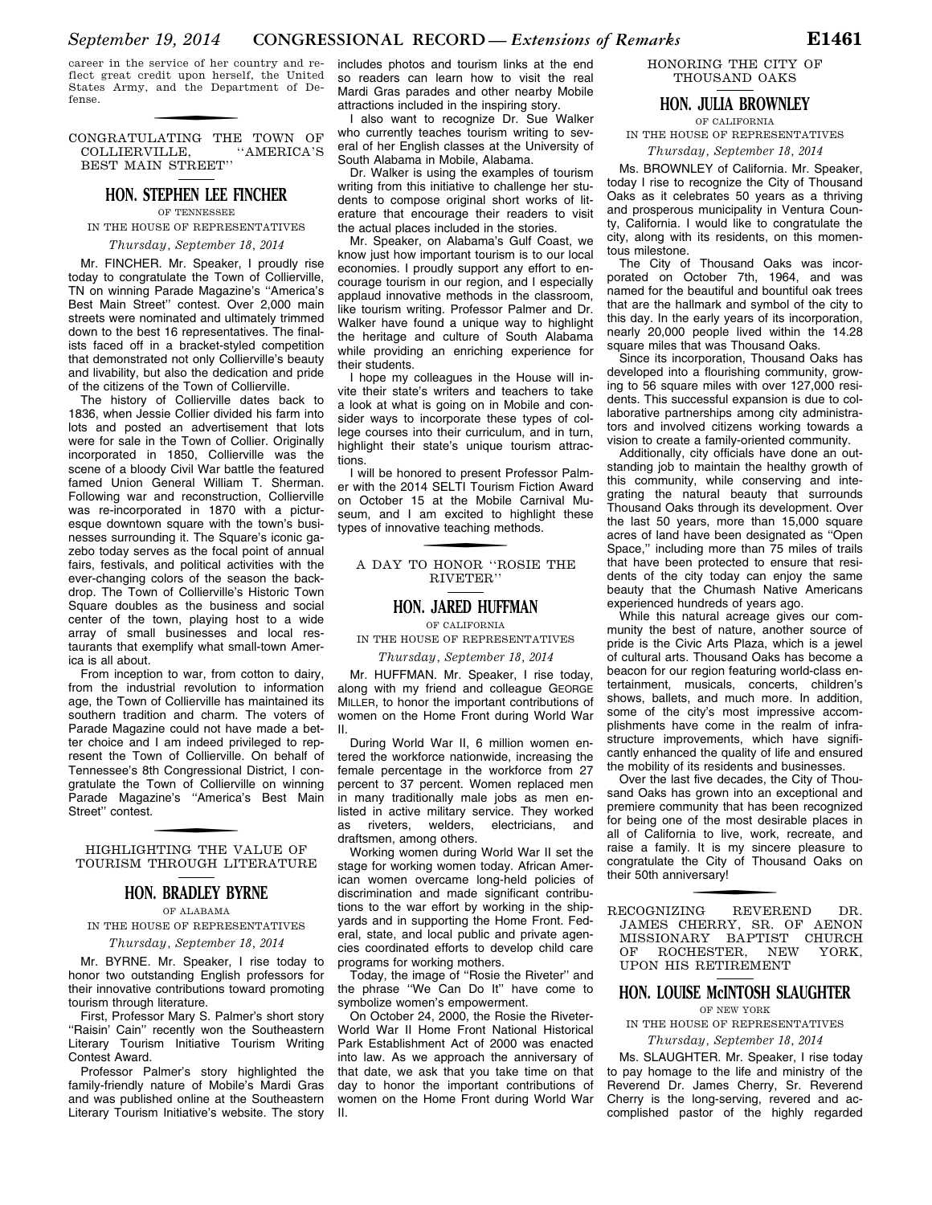career in the service of her country and reflect great credit upon herself, the United States Army, and the Department of Defense.

CONGRATULATING THE TOWN OF COLLIERVILLE, ''AMERICA'S BEST MAIN STREET''

# **HON. STEPHEN LEE FINCHER**

OF TENNESSEE

IN THE HOUSE OF REPRESENTATIVES *Thursday, September 18, 2014* 

Mr. FINCHER. Mr. Speaker, I proudly rise today to congratulate the Town of Collierville, TN on winning Parade Magazine's ''America's Best Main Street'' contest. Over 2,000 main streets were nominated and ultimately trimmed down to the best 16 representatives. The finalists faced off in a bracket-styled competition that demonstrated not only Collierville's beauty and livability, but also the dedication and pride of the citizens of the Town of Collierville.

The history of Collierville dates back to 1836, when Jessie Collier divided his farm into lots and posted an advertisement that lots were for sale in the Town of Collier. Originally incorporated in 1850, Collierville was the scene of a bloody Civil War battle the featured famed Union General William T. Sherman. Following war and reconstruction, Collierville was re-incorporated in 1870 with a picturesque downtown square with the town's businesses surrounding it. The Square's iconic gazebo today serves as the focal point of annual fairs, festivals, and political activities with the ever-changing colors of the season the backdrop. The Town of Collierville's Historic Town Square doubles as the business and social center of the town, playing host to a wide array of small businesses and local restaurants that exemplify what small-town America is all about.

From inception to war, from cotton to dairy, from the industrial revolution to information age, the Town of Collierville has maintained its southern tradition and charm. The voters of Parade Magazine could not have made a better choice and I am indeed privileged to represent the Town of Collierville. On behalf of Tennessee's 8th Congressional District, I congratulate the Town of Collierville on winning Parade Magazine's ''America's Best Main Street" contest.

#### HIGHLIGHTING THE VALUE OF TOURISM THROUGH LITERATURE

#### **HON. BRADLEY BYRNE**

OF ALABAMA

#### IN THE HOUSE OF REPRESENTATIVES *Thursday, September 18, 2014*

Mr. BYRNE. Mr. Speaker, I rise today to honor two outstanding English professors for their innovative contributions toward promoting tourism through literature.

First, Professor Mary S. Palmer's short story "Raisin' Cain" recently won the Southeastern Literary Tourism Initiative Tourism Writing Contest Award.

Professor Palmer's story highlighted the family-friendly nature of Mobile's Mardi Gras and was published online at the Southeastern Literary Tourism Initiative's website. The story includes photos and tourism links at the end so readers can learn how to visit the real Mardi Gras parades and other nearby Mobile attractions included in the inspiring story.

I also want to recognize Dr. Sue Walker who currently teaches tourism writing to several of her English classes at the University of South Alabama in Mobile, Alabama.

Dr. Walker is using the examples of tourism writing from this initiative to challenge her students to compose original short works of literature that encourage their readers to visit the actual places included in the stories.

Mr. Speaker, on Alabama's Gulf Coast, we know just how important tourism is to our local economies. I proudly support any effort to encourage tourism in our region, and I especially applaud innovative methods in the classroom, like tourism writing. Professor Palmer and Dr. Walker have found a unique way to highlight the heritage and culture of South Alabama while providing an enriching experience for their students.

I hope my colleagues in the House will invite their state's writers and teachers to take a look at what is going on in Mobile and consider ways to incorporate these types of college courses into their curriculum, and in turn, highlight their state's unique tourism attractions.

I will be honored to present Professor Palmer with the 2014 SELTI Tourism Fiction Award on October 15 at the Mobile Carnival Museum, and I am excited to highlight these types of innovative teaching methods.

f A DAY TO HONOR ''ROSIE THE RIVETER''

#### **HON. JARED HUFFMAN**

OF CALIFORNIA

IN THE HOUSE OF REPRESENTATIVES

*Thursday, September 18, 2014* 

Mr. HUFFMAN. Mr. Speaker, I rise today, along with my friend and colleague GEORGE MILLER, to honor the important contributions of women on the Home Front during World War II.

During World War II, 6 million women entered the workforce nationwide, increasing the female percentage in the workforce from 27 percent to 37 percent. Women replaced men in many traditionally male jobs as men enlisted in active military service. They worked<br>as riveters, welders, electricians, and as riveters, welders, draftsmen, among others.

Working women during World War II set the stage for working women today. African American women overcame long-held policies of discrimination and made significant contributions to the war effort by working in the shipyards and in supporting the Home Front. Federal, state, and local public and private agencies coordinated efforts to develop child care programs for working mothers.

Today, the image of ''Rosie the Riveter'' and the phrase ''We Can Do It'' have come to symbolize women's empowerment.

On October 24, 2000, the Rosie the Riveter-World War II Home Front National Historical Park Establishment Act of 2000 was enacted into law. As we approach the anniversary of that date, we ask that you take time on that day to honor the important contributions of women on the Home Front during World War II.

HONORING THE CITY OF THOUSAND OAKS

### **HON. JULIA BROWNLEY**

OF CALIFORNIA

IN THE HOUSE OF REPRESENTATIVES *Thursday, September 18, 2014* 

Ms. BROWNLEY of California. Mr. Speaker, today I rise to recognize the City of Thousand Oaks as it celebrates 50 years as a thriving and prosperous municipality in Ventura County, California. I would like to congratulate the city, along with its residents, on this momentous milestone.

The City of Thousand Oaks was incorporated on October 7th, 1964, and was named for the beautiful and bountiful oak trees that are the hallmark and symbol of the city to this day. In the early years of its incorporation, nearly 20,000 people lived within the 14.28 square miles that was Thousand Oaks.

Since its incorporation, Thousand Oaks has developed into a flourishing community, growing to 56 square miles with over 127,000 residents. This successful expansion is due to collaborative partnerships among city administrators and involved citizens working towards a vision to create a family-oriented community.

Additionally, city officials have done an outstanding job to maintain the healthy growth of this community, while conserving and integrating the natural beauty that surrounds Thousand Oaks through its development. Over the last 50 years, more than 15,000 square acres of land have been designated as ''Open Space,'' including more than 75 miles of trails that have been protected to ensure that residents of the city today can enjoy the same beauty that the Chumash Native Americans experienced hundreds of years ago.

While this natural acreage gives our community the best of nature, another source of pride is the Civic Arts Plaza, which is a jewel of cultural arts. Thousand Oaks has become a beacon for our region featuring world-class entertainment, musicals, concerts, children's shows, ballets, and much more. In addition, some of the city's most impressive accomplishments have come in the realm of infrastructure improvements, which have significantly enhanced the quality of life and ensured the mobility of its residents and businesses.

Over the last five decades, the City of Thousand Oaks has grown into an exceptional and premiere community that has been recognized for being one of the most desirable places in all of California to live, work, recreate, and raise a family. It is my sincere pleasure to congratulate the City of Thousand Oaks on their 50th anniversary!

**REVEREND** RECOGNIZING REVEREND DR. JAMES CHERRY, SR. OF AENON MISSIONARY BAPTIST CHURCH<br>OF ROCHESTER NEW YORK ROCHESTER, NEW UPON HIS RETIREMENT

## **HON. LOUISE McINTOSH SLAUGHTER**

OF NEW YORK

IN THE HOUSE OF REPRESENTATIVES *Thursday, September 18, 2014* 

Ms. SLAUGHTER. Mr. Speaker, I rise today to pay homage to the life and ministry of the Reverend Dr. James Cherry, Sr. Reverend Cherry is the long-serving, revered and accomplished pastor of the highly regarded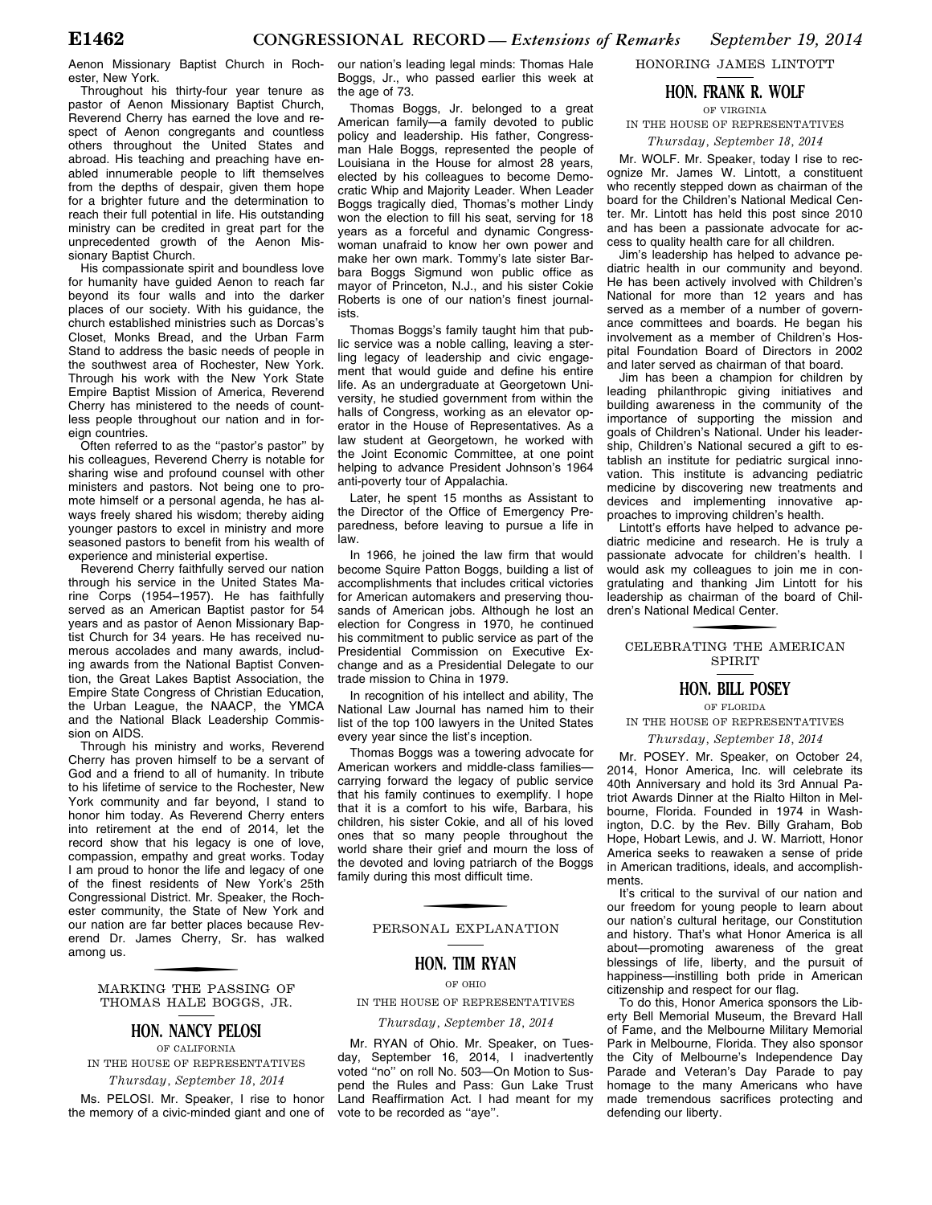Aenon Missionary Baptist Church in Rochester, New York.

Throughout his thirty-four year tenure as pastor of Aenon Missionary Baptist Church, Reverend Cherry has earned the love and respect of Aenon congregants and countless others throughout the United States and abroad. His teaching and preaching have enabled innumerable people to lift themselves from the depths of despair, given them hope for a brighter future and the determination to reach their full potential in life. His outstanding ministry can be credited in great part for the unprecedented growth of the Aenon Missionary Baptist Church.

His compassionate spirit and boundless love for humanity have guided Aenon to reach far beyond its four walls and into the darker places of our society. With his guidance, the church established ministries such as Dorcas's Closet, Monks Bread, and the Urban Farm Stand to address the basic needs of people in the southwest area of Rochester, New York. Through his work with the New York State Empire Baptist Mission of America, Reverend Cherry has ministered to the needs of countless people throughout our nation and in foreign countries.

Often referred to as the ''pastor's pastor'' by his colleagues, Reverend Cherry is notable for sharing wise and profound counsel with other ministers and pastors. Not being one to promote himself or a personal agenda, he has always freely shared his wisdom; thereby aiding younger pastors to excel in ministry and more seasoned pastors to benefit from his wealth of experience and ministerial expertise.

Reverend Cherry faithfully served our nation through his service in the United States Marine Corps (1954–1957). He has faithfully served as an American Baptist pastor for 54 years and as pastor of Aenon Missionary Baptist Church for 34 years. He has received numerous accolades and many awards, including awards from the National Baptist Convention, the Great Lakes Baptist Association, the Empire State Congress of Christian Education, the Urban League, the NAACP, the YMCA and the National Black Leadership Commission on AIDS.

Through his ministry and works, Reverend Cherry has proven himself to be a servant of God and a friend to all of humanity. In tribute to his lifetime of service to the Rochester, New York community and far beyond, I stand to honor him today. As Reverend Cherry enters into retirement at the end of 2014, let the record show that his legacy is one of love, compassion, empathy and great works. Today I am proud to honor the life and legacy of one of the finest residents of New York's 25th Congressional District. Mr. Speaker, the Rochester community, the State of New York and our nation are far better places because Reverend Dr. James Cherry, Sr. has walked among us.

> f MARKING THE PASSING OF THOMAS HALE BOGGS, JR.

## **HON. NANCY PELOSI**

OF CALIFORNIA IN THE HOUSE OF REPRESENTATIVES

*Thursday, September 18, 2014* 

Ms. PELOSI. Mr. Speaker, I rise to honor the memory of a civic-minded giant and one of

our nation's leading legal minds: Thomas Hale Boggs, Jr., who passed earlier this week at the age of 73.

Thomas Boggs, Jr. belonged to a great American family—a family devoted to public policy and leadership. His father, Congressman Hale Boggs, represented the people of Louisiana in the House for almost 28 years, elected by his colleagues to become Democratic Whip and Majority Leader. When Leader Boggs tragically died, Thomas's mother Lindy won the election to fill his seat, serving for 18 years as a forceful and dynamic Congresswoman unafraid to know her own power and make her own mark. Tommy's late sister Barbara Boggs Sigmund won public office as mayor of Princeton, N.J., and his sister Cokie Roberts is one of our nation's finest journalists.

Thomas Boggs's family taught him that public service was a noble calling, leaving a sterling legacy of leadership and civic engagement that would guide and define his entire life. As an undergraduate at Georgetown University, he studied government from within the halls of Congress, working as an elevator operator in the House of Representatives. As a law student at Georgetown, he worked with the Joint Economic Committee, at one point helping to advance President Johnson's 1964 anti-poverty tour of Appalachia.

Later, he spent 15 months as Assistant to the Director of the Office of Emergency Preparedness, before leaving to pursue a life in law.

In 1966, he joined the law firm that would become Squire Patton Boggs, building a list of accomplishments that includes critical victories for American automakers and preserving thousands of American jobs. Although he lost an election for Congress in 1970, he continued his commitment to public service as part of the Presidential Commission on Executive Exchange and as a Presidential Delegate to our trade mission to China in 1979.

In recognition of his intellect and ability, The National Law Journal has named him to their list of the top 100 lawyers in the United States every year since the list's inception.

Thomas Boggs was a towering advocate for American workers and middle-class families carrying forward the legacy of public service that his family continues to exemplify. I hope that it is a comfort to his wife, Barbara, his children, his sister Cokie, and all of his loved ones that so many people throughout the world share their grief and mourn the loss of the devoted and loving patriarch of the Boggs family during this most difficult time.

## PERSONAL EXPLANATION

## **HON. TIM RYAN**

OF OHIO

IN THE HOUSE OF REPRESENTATIVES

*Thursday, September 18, 2014* 

Mr. RYAN of Ohio. Mr. Speaker, on Tuesday, September 16, 2014, I inadvertently voted ''no'' on roll No. 503—On Motion to Suspend the Rules and Pass: Gun Lake Trust Land Reaffirmation Act. I had meant for my vote to be recorded as ''aye''.

HONORING JAMES LINTOTT

#### **HON. FRANK R. WOLF** OF VIRGINIA

IN THE HOUSE OF REPRESENTATIVES

*Thursday, September 18, 2014* 

Mr. WOLF. Mr. Speaker, today I rise to recognize Mr. James W. Lintott, a constituent who recently stepped down as chairman of the board for the Children's National Medical Center. Mr. Lintott has held this post since 2010 and has been a passionate advocate for access to quality health care for all children.

Jim's leadership has helped to advance pediatric health in our community and beyond. He has been actively involved with Children's National for more than 12 years and has served as a member of a number of governance committees and boards. He began his involvement as a member of Children's Hospital Foundation Board of Directors in 2002 and later served as chairman of that board.

Jim has been a champion for children by leading philanthropic giving initiatives and building awareness in the community of the importance of supporting the mission and goals of Children's National. Under his leadership, Children's National secured a gift to establish an institute for pediatric surgical innovation. This institute is advancing pediatric medicine by discovering new treatments and devices and implementing innovative approaches to improving children's health.

Lintott's efforts have helped to advance pediatric medicine and research. He is truly a passionate advocate for children's health. I would ask my colleagues to join me in congratulating and thanking Jim Lintott for his leadership as chairman of the board of Children's National Medical Center.

CELEBRATING THE AMERICAN **SPIRIT** 

#### **HON. BILL POSEY**

OF FLORIDA

IN THE HOUSE OF REPRESENTATIVES *Thursday, September 18, 2014* 

Mr. POSEY. Mr. Speaker, on October 24, 2014, Honor America, Inc. will celebrate its 40th Anniversary and hold its 3rd Annual Patriot Awards Dinner at the Rialto Hilton in Melbourne, Florida. Founded in 1974 in Washington, D.C. by the Rev. Billy Graham, Bob Hope, Hobart Lewis, and J. W. Marriott, Honor America seeks to reawaken a sense of pride in American traditions, ideals, and accomplishments.

It's critical to the survival of our nation and our freedom for young people to learn about our nation's cultural heritage, our Constitution and history. That's what Honor America is all about—promoting awareness of the great blessings of life, liberty, and the pursuit of happiness—instilling both pride in American citizenship and respect for our flag.

To do this, Honor America sponsors the Liberty Bell Memorial Museum, the Brevard Hall of Fame, and the Melbourne Military Memorial Park in Melbourne, Florida. They also sponsor the City of Melbourne's Independence Day Parade and Veteran's Day Parade to pay homage to the many Americans who have made tremendous sacrifices protecting and defending our liberty.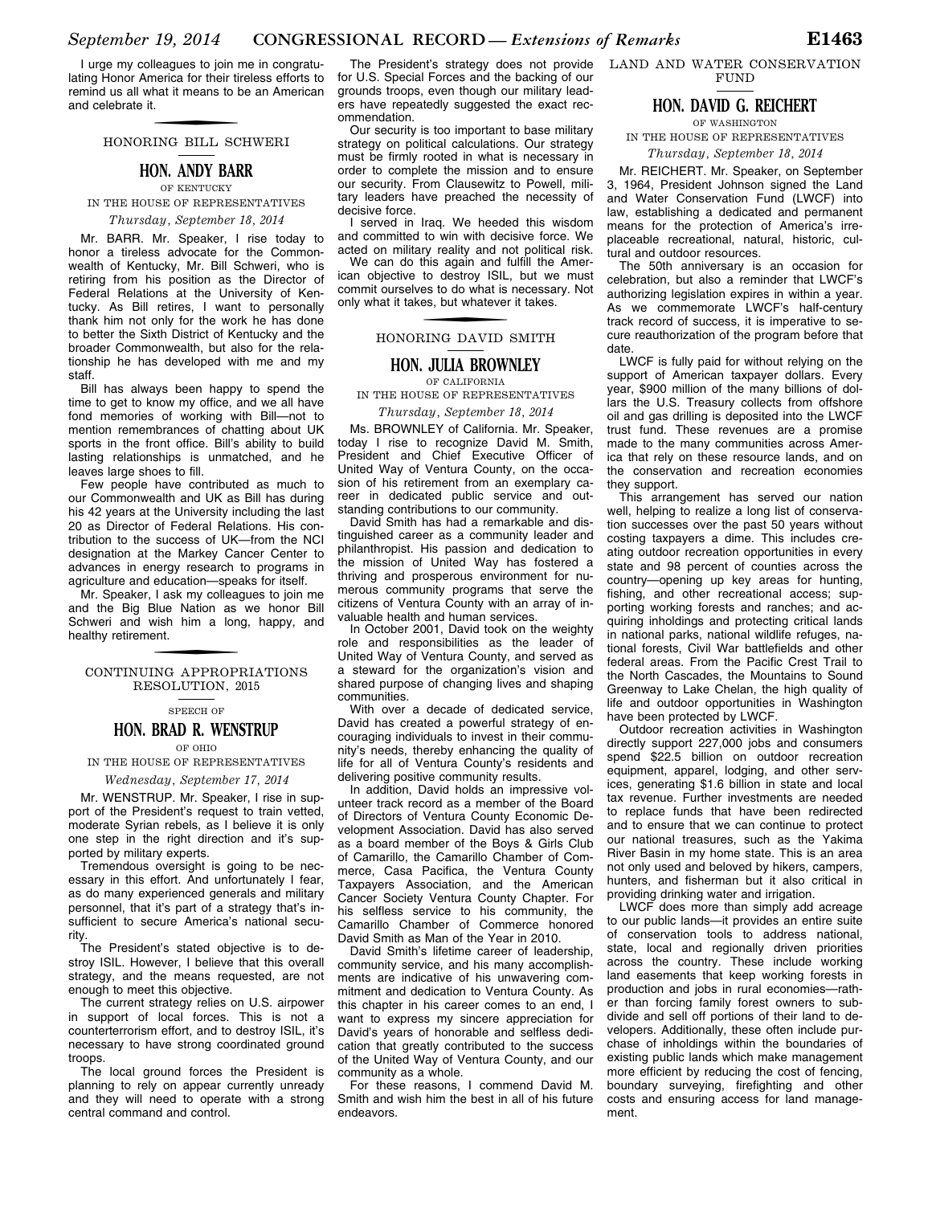I urge my colleagues to join me in congratulating Honor America for their tireless efforts to remind us all what it means to be an American and celebrate it.

# f HONORING BILL SCHWERI

#### **HON. ANDY BARR**

OF KENTUCKY

IN THE HOUSE OF REPRESENTATIVES *Thursday, September 18, 2014* 

Mr. BARR. Mr. Speaker, I rise today to honor a tireless advocate for the Commonwealth of Kentucky, Mr. Bill Schweri, who is retiring from his position as the Director of Federal Relations at the University of Kentucky. As Bill retires, I want to personally thank him not only for the work he has done to better the Sixth District of Kentucky and the broader Commonwealth, but also for the relationship he has developed with me and my staff.

Bill has always been happy to spend the time to get to know my office, and we all have fond memories of working with Bill—not to mention remembrances of chatting about UK sports in the front office. Bill's ability to build lasting relationships is unmatched, and he leaves large shoes to fill.

Few people have contributed as much to our Commonwealth and UK as Bill has during his 42 years at the University including the last 20 as Director of Federal Relations. His contribution to the success of UK—from the NCI designation at the Markey Cancer Center to advances in energy research to programs in agriculture and education—speaks for itself.

Mr. Speaker, I ask my colleagues to join me and the Big Blue Nation as we honor Bill Schweri and wish him a long, happy, and healthy retirement.

# f CONTINUING APPROPRIATIONS RESOLUTION, 2015

SPEECH OF

# **HON. BRAD R. WENSTRUP**

OF OHIO

IN THE HOUSE OF REPRESENTATIVES *Wednesday, September 17, 2014* 

Mr. WENSTRUP. Mr. Speaker, I rise in support of the President's request to train vetted, moderate Syrian rebels, as I believe it is only one step in the right direction and it's supported by military experts.

Tremendous oversight is going to be necessary in this effort. And unfortunately I fear, as do many experienced generals and military personnel, that it's part of a strategy that's insufficient to secure America's national security.

The President's stated objective is to destroy ISIL. However, I believe that this overall strategy, and the means requested, are not enough to meet this objective.

The current strategy relies on U.S. airpower in support of local forces. This is not a counterterrorism effort, and to destroy ISIL, it's necessary to have strong coordinated ground troops.

The local ground forces the President is planning to rely on appear currently unready and they will need to operate with a strong central command and control.

for U.S. Special Forces and the backing of our grounds troops, even though our military leaders have repeatedly suggested the exact recommendation.

Our security is too important to base military strategy on political calculations. Our strategy must be firmly rooted in what is necessary in order to complete the mission and to ensure our security. From Clausewitz to Powell, military leaders have preached the necessity of decisive force.

I served in Iraq. We heeded this wisdom and committed to win with decisive force. We acted on military reality and not political risk.

We can do this again and fulfill the American objective to destroy ISIL, but we must commit ourselves to do what is necessary. Not only what it takes, but whatever it takes.

# f HONORING DAVID SMITH

#### **HON. JULIA BROWNLEY**

OF CALIFORNIA IN THE HOUSE OF REPRESENTATIVES

*Thursday, September 18, 2014* 

Ms. BROWNLEY of California. Mr. Speaker, today I rise to recognize David M. Smith, President and Chief Executive Officer of United Way of Ventura County, on the occasion of his retirement from an exemplary career in dedicated public service and outstanding contributions to our community.

David Smith has had a remarkable and distinguished career as a community leader and philanthropist. His passion and dedication to the mission of United Way has fostered a thriving and prosperous environment for numerous community programs that serve the citizens of Ventura County with an array of invaluable health and human services.

In October 2001, David took on the weighty role and responsibilities as the leader of United Way of Ventura County, and served as a steward for the organization's vision and shared purpose of changing lives and shaping communities.

With over a decade of dedicated service, David has created a powerful strategy of encouraging individuals to invest in their community's needs, thereby enhancing the quality of life for all of Ventura County's residents and delivering positive community results.

In addition, David holds an impressive volunteer track record as a member of the Board of Directors of Ventura County Economic Development Association. David has also served as a board member of the Boys & Girls Club of Camarillo, the Camarillo Chamber of Commerce, Casa Pacifica, the Ventura County Taxpayers Association, and the American Cancer Society Ventura County Chapter. For his selfless service to his community, the Camarillo Chamber of Commerce honored David Smith as Man of the Year in 2010.

David Smith's lifetime career of leadership, community service, and his many accomplishments are indicative of his unwavering commitment and dedication to Ventura County. As this chapter in his career comes to an end, I want to express my sincere appreciation for David's years of honorable and selfless dedication that greatly contributed to the success of the United Way of Ventura County, and our community as a whole.

For these reasons, I commend David M. Smith and wish him the best in all of his future endeavors.

The President's strategy does not provide LAND AND WATER CONSERVATION FUND

#### **HON. DAVID G. REICHERT**

OF WASHINGTON IN THE HOUSE OF REPRESENTATIVES

*Thursday, September 18, 2014* 

Mr. REICHERT. Mr. Speaker, on September 3, 1964, President Johnson signed the Land and Water Conservation Fund (LWCF) into law, establishing a dedicated and permanent means for the protection of America's irreplaceable recreational, natural, historic, cultural and outdoor resources.

The 50th anniversary is an occasion for celebration, but also a reminder that LWCF's authorizing legislation expires in within a year. As we commemorate LWCF's half-century track record of success, it is imperative to secure reauthorization of the program before that date.

LWCF is fully paid for without relying on the support of American taxpayer dollars. Every year, \$900 million of the many billions of dollars the U.S. Treasury collects from offshore oil and gas drilling is deposited into the LWCF trust fund. These revenues are a promise made to the many communities across America that rely on these resource lands, and on the conservation and recreation economies they support.

This arrangement has served our nation well, helping to realize a long list of conservation successes over the past 50 years without costing taxpayers a dime. This includes creating outdoor recreation opportunities in every state and 98 percent of counties across the country—opening up key areas for hunting, fishing, and other recreational access; supporting working forests and ranches; and acquiring inholdings and protecting critical lands in national parks, national wildlife refuges, national forests, Civil War battlefields and other federal areas. From the Pacific Crest Trail to the North Cascades, the Mountains to Sound Greenway to Lake Chelan, the high quality of life and outdoor opportunities in Washington have been protected by LWCF.

Outdoor recreation activities in Washington directly support 227,000 jobs and consumers spend \$22.5 billion on outdoor recreation equipment, apparel, lodging, and other services, generating \$1.6 billion in state and local tax revenue. Further investments are needed to replace funds that have been redirected and to ensure that we can continue to protect our national treasures, such as the Yakima River Basin in my home state. This is an area not only used and beloved by hikers, campers, hunters, and fisherman but it also critical in providing drinking water and irrigation.

LWCF does more than simply add acreage to our public lands—it provides an entire suite of conservation tools to address national, state, local and regionally driven priorities across the country. These include working land easements that keep working forests in production and jobs in rural economies—rather than forcing family forest owners to subdivide and sell off portions of their land to developers. Additionally, these often include purchase of inholdings within the boundaries of existing public lands which make management more efficient by reducing the cost of fencing, boundary surveying, firefighting and other costs and ensuring access for land management.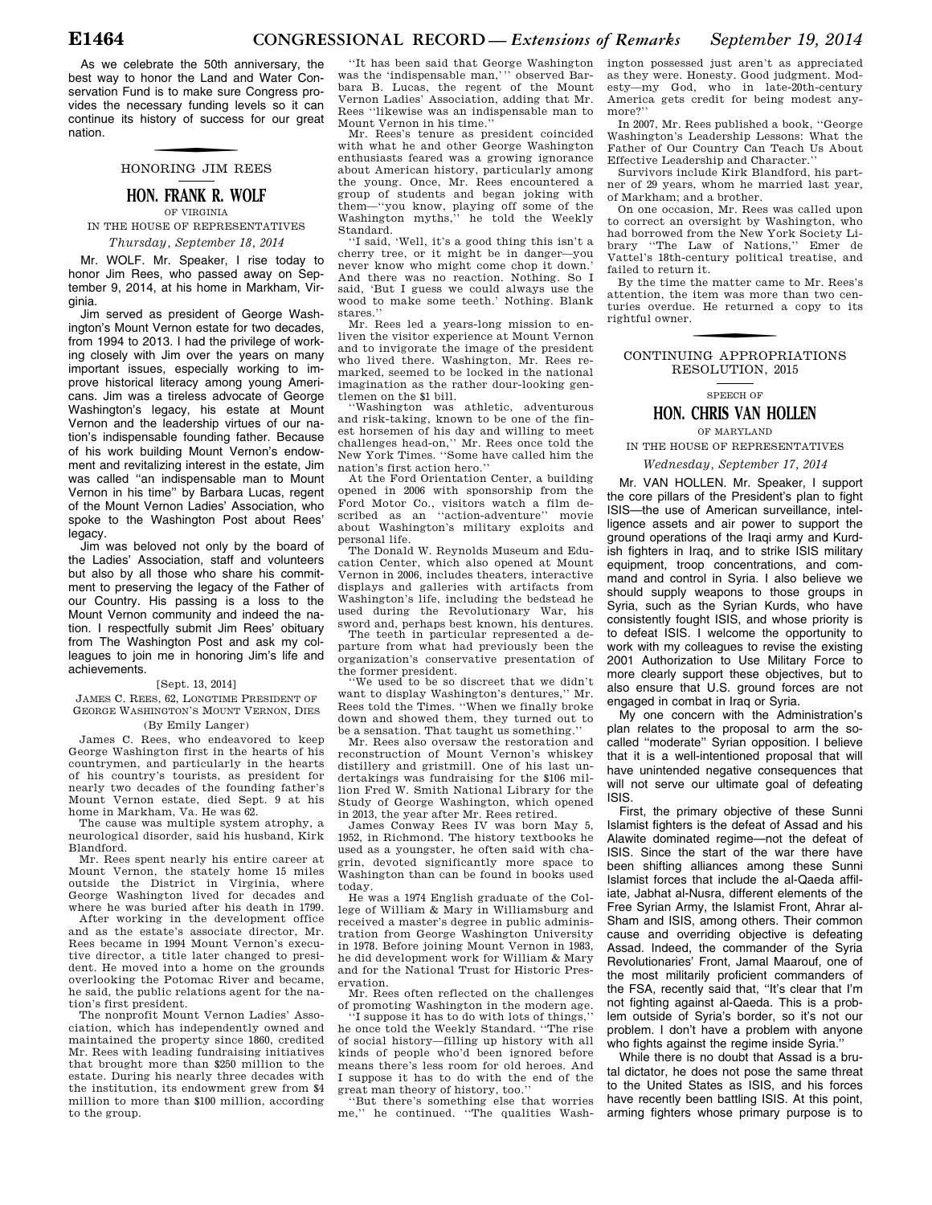As we celebrate the 50th anniversary, the best way to honor the Land and Water Conservation Fund is to make sure Congress provides the necessary funding levels so it can continue its history of success for our great nation.

# f HONORING JIM REES

#### **HON. FRANK R. WOLF** OF VIRGINIA

## IN THE HOUSE OF REPRESENTATIVES *Thursday, September 18, 2014*

Mr. WOLF. Mr. Speaker, I rise today to honor Jim Rees, who passed away on September 9, 2014, at his home in Markham, Virginia.

Jim served as president of George Washington's Mount Vernon estate for two decades, from 1994 to 2013. I had the privilege of working closely with Jim over the years on many important issues, especially working to improve historical literacy among young Americans. Jim was a tireless advocate of George Washington's legacy, his estate at Mount Vernon and the leadership virtues of our nation's indispensable founding father. Because of his work building Mount Vernon's endowment and revitalizing interest in the estate, Jim was called ''an indispensable man to Mount Vernon in his time'' by Barbara Lucas, regent of the Mount Vernon Ladies' Association, who spoke to the Washington Post about Rees' legacy.

Jim was beloved not only by the board of the Ladies' Association, staff and volunteers but also by all those who share his commitment to preserving the legacy of the Father of our Country. His passing is a loss to the Mount Vernon community and indeed the nation. I respectfully submit Jim Rees' obituary from The Washington Post and ask my colleagues to join me in honoring Jim's life and achievements.

#### [Sept. 13, 2014]

JAMES C. REES, 62, LONGTIME PRESIDENT OF GEORGE WASHINGTON'S MOUNT VERNON, DIES

#### (By Emily Langer)

James C. Rees, who endeavored to keep George Washington first in the hearts of his countrymen, and particularly in the hearts of his country's tourists, as president for nearly two decades of the founding father's Mount Vernon estate, died Sept. 9 at his home in Markham, Va. He was 62.

The cause was multiple system atrophy, a neurological disorder, said his husband, Kirk Blandford.

Mr. Rees spent nearly his entire career at Mount Vernon, the stately home 15 miles outside the District in Virginia, where George Washington lived for decades and where he was buried after his death in 1799.

After working in the development office and as the estate's associate director, Mr. Rees became in 1994 Mount Vernon's executive director, a title later changed to president. He moved into a home on the grounds overlooking the Potomac River and became, he said, the public relations agent for the nation's first president.

The nonprofit Mount Vernon Ladies' Association, which has independently owned and maintained the property since 1860, credited Mr. Rees with leading fundraising initiatives that brought more than \$250 million to the estate. During his nearly three decades with the institution, its endowment grew from \$4 million to more than \$100 million, according to the group.

''It has been said that George Washington was the 'indispensable man,''' observed Barbara B. Lucas, the regent of the Mount Vernon Ladies' Association, adding that Mr. Rees ''likewise was an indispensable man to Mount Vernon in his time.''

Mr. Rees's tenure as president coincided with what he and other George Washington enthusiasts feared was a growing ignorance about American history, particularly among the young. Once, Mr. Rees encountered a group of students and began joking with them—''you know, playing off some of the Washington myths,'' he told the Weekly Standard.

''I said, 'Well, it's a good thing this isn't a cherry tree, or it might be in danger—you never know who might come chop it down.' And there was no reaction. Nothing. So I said, 'But I guess we could always use the wood to make some teeth.' Nothing. Blank stares.''

Mr. Rees led a years-long mission to enliven the visitor experience at Mount Vernon and to invigorate the image of the president who lived there. Washington, Mr. Rees remarked, seemed to be locked in the national imagination as the rather dour-looking gentlemen on the \$1 bill.

''Washington was athletic, adventurous and risk-taking, known to be one of the fin-est horsemen of his day and willing to meet challenges head-on,'' Mr. Rees once told the New York Times. ''Some have called him the nation's first action hero.''

At the Ford Orientation Center, a building opened in 2006 with sponsorship from the Ford Motor Co., visitors watch a film described as an ''action-adventure'' movie about Washington's military exploits and personal life.

The Donald W. Reynolds Museum and Education Center, which also opened at Mount Vernon in 2006, includes theaters, interactive displays and galleries with artifacts from Washington's life, including the bedstead he used during the Revolutionary War, his sword and, perhaps best known, his dentures.

The teeth in particular represented a departure from what had previously been the organization's conservative presentation of the former president.

''We used to be so discreet that we didn't want to display Washington's dentures,'' Mr. Rees told the Times. ''When we finally broke down and showed them, they turned out to be a sensation. That taught us something.''

Mr. Rees also oversaw the restoration and reconstruction of Mount Vernon's whiskey distillery and gristmill. One of his last undertakings was fundraising for the \$106 million Fred W. Smith National Library for the Study of George Washington, which opened in 2013, the year after Mr. Rees retired.

James Conway Rees IV was born May 5, 1952, in Richmond. The history textbooks he used as a youngster, he often said with chagrin, devoted significantly more space to Washington than can be found in books used today.

He was a 1974 English graduate of the College of William & Mary in Williamsburg and received a master's degree in public administration from George Washington University in 1978. Before joining Mount Vernon in 1983, he did development work for William & Mary and for the National Trust for Historic Preservation.

Mr. Rees often reflected on the challenges of promoting Washington in the modern age. ''I suppose it has to do with lots of things,''

he once told the Weekly Standard. ''The rise of social history—filling up history with all kinds of people who'd been ignored before means there's less room for old heroes. And I suppose it has to do with the end of the great man theory of history, too.''

''But there's something else that worries me,'' he continued. ''The qualities Washington possessed just aren't as appreciated as they were. Honesty. Good judgment. Modesty—my God, who in late-20th-century America gets credit for being modest anymore?''

In 2007, Mr. Rees published a book, ''George Washington's Leadership Lessons: What the Father of Our Country Can Teach Us About Effective Leadership and Character.''

Survivors include Kirk Blandford, his partner of 29 years, whom he married last year, of Markham; and a brother.

On one occasion, Mr. Rees was called upon to correct an oversight by Washington, who had borrowed from the New York Society Library ''The Law of Nations,'' Emer de Vattel's 18th-century political treatise, and failed to return it.

By the time the matter came to Mr. Rees's attention, the item was more than two centuries overdue. He returned a copy to its rightful owner.

# f CONTINUING APPROPRIATIONS RESOLUTION, 2015

# SPEECH OF **HON. CHRIS VAN HOLLEN**

OF MARYLAND IN THE HOUSE OF REPRESENTATIVES

*Wednesday, September 17, 2014* 

Mr. VAN HOLLEN. Mr. Speaker, I support the core pillars of the President's plan to fight ISIS—the use of American surveillance, intelligence assets and air power to support the ground operations of the Iraqi army and Kurdish fighters in Iraq, and to strike ISIS military equipment, troop concentrations, and command and control in Syria. I also believe we should supply weapons to those groups in Syria, such as the Syrian Kurds, who have consistently fought ISIS, and whose priority is to defeat ISIS. I welcome the opportunity to work with my colleagues to revise the existing 2001 Authorization to Use Military Force to more clearly support these objectives, but to also ensure that U.S. ground forces are not engaged in combat in Iraq or Syria.

My one concern with the Administration's plan relates to the proposal to arm the socalled ''moderate'' Syrian opposition. I believe that it is a well-intentioned proposal that will have unintended negative consequences that will not serve our ultimate goal of defeating ISIS.

First, the primary objective of these Sunni Islamist fighters is the defeat of Assad and his Alawite dominated regime—not the defeat of ISIS. Since the start of the war there have been shifting alliances among these Sunni Islamist forces that include the al-Qaeda affiliate, Jabhat al-Nusra, different elements of the Free Syrian Army, the Islamist Front, Ahrar al-Sham and ISIS, among others. Their common cause and overriding objective is defeating Assad. Indeed, the commander of the Syria Revolutionaries' Front, Jamal Maarouf, one of the most militarily proficient commanders of the FSA, recently said that, "It's clear that I'm not fighting against al-Qaeda. This is a problem outside of Syria's border, so it's not our problem. I don't have a problem with anyone who fights against the regime inside Syria.''

While there is no doubt that Assad is a brutal dictator, he does not pose the same threat to the United States as ISIS, and his forces have recently been battling ISIS. At this point, arming fighters whose primary purpose is to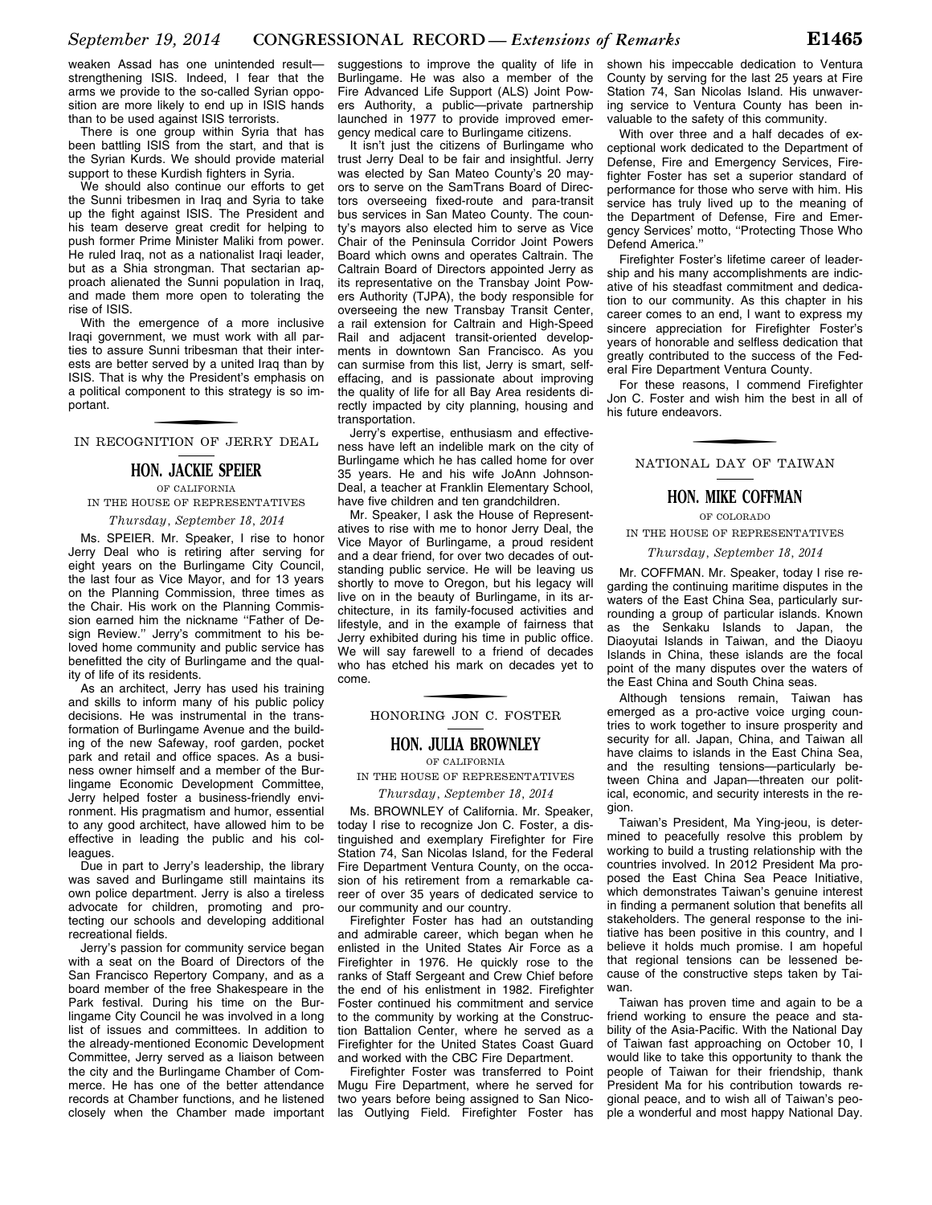weaken Assad has one unintended result strengthening ISIS. Indeed, I fear that the arms we provide to the so-called Syrian opposition are more likely to end up in ISIS hands than to be used against ISIS terrorists.

There is one group within Syria that has been battling ISIS from the start, and that is the Syrian Kurds. We should provide material support to these Kurdish fighters in Syria.

We should also continue our efforts to get the Sunni tribesmen in Iraq and Syria to take up the fight against ISIS. The President and his team deserve great credit for helping to push former Prime Minister Maliki from power. He ruled Iraq, not as a nationalist Iraqi leader, but as a Shia strongman. That sectarian approach alienated the Sunni population in Iraq, and made them more open to tolerating the rise of ISIS.

With the emergence of a more inclusive Iraqi government, we must work with all parties to assure Sunni tribesman that their interests are better served by a united Iraq than by ISIS. That is why the President's emphasis on a political component to this strategy is so important.

IN RECOGNITION OF JERRY DEAL

## **HON. JACKIE SPEIER**

OF CALIFORNIA

IN THE HOUSE OF REPRESENTATIVES

*Thursday, September 18, 2014* 

Ms. SPEIER. Mr. Speaker, I rise to honor Jerry Deal who is retiring after serving for eight years on the Burlingame City Council, the last four as Vice Mayor, and for 13 years on the Planning Commission, three times as the Chair. His work on the Planning Commission earned him the nickname "Father of Design Review.'' Jerry's commitment to his beloved home community and public service has benefitted the city of Burlingame and the quality of life of its residents.

As an architect, Jerry has used his training and skills to inform many of his public policy decisions. He was instrumental in the transformation of Burlingame Avenue and the building of the new Safeway, roof garden, pocket park and retail and office spaces. As a business owner himself and a member of the Burlingame Economic Development Committee, Jerry helped foster a business-friendly environment. His pragmatism and humor, essential to any good architect, have allowed him to be effective in leading the public and his colleagues.

Due in part to Jerry's leadership, the library was saved and Burlingame still maintains its own police department. Jerry is also a tireless advocate for children, promoting and protecting our schools and developing additional recreational fields.

Jerry's passion for community service began with a seat on the Board of Directors of the San Francisco Repertory Company, and as a board member of the free Shakespeare in the Park festival. During his time on the Burlingame City Council he was involved in a long list of issues and committees. In addition to the already-mentioned Economic Development Committee, Jerry served as a liaison between the city and the Burlingame Chamber of Commerce. He has one of the better attendance records at Chamber functions, and he listened closely when the Chamber made important

suggestions to improve the quality of life in Burlingame. He was also a member of the Fire Advanced Life Support (ALS) Joint Powers Authority, a public—private partnership launched in 1977 to provide improved emergency medical care to Burlingame citizens.

It isn't just the citizens of Burlingame who trust Jerry Deal to be fair and insightful. Jerry was elected by San Mateo County's 20 mayors to serve on the SamTrans Board of Directors overseeing fixed-route and para-transit bus services in San Mateo County. The county's mayors also elected him to serve as Vice Chair of the Peninsula Corridor Joint Powers Board which owns and operates Caltrain. The Caltrain Board of Directors appointed Jerry as its representative on the Transbay Joint Powers Authority (TJPA), the body responsible for overseeing the new Transbay Transit Center, a rail extension for Caltrain and High-Speed Rail and adjacent transit-oriented developments in downtown San Francisco. As you can surmise from this list, Jerry is smart, selfeffacing, and is passionate about improving the quality of life for all Bay Area residents directly impacted by city planning, housing and transportation.

Jerry's expertise, enthusiasm and effectiveness have left an indelible mark on the city of Burlingame which he has called home for over 35 years. He and his wife JoAnn Johnson-Deal, a teacher at Franklin Elementary School, have five children and ten grandchildren.

Mr. Speaker, I ask the House of Representatives to rise with me to honor Jerry Deal, the Vice Mayor of Burlingame, a proud resident and a dear friend, for over two decades of outstanding public service. He will be leaving us shortly to move to Oregon, but his legacy will live on in the beauty of Burlingame, in its architecture, in its family-focused activities and lifestyle, and in the example of fairness that Jerry exhibited during his time in public office. We will say farewell to a friend of decades who has etched his mark on decades yet to come.

f HONORING JON C. FOSTER

#### **HON. JULIA BROWNLEY**

OF CALIFORNIA

IN THE HOUSE OF REPRESENTATIVES *Thursday, September 18, 2014* 

Ms. BROWNLEY of California. Mr. Speaker, today I rise to recognize Jon C. Foster, a distinguished and exemplary Firefighter for Fire Station 74, San Nicolas Island, for the Federal Fire Department Ventura County, on the occasion of his retirement from a remarkable career of over 35 years of dedicated service to our community and our country.

Firefighter Foster has had an outstanding and admirable career, which began when he enlisted in the United States Air Force as a Firefighter in 1976. He quickly rose to the ranks of Staff Sergeant and Crew Chief before the end of his enlistment in 1982. Firefighter Foster continued his commitment and service to the community by working at the Construction Battalion Center, where he served as a Firefighter for the United States Coast Guard and worked with the CBC Fire Department.

Firefighter Foster was transferred to Point Mugu Fire Department, where he served for two years before being assigned to San Nicolas Outlying Field. Firefighter Foster has

shown his impeccable dedication to Ventura County by serving for the last 25 years at Fire Station 74, San Nicolas Island. His unwavering service to Ventura County has been invaluable to the safety of this community.

With over three and a half decades of exceptional work dedicated to the Department of Defense, Fire and Emergency Services, Firefighter Foster has set a superior standard of performance for those who serve with him. His service has truly lived up to the meaning of the Department of Defense, Fire and Emergency Services' motto, ''Protecting Those Who Defend America.''

Firefighter Foster's lifetime career of leadership and his many accomplishments are indicative of his steadfast commitment and dedication to our community. As this chapter in his career comes to an end, I want to express my sincere appreciation for Firefighter Foster's years of honorable and selfless dedication that greatly contributed to the success of the Federal Fire Department Ventura County.

For these reasons, I commend Firefighter Jon C. Foster and wish him the best in all of his future endeavors.

NATIONAL DAY OF TAIWAN

## **HON. MIKE COFFMAN**

OF COLORADO

IN THE HOUSE OF REPRESENTATIVES

*Thursday, September 18, 2014* 

Mr. COFFMAN. Mr. Speaker, today I rise regarding the continuing maritime disputes in the waters of the East China Sea, particularly surrounding a group of particular islands. Known as the Senkaku Islands to Japan, the Diaoyutai Islands in Taiwan, and the Diaoyu Islands in China, these islands are the focal point of the many disputes over the waters of the East China and South China seas.

Although tensions remain, Taiwan has emerged as a pro-active voice urging countries to work together to insure prosperity and security for all. Japan, China, and Taiwan all have claims to islands in the East China Sea, and the resulting tensions—particularly between China and Japan—threaten our political, economic, and security interests in the region.

Taiwan's President, Ma Ying-jeou, is determined to peacefully resolve this problem by working to build a trusting relationship with the countries involved. In 2012 President Ma proposed the East China Sea Peace Initiative, which demonstrates Taiwan's genuine interest in finding a permanent solution that benefits all stakeholders. The general response to the initiative has been positive in this country, and I believe it holds much promise. I am hopeful that regional tensions can be lessened because of the constructive steps taken by Taiwan.

Taiwan has proven time and again to be a friend working to ensure the peace and stability of the Asia-Pacific. With the National Day of Taiwan fast approaching on October 10, I would like to take this opportunity to thank the people of Taiwan for their friendship, thank President Ma for his contribution towards regional peace, and to wish all of Taiwan's people a wonderful and most happy National Day.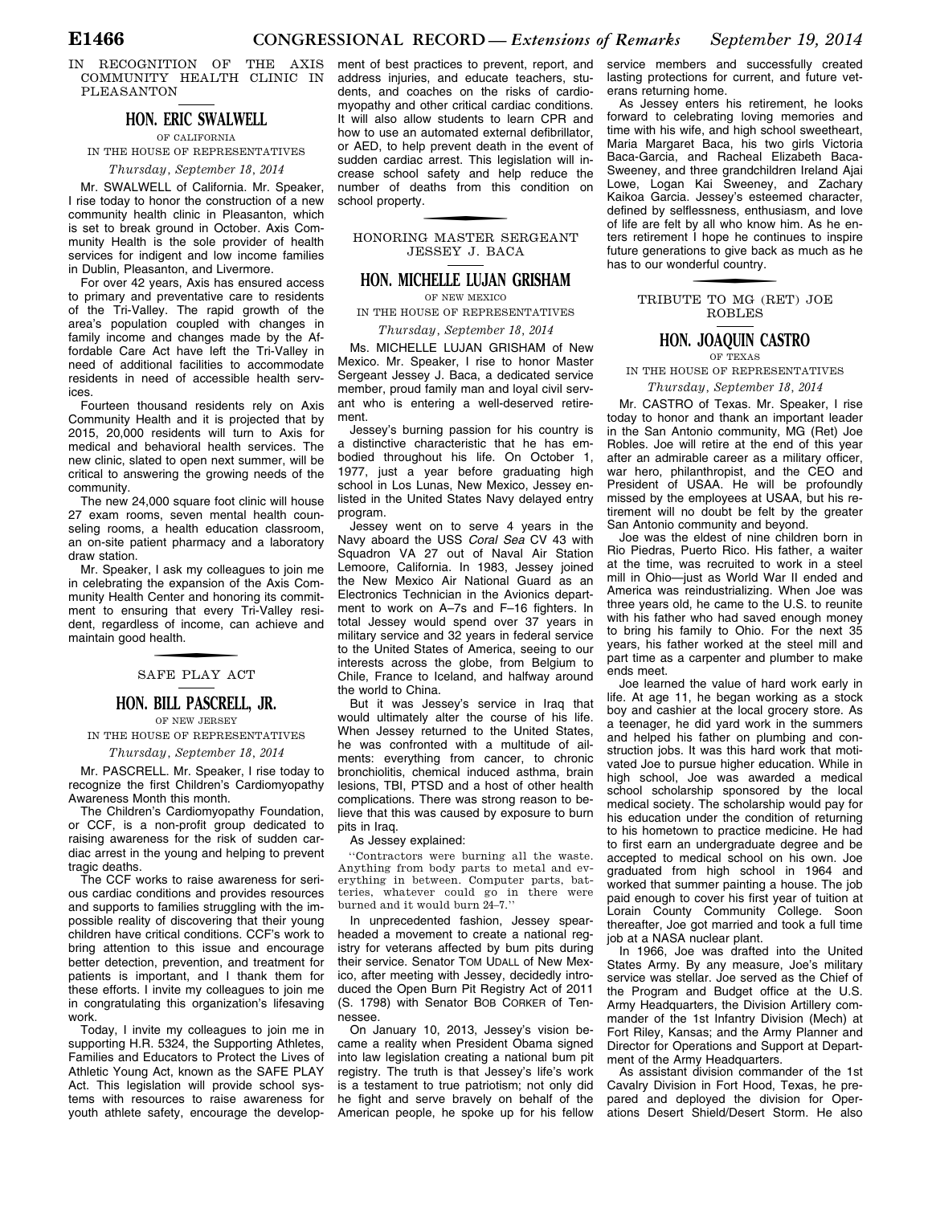IN RECOGNITION OF THE AXIS COMMUNITY HEALTH CLINIC IN PLEASANTON

## **HON. ERIC SWALWELL**

#### OF CALIFORNIA

IN THE HOUSE OF REPRESENTATIVES *Thursday, September 18, 2014* 

Mr. SWALWELL of California. Mr. Speaker, I rise today to honor the construction of a new community health clinic in Pleasanton, which is set to break ground in October. Axis Community Health is the sole provider of health services for indigent and low income families in Dublin, Pleasanton, and Livermore.

For over 42 years, Axis has ensured access to primary and preventative care to residents of the Tri-Valley. The rapid growth of the area's population coupled with changes in family income and changes made by the Affordable Care Act have left the Tri-Valley in need of additional facilities to accommodate residents in need of accessible health services.

Fourteen thousand residents rely on Axis Community Health and it is projected that by 2015, 20,000 residents will turn to Axis for medical and behavioral health services. The new clinic, slated to open next summer, will be critical to answering the growing needs of the community.

The new 24,000 square foot clinic will house 27 exam rooms, seven mental health counseling rooms, a health education classroom, an on-site patient pharmacy and a laboratory draw station.

Mr. Speaker, I ask my colleagues to join me in celebrating the expansion of the Axis Community Health Center and honoring its commitment to ensuring that every Tri-Valley resident, regardless of income, can achieve and maintain good health.

# SAFE PLAY ACT

#### **HON. BILL PASCRELL, JR.** OF NEW JERSEY

IN THE HOUSE OF REPRESENTATIVES

*Thursday, September 18, 2014* 

Mr. PASCRELL. Mr. Speaker, I rise today to recognize the first Children's Cardiomyopathy Awareness Month this month.

The Children's Cardiomyopathy Foundation, or CCF, is a non-profit group dedicated to raising awareness for the risk of sudden cardiac arrest in the young and helping to prevent tragic deaths.

The CCF works to raise awareness for serious cardiac conditions and provides resources and supports to families struggling with the impossible reality of discovering that their young children have critical conditions. CCF's work to bring attention to this issue and encourage better detection, prevention, and treatment for patients is important, and I thank them for these efforts. I invite my colleagues to join me in congratulating this organization's lifesaving work.

Today, I invite my colleagues to join me in supporting H.R. 5324, the Supporting Athletes, Families and Educators to Protect the Lives of Athletic Young Act, known as the SAFE PLAY Act. This legislation will provide school systems with resources to raise awareness for youth athlete safety, encourage the development of best practices to prevent, report, and address injuries, and educate teachers, students, and coaches on the risks of cardiomyopathy and other critical cardiac conditions. It will also allow students to learn CPR and how to use an automated external defibrillator, or AED, to help prevent death in the event of sudden cardiac arrest. This legislation will increase school safety and help reduce the number of deaths from this condition on school property.

f HONORING MASTER SERGEANT JESSEY J. BACA

## **HON. MICHELLE LUJAN GRISHAM**

OF NEW MEXICO

IN THE HOUSE OF REPRESENTATIVES

*Thursday, September 18, 2014* 

Ms. MICHELLE LUJAN GRISHAM of New Mexico. Mr. Speaker, I rise to honor Master Sergeant Jessey J. Baca, a dedicated service member, proud family man and loyal civil servant who is entering a well-deserved retirement.

Jessey's burning passion for his country is a distinctive characteristic that he has embodied throughout his life. On October 1, 1977, just a year before graduating high school in Los Lunas, New Mexico, Jessey enlisted in the United States Navy delayed entry program.

Jessey went on to serve 4 years in the Navy aboard the USS *Coral Sea* CV 43 with Squadron VA 27 out of Naval Air Station Lemoore, California. In 1983, Jessey joined the New Mexico Air National Guard as an Electronics Technician in the Avionics department to work on A–7s and F–16 fighters. In total Jessey would spend over 37 years in military service and 32 years in federal service to the United States of America, seeing to our interests across the globe, from Belgium to Chile, France to Iceland, and halfway around the world to China.

But it was Jessey's service in Iraq that would ultimately alter the course of his life. When Jessey returned to the United States, he was confronted with a multitude of ailments: everything from cancer, to chronic bronchiolitis, chemical induced asthma, brain lesions, TBI, PTSD and a host of other health complications. There was strong reason to believe that this was caused by exposure to burn pits in Iraq.

As Jessey explained:

''Contractors were burning all the waste. Anything from body parts to metal and everything in between. Computer parts, batteries, whatever could go in there were burned and it would burn 24–7.''

In unprecedented fashion, Jessey spearheaded a movement to create a national registry for veterans affected by bum pits during their service. Senator TOM UDALL of New Mexico, after meeting with Jessey, decidedly introduced the Open Burn Pit Registry Act of 2011 (S. 1798) with Senator BOB CORKER of Tennessee.

On January 10, 2013, Jessey's vision became a reality when President Obama signed into law legislation creating a national bum pit registry. The truth is that Jessey's life's work is a testament to true patriotism; not only did he fight and serve bravely on behalf of the American people, he spoke up for his fellow

service members and successfully created lasting protections for current, and future veterans returning home.

As Jessey enters his retirement, he looks forward to celebrating loving memories and time with his wife, and high school sweetheart, Maria Margaret Baca, his two girls Victoria Baca-Garcia, and Racheal Elizabeth Baca-Sweeney, and three grandchildren Ireland Ajai Lowe, Logan Kai Sweeney, and Zachary Kaikoa Garcia. Jessey's esteemed character, defined by selflessness, enthusiasm, and love of life are felt by all who know him. As he enters retirement I hope he continues to inspire future generations to give back as much as he has to our wonderful country.

> f TRIBUTE TO MG (RET) JOE ROBLES

## **HON. JOAQUIN CASTRO**

OF TEXAS

IN THE HOUSE OF REPRESENTATIVES *Thursday, September 18, 2014* 

Mr. CASTRO of Texas. Mr. Speaker, I rise

today to honor and thank an important leader in the San Antonio community, MG (Ret) Joe Robles. Joe will retire at the end of this year after an admirable career as a military officer, war hero, philanthropist, and the CEO and President of USAA. He will be profoundly missed by the employees at USAA, but his retirement will no doubt be felt by the greater San Antonio community and beyond.

Joe was the eldest of nine children born in Rio Piedras, Puerto Rico. His father, a waiter at the time, was recruited to work in a steel mill in Ohio—just as World War II ended and America was reindustrializing. When Joe was three years old, he came to the U.S. to reunite with his father who had saved enough money to bring his family to Ohio. For the next 35 years, his father worked at the steel mill and part time as a carpenter and plumber to make ends meet.

Joe learned the value of hard work early in life. At age 11, he began working as a stock boy and cashier at the local grocery store. As a teenager, he did yard work in the summers and helped his father on plumbing and construction jobs. It was this hard work that motivated Joe to pursue higher education. While in high school, Joe was awarded a medical school scholarship sponsored by the local medical society. The scholarship would pay for his education under the condition of returning to his hometown to practice medicine. He had to first earn an undergraduate degree and be accepted to medical school on his own. Joe graduated from high school in 1964 and worked that summer painting a house. The job paid enough to cover his first year of tuition at Lorain County Community College. Soon thereafter, Joe got married and took a full time job at a NASA nuclear plant.

In 1966, Joe was drafted into the United States Army. By any measure, Joe's military service was stellar. Joe served as the Chief of the Program and Budget office at the U.S. Army Headquarters, the Division Artillery commander of the 1st Infantry Division (Mech) at Fort Riley, Kansas; and the Army Planner and Director for Operations and Support at Department of the Army Headquarters.

As assistant division commander of the 1st Cavalry Division in Fort Hood, Texas, he prepared and deployed the division for Operations Desert Shield/Desert Storm. He also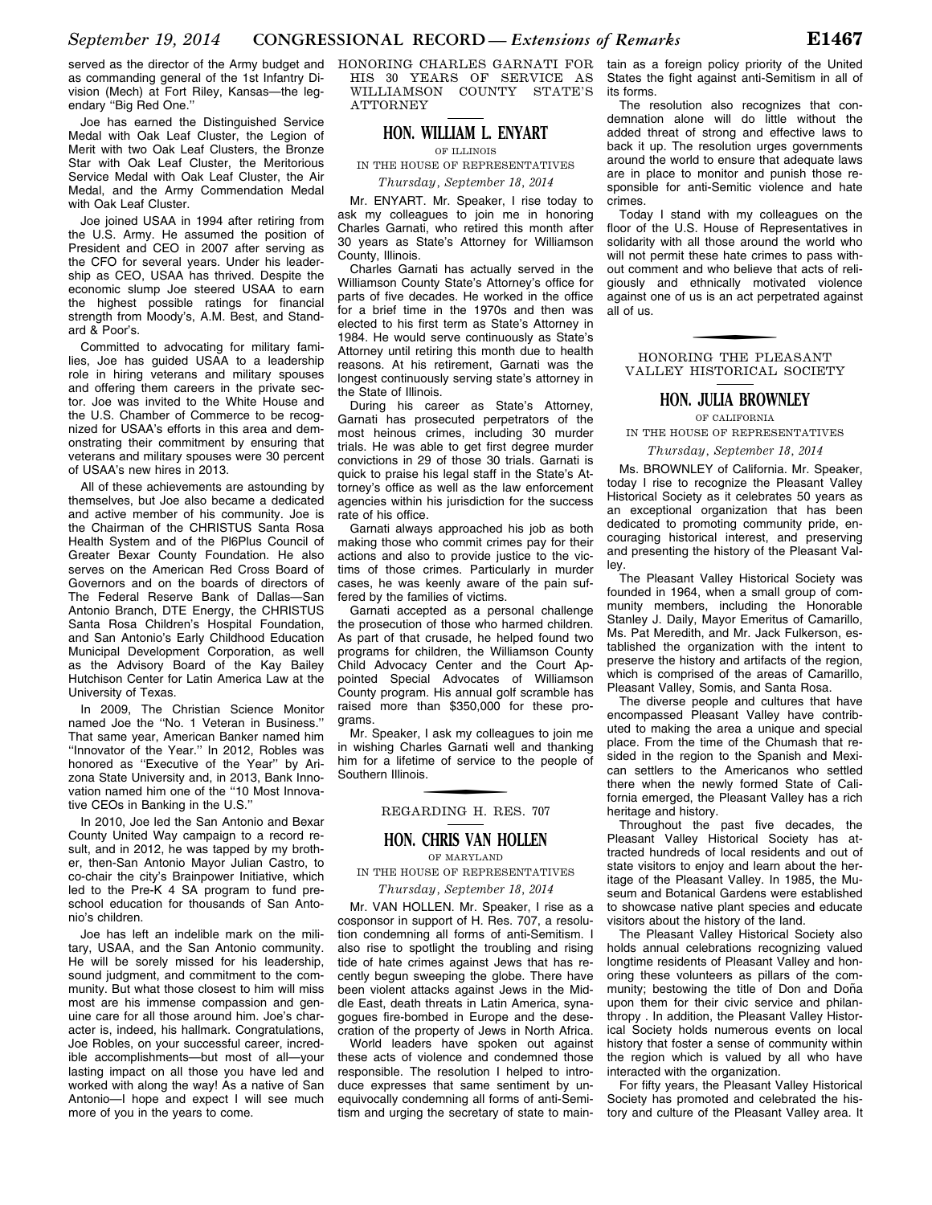served as the director of the Army budget and HONORING CHARLES GARNATI FOR as commanding general of the 1st Infantry Division (Mech) at Fort Riley, Kansas—the legendary ''Big Red One.''

Joe has earned the Distinguished Service Medal with Oak Leaf Cluster, the Legion of Merit with two Oak Leaf Clusters, the Bronze Star with Oak Leaf Cluster, the Meritorious Service Medal with Oak Leaf Cluster, the Air Medal, and the Army Commendation Medal with Oak Leaf Cluster.

Joe joined USAA in 1994 after retiring from the U.S. Army. He assumed the position of President and CEO in 2007 after serving as the CFO for several years. Under his leadership as CEO, USAA has thrived. Despite the economic slump Joe steered USAA to earn the highest possible ratings for financial strength from Moody's, A.M. Best, and Standard & Poor's.

Committed to advocating for military families, Joe has guided USAA to a leadership role in hiring veterans and military spouses and offering them careers in the private sector. Joe was invited to the White House and the U.S. Chamber of Commerce to be recognized for USAA's efforts in this area and demonstrating their commitment by ensuring that veterans and military spouses were 30 percent of USAA's new hires in 2013.

All of these achievements are astounding by themselves, but Joe also became a dedicated and active member of his community. Joe is the Chairman of the CHRISTUS Santa Rosa Health System and of the Pl6Plus Council of Greater Bexar County Foundation. He also serves on the American Red Cross Board of Governors and on the boards of directors of The Federal Reserve Bank of Dallas—San Antonio Branch, DTE Energy, the CHRISTUS Santa Rosa Children's Hospital Foundation, and San Antonio's Early Childhood Education Municipal Development Corporation, as well as the Advisory Board of the Kay Bailey Hutchison Center for Latin America Law at the University of Texas.

In 2009, The Christian Science Monitor named Joe the ''No. 1 Veteran in Business.'' That same year, American Banker named him "Innovator of the Year." In 2012, Robles was honored as ''Executive of the Year'' by Arizona State University and, in 2013, Bank Innovation named him one of the ''10 Most Innovative CEOs in Banking in the U.S.''

In 2010, Joe led the San Antonio and Bexar County United Way campaign to a record result, and in 2012, he was tapped by my brother, then-San Antonio Mayor Julian Castro, to co-chair the city's Brainpower Initiative, which led to the Pre-K 4 SA program to fund preschool education for thousands of San Antonio's children.

Joe has left an indelible mark on the military, USAA, and the San Antonio community. He will be sorely missed for his leadership, sound judgment, and commitment to the community. But what those closest to him will miss most are his immense compassion and genuine care for all those around him. Joe's character is, indeed, his hallmark. Congratulations, Joe Robles, on your successful career, incredible accomplishments—but most of all—your lasting impact on all those you have led and worked with along the way! As a native of San Antonio—I hope and expect I will see much more of you in the years to come.

HIS 30 YEARS OF SERVICE AS WILLIAMSON COUNTY STATE'S **ATTORNEY** 

# **HON. WILLIAM L. ENYART**

OF ILLINOIS

IN THE HOUSE OF REPRESENTATIVES

*Thursday, September 18, 2014* 

Mr. ENYART. Mr. Speaker, I rise today to ask my colleagues to join me in honoring Charles Garnati, who retired this month after 30 years as State's Attorney for Williamson County, Illinois.

Charles Garnati has actually served in the Williamson County State's Attorney's office for parts of five decades. He worked in the office for a brief time in the 1970s and then was elected to his first term as State's Attorney in 1984. He would serve continuously as State's Attorney until retiring this month due to health reasons. At his retirement, Garnati was the longest continuously serving state's attorney in the State of Illinois.

During his career as State's Attorney, Garnati has prosecuted perpetrators of the most heinous crimes, including 30 murder trials. He was able to get first degree murder convictions in 29 of those 30 trials. Garnati is quick to praise his legal staff in the State's Attorney's office as well as the law enforcement agencies within his jurisdiction for the success rate of his office.

Garnati always approached his job as both making those who commit crimes pay for their actions and also to provide justice to the victims of those crimes. Particularly in murder cases, he was keenly aware of the pain suffered by the families of victims.

Garnati accepted as a personal challenge the prosecution of those who harmed children. As part of that crusade, he helped found two programs for children, the Williamson County Child Advocacy Center and the Court Appointed Special Advocates of Williamson County program. His annual golf scramble has raised more than \$350,000 for these programs.

Mr. Speaker, I ask my colleagues to join me in wishing Charles Garnati well and thanking him for a lifetime of service to the people of Southern Illinois.

f REGARDING H. RES. 707

#### **HON. CHRIS VAN HOLLEN**

OF MARYLAND

IN THE HOUSE OF REPRESENTATIVES

*Thursday, September 18, 2014* 

Mr. VAN HOLLEN. Mr. Speaker, I rise as a cosponsor in support of H. Res. 707, a resolution condemning all forms of anti-Semitism. I also rise to spotlight the troubling and rising tide of hate crimes against Jews that has recently begun sweeping the globe. There have been violent attacks against Jews in the Middle East, death threats in Latin America, synagogues fire-bombed in Europe and the desecration of the property of Jews in North Africa.

World leaders have spoken out against these acts of violence and condemned those responsible. The resolution I helped to introduce expresses that same sentiment by unequivocally condemning all forms of anti-Semitism and urging the secretary of state to maintain as a foreign policy priority of the United States the fight against anti-Semitism in all of its forms.

The resolution also recognizes that condemnation alone will do little without the added threat of strong and effective laws to back it up. The resolution urges governments around the world to ensure that adequate laws are in place to monitor and punish those responsible for anti-Semitic violence and hate crimes.

Today I stand with my colleagues on the floor of the U.S. House of Representatives in solidarity with all those around the world who will not permit these hate crimes to pass without comment and who believe that acts of religiously and ethnically motivated violence against one of us is an act perpetrated against all of us.

f HONORING THE PLEASANT VALLEY HISTORICAL SOCIETY

#### **HON. JULIA BROWNLEY**

OF CALIFORNIA

IN THE HOUSE OF REPRESENTATIVES

*Thursday, September 18, 2014* 

Ms. BROWNLEY of California. Mr. Speaker, today I rise to recognize the Pleasant Valley Historical Society as it celebrates 50 years as an exceptional organization that has been dedicated to promoting community pride, encouraging historical interest, and preserving and presenting the history of the Pleasant Valley.

The Pleasant Valley Historical Society was founded in 1964, when a small group of community members, including the Honorable Stanley J. Daily, Mayor Emeritus of Camarillo, Ms. Pat Meredith, and Mr. Jack Fulkerson, established the organization with the intent to preserve the history and artifacts of the region, which is comprised of the areas of Camarillo, Pleasant Valley, Somis, and Santa Rosa.

The diverse people and cultures that have encompassed Pleasant Valley have contributed to making the area a unique and special place. From the time of the Chumash that resided in the region to the Spanish and Mexican settlers to the Americanos who settled there when the newly formed State of California emerged, the Pleasant Valley has a rich heritage and history.

Throughout the past five decades, the Pleasant Valley Historical Society has attracted hundreds of local residents and out of state visitors to enjoy and learn about the heritage of the Pleasant Valley. In 1985, the Museum and Botanical Gardens were established to showcase native plant species and educate visitors about the history of the land.

The Pleasant Valley Historical Society also holds annual celebrations recognizing valued longtime residents of Pleasant Valley and honoring these volunteers as pillars of the community; bestowing the title of Don and Doña upon them for their civic service and philanthropy . In addition, the Pleasant Valley Historical Society holds numerous events on local history that foster a sense of community within the region which is valued by all who have interacted with the organization.

For fifty years, the Pleasant Valley Historical Society has promoted and celebrated the history and culture of the Pleasant Valley area. It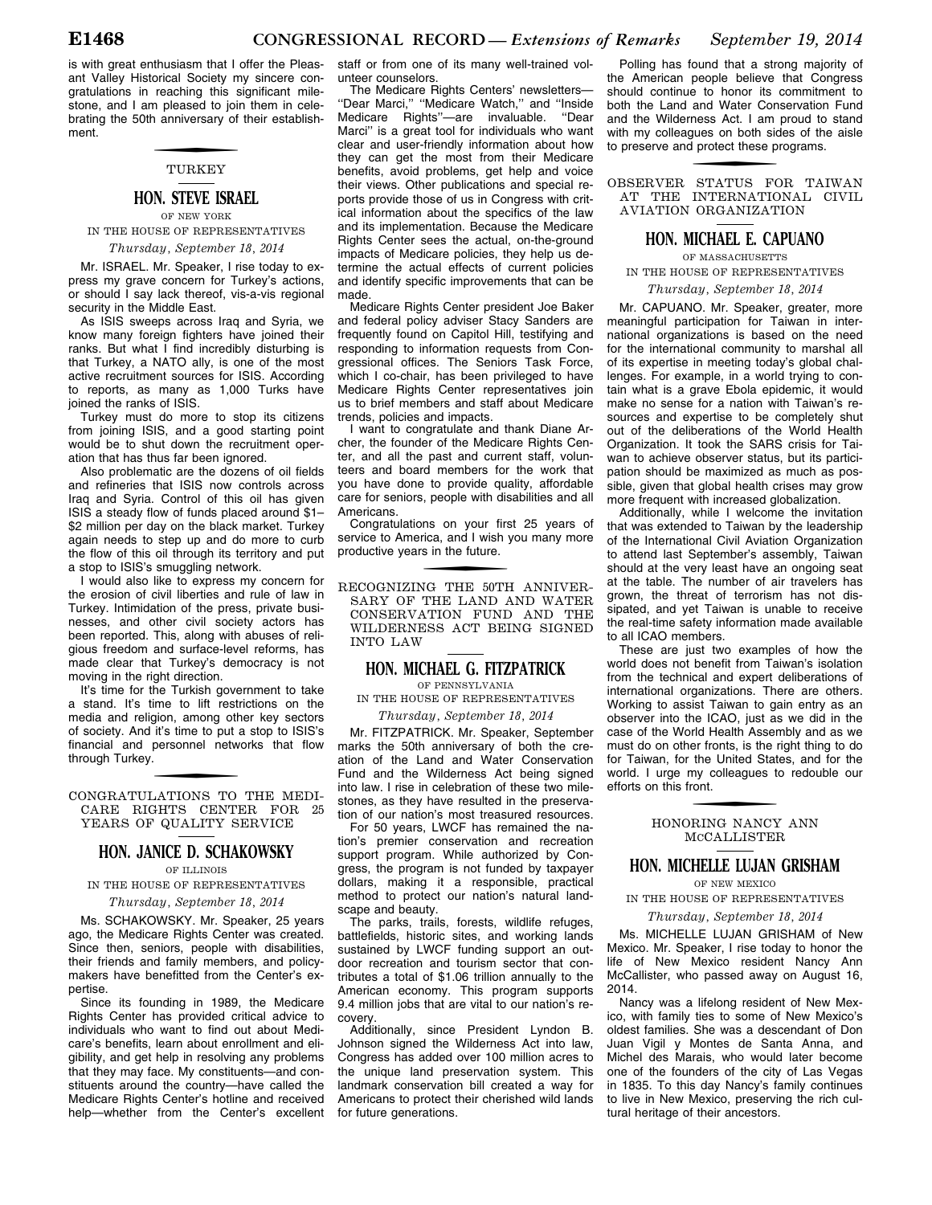is with great enthusiasm that I offer the Pleasant Valley Historical Society my sincere congratulations in reaching this significant milestone, and I am pleased to join them in celebrating the 50th anniversary of their establishment.

# **TURKEY**

#### **HON. STEVE ISRAEL**

#### OF NEW YORK

IN THE HOUSE OF REPRESENTATIVES

*Thursday, September 18, 2014* 

Mr. ISRAEL. Mr. Speaker, I rise today to express my grave concern for Turkey's actions, or should I say lack thereof, vis-a-vis regional security in the Middle East.

As ISIS sweeps across Iraq and Syria, we know many foreign fighters have joined their ranks. But what I find incredibly disturbing is that Turkey, a NATO ally, is one of the most active recruitment sources for ISIS. According to reports, as many as 1,000 Turks have joined the ranks of ISIS.

Turkey must do more to stop its citizens from joining ISIS, and a good starting point would be to shut down the recruitment operation that has thus far been ignored.

Also problematic are the dozens of oil fields and refineries that ISIS now controls across Iraq and Syria. Control of this oil has given ISIS a steady flow of funds placed around \$1– \$2 million per day on the black market. Turkey again needs to step up and do more to curb the flow of this oil through its territory and put a stop to ISIS's smuggling network.

I would also like to express my concern for the erosion of civil liberties and rule of law in Turkey. Intimidation of the press, private businesses, and other civil society actors has been reported. This, along with abuses of religious freedom and surface-level reforms, has made clear that Turkey's democracy is not moving in the right direction.

It's time for the Turkish government to take a stand. It's time to lift restrictions on the media and religion, among other key sectors of society. And it's time to put a stop to ISIS's financial and personnel networks that flow through Turkey.

f CONGRATULATIONS TO THE MEDI-CARE RIGHTS CENTER FOR 25 YEARS OF QUALITY SERVICE

# **HON. JANICE D. SCHAKOWSKY**

OF ILLINOIS

IN THE HOUSE OF REPRESENTATIVES

*Thursday, September 18, 2014* 

Ms. SCHAKOWSKY. Mr. Speaker, 25 years ago, the Medicare Rights Center was created. Since then, seniors, people with disabilities, their friends and family members, and policymakers have benefitted from the Center's expertise.

Since its founding in 1989, the Medicare Rights Center has provided critical advice to individuals who want to find out about Medicare's benefits, learn about enrollment and eligibility, and get help in resolving any problems that they may face. My constituents—and constituents around the country—have called the Medicare Rights Center's hotline and received help—whether from the Center's excellent

staff or from one of its many well-trained volunteer counselors.

The Medicare Rights Centers' newsletters— ''Dear Marci,'' ''Medicare Watch,'' and ''Inside Medicare Rights''—are invaluable. ''Dear Marci'' is a great tool for individuals who want clear and user-friendly information about how they can get the most from their Medicare benefits, avoid problems, get help and voice their views. Other publications and special reports provide those of us in Congress with critical information about the specifics of the law and its implementation. Because the Medicare Rights Center sees the actual, on-the-ground impacts of Medicare policies, they help us determine the actual effects of current policies and identify specific improvements that can be made.

Medicare Rights Center president Joe Baker and federal policy adviser Stacy Sanders are frequently found on Capitol Hill, testifying and responding to information requests from Congressional offices. The Seniors Task Force, which I co-chair, has been privileged to have Medicare Rights Center representatives join us to brief members and staff about Medicare trends, policies and impacts.

I want to congratulate and thank Diane Archer, the founder of the Medicare Rights Center, and all the past and current staff, volunteers and board members for the work that you have done to provide quality, affordable care for seniors, people with disabilities and all Americans.

Congratulations on your first 25 years of service to America, and I wish you many more productive years in the future.

f RECOGNIZING THE 50TH ANNIVER-SARY OF THE LAND AND WATER CONSERVATION FUND AND THE WILDERNESS ACT BEING SIGNED INTO LAW

## **HON. MICHAEL G. FITZPATRICK**

OF PENNSYLVANIA

IN THE HOUSE OF REPRESENTATIVES

*Thursday, September 18, 2014* 

Mr. FITZPATRICK. Mr. Speaker, September marks the 50th anniversary of both the creation of the Land and Water Conservation Fund and the Wilderness Act being signed into law. I rise in celebration of these two milestones, as they have resulted in the preservation of our nation's most treasured resources.

For 50 years, LWCF has remained the nation's premier conservation and recreation support program. While authorized by Congress, the program is not funded by taxpayer dollars, making it a responsible, practical method to protect our nation's natural landscape and beauty.

The parks, trails, forests, wildlife refuges, battlefields, historic sites, and working lands sustained by LWCF funding support an outdoor recreation and tourism sector that contributes a total of \$1.06 trillion annually to the American economy. This program supports 9.4 million jobs that are vital to our nation's recovery.

Additionally, since President Lyndon B. Johnson signed the Wilderness Act into law, Congress has added over 100 million acres to the unique land preservation system. This landmark conservation bill created a way for Americans to protect their cherished wild lands for future generations.

Polling has found that a strong majority of the American people believe that Congress should continue to honor its commitment to both the Land and Water Conservation Fund and the Wilderness Act. I am proud to stand with my colleagues on both sides of the aisle to preserve and protect these programs.

f OBSERVER STATUS FOR TAIWAN AT THE INTERNATIONAL CIVIL AVIATION ORGANIZATION

#### **HON. MICHAEL E. CAPUANO**

OF MASSACHUSETTS IN THE HOUSE OF REPRESENTATIVES

#### *Thursday, September 18, 2014*

Mr. CAPUANO. Mr. Speaker, greater, more meaningful participation for Taiwan in international organizations is based on the need for the international community to marshal all of its expertise in meeting today's global challenges. For example, in a world trying to contain what is a grave Ebola epidemic, it would make no sense for a nation with Taiwan's resources and expertise to be completely shut out of the deliberations of the World Health Organization. It took the SARS crisis for Taiwan to achieve observer status, but its participation should be maximized as much as possible, given that global health crises may grow more frequent with increased globalization.

Additionally, while I welcome the invitation that was extended to Taiwan by the leadership of the International Civil Aviation Organization to attend last September's assembly, Taiwan should at the very least have an ongoing seat at the table. The number of air travelers has grown, the threat of terrorism has not dissipated, and yet Taiwan is unable to receive the real-time safety information made available to all ICAO members.

These are just two examples of how the world does not benefit from Taiwan's isolation from the technical and expert deliberations of international organizations. There are others. Working to assist Taiwan to gain entry as an observer into the ICAO, just as we did in the case of the World Health Assembly and as we must do on other fronts, is the right thing to do for Taiwan, for the United States, and for the world. I urge my colleagues to redouble our efforts on this front.

# f HONORING NANCY ANN MCCALLISTER

## **HON. MICHELLE LUJAN GRISHAM**

OF NEW MEXICO

IN THE HOUSE OF REPRESENTATIVES

*Thursday, September 18, 2014* 

Ms. MICHELLE LUJAN GRISHAM of New Mexico. Mr. Speaker, I rise today to honor the life of New Mexico resident Nancy Ann McCallister, who passed away on August 16, 2014.

Nancy was a lifelong resident of New Mexico, with family ties to some of New Mexico's oldest families. She was a descendant of Don Juan Vigil y Montes de Santa Anna, and Michel des Marais, who would later become one of the founders of the city of Las Vegas in 1835. To this day Nancy's family continues to live in New Mexico, preserving the rich cultural heritage of their ancestors.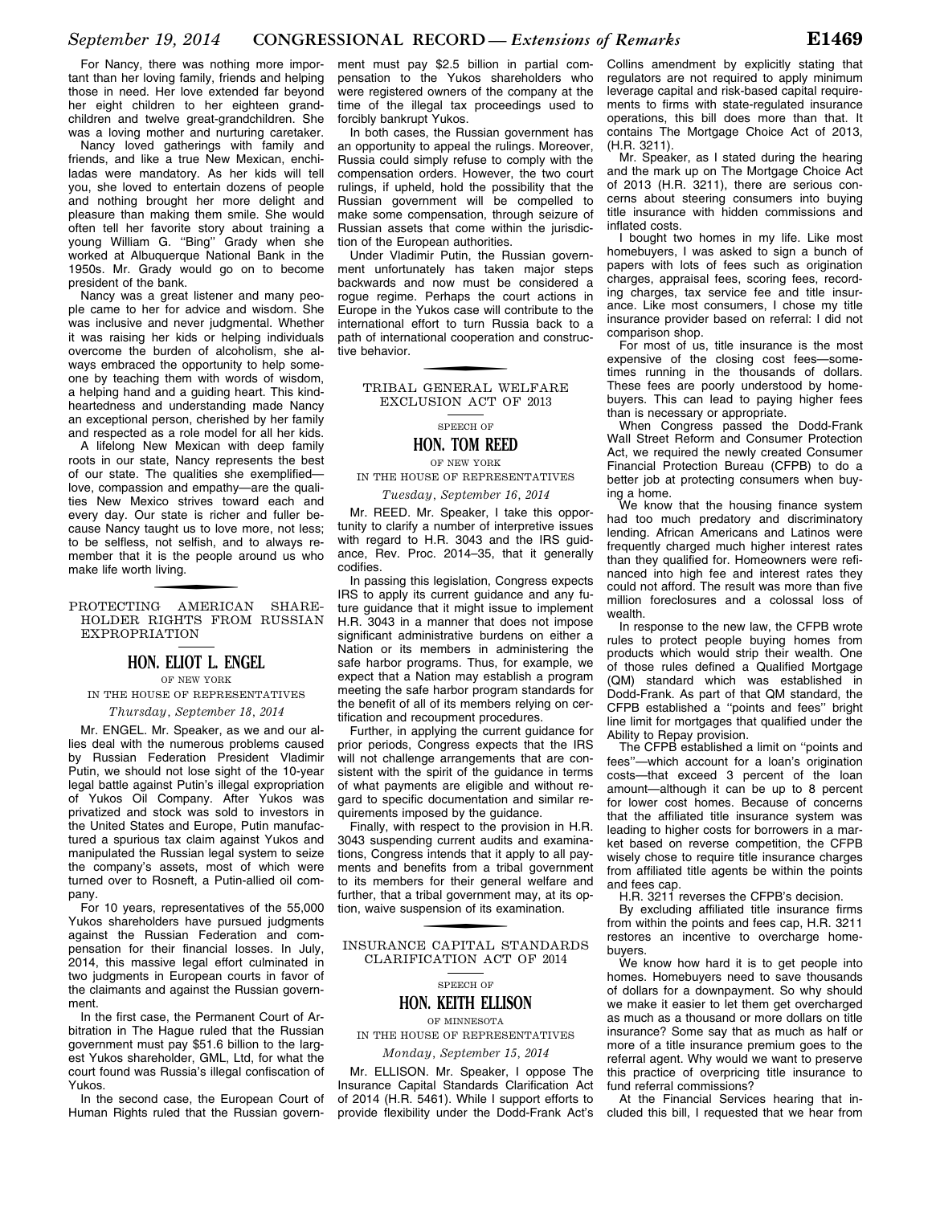For Nancy, there was nothing more important than her loving family, friends and helping those in need. Her love extended far beyond her eight children to her eighteen grandchildren and twelve great-grandchildren. She was a loving mother and nurturing caretaker.

Nancy loved gatherings with family and friends, and like a true New Mexican, enchiladas were mandatory. As her kids will tell you, she loved to entertain dozens of people and nothing brought her more delight and pleasure than making them smile. She would often tell her favorite story about training a young William G. ''Bing'' Grady when she worked at Albuquerque National Bank in the 1950s. Mr. Grady would go on to become president of the bank.

Nancy was a great listener and many people came to her for advice and wisdom. She was inclusive and never judgmental. Whether it was raising her kids or helping individuals overcome the burden of alcoholism, she always embraced the opportunity to help someone by teaching them with words of wisdom, a helping hand and a guiding heart. This kindheartedness and understanding made Nancy an exceptional person, cherished by her family and respected as a role model for all her kids.

A lifelong New Mexican with deep family roots in our state, Nancy represents the best of our state. The qualities she exemplified love, compassion and empathy—are the qualities New Mexico strives toward each and every day. Our state is richer and fuller because Nancy taught us to love more, not less; to be selfless, not selfish, and to always remember that it is the people around us who make life worth living.

f PROTECTING AMERICAN SHARE-HOLDER RIGHTS FROM RUSSIAN EXPROPRIATION

#### **HON. ELIOT L. ENGEL**

OF NEW YORK IN THE HOUSE OF REPRESENTATIVES

*Thursday, September 18, 2014* 

Mr. ENGEL. Mr. Speaker, as we and our allies deal with the numerous problems caused by Russian Federation President Vladimir Putin, we should not lose sight of the 10-year legal battle against Putin's illegal expropriation of Yukos Oil Company. After Yukos was privatized and stock was sold to investors in the United States and Europe, Putin manufactured a spurious tax claim against Yukos and manipulated the Russian legal system to seize the company's assets, most of which were turned over to Rosneft, a Putin-allied oil company.

For 10 years, representatives of the 55,000 Yukos shareholders have pursued judgments against the Russian Federation and compensation for their financial losses. In July, 2014, this massive legal effort culminated in two judgments in European courts in favor of the claimants and against the Russian government.

In the first case, the Permanent Court of Arbitration in The Hague ruled that the Russian government must pay \$51.6 billion to the largest Yukos shareholder, GML, Ltd, for what the court found was Russia's illegal confiscation of Yukos.

In the second case, the European Court of Human Rights ruled that the Russian govern-

ment must pay \$2.5 billion in partial compensation to the Yukos shareholders who were registered owners of the company at the time of the illegal tax proceedings used to forcibly bankrupt Yukos.

In both cases, the Russian government has an opportunity to appeal the rulings. Moreover, Russia could simply refuse to comply with the compensation orders. However, the two court rulings, if upheld, hold the possibility that the Russian government will be compelled to make some compensation, through seizure of Russian assets that come within the jurisdiction of the European authorities.

Under Vladimir Putin, the Russian government unfortunately has taken major steps backwards and now must be considered a rogue regime. Perhaps the court actions in Europe in the Yukos case will contribute to the international effort to turn Russia back to a path of international cooperation and constructive behavior.

TRIBAL GENERAL WELFARE EXCLUSION ACT OF 2013

SPEECH OF

## **HON. TOM REED**

OF NEW YORK

IN THE HOUSE OF REPRESENTATIVES *Tuesday, September 16, 2014* 

Mr. REED. Mr. Speaker, I take this opportunity to clarify a number of interpretive issues with regard to H.R. 3043 and the IRS guidance, Rev. Proc. 2014–35, that it generally codifies.

In passing this legislation, Congress expects IRS to apply its current guidance and any future guidance that it might issue to implement H.R. 3043 in a manner that does not impose significant administrative burdens on either a Nation or its members in administering the safe harbor programs. Thus, for example, we expect that a Nation may establish a program meeting the safe harbor program standards for the benefit of all of its members relying on certification and recoupment procedures.

Further, in applying the current guidance for prior periods, Congress expects that the IRS will not challenge arrangements that are consistent with the spirit of the guidance in terms of what payments are eligible and without regard to specific documentation and similar requirements imposed by the guidance.

Finally, with respect to the provision in H.R. 3043 suspending current audits and examinations, Congress intends that it apply to all payments and benefits from a tribal government to its members for their general welfare and further, that a tribal government may, at its option, waive suspension of its examination.

f INSURANCE CAPITAL STANDARDS CLARIFICATION ACT OF 2014

SPEECH OF

# **HON. KEITH ELLISON**

OF MINNESOTA

IN THE HOUSE OF REPRESENTATIVES *Monday, September 15, 2014* 

Mr. ELLISON. Mr. Speaker, I oppose The Insurance Capital Standards Clarification Act of 2014 (H.R. 5461). While I support efforts to provide flexibility under the Dodd-Frank Act's

Collins amendment by explicitly stating that regulators are not required to apply minimum leverage capital and risk-based capital requirements to firms with state-regulated insurance operations, this bill does more than that. It contains The Mortgage Choice Act of 2013, (H.R. 3211).

Mr. Speaker, as I stated during the hearing and the mark up on The Mortgage Choice Act of 2013 (H.R. 3211), there are serious concerns about steering consumers into buying title insurance with hidden commissions and inflated costs.

I bought two homes in my life. Like most homebuyers, I was asked to sign a bunch of papers with lots of fees such as origination charges, appraisal fees, scoring fees, recording charges, tax service fee and title insurance. Like most consumers, I chose my title insurance provider based on referral: I did not comparison shop.

For most of us, title insurance is the most expensive of the closing cost fees—sometimes running in the thousands of dollars. These fees are poorly understood by homebuyers. This can lead to paying higher fees than is necessary or appropriate.

When Congress passed the Dodd-Frank Wall Street Reform and Consumer Protection Act, we required the newly created Consumer Financial Protection Bureau (CFPB) to do a better job at protecting consumers when buying a home.

We know that the housing finance system had too much predatory and discriminatory lending. African Americans and Latinos were frequently charged much higher interest rates than they qualified for. Homeowners were refinanced into high fee and interest rates they could not afford. The result was more than five million foreclosures and a colossal loss of wealth.

In response to the new law, the CFPB wrote rules to protect people buying homes from products which would strip their wealth. One of those rules defined a Qualified Mortgage (QM) standard which was established in Dodd-Frank. As part of that QM standard, the CFPB established a ''points and fees'' bright line limit for mortgages that qualified under the Ability to Repay provision.

The CFPB established a limit on ''points and fees''—which account for a loan's origination costs—that exceed 3 percent of the loan amount—although it can be up to 8 percent for lower cost homes. Because of concerns that the affiliated title insurance system was leading to higher costs for borrowers in a market based on reverse competition, the CFPB wisely chose to require title insurance charges from affiliated title agents be within the points and fees cap.

H.R. 3211 reverses the CFPB's decision.

By excluding affiliated title insurance firms from within the points and fees cap, H.R. 3211 restores an incentive to overcharge homebuyers.

We know how hard it is to get people into homes. Homebuyers need to save thousands of dollars for a downpayment. So why should we make it easier to let them get overcharged as much as a thousand or more dollars on title insurance? Some say that as much as half or more of a title insurance premium goes to the referral agent. Why would we want to preserve this practice of overpricing title insurance to fund referral commissions?

At the Financial Services hearing that included this bill, I requested that we hear from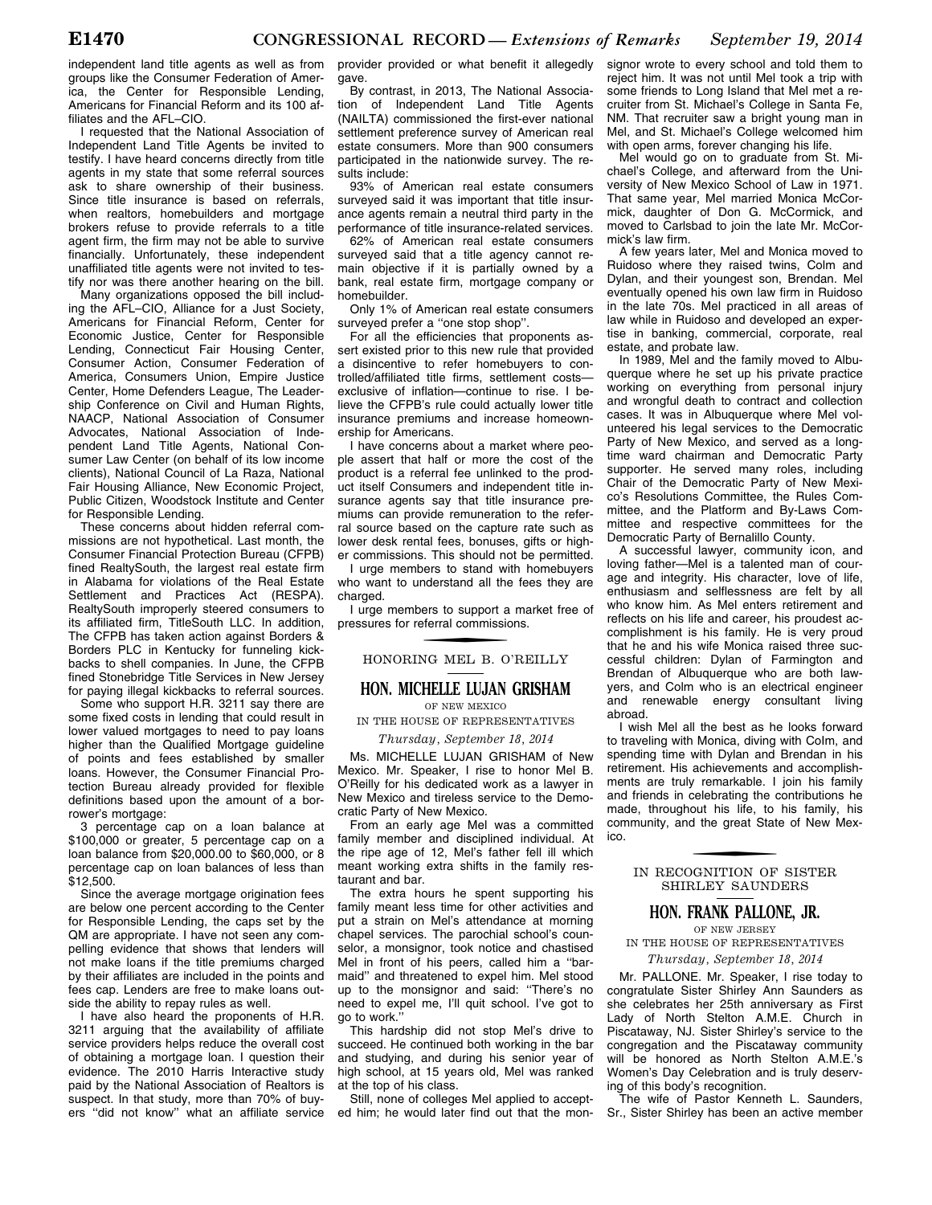independent land title agents as well as from groups like the Consumer Federation of America, the Center for Responsible Lending, Americans for Financial Reform and its 100 affiliates and the AFL–CIO.

I requested that the National Association of Independent Land Title Agents be invited to testify. I have heard concerns directly from title agents in my state that some referral sources ask to share ownership of their business. Since title insurance is based on referrals, when realtors, homebuilders and mortgage brokers refuse to provide referrals to a title agent firm, the firm may not be able to survive financially. Unfortunately, these independent unaffiliated title agents were not invited to testify nor was there another hearing on the bill.

Many organizations opposed the bill including the AFL–CIO, Alliance for a Just Society, Americans for Financial Reform, Center for Economic Justice, Center for Responsible Lending, Connecticut Fair Housing Center, Consumer Action, Consumer Federation of America, Consumers Union, Empire Justice Center, Home Defenders League, The Leadership Conference on Civil and Human Rights, NAACP, National Association of Consumer Advocates, National Association of Independent Land Title Agents, National Consumer Law Center (on behalf of its low income clients), National Council of La Raza, National Fair Housing Alliance, New Economic Project, Public Citizen, Woodstock Institute and Center for Responsible Lending.

These concerns about hidden referral commissions are not hypothetical. Last month, the Consumer Financial Protection Bureau (CFPB) fined RealtySouth, the largest real estate firm in Alabama for violations of the Real Estate Settlement and Practices Act (RESPA). RealtySouth improperly steered consumers to its affiliated firm, TitleSouth LLC. In addition, The CFPB has taken action against Borders & Borders PLC in Kentucky for funneling kickbacks to shell companies. In June, the CFPB fined Stonebridge Title Services in New Jersey for paying illegal kickbacks to referral sources.

Some who support H.R. 3211 say there are some fixed costs in lending that could result in lower valued mortgages to need to pay loans higher than the Qualified Mortgage guideline of points and fees established by smaller loans. However, the Consumer Financial Protection Bureau already provided for flexible definitions based upon the amount of a borrower's mortgage:

3 percentage cap on a loan balance at \$100,000 or greater. 5 percentage cap on a loan balance from \$20,000.00 to \$60,000, or 8 percentage cap on loan balances of less than \$12,500.

Since the average mortgage origination fees are below one percent according to the Center for Responsible Lending, the caps set by the QM are appropriate. I have not seen any compelling evidence that shows that lenders will not make loans if the title premiums charged by their affiliates are included in the points and fees cap. Lenders are free to make loans outside the ability to repay rules as well.

I have also heard the proponents of H.R. 3211 arguing that the availability of affiliate service providers helps reduce the overall cost of obtaining a mortgage loan. I question their evidence. The 2010 Harris Interactive study paid by the National Association of Realtors is suspect. In that study, more than 70% of buyers ''did not know'' what an affiliate service provider provided or what benefit it allegedly gave.

By contrast, in 2013, The National Association of Independent Land Title Agents (NAILTA) commissioned the first-ever national settlement preference survey of American real estate consumers. More than 900 consumers participated in the nationwide survey. The results include:

93% of American real estate consumers surveyed said it was important that title insurance agents remain a neutral third party in the performance of title insurance-related services.

62% of American real estate consumers surveyed said that a title agency cannot remain objective if it is partially owned by a bank, real estate firm, mortgage company or homebuilder.

Only 1% of American real estate consumers surveyed prefer a "one stop shop".

For all the efficiencies that proponents assert existed prior to this new rule that provided a disincentive to refer homebuyers to controlled/affiliated title firms, settlement costs exclusive of inflation—continue to rise. I believe the CFPB's rule could actually lower title insurance premiums and increase homeownership for Americans.

I have concerns about a market where people assert that half or more the cost of the product is a referral fee unlinked to the product itself Consumers and independent title insurance agents say that title insurance premiums can provide remuneration to the referral source based on the capture rate such as lower desk rental fees, bonuses, gifts or higher commissions. This should not be permitted.

I urge members to stand with homebuyers who want to understand all the fees they are charged.

I urge members to support a market free of pressures for referral commissions.

f HONORING MEL B. O'REILLY

# **HON. MICHELLE LUJAN GRISHAM**

OF NEW MEXICO

IN THE HOUSE OF REPRESENTATIVES

#### *Thursday, September 18, 2014*

Ms. MICHELLE LUJAN GRISHAM of New Mexico. Mr. Speaker, I rise to honor Mel B. O'Reilly for his dedicated work as a lawyer in New Mexico and tireless service to the Democratic Party of New Mexico.

From an early age Mel was a committed family member and disciplined individual. At the ripe age of 12, Mel's father fell ill which meant working extra shifts in the family restaurant and bar.

The extra hours he spent supporting his family meant less time for other activities and put a strain on Mel's attendance at morning chapel services. The parochial school's counselor, a monsignor, took notice and chastised Mel in front of his peers, called him a ''barmaid'' and threatened to expel him. Mel stood up to the monsignor and said: ''There's no need to expel me, I'll quit school. I've got to go to work.''

This hardship did not stop Mel's drive to succeed. He continued both working in the bar and studying, and during his senior year of high school, at 15 years old, Mel was ranked at the top of his class.

Still, none of colleges Mel applied to accepted him; he would later find out that the monsignor wrote to every school and told them to reject him. It was not until Mel took a trip with some friends to Long Island that Mel met a recruiter from St. Michael's College in Santa Fe, NM. That recruiter saw a bright young man in Mel, and St. Michael's College welcomed him with open arms, forever changing his life.

Mel would go on to graduate from St. Michael's College, and afterward from the University of New Mexico School of Law in 1971. That same year, Mel married Monica McCormick, daughter of Don G. McCormick, and moved to Carlsbad to join the late Mr. McCormick's law firm.

A few years later, Mel and Monica moved to Ruidoso where they raised twins, Colm and Dylan, and their youngest son, Brendan. Mel eventually opened his own law firm in Ruidoso in the late 70s. Mel practiced in all areas of law while in Ruidoso and developed an expertise in banking, commercial, corporate, real estate, and probate law.

In 1989, Mel and the family moved to Albuquerque where he set up his private practice working on everything from personal injury and wrongful death to contract and collection cases. It was in Albuquerque where Mel volunteered his legal services to the Democratic Party of New Mexico, and served as a longtime ward chairman and Democratic Party supporter. He served many roles, including Chair of the Democratic Party of New Mexico's Resolutions Committee, the Rules Committee, and the Platform and By-Laws Committee and respective committees for the Democratic Party of Bernalillo County.

A successful lawyer, community icon, and loving father—Mel is a talented man of courage and integrity. His character, love of life, enthusiasm and selflessness are felt by all who know him. As Mel enters retirement and reflects on his life and career, his proudest accomplishment is his family. He is very proud that he and his wife Monica raised three successful children: Dylan of Farmington and Brendan of Albuquerque who are both lawyers, and Colm who is an electrical engineer and renewable energy consultant living abroad.

I wish Mel all the best as he looks forward to traveling with Monica, diving with CoIm, and spending time with Dylan and Brendan in his retirement. His achievements and accomplishments are truly remarkable. I join his family and friends in celebrating the contributions he made, throughout his life, to his family, his community, and the great State of New Mexico.

# IN RECOGNITION OF SISTER SHIRLEY SAUNDERS

# **HON. FRANK PALLONE, JR.**

OF NEW JERSEY IN THE HOUSE OF REPRESENTATIVES

*Thursday, September 18, 2014* 

Mr. PALLONE. Mr. Speaker, I rise today to congratulate Sister Shirley Ann Saunders as she celebrates her 25th anniversary as First Lady of North Stelton A.M.E. Church in Piscataway, NJ. Sister Shirley's service to the congregation and the Piscataway community will be honored as North Stelton A.M.E.'s Women's Day Celebration and is truly deserving of this body's recognition.

The wife of Pastor Kenneth L. Saunders, Sr., Sister Shirley has been an active member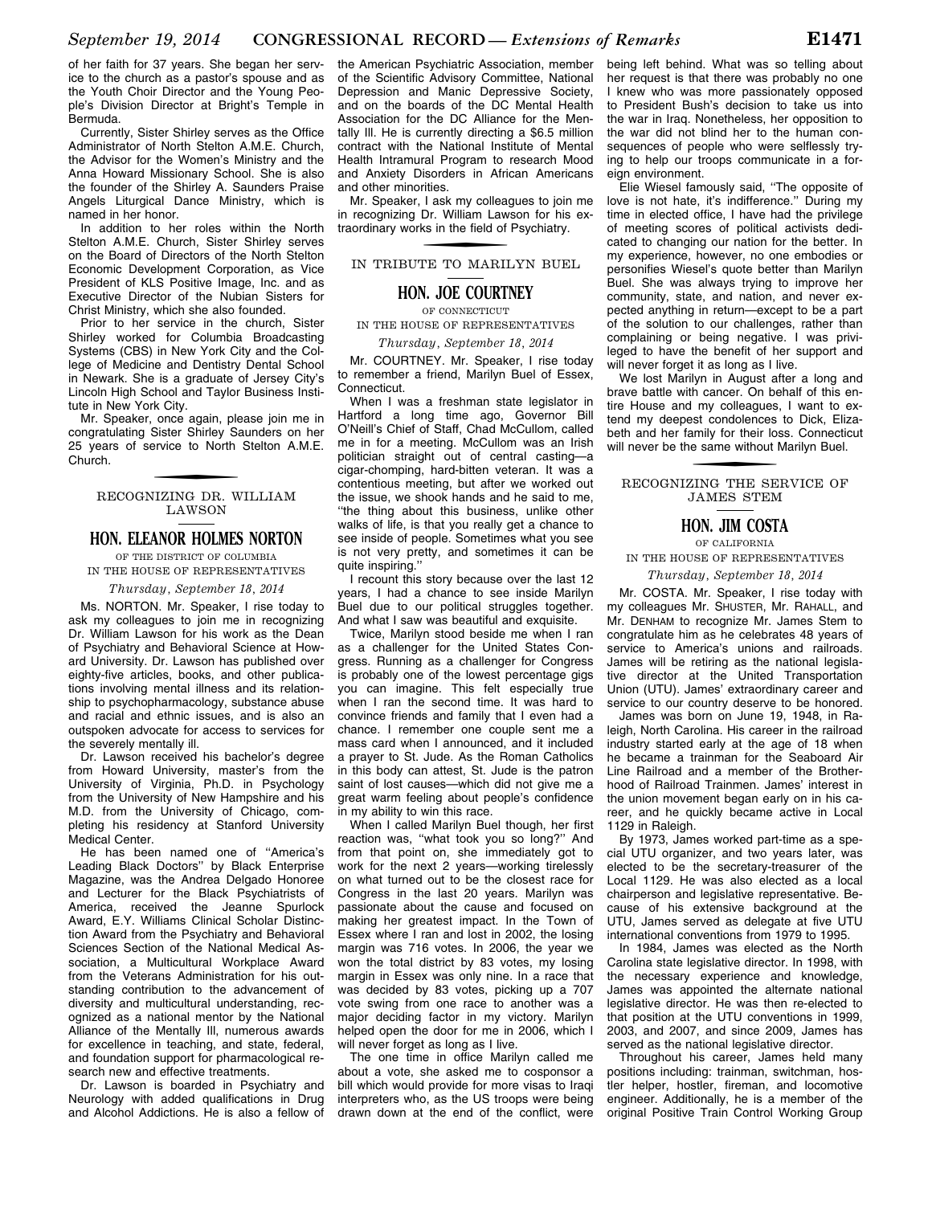of her faith for 37 years. She began her service to the church as a pastor's spouse and as the Youth Choir Director and the Young People's Division Director at Bright's Temple in Bermuda.

Currently, Sister Shirley serves as the Office Administrator of North Stelton A.M.E. Church, the Advisor for the Women's Ministry and the Anna Howard Missionary School. She is also the founder of the Shirley A. Saunders Praise Angels Liturgical Dance Ministry, which is named in her honor.

In addition to her roles within the North Stelton A.M.E. Church, Sister Shirley serves on the Board of Directors of the North Stelton Economic Development Corporation, as Vice President of KLS Positive Image, Inc. and as Executive Director of the Nubian Sisters for Christ Ministry, which she also founded.

Prior to her service in the church, Sister Shirley worked for Columbia Broadcasting Systems (CBS) in New York City and the College of Medicine and Dentistry Dental School in Newark. She is a graduate of Jersey City's Lincoln High School and Taylor Business Institute in New York City.

Mr. Speaker, once again, please join me in congratulating Sister Shirley Saunders on her 25 years of service to North Stelton A.M.E. Church.

# f RECOGNIZING DR. WILLIAM LAWSON

#### **HON. ELEANOR HOLMES NORTON**

OF THE DISTRICT OF COLUMBIA IN THE HOUSE OF REPRESENTATIVES

#### *Thursday, September 18, 2014*

Ms. NORTON. Mr. Speaker, I rise today to ask my colleagues to join me in recognizing Dr. William Lawson for his work as the Dean of Psychiatry and Behavioral Science at Howard University. Dr. Lawson has published over eighty-five articles, books, and other publications involving mental illness and its relationship to psychopharmacology, substance abuse and racial and ethnic issues, and is also an outspoken advocate for access to services for the severely mentally ill.

Dr. Lawson received his bachelor's degree from Howard University, master's from the University of Virginia, Ph.D. in Psychology from the University of New Hampshire and his M.D. from the University of Chicago, completing his residency at Stanford University Medical Center.

He has been named one of ''America's Leading Black Doctors'' by Black Enterprise Magazine, was the Andrea Delgado Honoree and Lecturer for the Black Psychiatrists of America, received the Jeanne Spurlock Award, E.Y. Williams Clinical Scholar Distinction Award from the Psychiatry and Behavioral Sciences Section of the National Medical Association, a Multicultural Workplace Award from the Veterans Administration for his outstanding contribution to the advancement of diversity and multicultural understanding, recognized as a national mentor by the National Alliance of the Mentally Ill, numerous awards for excellence in teaching, and state, federal, and foundation support for pharmacological research new and effective treatments.

Dr. Lawson is boarded in Psychiatry and Neurology with added qualifications in Drug and Alcohol Addictions. He is also a fellow of the American Psychiatric Association, member of the Scientific Advisory Committee, National Depression and Manic Depressive Society, and on the boards of the DC Mental Health Association for the DC Alliance for the Mentally Ill. He is currently directing a \$6.5 million contract with the National Institute of Mental Health Intramural Program to research Mood and Anxiety Disorders in African Americans and other minorities.

Mr. Speaker, I ask my colleagues to join me in recognizing Dr. William Lawson for his extraordinary works in the field of Psychiatry.

#### IN TRIBUTE TO MARILYN BUEL

#### **HON. JOE COURTNEY**

OF CONNECTICUT

#### IN THE HOUSE OF REPRESENTATIVES *Thursday, September 18, 2014*

Mr. COURTNEY. Mr. Speaker, I rise today to remember a friend, Marilyn Buel of Essex, Connecticut.

When I was a freshman state legislator in Hartford a long time ago, Governor Bill O'Neill's Chief of Staff, Chad McCullom, called me in for a meeting. McCullom was an Irish politician straight out of central casting—a cigar-chomping, hard-bitten veteran. It was a contentious meeting, but after we worked out the issue, we shook hands and he said to me, ''the thing about this business, unlike other walks of life, is that you really get a chance to see inside of people. Sometimes what you see is not very pretty, and sometimes it can be quite inspiring.''

I recount this story because over the last 12 years, I had a chance to see inside Marilyn Buel due to our political struggles together. And what I saw was beautiful and exquisite.

Twice, Marilyn stood beside me when I ran as a challenger for the United States Congress. Running as a challenger for Congress is probably one of the lowest percentage gigs you can imagine. This felt especially true when I ran the second time. It was hard to convince friends and family that I even had a chance. I remember one couple sent me a mass card when I announced, and it included a prayer to St. Jude. As the Roman Catholics in this body can attest, St. Jude is the patron saint of lost causes—which did not give me a great warm feeling about people's confidence in my ability to win this race.

When I called Marilyn Buel though, her first reaction was, ''what took you so long?'' And from that point on, she immediately got to work for the next 2 years—working tirelessly on what turned out to be the closest race for Congress in the last 20 years. Marilyn was passionate about the cause and focused on making her greatest impact. In the Town of Essex where I ran and lost in 2002, the losing margin was 716 votes. In 2006, the year we won the total district by 83 votes, my losing margin in Essex was only nine. In a race that was decided by 83 votes, picking up a 707 vote swing from one race to another was a major deciding factor in my victory. Marilyn helped open the door for me in 2006, which I will never forget as long as I live.

The one time in office Marilyn called me about a vote, she asked me to cosponsor a bill which would provide for more visas to Iraqi interpreters who, as the US troops were being drawn down at the end of the conflict, were

being left behind. What was so telling about her request is that there was probably no one I knew who was more passionately opposed to President Bush's decision to take us into the war in Iraq. Nonetheless, her opposition to the war did not blind her to the human consequences of people who were selflessly trying to help our troops communicate in a foreign environment.

Elie Wiesel famously said, ''The opposite of love is not hate, it's indifference.'' During my time in elected office, I have had the privilege of meeting scores of political activists dedicated to changing our nation for the better. In my experience, however, no one embodies or personifies Wiesel's quote better than Marilyn Buel. She was always trying to improve her community, state, and nation, and never expected anything in return—except to be a part of the solution to our challenges, rather than complaining or being negative. I was privileged to have the benefit of her support and will never forget it as long as I live.

We lost Marilyn in August after a long and brave battle with cancer. On behalf of this entire House and my colleagues, I want to extend my deepest condolences to Dick, Elizabeth and her family for their loss. Connecticut will never be the same without Marilyn Buel.

# f RECOGNIZING THE SERVICE OF JAMES STEM

#### **HON. JIM COSTA**

OF CALIFORNIA

IN THE HOUSE OF REPRESENTATIVES

*Thursday, September 18, 2014* 

Mr. COSTA. Mr. Speaker, I rise today with my colleagues Mr. SHUSTER, Mr. RAHALL, and Mr. DENHAM to recognize Mr. James Stem to congratulate him as he celebrates 48 years of service to America's unions and railroads. James will be retiring as the national legislative director at the United Transportation Union (UTU). James' extraordinary career and service to our country deserve to be honored.

James was born on June 19, 1948, in Raleigh, North Carolina. His career in the railroad industry started early at the age of 18 when he became a trainman for the Seaboard Air Line Railroad and a member of the Brotherhood of Railroad Trainmen. James' interest in the union movement began early on in his career, and he quickly became active in Local 1129 in Raleigh

By 1973, James worked part-time as a special UTU organizer, and two years later, was elected to be the secretary-treasurer of the Local 1129. He was also elected as a local chairperson and legislative representative. Because of his extensive background at the UTU, James served as delegate at five UTU international conventions from 1979 to 1995.

In 1984, James was elected as the North Carolina state legislative director. In 1998, with the necessary experience and knowledge, James was appointed the alternate national legislative director. He was then re-elected to that position at the UTU conventions in 1999, 2003, and 2007, and since 2009, James has served as the national legislative director.

Throughout his career, James held many positions including: trainman, switchman, hostler helper, hostler, fireman, and locomotive engineer. Additionally, he is a member of the original Positive Train Control Working Group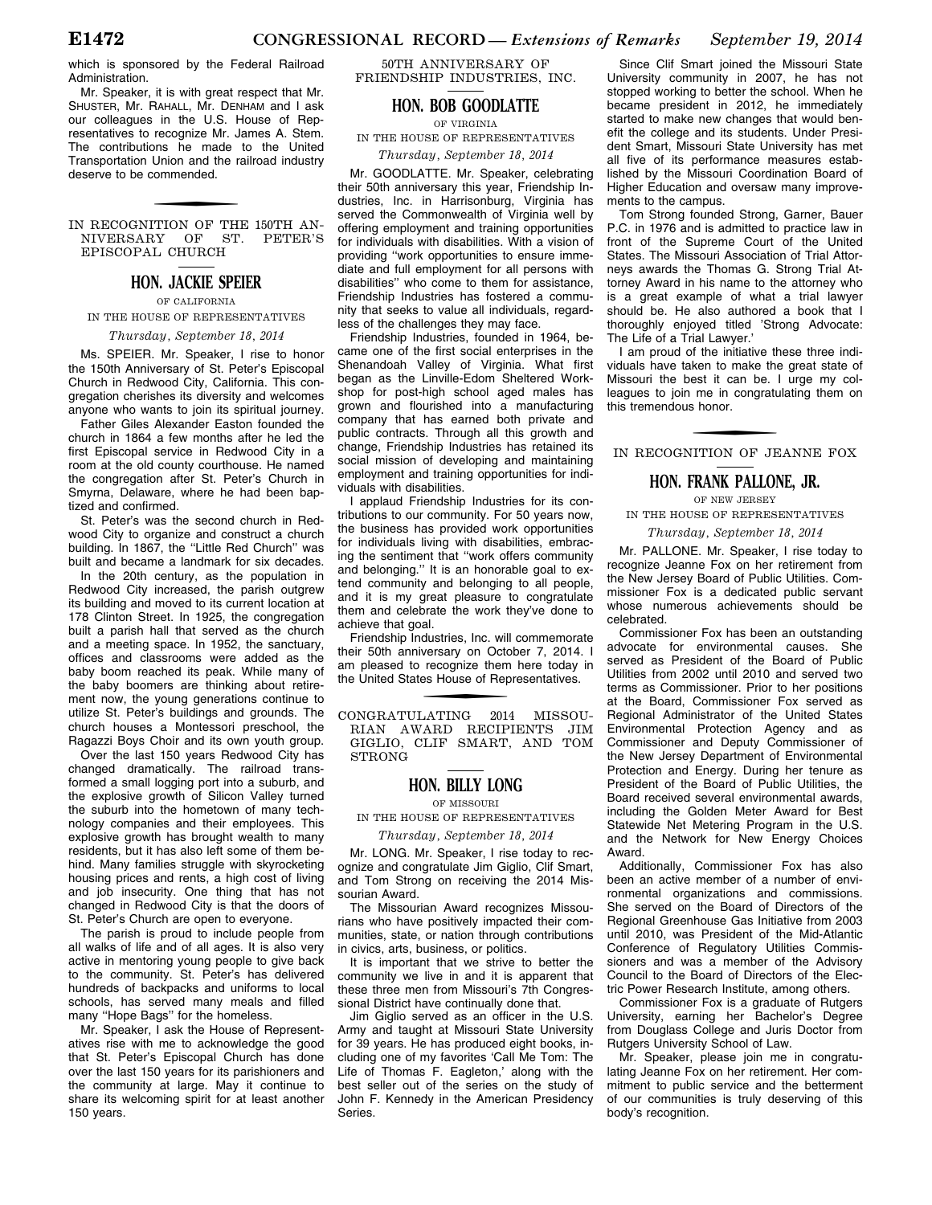which is sponsored by the Federal Railroad Administration.

Mr. Speaker, it is with great respect that Mr. SHUSTER, Mr. RAHALL, Mr. DENHAM and I ask our colleagues in the U.S. House of Representatives to recognize Mr. James A. Stem. The contributions he made to the United Transportation Union and the railroad industry deserve to be commended.

IN RECOGNITION OF THE 150TH AN-NIVERSARY OF ST. PETER'S EPISCOPAL CHURCH

# **HON. JACKIE SPEIER**

OF CALIFORNIA

#### IN THE HOUSE OF REPRESENTATIVES

#### *Thursday, September 18, 2014*

Ms. SPEIER. Mr. Speaker, I rise to honor the 150th Anniversary of St. Peter's Episcopal Church in Redwood City, California. This congregation cherishes its diversity and welcomes anyone who wants to join its spiritual journey.

Father Giles Alexander Easton founded the church in 1864 a few months after he led the first Episcopal service in Redwood City in a room at the old county courthouse. He named the congregation after St. Peter's Church in Smyrna, Delaware, where he had been baptized and confirmed.

St. Peter's was the second church in Redwood City to organize and construct a church building. In 1867, the ''Little Red Church'' was built and became a landmark for six decades.

In the 20th century, as the population in Redwood City increased, the parish outgrew its building and moved to its current location at 178 Clinton Street. In 1925, the congregation built a parish hall that served as the church and a meeting space. In 1952, the sanctuary, offices and classrooms were added as the baby boom reached its peak. While many of the baby boomers are thinking about retirement now, the young generations continue to utilize St. Peter's buildings and grounds. The church houses a Montessori preschool, the Ragazzi Boys Choir and its own youth group.

Over the last 150 years Redwood City has changed dramatically. The railroad transformed a small logging port into a suburb, and the explosive growth of Silicon Valley turned the suburb into the hometown of many technology companies and their employees. This explosive growth has brought wealth to many residents, but it has also left some of them behind. Many families struggle with skyrocketing housing prices and rents, a high cost of living and job insecurity. One thing that has not changed in Redwood City is that the doors of St. Peter's Church are open to everyone.

The parish is proud to include people from all walks of life and of all ages. It is also very active in mentoring young people to give back to the community. St. Peter's has delivered hundreds of backpacks and uniforms to local schools, has served many meals and filled many ''Hope Bags'' for the homeless.

Mr. Speaker, I ask the House of Representatives rise with me to acknowledge the good that St. Peter's Episcopal Church has done over the last 150 years for its parishioners and the community at large. May it continue to share its welcoming spirit for at least another 150 years.

50TH ANNIVERSARY OF FRIENDSHIP INDUSTRIES, INC.

## **HON. BOB GOODLATTE**

OF VIRGINIA

IN THE HOUSE OF REPRESENTATIVES

*Thursday, September 18, 2014* 

Mr. GOODLATTE. Mr. Speaker, celebrating their 50th anniversary this year, Friendship Industries, Inc. in Harrisonburg, Virginia has served the Commonwealth of Virginia well by offering employment and training opportunities for individuals with disabilities. With a vision of providing ''work opportunities to ensure immediate and full employment for all persons with disabilities'' who come to them for assistance, Friendship Industries has fostered a community that seeks to value all individuals, regardless of the challenges they may face.

Friendship Industries, founded in 1964, became one of the first social enterprises in the Shenandoah Valley of Virginia. What first began as the Linville-Edom Sheltered Workshop for post-high school aged males has grown and flourished into a manufacturing company that has earned both private and public contracts. Through all this growth and change, Friendship Industries has retained its social mission of developing and maintaining employment and training opportunities for individuals with disabilities.

I applaud Friendship Industries for its contributions to our community. For 50 years now, the business has provided work opportunities for individuals living with disabilities, embracing the sentiment that ''work offers community and belonging.'' It is an honorable goal to extend community and belonging to all people, and it is my great pleasure to congratulate them and celebrate the work they've done to achieve that goal.

Friendship Industries, Inc. will commemorate their 50th anniversary on October 7, 2014. I am pleased to recognize them here today in the United States House of Representatives.

CONGRATULATING 2014 MISSOU-RIAN AWARD RECIPIENTS JIM GIGLIO, CLIF SMART, AND TOM **STRONG** 

# **HON. BILLY LONG**

OF MISSOURI IN THE HOUSE OF REPRESENTATIVES

*Thursday, September 18, 2014* 

Mr. LONG. Mr. Speaker, I rise today to recognize and congratulate Jim Giglio, Clif Smart, and Tom Strong on receiving the 2014 Missourian Award.

The Missourian Award recognizes Missourians who have positively impacted their communities, state, or nation through contributions in civics, arts, business, or politics.

It is important that we strive to better the community we live in and it is apparent that these three men from Missouri's 7th Congressional District have continually done that.

Jim Giglio served as an officer in the U.S. Army and taught at Missouri State University for 39 years. He has produced eight books, including one of my favorites 'Call Me Tom: The Life of Thomas F. Eagleton,' along with the best seller out of the series on the study of John F. Kennedy in the American Presidency Series.

Since Clif Smart joined the Missouri State University community in 2007, he has not stopped working to better the school. When he became president in 2012, he immediately started to make new changes that would benefit the college and its students. Under President Smart, Missouri State University has met all five of its performance measures established by the Missouri Coordination Board of Higher Education and oversaw many improvements to the campus.

Tom Strong founded Strong, Garner, Bauer P.C. in 1976 and is admitted to practice law in front of the Supreme Court of the United States. The Missouri Association of Trial Attorneys awards the Thomas G. Strong Trial Attorney Award in his name to the attorney who is a great example of what a trial lawyer should be. He also authored a book that I thoroughly enjoyed titled 'Strong Advocate: The Life of a Trial Lawyer.'

I am proud of the initiative these three individuals have taken to make the great state of Missouri the best it can be. I urge my colleagues to join me in congratulating them on this tremendous honor.

IN RECOGNITION OF JEANNE FOX

## **HON. FRANK PALLONE, JR.**

OF NEW JERSEY

IN THE HOUSE OF REPRESENTATIVES

*Thursday, September 18, 2014* 

Mr. PALLONE. Mr. Speaker, I rise today to recognize Jeanne Fox on her retirement from the New Jersey Board of Public Utilities. Commissioner Fox is a dedicated public servant whose numerous achievements should be celebrated.

Commissioner Fox has been an outstanding advocate for environmental causes. She served as President of the Board of Public Utilities from 2002 until 2010 and served two terms as Commissioner. Prior to her positions at the Board, Commissioner Fox served as Regional Administrator of the United States Environmental Protection Agency and as Commissioner and Deputy Commissioner of the New Jersey Department of Environmental Protection and Energy. During her tenure as President of the Board of Public Utilities, the Board received several environmental awards, including the Golden Meter Award for Best Statewide Net Metering Program in the U.S. and the Network for New Energy Choices Award.

Additionally, Commissioner Fox has also been an active member of a number of environmental organizations and commissions. She served on the Board of Directors of the Regional Greenhouse Gas Initiative from 2003 until 2010, was President of the Mid-Atlantic Conference of Regulatory Utilities Commissioners and was a member of the Advisory Council to the Board of Directors of the Electric Power Research Institute, among others.

Commissioner Fox is a graduate of Rutgers University, earning her Bachelor's Degree from Douglass College and Juris Doctor from Rutgers University School of Law.

Mr. Speaker, please join me in congratulating Jeanne Fox on her retirement. Her commitment to public service and the betterment of our communities is truly deserving of this body's recognition.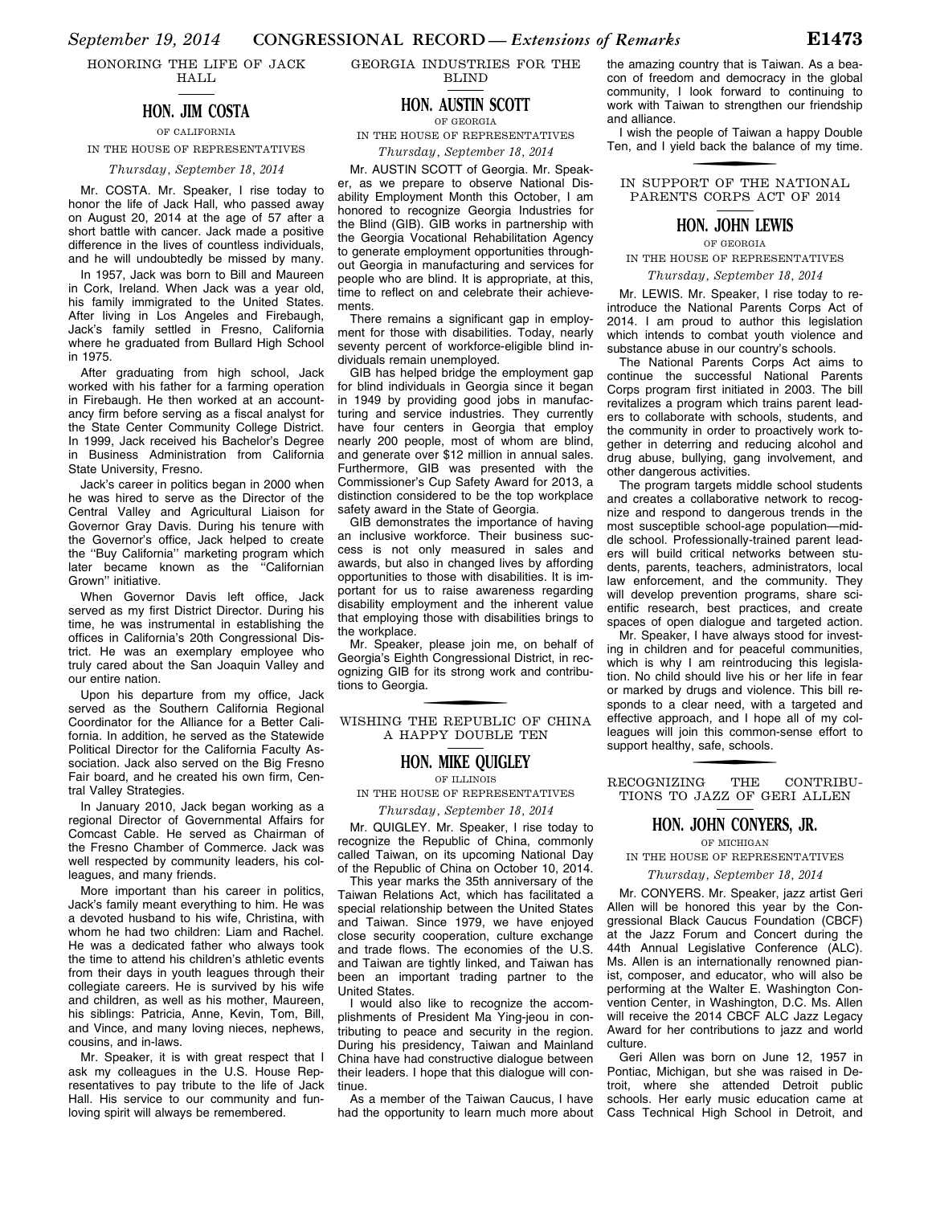HONORING THE LIFE OF JACK HALL

# **HON. JIM COSTA**

OF CALIFORNIA

IN THE HOUSE OF REPRESENTATIVES

*Thursday, September 18, 2014* 

Mr. COSTA. Mr. Speaker, I rise today to honor the life of Jack Hall, who passed away on August 20, 2014 at the age of 57 after a short battle with cancer. Jack made a positive difference in the lives of countless individuals, and he will undoubtedly be missed by many.

In 1957, Jack was born to Bill and Maureen in Cork, Ireland. When Jack was a year old, his family immigrated to the United States. After living in Los Angeles and Firebaugh, Jack's family settled in Fresno, California where he graduated from Bullard High School in 1975.

After graduating from high school, Jack worked with his father for a farming operation in Firebaugh. He then worked at an accountancy firm before serving as a fiscal analyst for the State Center Community College District. In 1999, Jack received his Bachelor's Degree in Business Administration from California State University, Fresno.

Jack's career in politics began in 2000 when he was hired to serve as the Director of the Central Valley and Agricultural Liaison for Governor Gray Davis. During his tenure with the Governor's office, Jack helped to create the ''Buy California'' marketing program which later became known as the "Californian Grown'' initiative.

When Governor Davis left office, Jack served as my first District Director. During his time, he was instrumental in establishing the offices in California's 20th Congressional District. He was an exemplary employee who truly cared about the San Joaquin Valley and our entire nation.

Upon his departure from my office, Jack served as the Southern California Regional Coordinator for the Alliance for a Better California. In addition, he served as the Statewide Political Director for the California Faculty Association. Jack also served on the Big Fresno Fair board, and he created his own firm, Central Valley Strategies.

In January 2010, Jack began working as a regional Director of Governmental Affairs for Comcast Cable. He served as Chairman of the Fresno Chamber of Commerce. Jack was well respected by community leaders, his colleagues, and many friends.

More important than his career in politics, Jack's family meant everything to him. He was a devoted husband to his wife, Christina, with whom he had two children: Liam and Rachel. He was a dedicated father who always took the time to attend his children's athletic events from their days in youth leagues through their collegiate careers. He is survived by his wife and children, as well as his mother, Maureen, his siblings: Patricia, Anne, Kevin, Tom, Bill, and Vince, and many loving nieces, nephews, cousins, and in-laws.

Mr. Speaker, it is with great respect that I ask my colleagues in the U.S. House Representatives to pay tribute to the life of Jack Hall. His service to our community and funloving spirit will always be remembered.

GEORGIA INDUSTRIES FOR THE BLIND

#### **HON. AUSTIN SCOTT**

OF GEORGIA IN THE HOUSE OF REPRESENTATIVES *Thursday, September 18, 2014* 

Mr. AUSTIN SCOTT of Georgia. Mr. Speak-

er, as we prepare to observe National Disability Employment Month this October, I am honored to recognize Georgia Industries for the Blind (GIB). GIB works in partnership with the Georgia Vocational Rehabilitation Agency to generate employment opportunities throughout Georgia in manufacturing and services for people who are blind. It is appropriate, at this, time to reflect on and celebrate their achievements.

There remains a significant gap in employment for those with disabilities. Today, nearly seventy percent of workforce-eligible blind individuals remain unemployed.

GIB has helped bridge the employment gap for blind individuals in Georgia since it began in 1949 by providing good jobs in manufacturing and service industries. They currently have four centers in Georgia that employ nearly 200 people, most of whom are blind, and generate over \$12 million in annual sales. Furthermore, GIB was presented with the Commissioner's Cup Safety Award for 2013, a distinction considered to be the top workplace safety award in the State of Georgia.

GIB demonstrates the importance of having an inclusive workforce. Their business success is not only measured in sales and awards, but also in changed lives by affording opportunities to those with disabilities. It is important for us to raise awareness regarding disability employment and the inherent value that employing those with disabilities brings to the workplace.

Mr. Speaker, please join me, on behalf of Georgia's Eighth Congressional District, in recognizing GIB for its strong work and contributions to Georgia.

f WISHING THE REPUBLIC OF CHINA A HAPPY DOUBLE TEN

#### **HON. MIKE QUIGLEY**

OF ILLINOIS

IN THE HOUSE OF REPRESENTATIVES *Thursday, September 18, 2014* 

Mr. QUIGLEY. Mr. Speaker, I rise today to recognize the Republic of China, commonly called Taiwan, on its upcoming National Day of the Republic of China on October 10, 2014.

This year marks the 35th anniversary of the Taiwan Relations Act, which has facilitated a special relationship between the United States and Taiwan. Since 1979, we have enjoyed close security cooperation, culture exchange and trade flows. The economies of the U.S. and Taiwan are tightly linked, and Taiwan has been an important trading partner to the United States.

I would also like to recognize the accomplishments of President Ma Ying-jeou in contributing to peace and security in the region. During his presidency, Taiwan and Mainland China have had constructive dialogue between their leaders. I hope that this dialogue will continue.

As a member of the Taiwan Caucus, I have had the opportunity to learn much more about

the amazing country that is Taiwan. As a beacon of freedom and democracy in the global community, I look forward to continuing to work with Taiwan to strengthen our friendship and alliance.

I wish the people of Taiwan a happy Double Ten, and I yield back the balance of my time.

IN SUPPORT OF THE NATIONAL PARENTS CORPS ACT OF 2014

## **HON. JOHN LEWIS**

OF GEORGIA

IN THE HOUSE OF REPRESENTATIVES *Thursday, September 18, 2014* 

Mr. LEWIS. Mr. Speaker, I rise today to reintroduce the National Parents Corps Act of 2014. I am proud to author this legislation which intends to combat youth violence and substance abuse in our country's schools.

The National Parents Corps Act aims to continue the successful National Parents Corps program first initiated in 2003. The bill revitalizes a program which trains parent leaders to collaborate with schools, students, and the community in order to proactively work together in deterring and reducing alcohol and drug abuse, bullying, gang involvement, and other dangerous activities.

The program targets middle school students and creates a collaborative network to recognize and respond to dangerous trends in the most susceptible school-age population—middle school. Professionally-trained parent leaders will build critical networks between students, parents, teachers, administrators, local law enforcement, and the community. They will develop prevention programs, share scientific research, best practices, and create spaces of open dialogue and targeted action.

Mr. Speaker, I have always stood for investing in children and for peaceful communities, which is why I am reintroducing this legislation. No child should live his or her life in fear or marked by drugs and violence. This bill responds to a clear need, with a targeted and effective approach, and I hope all of my colleagues will join this common-sense effort to support healthy, safe, schools.

RECOGNIZING THE CONTRIBU-TIONS TO JAZZ OF GERI ALLEN

#### **HON. JOHN CONYERS, JR.**

OF MICHIGAN

IN THE HOUSE OF REPRESENTATIVES

*Thursday, September 18, 2014* 

Mr. CONYERS. Mr. Speaker, jazz artist Geri Allen will be honored this year by the Congressional Black Caucus Foundation (CBCF) at the Jazz Forum and Concert during the 44th Annual Legislative Conference (ALC). Ms. Allen is an internationally renowned pianist, composer, and educator, who will also be performing at the Walter E. Washington Convention Center, in Washington, D.C. Ms. Allen will receive the 2014 CBCF ALC Jazz Legacy Award for her contributions to jazz and world culture.

Geri Allen was born on June 12, 1957 in Pontiac, Michigan, but she was raised in Detroit, where she attended Detroit public schools. Her early music education came at Cass Technical High School in Detroit, and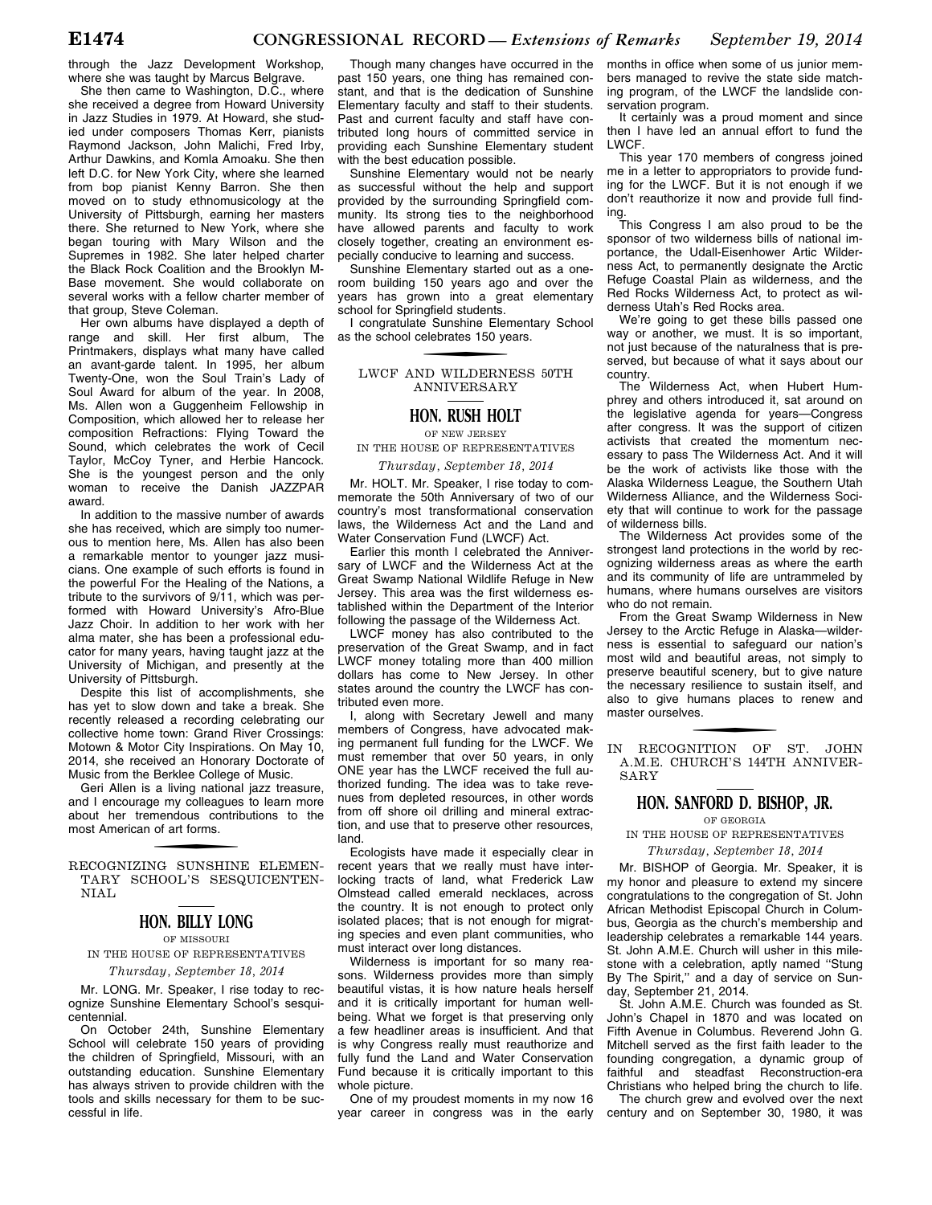through the Jazz Development Workshop, where she was taught by Marcus Belgrave.

She then came to Washington, D.C., where she received a degree from Howard University in Jazz Studies in 1979. At Howard, she studied under composers Thomas Kerr, pianists Raymond Jackson, John Malichi, Fred Irby, Arthur Dawkins, and Komla Amoaku. She then left D.C. for New York City, where she learned from bop pianist Kenny Barron. She then moved on to study ethnomusicology at the University of Pittsburgh, earning her masters there. She returned to New York, where she began touring with Mary Wilson and the Supremes in 1982. She later helped charter the Black Rock Coalition and the Brooklyn M-Base movement. She would collaborate on several works with a fellow charter member of that group, Steve Coleman.

Her own albums have displayed a depth of range and skill. Her first album, The Printmakers, displays what many have called an avant-garde talent. In 1995, her album Twenty-One, won the Soul Train's Lady of Soul Award for album of the year. In 2008, Ms. Allen won a Guggenheim Fellowship in Composition, which allowed her to release her composition Refractions: Flying Toward the Sound, which celebrates the work of Cecil Taylor, McCoy Tyner, and Herbie Hancock. She is the youngest person and the only woman to receive the Danish JAZZPAR award.

In addition to the massive number of awards she has received, which are simply too numerous to mention here, Ms. Allen has also been a remarkable mentor to younger jazz musicians. One example of such efforts is found in the powerful For the Healing of the Nations, a tribute to the survivors of 9/11, which was performed with Howard University's Afro-Blue Jazz Choir. In addition to her work with her alma mater, she has been a professional educator for many years, having taught jazz at the University of Michigan, and presently at the University of Pittsburgh.

Despite this list of accomplishments, she has yet to slow down and take a break. She recently released a recording celebrating our collective home town: Grand River Crossings: Motown & Motor City Inspirations. On May 10, 2014, she received an Honorary Doctorate of Music from the Berklee College of Music.

Geri Allen is a living national jazz treasure, and I encourage my colleagues to learn more about her tremendous contributions to the most American of art forms.

f RECOGNIZING SUNSHINE ELEMEN-TARY SCHOOL'S SESQUICENTEN-NIAL

# **HON. BILLY LONG**

OF MISSOURI IN THE HOUSE OF REPRESENTATIVES

# *Thursday, September 18, 2014*

Mr. LONG. Mr. Speaker, I rise today to recognize Sunshine Elementary School's sesquicentennial.

On October 24th, Sunshine Elementary School will celebrate 150 years of providing the children of Springfield, Missouri, with an outstanding education. Sunshine Elementary has always striven to provide children with the tools and skills necessary for them to be successful in life.

Though many changes have occurred in the past 150 years, one thing has remained constant, and that is the dedication of Sunshine Elementary faculty and staff to their students. Past and current faculty and staff have contributed long hours of committed service in providing each Sunshine Elementary student with the best education possible.

Sunshine Elementary would not be nearly as successful without the help and support provided by the surrounding Springfield community. Its strong ties to the neighborhood have allowed parents and faculty to work closely together, creating an environment especially conducive to learning and success.

Sunshine Elementary started out as a oneroom building 150 years ago and over the years has grown into a great elementary school for Springfield students.

I congratulate Sunshine Elementary School as the school celebrates 150 years.

# f LWCF AND WILDERNESS 50TH ANNIVERSARY

# **HON. RUSH HOLT**

OF NEW JERSEY IN THE HOUSE OF REPRESENTATIVES

#### *Thursday, September 18, 2014*

Mr. HOLT. Mr. Speaker, I rise today to commemorate the 50th Anniversary of two of our country's most transformational conservation laws, the Wilderness Act and the Land and Water Conservation Fund (LWCF) Act.

Earlier this month I celebrated the Anniversary of LWCF and the Wilderness Act at the Great Swamp National Wildlife Refuge in New Jersey. This area was the first wilderness established within the Department of the Interior following the passage of the Wilderness Act.

LWCF money has also contributed to the preservation of the Great Swamp, and in fact LWCF money totaling more than 400 million dollars has come to New Jersey. In other states around the country the LWCF has contributed even more.

I, along with Secretary Jewell and many members of Congress, have advocated making permanent full funding for the LWCF. We must remember that over 50 years, in only ONE year has the LWCF received the full authorized funding. The idea was to take revenues from depleted resources, in other words from off shore oil drilling and mineral extraction, and use that to preserve other resources, land.

Ecologists have made it especially clear in recent years that we really must have interlocking tracts of land, what Frederick Law Olmstead called emerald necklaces, across the country. It is not enough to protect only isolated places; that is not enough for migrating species and even plant communities, who must interact over long distances.

Wilderness is important for so many reasons. Wilderness provides more than simply beautiful vistas, it is how nature heals herself and it is critically important for human wellbeing. What we forget is that preserving only a few headliner areas is insufficient. And that is why Congress really must reauthorize and fully fund the Land and Water Conservation Fund because it is critically important to this whole picture.

One of my proudest moments in my now 16 year career in congress was in the early months in office when some of us junior members managed to revive the state side matching program, of the LWCF the landslide conservation program.

It certainly was a proud moment and since then I have led an annual effort to fund the LWCF.

This year 170 members of congress joined me in a letter to appropriators to provide funding for the LWCF. But it is not enough if we don't reauthorize it now and provide full finding.

This Congress I am also proud to be the sponsor of two wilderness bills of national importance, the Udall-Eisenhower Artic Wilderness Act, to permanently designate the Arctic Refuge Coastal Plain as wilderness, and the Red Rocks Wilderness Act, to protect as wilderness Utah's Red Rocks area.

We're going to get these bills passed one way or another, we must. It is so important, not just because of the naturalness that is preserved, but because of what it says about our country.

The Wilderness Act, when Hubert Humphrey and others introduced it, sat around on the legislative agenda for years—Congress after congress. It was the support of citizen activists that created the momentum necessary to pass The Wilderness Act. And it will be the work of activists like those with the Alaska Wilderness League, the Southern Utah Wilderness Alliance, and the Wilderness Society that will continue to work for the passage of wilderness bills.

The Wilderness Act provides some of the strongest land protections in the world by recognizing wilderness areas as where the earth and its community of life are untrammeled by humans, where humans ourselves are visitors who do not remain.

From the Great Swamp Wilderness in New Jersey to the Arctic Refuge in Alaska—wilderness is essential to safeguard our nation's most wild and beautiful areas, not simply to preserve beautiful scenery, but to give nature the necessary resilience to sustain itself, and also to give humans places to renew and master ourselves.

f IN RECOGNITION OF ST. JOHN A.M.E. CHURCH'S 144TH ANNIVER-SARY

#### **HON. SANFORD D. BISHOP, JR.** OF GEORGIA

IN THE HOUSE OF REPRESENTATIVES *Thursday, September 18, 2014* 

Mr. BISHOP of Georgia. Mr. Speaker, it is my honor and pleasure to extend my sincere congratulations to the congregation of St. John African Methodist Episcopal Church in Columbus, Georgia as the church's membership and leadership celebrates a remarkable 144 years. St. John A.M.E. Church will usher in this milestone with a celebration, aptly named ''Stung By The Spirit," and a day of service on Sunday, September 21, 2014.

St. John A.M.E. Church was founded as St. John's Chapel in 1870 and was located on Fifth Avenue in Columbus. Reverend John G. Mitchell served as the first faith leader to the founding congregation, a dynamic group of faithful and steadfast Reconstruction-era Christians who helped bring the church to life.

The church grew and evolved over the next century and on September 30, 1980, it was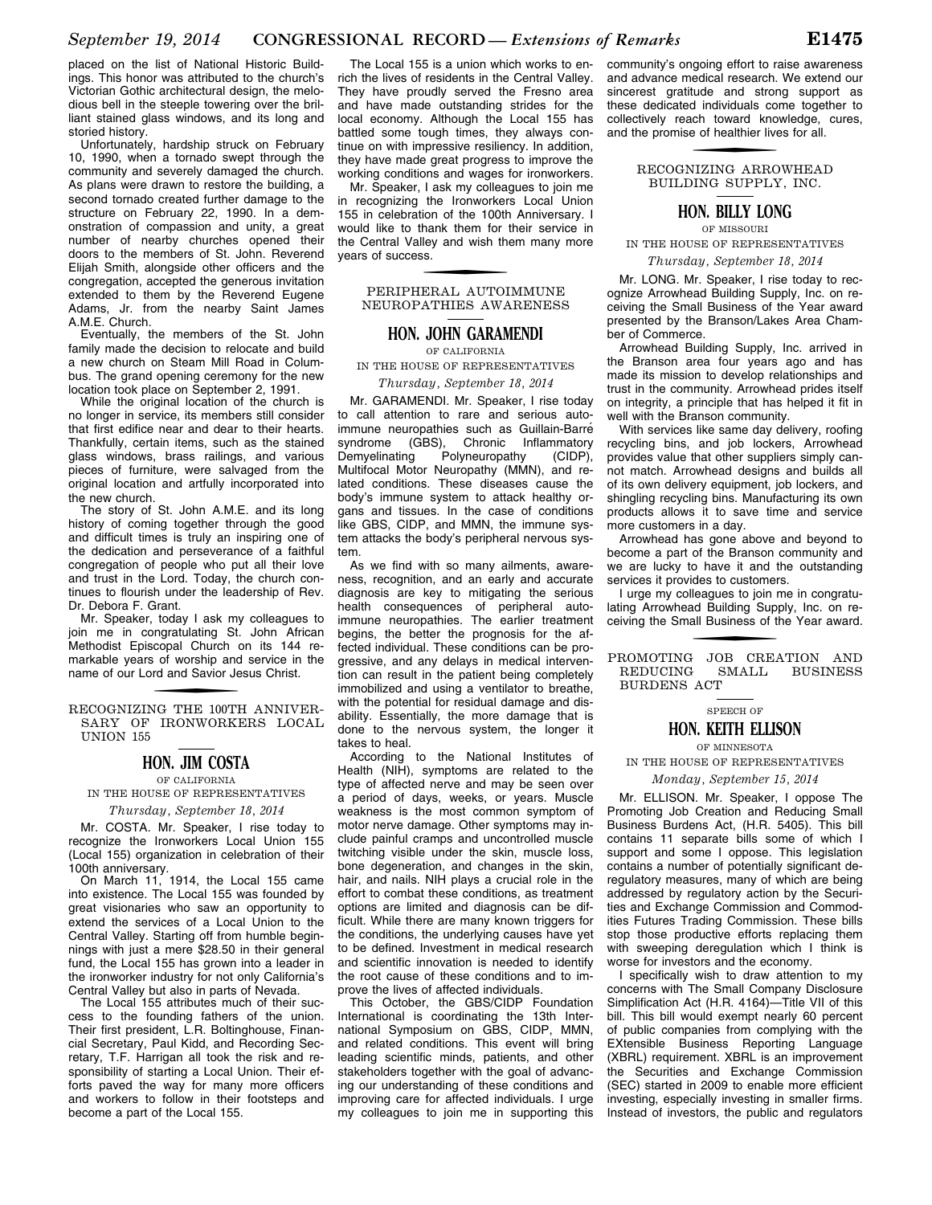placed on the list of National Historic Buildings. This honor was attributed to the church's Victorian Gothic architectural design, the melodious bell in the steeple towering over the brilliant stained glass windows, and its long and storied history.

Unfortunately, hardship struck on February 10, 1990, when a tornado swept through the community and severely damaged the church. As plans were drawn to restore the building, a second tornado created further damage to the structure on February 22, 1990. In a demonstration of compassion and unity, a great number of nearby churches opened their doors to the members of St. John. Reverend Elijah Smith, alongside other officers and the congregation, accepted the generous invitation extended to them by the Reverend Eugene Adams, Jr. from the nearby Saint James A.M.E. Church.

Eventually, the members of the St. John family made the decision to relocate and build a new church on Steam Mill Road in Columbus. The grand opening ceremony for the new location took place on September 2, 1991.

While the original location of the church is no longer in service, its members still consider that first edifice near and dear to their hearts. Thankfully, certain items, such as the stained glass windows, brass railings, and various pieces of furniture, were salvaged from the original location and artfully incorporated into the new church.

The story of St. John A.M.E. and its long history of coming together through the good and difficult times is truly an inspiring one of the dedication and perseverance of a faithful congregation of people who put all their love and trust in the Lord. Today, the church continues to flourish under the leadership of Rev. Dr. Debora F. Grant.

Mr. Speaker, today I ask my colleagues to join me in congratulating St. John African Methodist Episcopal Church on its 144 remarkable years of worship and service in the name of our Lord and Savior Jesus Christ.

f RECOGNIZING THE 100TH ANNIVER-SARY OF IRONWORKERS LOCAL UNION 155

#### **HON. JIM COSTA**

OF CALIFORNIA IN THE HOUSE OF REPRESENTATIVES

*Thursday, September 18, 2014* 

Mr. COSTA. Mr. Speaker, I rise today to recognize the Ironworkers Local Union 155 (Local 155) organization in celebration of their 100th anniversary.

On March 11, 1914, the Local 155 came into existence. The Local 155 was founded by great visionaries who saw an opportunity to extend the services of a Local Union to the Central Valley. Starting off from humble beginnings with just a mere \$28.50 in their general fund, the Local 155 has grown into a leader in the ironworker industry for not only California's Central Valley but also in parts of Nevada.

The Local 155 attributes much of their success to the founding fathers of the union. Their first president, L.R. Boltinghouse, Financial Secretary, Paul Kidd, and Recording Secretary, T.F. Harrigan all took the risk and responsibility of starting a Local Union. Their efforts paved the way for many more officers and workers to follow in their footsteps and become a part of the Local 155.

The Local 155 is a union which works to enrich the lives of residents in the Central Valley. They have proudly served the Fresno area and have made outstanding strides for the local economy. Although the Local 155 has battled some tough times, they always continue on with impressive resiliency. In addition, they have made great progress to improve the working conditions and wages for ironworkers.

Mr. Speaker, I ask my colleagues to join me in recognizing the Ironworkers Local Union 155 in celebration of the 100th Anniversary. I would like to thank them for their service in the Central Valley and wish them many more years of success.

# PERIPHERAL AUTOIMMUNE NEUROPATHIES AWARENESS

# **HON. JOHN GARAMENDI**

OF CALIFORNIA

IN THE HOUSE OF REPRESENTATIVES

*Thursday, September 18, 2014* 

Mr. GARAMENDI. Mr. Speaker, I rise today to call attention to rare and serious autoimmune neuropathies such as Guillain-Barré<br>
syndrome (GBS) Chronic Inflammatory (GBS), Chronic Inflammatory<br>ng Polyneuropathy (CIDP),  $D$ emyelinating Polyneuropathy Multifocal Motor Neuropathy (MMN), and related conditions. These diseases cause the body's immune system to attack healthy organs and tissues. In the case of conditions like GBS, CIDP, and MMN, the immune svstem attacks the body's peripheral nervous system.

As we find with so many ailments, awareness, recognition, and an early and accurate diagnosis are key to mitigating the serious health consequences of peripheral autoimmune neuropathies. The earlier treatment begins, the better the prognosis for the affected individual. These conditions can be progressive, and any delays in medical intervention can result in the patient being completely immobilized and using a ventilator to breathe, with the potential for residual damage and disability. Essentially, the more damage that is done to the nervous system, the longer it takes to heal.

According to the National Institutes of Health (NIH), symptoms are related to the type of affected nerve and may be seen over a period of days, weeks, or years. Muscle weakness is the most common symptom of motor nerve damage. Other symptoms may include painful cramps and uncontrolled muscle twitching visible under the skin, muscle loss, bone degeneration, and changes in the skin, hair, and nails. NIH plays a crucial role in the effort to combat these conditions, as treatment options are limited and diagnosis can be difficult. While there are many known triggers for the conditions, the underlying causes have yet to be defined. Investment in medical research and scientific innovation is needed to identify the root cause of these conditions and to improve the lives of affected individuals.

This October, the GBS/CIDP Foundation International is coordinating the 13th International Symposium on GBS, CIDP, MMN, and related conditions. This event will bring leading scientific minds, patients, and other stakeholders together with the goal of advancing our understanding of these conditions and improving care for affected individuals. I urge my colleagues to join me in supporting this

community's ongoing effort to raise awareness and advance medical research. We extend our sincerest gratitude and strong support as these dedicated individuals come together to collectively reach toward knowledge, cures, and the promise of healthier lives for all.

> f RECOGNIZING ARROWHEAD BUILDING SUPPLY, INC.

## **HON. BILLY LONG**

OF MISSOURI IN THE HOUSE OF REPRESENTATIVES

*Thursday, September 18, 2014* 

Mr. LONG. Mr. Speaker, I rise today to recognize Arrowhead Building Supply, Inc. on receiving the Small Business of the Year award presented by the Branson/Lakes Area Chamber of Commerce.

Arrowhead Building Supply, Inc. arrived in the Branson area four years ago and has made its mission to develop relationships and trust in the community. Arrowhead prides itself on integrity, a principle that has helped it fit in well with the Branson community.

With services like same day delivery, roofing recycling bins, and job lockers, Arrowhead provides value that other suppliers simply cannot match. Arrowhead designs and builds all of its own delivery equipment, job lockers, and shingling recycling bins. Manufacturing its own products allows it to save time and service more customers in a day.

Arrowhead has gone above and beyond to become a part of the Branson community and we are lucky to have it and the outstanding services it provides to customers.

I urge my colleagues to join me in congratulating Arrowhead Building Supply, Inc. on receiving the Small Business of the Year award.

PROMOTING JOB CREATION AND REDUCING SMALL BUSINESS BURDENS ACT

SPEECH OF

**HON. KEITH ELLISON** 

OF MINNESOTA IN THE HOUSE OF REPRESENTATIVES

*Monday, September 15, 2014* 

Mr. ELLISON. Mr. Speaker, I oppose The Promoting Job Creation and Reducing Small Business Burdens Act, (H.R. 5405). This bill contains 11 separate bills some of which I support and some I oppose. This legislation contains a number of potentially significant deregulatory measures, many of which are being addressed by regulatory action by the Securities and Exchange Commission and Commodities Futures Trading Commission. These bills stop those productive efforts replacing them with sweeping deregulation which I think is worse for investors and the economy.

I specifically wish to draw attention to my concerns with The Small Company Disclosure Simplification Act (H.R. 4164)—Title VII of this bill. This bill would exempt nearly 60 percent of public companies from complying with the EXtensible Business Reporting Language (XBRL) requirement. XBRL is an improvement the Securities and Exchange Commission (SEC) started in 2009 to enable more efficient investing, especially investing in smaller firms. Instead of investors, the public and regulators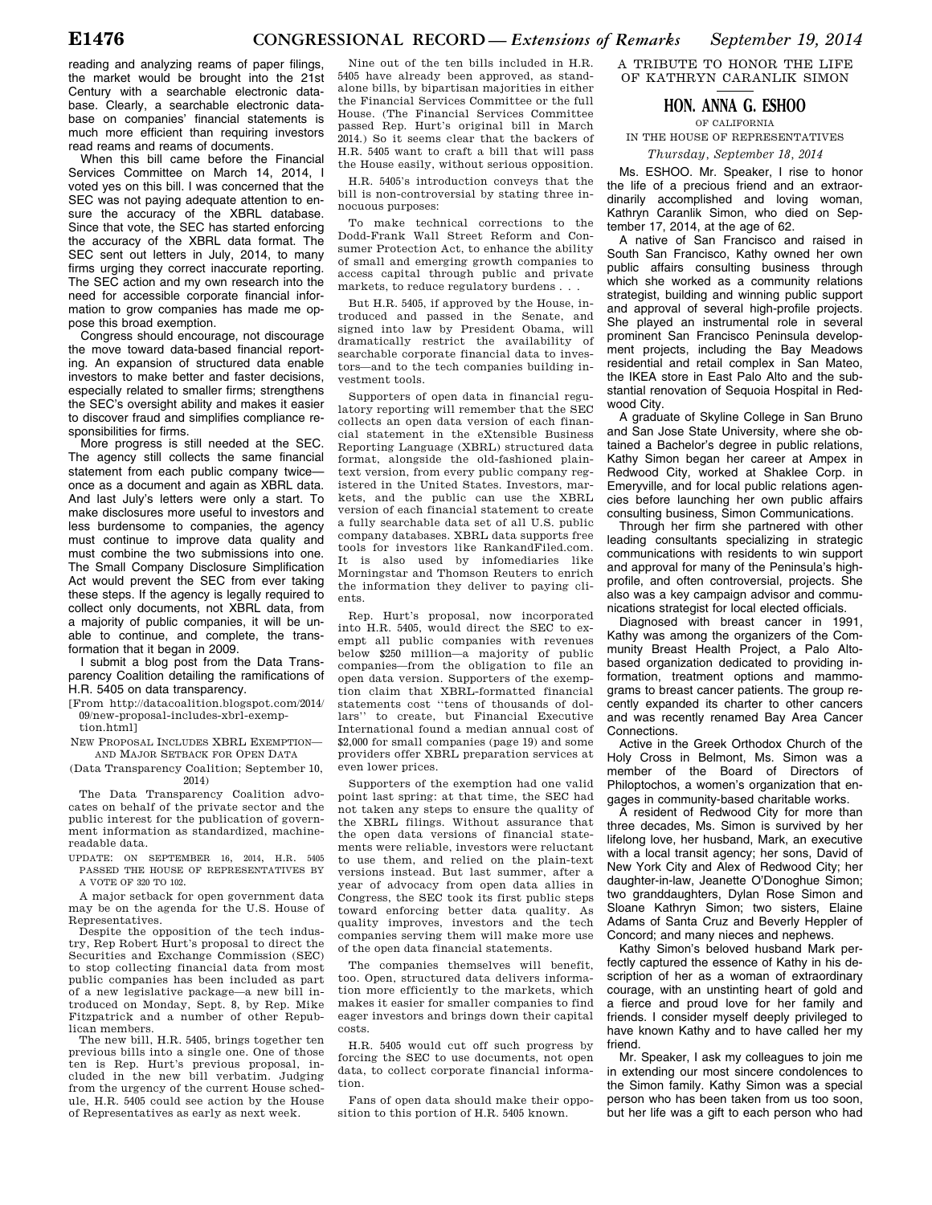reading and analyzing reams of paper filings, the market would be brought into the 21st Century with a searchable electronic database. Clearly, a searchable electronic database on companies' financial statements is much more efficient than requiring investors read reams and reams of documents.

When this bill came before the Financial Services Committee on March 14, 2014, I voted yes on this bill. I was concerned that the SEC was not paying adequate attention to ensure the accuracy of the XBRL database. Since that vote, the SEC has started enforcing the accuracy of the XBRL data format. The SEC sent out letters in July, 2014, to many firms urging they correct inaccurate reporting. The SEC action and my own research into the need for accessible corporate financial information to grow companies has made me oppose this broad exemption.

Congress should encourage, not discourage the move toward data-based financial reporting. An expansion of structured data enable investors to make better and faster decisions, especially related to smaller firms; strengthens the SEC's oversight ability and makes it easier to discover fraud and simplifies compliance responsibilities for firms.

More progress is still needed at the SEC. The agency still collects the same financial statement from each public company twice once as a document and again as XBRL data. And last July's letters were only a start. To make disclosures more useful to investors and less burdensome to companies, the agency must continue to improve data quality and must combine the two submissions into one. The Small Company Disclosure Simplification Act would prevent the SEC from ever taking these steps. If the agency is legally required to collect only documents, not XBRL data, from a majority of public companies, it will be unable to continue, and complete, the transformation that it began in 2009.

I submit a blog post from the Data Transparency Coalition detailing the ramifications of H.R. 5405 on data transparency.

[From http://datacoalition.blogspot.com/2014/ 09/new-proposal-includes-xbrl-exemption.html]

NEW PROPOSAL INCLUDES XBRL EXEMPTION— AND MAJOR SETBACK FOR OPEN DATA

(Data Transparency Coalition; September 10, 2014)

The Data Transparency Coalition advocates on behalf of the private sector and the public interest for the publication of government information as standardized, machinereadable data.

UPDATE: ON SEPTEMBER 16, 2014, H.R. 5405 PASSED THE HOUSE OF REPRESENTATIVES BY A VOTE OF 320 TO 102.

A major setback for open government data may be on the agenda for the U.S. House of Representatives.

Despite the opposition of the tech industry, Rep Robert Hurt's proposal to direct the Securities and Exchange Commission (SEC) to stop collecting financial data from most public companies has been included as part of a new legislative package—a new bill introduced on Monday, Sept. 8, by Rep. Mike Fitzpatrick and a number of other Republican members.

The new bill, H.R. 5405, brings together ten previous bills into a single one. One of those ten is Rep. Hurt's previous proposal, included in the new bill verbatim. Judging from the urgency of the current House schedule, H.R. 5405 could see action by the House of Representatives as early as next week.

Nine out of the ten bills included in H.R. 5405 have already been approved, as standalone bills, by bipartisan majorities in either the Financial Services Committee or the full House. (The Financial Services Committee passed Rep. Hurt's original bill in March 2014.) So it seems clear that the backers of H.R. 5405 want to craft a bill that will pass the House easily, without serious opposition.

H.R. 5405's introduction conveys that the bill is non-controversial by stating three innocuous purposes:

To make technical corrections to the Dodd-Frank Wall Street Reform and Consumer Protection Act, to enhance the ability of small and emerging growth companies to access capital through public and private markets, to reduce regulatory burdens . . .

But H.R. 5405, if approved by the House, introduced and passed in the Senate, and signed into law by President Obama, will dramatically restrict the availability of searchable corporate financial data to investors—and to the tech companies building investment tools.

Supporters of open data in financial regulatory reporting will remember that the SEC collects an open data version of each financial statement in the eXtensible Business Reporting Language (XBRL) structured data format, alongside the old-fashioned plaintext version, from every public company registered in the United States. Investors, markets, and the public can use the XBRL version of each financial statement to create a fully searchable data set of all U.S. public company databases. XBRL data supports free tools for investors like RankandFiled.com. It is also used by infomediaries like Morningstar and Thomson Reuters to enrich the information they deliver to paying clients.

Rep. Hurt's proposal, now incorporated into H.R. 5405, would direct the SEC to exempt all public companies with revenues below \$250 million—a majority of public companies—from the obligation to file an open data version. Supporters of the exemption claim that XBRL-formatted financial statements cost ''tens of thousands of dollars'' to create, but Financial Executive International found a median annual cost of \$2,000 for small companies (page 19) and some providers offer XBRL preparation services at even lower prices.

Supporters of the exemption had one valid point last spring: at that time, the SEC had not taken any steps to ensure the quality of the XBRL filings. Without assurance that the open data versions of financial statements were reliable, investors were reluctant to use them, and relied on the plain-text versions instead. But last summer, after a year of advocacy from open data allies in Congress, the SEC took its first public steps toward enforcing better data quality. As quality improves, investors and the tech companies serving them will make more use of the open data financial statements.

The companies themselves will benefit, too. Open, structured data delivers information more efficiently to the markets, which makes it easier for smaller companies to find eager investors and brings down their capital costs.

H.R. 5405 would cut off such progress by forcing the SEC to use documents, not open data, to collect corporate financial information.

Fans of open data should make their opposition to this portion of H.R. 5405 known.

A TRIBUTE TO HONOR THE LIFE OF KATHRYN CARANLIK SIMON

#### **HON. ANNA G. ESHOO**

OF CALIFORNIA

IN THE HOUSE OF REPRESENTATIVES *Thursday, September 18, 2014* 

Ms. ESHOO. Mr. Speaker, I rise to honor the life of a precious friend and an extraordinarily accomplished and loving woman, Kathryn Caranlik Simon, who died on September 17, 2014, at the age of 62.

A native of San Francisco and raised in South San Francisco, Kathy owned her own public affairs consulting business through which she worked as a community relations strategist, building and winning public support and approval of several high-profile projects. She played an instrumental role in several prominent San Francisco Peninsula development projects, including the Bay Meadows residential and retail complex in San Mateo, the IKEA store in East Palo Alto and the substantial renovation of Sequoia Hospital in Redwood City.

A graduate of Skyline College in San Bruno and San Jose State University, where she obtained a Bachelor's degree in public relations, Kathy Simon began her career at Ampex in Redwood City, worked at Shaklee Corp. in Emeryville, and for local public relations agencies before launching her own public affairs consulting business, Simon Communications.

Through her firm she partnered with other leading consultants specializing in strategic communications with residents to win support and approval for many of the Peninsula's highprofile, and often controversial, projects. She also was a key campaign advisor and communications strategist for local elected officials.

Diagnosed with breast cancer in 1991, Kathy was among the organizers of the Community Breast Health Project, a Palo Altobased organization dedicated to providing information, treatment options and mammograms to breast cancer patients. The group recently expanded its charter to other cancers and was recently renamed Bay Area Cancer Connections.

Active in the Greek Orthodox Church of the Holy Cross in Belmont, Ms. Simon was a member of the Board of Directors of Philoptochos, a women's organization that engages in community-based charitable works.

A resident of Redwood City for more than three decades, Ms. Simon is survived by her lifelong love, her husband, Mark, an executive with a local transit agency; her sons, David of New York City and Alex of Redwood City; her daughter-in-law, Jeanette O'Donoghue Simon; two granddaughters, Dylan Rose Simon and Sloane Kathryn Simon; two sisters, Elaine Adams of Santa Cruz and Beverly Heppler of Concord; and many nieces and nephews.

Kathy Simon's beloved husband Mark perfectly captured the essence of Kathy in his description of her as a woman of extraordinary courage, with an unstinting heart of gold and a fierce and proud love for her family and friends. I consider myself deeply privileged to have known Kathy and to have called her my friend.

Mr. Speaker, I ask my colleagues to join me in extending our most sincere condolences to the Simon family. Kathy Simon was a special person who has been taken from us too soon, but her life was a gift to each person who had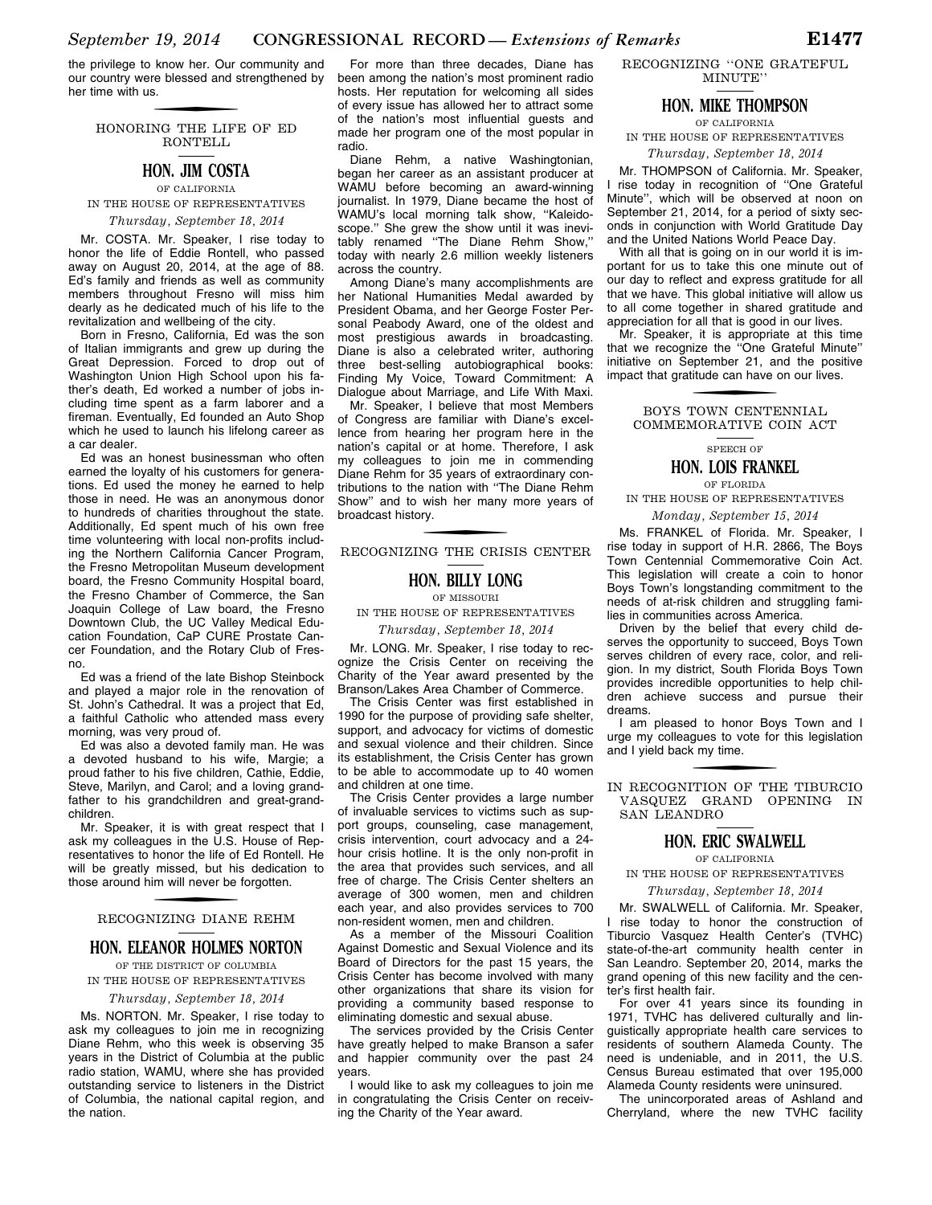the privilege to know her. Our community and our country were blessed and strengthened by her time with us.

# f HONORING THE LIFE OF ED RONTELL

# **HON. JIM COSTA**

OF CALIFORNIA

IN THE HOUSE OF REPRESENTATIVES

*Thursday, September 18, 2014* 

Mr. COSTA. Mr. Speaker, I rise today to honor the life of Eddie Rontell, who passed away on August 20, 2014, at the age of 88. Ed's family and friends as well as community members throughout Fresno will miss him dearly as he dedicated much of his life to the revitalization and wellbeing of the city.

Born in Fresno, California, Ed was the son of Italian immigrants and grew up during the Great Depression. Forced to drop out of Washington Union High School upon his father's death, Ed worked a number of jobs including time spent as a farm laborer and a fireman. Eventually, Ed founded an Auto Shop which he used to launch his lifelong career as a car dealer.

Ed was an honest businessman who often earned the loyalty of his customers for generations. Ed used the money he earned to help those in need. He was an anonymous donor to hundreds of charities throughout the state. Additionally, Ed spent much of his own free time volunteering with local non-profits including the Northern California Cancer Program, the Fresno Metropolitan Museum development board, the Fresno Community Hospital board, the Fresno Chamber of Commerce, the San Joaquin College of Law board, the Fresno Downtown Club, the UC Valley Medical Education Foundation, CaP CURE Prostate Cancer Foundation, and the Rotary Club of Fresno.

Ed was a friend of the late Bishop Steinbock and played a major role in the renovation of St. John's Cathedral. It was a project that Ed, a faithful Catholic who attended mass every morning, was very proud of.

Ed was also a devoted family man. He was a devoted husband to his wife, Margie; a proud father to his five children, Cathie, Eddie, Steve, Marilyn, and Carol; and a loving grandfather to his grandchildren and great-grandchildren.

Mr. Speaker, it is with great respect that I ask my colleagues in the U.S. House of Representatives to honor the life of Ed Rontell. He will be greatly missed, but his dedication to those around him will never be forgotten.

# f RECOGNIZING DIANE REHM

#### **HON. ELEANOR HOLMES NORTON**

OF THE DISTRICT OF COLUMBIA

IN THE HOUSE OF REPRESENTATIVES

*Thursday, September 18, 2014* 

Ms. NORTON. Mr. Speaker, I rise today to ask my colleagues to join me in recognizing Diane Rehm, who this week is observing 35 years in the District of Columbia at the public radio station, WAMU, where she has provided outstanding service to listeners in the District of Columbia, the national capital region, and the nation.

For more than three decades, Diane has been among the nation's most prominent radio hosts. Her reputation for welcoming all sides of every issue has allowed her to attract some of the nation's most influential guests and made her program one of the most popular in radio.

Diane Rehm, a native Washingtonian, began her career as an assistant producer at WAMU before becoming an award-winning journalist. In 1979, Diane became the host of WAMU's local morning talk show, ''Kaleidoscope.'' She grew the show until it was inevitably renamed ''The Diane Rehm Show,'' today with nearly 2.6 million weekly listeners across the country.

Among Diane's many accomplishments are her National Humanities Medal awarded by President Obama, and her George Foster Personal Peabody Award, one of the oldest and most prestigious awards in broadcasting. Diane is also a celebrated writer, authoring three best-selling autobiographical books: Finding My Voice, Toward Commitment: A Dialogue about Marriage, and Life With Maxi.

Mr. Speaker, I believe that most Members of Congress are familiar with Diane's excellence from hearing her program here in the nation's capital or at home. Therefore, I ask my colleagues to join me in commending Diane Rehm for 35 years of extraordinary contributions to the nation with ''The Diane Rehm Show'' and to wish her many more years of broadcast history.

f RECOGNIZING THE CRISIS CENTER

## **HON. BILLY LONG**

OF MISSOURI IN THE HOUSE OF REPRESENTATIVES

*Thursday, September 18, 2014* 

Mr. LONG. Mr. Speaker, I rise today to recognize the Crisis Center on receiving the Charity of the Year award presented by the Branson/Lakes Area Chamber of Commerce.

The Crisis Center was first established in 1990 for the purpose of providing safe shelter, support, and advocacy for victims of domestic and sexual violence and their children. Since its establishment, the Crisis Center has grown to be able to accommodate up to 40 women and children at one time.

The Crisis Center provides a large number of invaluable services to victims such as support groups, counseling, case management, crisis intervention, court advocacy and a 24 hour crisis hotline. It is the only non-profit in the area that provides such services, and all free of charge. The Crisis Center shelters an average of 300 women, men and children each year, and also provides services to 700 non-resident women, men and children.

As a member of the Missouri Coalition Against Domestic and Sexual Violence and its Board of Directors for the past 15 years, the Crisis Center has become involved with many other organizations that share its vision for providing a community based response to eliminating domestic and sexual abuse.

The services provided by the Crisis Center have greatly helped to make Branson a safer and happier community over the past 24 years.

I would like to ask my colleagues to join me in congratulating the Crisis Center on receiving the Charity of the Year award.

RECOGNIZING ''ONE GRATEFUL MINUTE''

#### **HON. MIKE THOMPSON**

OF CALIFORNIA

IN THE HOUSE OF REPRESENTATIVES *Thursday, September 18, 2014* 

Mr. THOMPSON of California. Mr. Speaker, I rise today in recognition of ''One Grateful Minute'', which will be observed at noon on September 21, 2014, for a period of sixty seconds in conjunction with World Gratitude Day and the United Nations World Peace Day.

With all that is going on in our world it is important for us to take this one minute out of our day to reflect and express gratitude for all that we have. This global initiative will allow us to all come together in shared gratitude and appreciation for all that is good in our lives.

Mr. Speaker, it is appropriate at this time that we recognize the ''One Grateful Minute'' initiative on September 21, and the positive impact that gratitude can have on our lives.

> f BOYS TOWN CENTENNIAL COMMEMORATIVE COIN ACT

> > SPEECH OF

#### **HON. LOIS FRANKEL** OF FLORIDA

IN THE HOUSE OF REPRESENTATIVES

*Monday, September 15, 2014* 

Ms. FRANKEL of Florida. Mr. Speaker, I rise today in support of H.R. 2866, The Boys Town Centennial Commemorative Coin Act. This legislation will create a coin to honor Boys Town's longstanding commitment to the needs of at-risk children and struggling families in communities across America.

Driven by the belief that every child deserves the opportunity to succeed, Boys Town serves children of every race, color, and religion. In my district, South Florida Boys Town provides incredible opportunities to help children achieve success and pursue their dreams.

I am pleased to honor Boys Town and I urge my colleagues to vote for this legislation and I yield back my time.

f IN RECOGNITION OF THE TIBURCIO VASQUEZ GRAND OPENING IN SAN LEANDRO

## **HON. ERIC SWALWELL**

OF CALIFORNIA

IN THE HOUSE OF REPRESENTATIVES

*Thursday, September 18, 2014* 

Mr. SWALWELL of California. Mr. Speaker, I rise today to honor the construction of Tiburcio Vasquez Health Center's (TVHC) state-of-the-art community health center in San Leandro. September 20, 2014, marks the grand opening of this new facility and the center's first health fair.

For over 41 years since its founding in 1971, TVHC has delivered culturally and linguistically appropriate health care services to residents of southern Alameda County. The need is undeniable, and in 2011, the U.S. Census Bureau estimated that over 195,000 Alameda County residents were uninsured.

The unincorporated areas of Ashland and Cherryland, where the new TVHC facility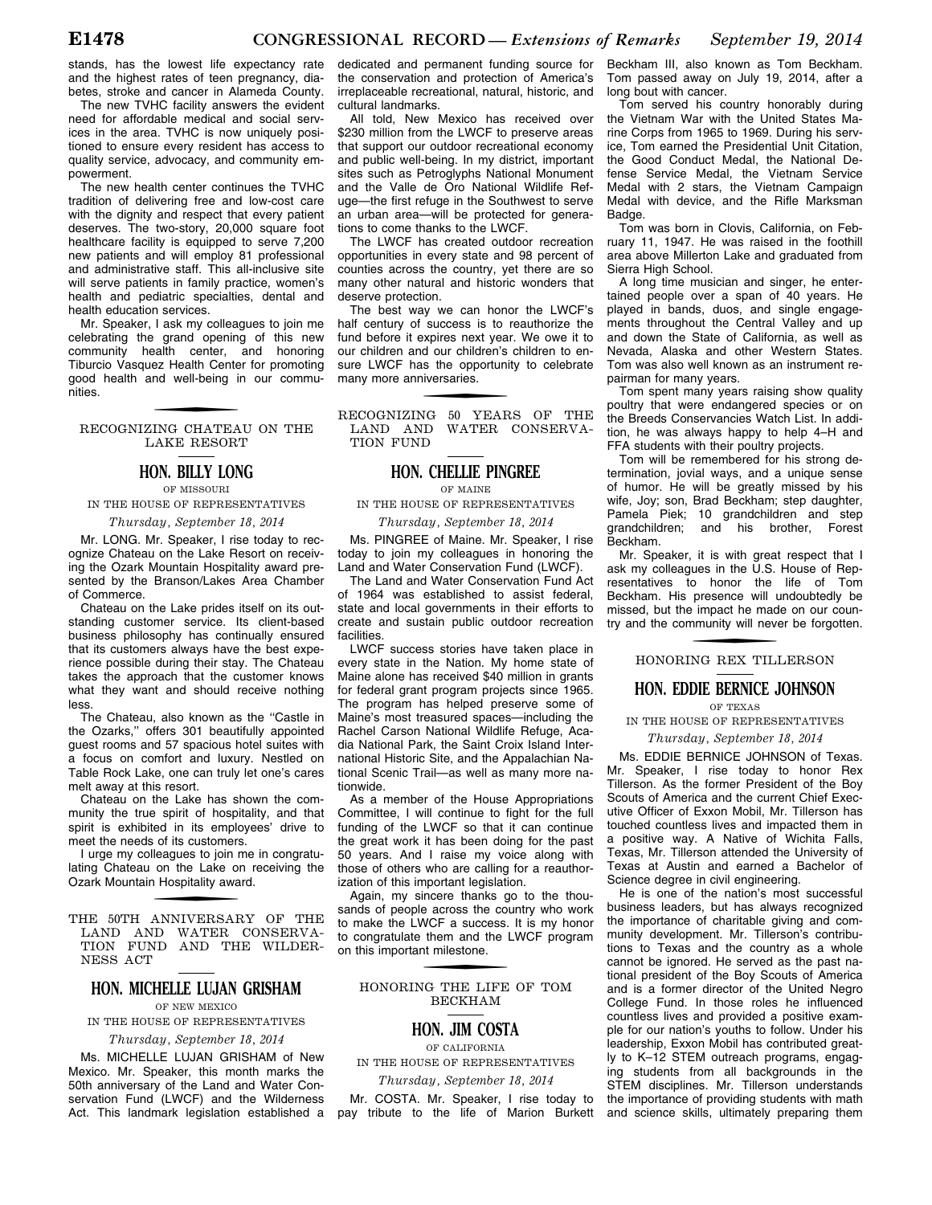stands, has the lowest life expectancy rate and the highest rates of teen pregnancy, diabetes, stroke and cancer in Alameda County.

The new TVHC facility answers the evident need for affordable medical and social services in the area. TVHC is now uniquely positioned to ensure every resident has access to quality service, advocacy, and community empowerment.

The new health center continues the TVHC tradition of delivering free and low-cost care with the dignity and respect that every patient deserves. The two-story, 20,000 square foot healthcare facility is equipped to serve 7,200 new patients and will employ 81 professional and administrative staff. This all-inclusive site will serve patients in family practice, women's health and pediatric specialties, dental and health education services.

Mr. Speaker, I ask my colleagues to join me celebrating the grand opening of this new community health center, and honoring Tiburcio Vasquez Health Center for promoting good health and well-being in our communities.

RECOGNIZING CHATEAU ON THE LAKE RESORT

## **HON. BILLY LONG**

OF MISSOURI

IN THE HOUSE OF REPRESENTATIVES *Thursday, September 18, 2014* 

Mr. LONG. Mr. Speaker, I rise today to recognize Chateau on the Lake Resort on receiving the Ozark Mountain Hospitality award presented by the Branson/Lakes Area Chamber of Commerce.

Chateau on the Lake prides itself on its outstanding customer service. Its client-based business philosophy has continually ensured that its customers always have the best experience possible during their stay. The Chateau takes the approach that the customer knows what they want and should receive nothing less.

The Chateau, also known as the ''Castle in the Ozarks,'' offers 301 beautifully appointed guest rooms and 57 spacious hotel suites with a focus on comfort and luxury. Nestled on Table Rock Lake, one can truly let one's cares melt away at this resort.

Chateau on the Lake has shown the community the true spirit of hospitality, and that spirit is exhibited in its employees' drive to meet the needs of its customers.

I urge my colleagues to join me in congratulating Chateau on the Lake on receiving the Ozark Mountain Hospitality award.

f THE 50TH ANNIVERSARY OF THE LAND AND WATER CONSERVA-TION FUND AND THE WILDER-NESS ACT

# **HON. MICHELLE LUJAN GRISHAM**

OF NEW MEXICO

IN THE HOUSE OF REPRESENTATIVES *Thursday, September 18, 2014* 

Ms. MICHELLE LUJAN GRISHAM of New Mexico. Mr. Speaker, this month marks the

50th anniversary of the Land and Water Conservation Fund (LWCF) and the Wilderness Act. This landmark legislation established a

dedicated and permanent funding source for the conservation and protection of America's irreplaceable recreational, natural, historic, and cultural landmarks.

All told, New Mexico has received over \$230 million from the LWCF to preserve areas that support our outdoor recreational economy and public well-being. In my district, important sites such as Petroglyphs National Monument and the Valle de Oro National Wildlife Refuge—the first refuge in the Southwest to serve an urban area—will be protected for generations to come thanks to the LWCF.

The LWCF has created outdoor recreation opportunities in every state and 98 percent of counties across the country, yet there are so many other natural and historic wonders that deserve protection.

The best way we can honor the LWCF's half century of success is to reauthorize the fund before it expires next year. We owe it to our children and our children's children to ensure LWCF has the opportunity to celebrate many more anniversaries.

f RECOGNIZING 50 YEARS OF THE LAND AND WATER CONSERVA-TION FUND

# **HON. CHELLIE PINGREE**

OF MAINE

IN THE HOUSE OF REPRESENTATIVES

*Thursday, September 18, 2014* 

Ms. PINGREE of Maine. Mr. Speaker, I rise today to join my colleagues in honoring the Land and Water Conservation Fund (LWCF).

The Land and Water Conservation Fund Act of 1964 was established to assist federal, state and local governments in their efforts to create and sustain public outdoor recreation facilities.

LWCF success stories have taken place in every state in the Nation. My home state of Maine alone has received \$40 million in grants for federal grant program projects since 1965. The program has helped preserve some of Maine's most treasured spaces—including the Rachel Carson National Wildlife Refuge, Acadia National Park, the Saint Croix Island International Historic Site, and the Appalachian National Scenic Trail—as well as many more nationwide.

As a member of the House Appropriations Committee, I will continue to fight for the full funding of the LWCF so that it can continue the great work it has been doing for the past 50 years. And I raise my voice along with those of others who are calling for a reauthorization of this important legislation.

Again, my sincere thanks go to the thousands of people across the country who work to make the LWCF a success. It is my honor to congratulate them and the LWCF program on this important milestone.

# f HONORING THE LIFE OF TOM BECKHAM

**HON. JIM COSTA** 

OF CALIFORNIA

IN THE HOUSE OF REPRESENTATIVES *Thursday, September 18, 2014* 

Mr. COSTA. Mr. Speaker, I rise today to pay tribute to the life of Marion Burkett

Beckham III, also known as Tom Beckham. Tom passed away on July 19, 2014, after a long bout with cancer.

Tom served his country honorably during the Vietnam War with the United States Marine Corps from 1965 to 1969. During his service, Tom earned the Presidential Unit Citation, the Good Conduct Medal, the National Defense Service Medal, the Vietnam Service Medal with 2 stars, the Vietnam Campaign Medal with device, and the Rifle Marksman Badge.

Tom was born in Clovis, California, on February 11, 1947. He was raised in the foothill area above Millerton Lake and graduated from Sierra High School.

A long time musician and singer, he entertained people over a span of 40 years. He played in bands, duos, and single engagements throughout the Central Valley and up and down the State of California, as well as Nevada, Alaska and other Western States. Tom was also well known as an instrument repairman for many years.

Tom spent many years raising show quality poultry that were endangered species or on the Breeds Conservancies Watch List. In addition, he was always happy to help 4–H and FFA students with their poultry projects.

Tom will be remembered for his strong determination, jovial ways, and a unique sense of humor. He will be greatly missed by his wife, Joy; son, Brad Beckham; step daughter, Pamela Piek; 10 grandchildren and step grandchildren; and his brother, Forest Beckham.

Mr. Speaker, it is with great respect that I ask my colleagues in the U.S. House of Representatives to honor the life of Tom Beckham. His presence will undoubtedly be missed, but the impact he made on our country and the community will never be forgotten.

f HONORING REX TILLERSON

#### **HON. EDDIE BERNICE JOHNSON** OF TEXAS

IN THE HOUSE OF REPRESENTATIVES

*Thursday, September 18, 2014* 

Ms. EDDIE BERNICE JOHNSON of Texas. Mr. Speaker, I rise today to honor Rex Tillerson. As the former President of the Boy Scouts of America and the current Chief Executive Officer of Exxon Mobil, Mr. Tillerson has touched countless lives and impacted them in a positive way. A Native of Wichita Falls, Texas, Mr. Tillerson attended the University of Texas at Austin and earned a Bachelor of Science degree in civil engineering.

He is one of the nation's most successful business leaders, but has always recognized the importance of charitable giving and community development. Mr. Tillerson's contributions to Texas and the country as a whole cannot be ignored. He served as the past national president of the Boy Scouts of America and is a former director of the United Negro College Fund. In those roles he influenced countless lives and provided a positive example for our nation's youths to follow. Under his leadership, Exxon Mobil has contributed greatly to K–12 STEM outreach programs, engaging students from all backgrounds in the STEM disciplines. Mr. Tillerson understands the importance of providing students with math and science skills, ultimately preparing them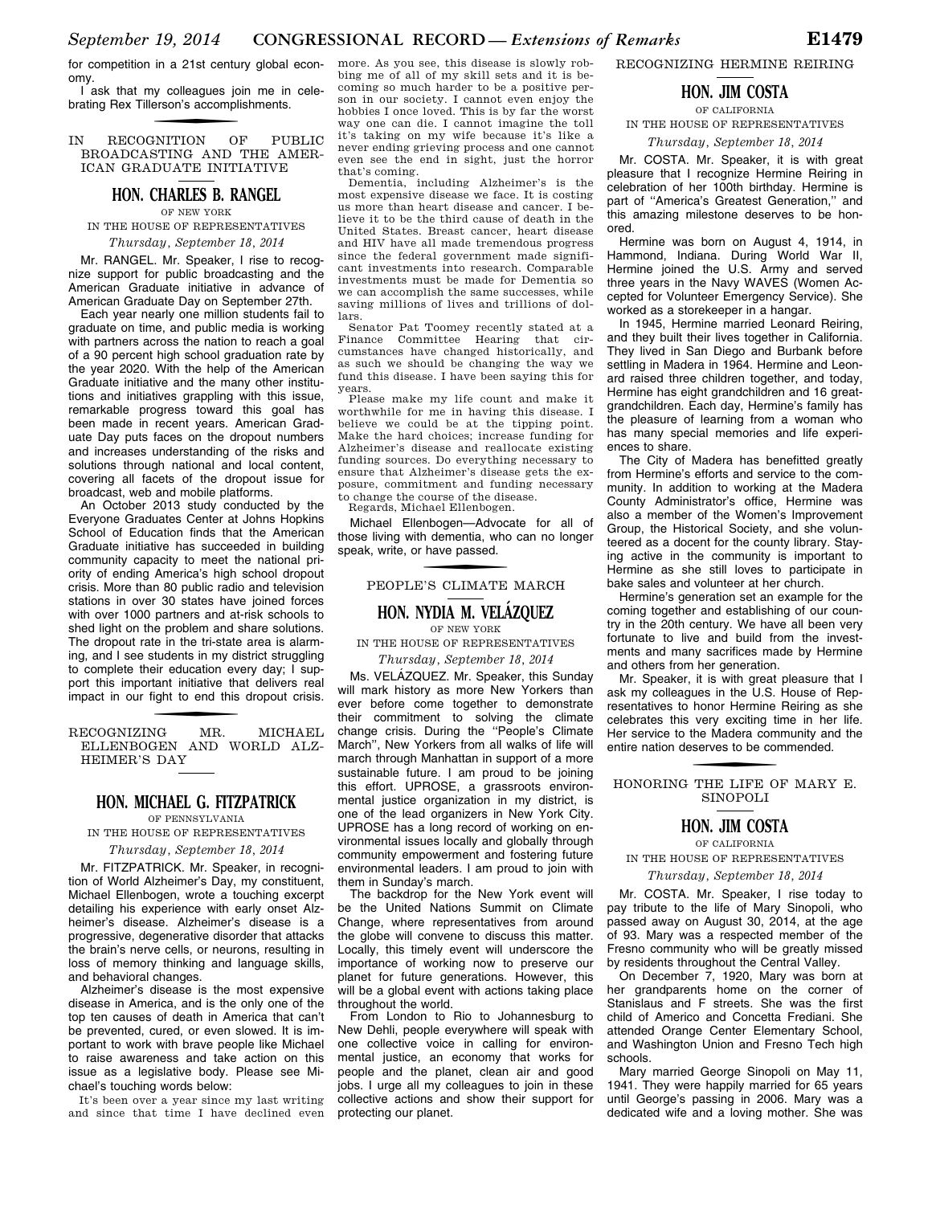for competition in a 21st century global economy.

I ask that my colleagues join me in celebrating Rex Tillerson's accomplishments.

f IN RECOGNITION OF PUBLIC BROADCASTING AND THE AMER-ICAN GRADUATE INITIATIVE

#### **HON. CHARLES B. RANGEL** OF NEW YORK

IN THE HOUSE OF REPRESENTATIVES *Thursday, September 18, 2014* 

Mr. RANGEL. Mr. Speaker, I rise to recognize support for public broadcasting and the American Graduate initiative in advance of American Graduate Day on September 27th.

Each year nearly one million students fail to graduate on time, and public media is working with partners across the nation to reach a goal of a 90 percent high school graduation rate by the year 2020. With the help of the American Graduate initiative and the many other institutions and initiatives grappling with this issue, remarkable progress toward this goal has been made in recent years. American Graduate Day puts faces on the dropout numbers and increases understanding of the risks and solutions through national and local content, covering all facets of the dropout issue for broadcast, web and mobile platforms.

An October 2013 study conducted by the Everyone Graduates Center at Johns Hopkins School of Education finds that the American Graduate initiative has succeeded in building community capacity to meet the national priority of ending America's high school dropout crisis. More than 80 public radio and television stations in over 30 states have joined forces with over 1000 partners and at-risk schools to shed light on the problem and share solutions. The dropout rate in the tri-state area is alarming, and I see students in my district struggling to complete their education every day; I support this important initiative that delivers real impact in our fight to end this dropout crisis.

RECOGNIZING MR. MICHAEL ELLENBOGEN AND WORLD ALZ-HEIMER'S DAY

# **HON. MICHAEL G. FITZPATRICK**

OF PENNSYLVANIA IN THE HOUSE OF REPRESENTATIVES

#### *Thursday, September 18, 2014*

Mr. FITZPATRICK. Mr. Speaker, in recognition of World Alzheimer's Day, my constituent, Michael Ellenbogen, wrote a touching excerpt detailing his experience with early onset Alzheimer's disease. Alzheimer's disease is a progressive, degenerative disorder that attacks the brain's nerve cells, or neurons, resulting in loss of memory thinking and language skills, and behavioral changes.

Alzheimer's disease is the most expensive disease in America, and is the only one of the top ten causes of death in America that can't be prevented, cured, or even slowed. It is important to work with brave people like Michael to raise awareness and take action on this issue as a legislative body. Please see Michael's touching words below:

It's been over a year since my last writing and since that time I have declined even

more. As you see, this disease is slowly robbing me of all of my skill sets and it is becoming so much harder to be a positive person in our society. I cannot even enjoy the hobbies I once loved. This is by far the worst way one can die. I cannot imagine the toll it's taking on my wife because it's like a never ending grieving process and one cannot even see the end in sight, just the horror that's coming.

Dementia, including Alzheimer's is the most expensive disease we face. It is costing us more than heart disease and cancer. I believe it to be the third cause of death in the United States. Breast cancer, heart disease and HIV have all made tremendous progress since the federal government made significant investments into research. Comparable investments must be made for Dementia so we can accomplish the same successes, while saving millions of lives and trillions of dollars.

Senator Pat Toomey recently stated at a Finance Committee Hearing that circumstances have changed historically, and as such we should be changing the way we fund this disease. I have been saying this for years.

Please make my life count and make it worthwhile for me in having this disease. I believe we could be at the tipping point. Make the hard choices; increase funding for Alzheimer's disease and reallocate existing funding sources. Do everything necessary to ensure that Alzheimer's disease gets the exposure, commitment and funding necessary to change the course of the disease.

Regards, Michael Ellenbogen.

Michael Ellenbogen—Advocate for all of those living with dementia, who can no longer speak, write, or have passed.

# f PEOPLE'S CLIMATE MARCH

# **HON. NYDIA M. VELAZOUEZ**

OF NEW YORK

IN THE HOUSE OF REPRESENTATIVES *Thursday, September 18, 2014* 

Ms. VELÁZQUEZ. Mr. Speaker, this Sunday will mark history as more New Yorkers than ever before come together to demonstrate their commitment to solving the climate change crisis. During the ''People's Climate March'', New Yorkers from all walks of life will march through Manhattan in support of a more sustainable future. I am proud to be joining this effort. UPROSE, a grassroots environmental justice organization in my district, is one of the lead organizers in New York City. UPROSE has a long record of working on environmental issues locally and globally through community empowerment and fostering future environmental leaders. I am proud to join with them in Sunday's march.

The backdrop for the New York event will be the United Nations Summit on Climate Change, where representatives from around the globe will convene to discuss this matter. Locally, this timely event will underscore the importance of working now to preserve our planet for future generations. However, this will be a global event with actions taking place throughout the world.

From London to Rio to Johannesburg to New Dehli, people everywhere will speak with one collective voice in calling for environmental justice, an economy that works for people and the planet, clean air and good jobs. I urge all my colleagues to join in these collective actions and show their support for protecting our planet.

#### RECOGNIZING HERMINE REIRING

# **HON. JIM COSTA**

OF CALIFORNIA

IN THE HOUSE OF REPRESENTATIVES *Thursday, September 18, 2014* 

Mr. COSTA. Mr. Speaker, it is with great pleasure that I recognize Hermine Reiring in celebration of her 100th birthday. Hermine is part of "America's Greatest Generation," and this amazing milestone deserves to be honored.

Hermine was born on August 4, 1914, in Hammond, Indiana. During World War II, Hermine joined the U.S. Army and served three years in the Navy WAVES (Women Accepted for Volunteer Emergency Service). She worked as a storekeeper in a hangar.

In 1945, Hermine married Leonard Reiring, and they built their lives together in California. They lived in San Diego and Burbank before settling in Madera in 1964. Hermine and Leonard raised three children together, and today, Hermine has eight grandchildren and 16 greatgrandchildren. Each day, Hermine's family has the pleasure of learning from a woman who has many special memories and life experiences to share.

The City of Madera has benefitted greatly from Hermine's efforts and service to the community. In addition to working at the Madera County Administrator's office, Hermine was also a member of the Women's Improvement Group, the Historical Society, and she volunteered as a docent for the county library. Staying active in the community is important to Hermine as she still loves to participate in bake sales and volunteer at her church.

Hermine's generation set an example for the coming together and establishing of our country in the 20th century. We have all been very fortunate to live and build from the investments and many sacrifices made by Hermine and others from her generation.

Mr. Speaker, it is with great pleasure that I ask my colleagues in the U.S. House of Representatives to honor Hermine Reiring as she celebrates this very exciting time in her life. Her service to the Madera community and the entire nation deserves to be commended.

HONORING THE LIFE OF MARY E. SINOPOLI

#### **HON. JIM COSTA**

OF CALIFORNIA

IN THE HOUSE OF REPRESENTATIVES *Thursday, September 18, 2014* 

Mr. COSTA. Mr. Speaker, I rise today to pay tribute to the life of Mary Sinopoli, who passed away on August 30, 2014, at the age of 93. Mary was a respected member of the Fresno community who will be greatly missed by residents throughout the Central Valley.

On December 7, 1920, Mary was born at her grandparents home on the corner of Stanislaus and F streets. She was the first child of Americo and Concetta Frediani. She attended Orange Center Elementary School, and Washington Union and Fresno Tech high schools.

Mary married George Sinopoli on May 11, 1941. They were happily married for 65 years until George's passing in 2006. Mary was a dedicated wife and a loving mother. She was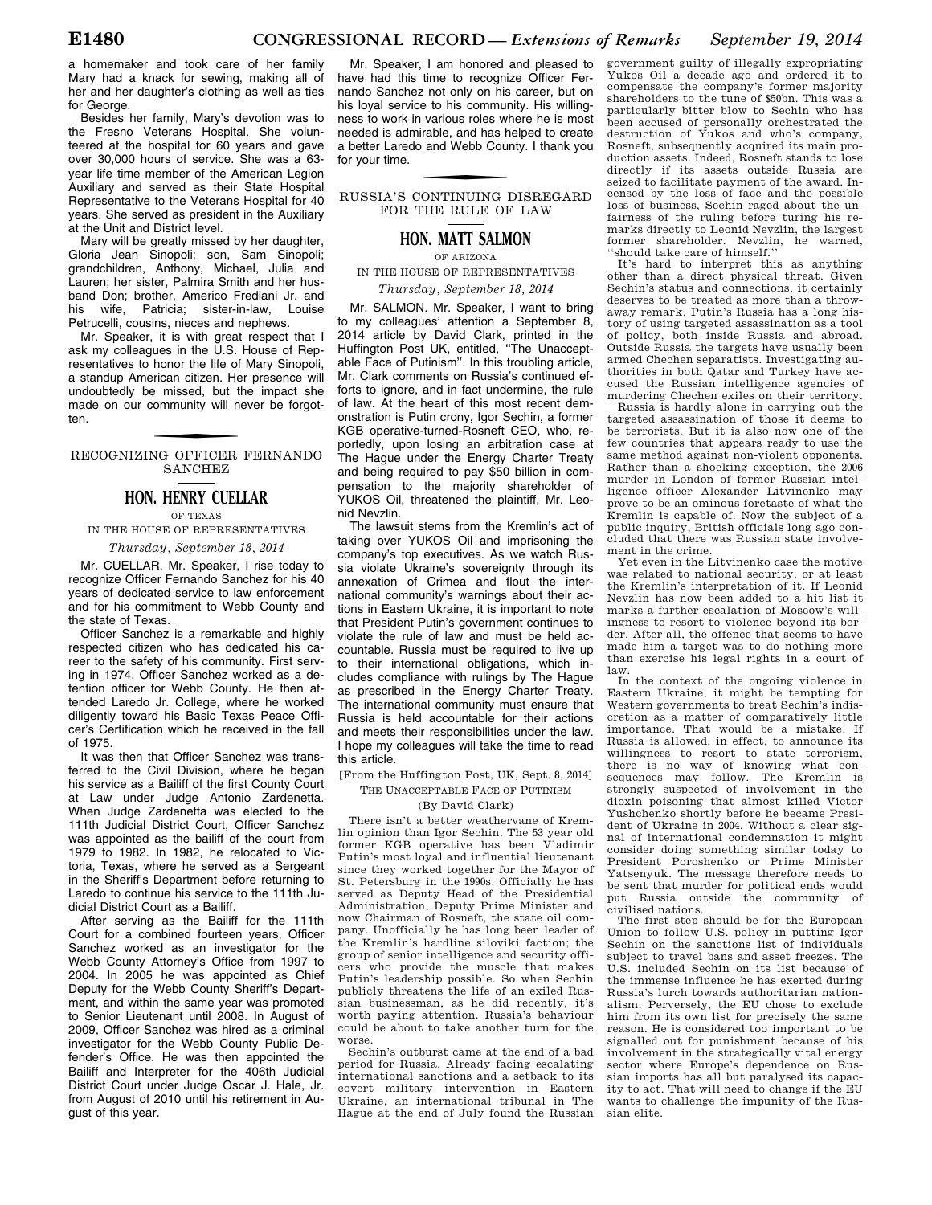a homemaker and took care of her family Mary had a knack for sewing, making all of her and her daughter's clothing as well as ties for George.

Besides her family, Mary's devotion was to the Fresno Veterans Hospital. She volunteered at the hospital for 60 years and gave over 30,000 hours of service. She was a 63 year life time member of the American Legion Auxiliary and served as their State Hospital Representative to the Veterans Hospital for 40 years. She served as president in the Auxiliary at the Unit and District level.

Mary will be greatly missed by her daughter, Gloria Jean Sinopoli; son, Sam Sinopoli; grandchildren, Anthony, Michael, Julia and Lauren; her sister, Palmira Smith and her husband Don; brother, Americo Frediani Jr. and his wife, Patricia; sister-in-law, Louise Petrucelli, cousins, nieces and nephews.

Mr. Speaker, it is with great respect that I ask my colleagues in the U.S. House of Representatives to honor the life of Mary Sinopoli, a standup American citizen. Her presence will undoubtedly be missed, but the impact she made on our community will never be forgotten.

# f RECOGNIZING OFFICER FERNANDO SANCHEZ

# **HON. HENRY CUELLAR**

OF TEXAS

## IN THE HOUSE OF REPRESENTATIVES *Thursday, September 18, 2014*

Mr. CUELLAR. Mr. Speaker, I rise today to recognize Officer Fernando Sanchez for his 40 years of dedicated service to law enforcement and for his commitment to Webb County and the state of Texas.

Officer Sanchez is a remarkable and highly respected citizen who has dedicated his career to the safety of his community. First serving in 1974, Officer Sanchez worked as a detention officer for Webb County. He then attended Laredo Jr. College, where he worked diligently toward his Basic Texas Peace Officer's Certification which he received in the fall of 1975.

It was then that Officer Sanchez was transferred to the Civil Division, where he began his service as a Bailiff of the first County Court at Law under Judge Antonio Zardenetta. When Judge Zardenetta was elected to the 111th Judicial District Court, Officer Sanchez was appointed as the bailiff of the court from 1979 to 1982. In 1982, he relocated to Victoria, Texas, where he served as a Sergeant in the Sheriff's Department before returning to Laredo to continue his service to the 111th Judicial District Court as a Bailiff.

After serving as the Bailiff for the 111th Court for a combined fourteen years, Officer Sanchez worked as an investigator for the Webb County Attorney's Office from 1997 to 2004. In 2005 he was appointed as Chief Deputy for the Webb County Sheriff's Department, and within the same year was promoted to Senior Lieutenant until 2008. In August of 2009, Officer Sanchez was hired as a criminal investigator for the Webb County Public Defender's Office. He was then appointed the Bailiff and Interpreter for the 406th Judicial District Court under Judge Oscar J. Hale, Jr. from August of 2010 until his retirement in August of this year.

Mr. Speaker, I am honored and pleased to have had this time to recognize Officer Fernando Sanchez not only on his career, but on his loyal service to his community. His willingness to work in various roles where he is most needed is admirable, and has helped to create a better Laredo and Webb County. I thank you for your time.

f RUSSIA'S CONTINUING DISREGARD FOR THE RULE OF LAW

#### **HON. MATT SALMON**

OF ARIZONA

IN THE HOUSE OF REPRESENTATIVES

*Thursday, September 18, 2014* 

Mr. SALMON. Mr. Speaker, I want to bring to my colleagues' attention a September 8, 2014 article by David Clark, printed in the Huffington Post UK, entitled, ''The Unacceptable Face of Putinism''. In this troubling article, Mr. Clark comments on Russia's continued efforts to ignore, and in fact undermine, the rule of law. At the heart of this most recent demonstration is Putin crony, Igor Sechin, a former KGB operative-turned-Rosneft CEO, who, reportedly, upon losing an arbitration case at The Hague under the Energy Charter Treaty and being required to pay \$50 billion in compensation to the majority shareholder of YUKOS Oil, threatened the plaintiff, Mr. Leonid Nevzlin.

The lawsuit stems from the Kremlin's act of taking over YUKOS Oil and imprisoning the company's top executives. As we watch Russia violate Ukraine's sovereignty through its annexation of Crimea and flout the international community's warnings about their actions in Eastern Ukraine, it is important to note that President Putin's government continues to violate the rule of law and must be held accountable. Russia must be required to live up to their international obligations, which includes compliance with rulings by The Hague as prescribed in the Energy Charter Treaty. The international community must ensure that Russia is held accountable for their actions and meets their responsibilities under the law. I hope my colleagues will take the time to read this article.

#### [From the Huffington Post, UK, Sept. 8, 2014] THE UNACCEPTABLE FACE OF PUTINISM

#### (By David Clark)

There isn't a better weathervane of Kremlin opinion than Igor Sechin. The 53 year old former KGB operative has been Vladimir Putin's most loyal and influential lieutenant since they worked together for the Mayor of St. Petersburg in the 1990s. Officially he has served as Deputy Head of the Presidential Administration, Deputy Prime Minister and now Chairman of Rosneft, the state oil company. Unofficially he has long been leader of the Kremlin's hardline siloviki faction; the group of senior intelligence and security officers who provide the muscle that makes Putin's leadership possible. So when Sechin publicly threatens the life of an exiled Russian businessman, as he did recently, it's worth paying attention. Russia's behaviour could be about to take another turn for the worse.

Sechin's outburst came at the end of a bad period for Russia. Already facing escalating international sanctions and a setback to its covert military intervention in Eastern Ukraine, an international tribunal in The Hague at the end of July found the Russian

government guilty of illegally expropriating Yukos Oil a decade ago and ordered it to compensate the company's former majority shareholders to the tune of \$50bn. This was a particularly bitter blow to Sechin who has been accused of personally orchestrated the destruction of Yukos and who's company. Rosneft, subsequently acquired its main production assets. Indeed, Rosneft stands to lose directly if its assets outside Russia are seized to facilitate payment of the award. Incensed by the loss of face and the possible loss of business, Sechin raged about the unfairness of the ruling before turing his remarks directly to Leonid Nevzlin, the largest former shareholder. Nevzlin, he warned, ''should take care of himself.''

It's hard to interpret this as anything other than a direct physical threat. Given Sechin's status and connections, it certainly deserves to be treated as more than a throwaway remark. Putin's Russia has a long history of using targeted assassination as a tool of policy, both inside Russia and abroad. Outside Russia the targets have usually been armed Chechen separatists. Investigating authorities in both Qatar and Turkey have accused the Russian intelligence agencies of murdering Chechen exiles on their territory.

Russia is hardly alone in carrying out the targeted assassination of those it deems to be terrorists. But it is also now one of the few countries that appears ready to use the same method against non-violent opponents. Rather than a shocking exception, the 2006 murder in London of former Russian intelligence officer Alexander Litvinenko may prove to be an ominous foretaste of what the Kremlin is capable of. Now the subject of a public inquiry, British officials long ago concluded that there was Russian state involvement in the crime.

Yet even in the Litvinenko case the motive was related to national security, or at least the Kremlin's interpretation of it. If Leonid Nevzlin has now been added to a hit list it marks a further escalation of Moscow's willingness to resort to violence beyond its border. After all, the offence that seems to have made him a target was to do nothing more than exercise his legal rights in a court of law.

In the context of the ongoing violence in Eastern Ukraine, it might be tempting for Western governments to treat Sechin's indiscretion as a matter of comparatively little importance. That would be a mistake. If Russia is allowed, in effect, to announce its willingness to resort to state terrorism, there is no way of knowing what consequences may follow. The Kremlin is strongly suspected of involvement in the dioxin poisoning that almost killed Victor Yushchenko shortly before he became President of Ukraine in 2004. Without a clear signal of international condemnation it might consider doing something similar today to President Poroshenko or Prime Minister Yatsenyuk. The message therefore needs to be sent that murder for political ends would put Russia outside the community of

civilised nations. The first step should be for the European Union to follow U.S. policy in putting Igor Sechin on the sanctions list of individuals subject to travel bans and asset freezes. The U.S. included Sechin on its list because of the immense influence he has exerted during Russia's lurch towards authoritarian nationalism. Perversely, the EU chose to exclude him from its own list for precisely the same reason. He is considered too important to be signalled out for punishment because of his involvement in the strategically vital energy sector where Europe's dependence on Russian imports has all but paralysed its capacity to act. That will need to change if the EU wants to challenge the impunity of the Russian elite.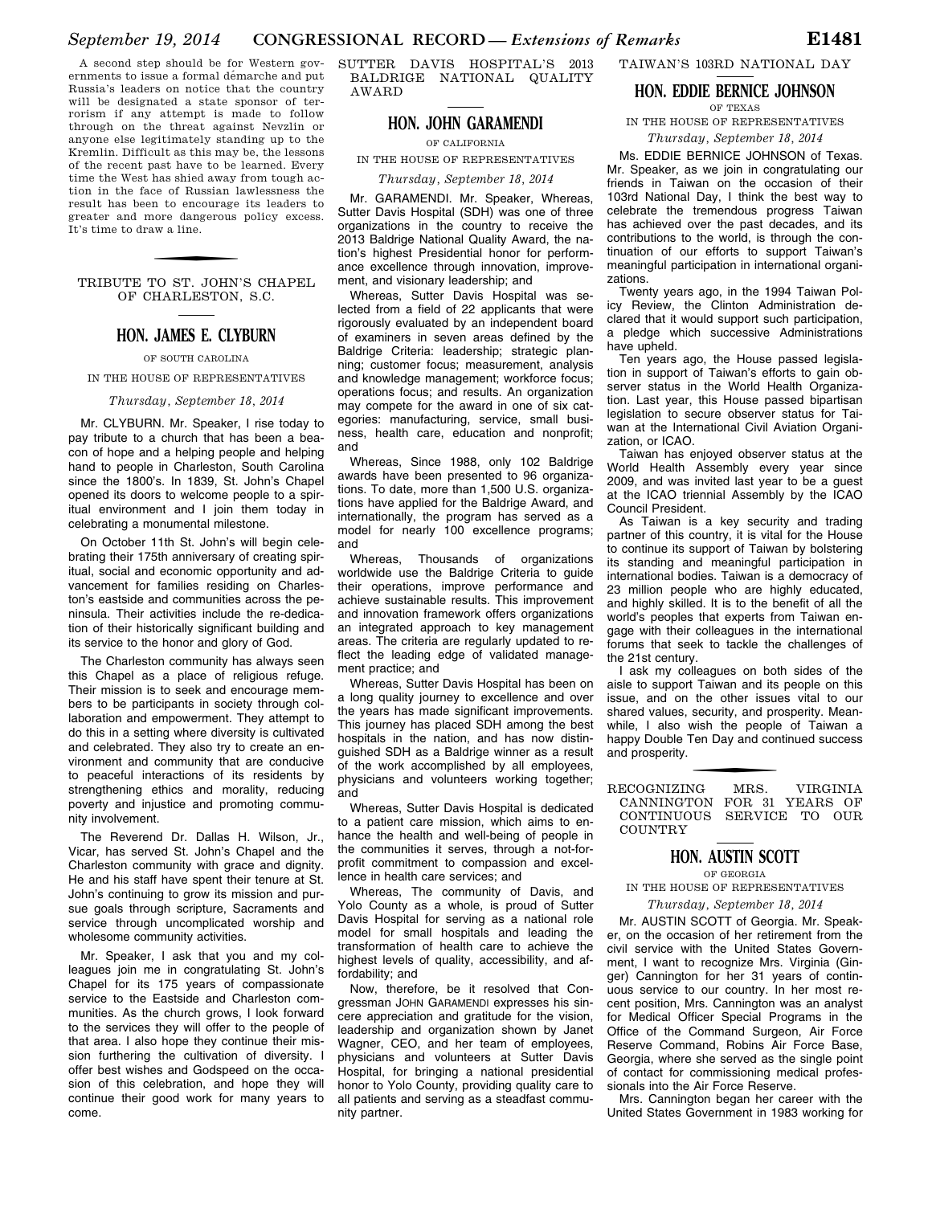A second step should be for Western governments to issue a formal démarche and put Russia's leaders on notice that the country will be designated a state sponsor of terrorism if any attempt is made to follow through on the threat against Nevzlin or anyone else legitimately standing up to the Kremlin. Difficult as this may be, the lessons of the recent past have to be learned. Every time the West has shied away from tough action in the face of Russian lawlessness the result has been to encourage its leaders to greater and more dangerous policy excess. It's time to draw a line.

TRIBUTE TO ST. JOHN'S CHAPEL OF CHARLESTON, S.C.

# **HON. JAMES E. CLYBURN**

OF SOUTH CAROLINA

IN THE HOUSE OF REPRESENTATIVES

*Thursday, September 18, 2014* 

Mr. CLYBURN. Mr. Speaker, I rise today to pay tribute to a church that has been a beacon of hope and a helping people and helping hand to people in Charleston, South Carolina since the 1800's. In 1839, St. John's Chapel opened its doors to welcome people to a spiritual environment and I join them today in celebrating a monumental milestone.

On October 11th St. John's will begin celebrating their 175th anniversary of creating spiritual, social and economic opportunity and advancement for families residing on Charleston's eastside and communities across the peninsula. Their activities include the re-dedication of their historically significant building and its service to the honor and glory of God.

The Charleston community has always seen this Chapel as a place of religious refuge. Their mission is to seek and encourage members to be participants in society through collaboration and empowerment. They attempt to do this in a setting where diversity is cultivated and celebrated. They also try to create an environment and community that are conducive to peaceful interactions of its residents by strengthening ethics and morality, reducing poverty and injustice and promoting community involvement.

The Reverend Dr. Dallas H. Wilson, Jr., Vicar, has served St. John's Chapel and the Charleston community with grace and dignity. He and his staff have spent their tenure at St. John's continuing to grow its mission and pursue goals through scripture, Sacraments and service through uncomplicated worship and wholesome community activities.

Mr. Speaker, I ask that you and my colleagues join me in congratulating St. John's Chapel for its 175 years of compassionate service to the Eastside and Charleston communities. As the church grows, I look forward to the services they will offer to the people of that area. I also hope they continue their mission furthering the cultivation of diversity. I offer best wishes and Godspeed on the occasion of this celebration, and hope they will continue their good work for many years to come.

SUTTER DAVIS HOSPITAL'S 2013 BALDRIGE NATIONAL QUALITY AWARD

## **HON. JOHN GARAMENDI**

OF CALIFORNIA

IN THE HOUSE OF REPRESENTATIVES

*Thursday, September 18, 2014* 

Mr. GARAMENDI. Mr. Speaker, Whereas, Sutter Davis Hospital (SDH) was one of three organizations in the country to receive the 2013 Baldrige National Quality Award, the nation's highest Presidential honor for performance excellence through innovation, improvement, and visionary leadership; and

Whereas, Sutter Davis Hospital was selected from a field of 22 applicants that were rigorously evaluated by an independent board of examiners in seven areas defined by the Baldrige Criteria: leadership; strategic planning; customer focus; measurement, analysis and knowledge management; workforce focus; operations focus; and results. An organization may compete for the award in one of six categories: manufacturing, service, small business, health care, education and nonprofit; and

Whereas, Since 1988, only 102 Baldrige awards have been presented to 96 organizations. To date, more than 1,500 U.S. organizations have applied for the Baldrige Award, and internationally, the program has served as a model for nearly 100 excellence programs; and

Whereas, Thousands of organizations worldwide use the Baldrige Criteria to guide their operations, improve performance and achieve sustainable results. This improvement and innovation framework offers organizations an integrated approach to key management areas. The criteria are regularly updated to reflect the leading edge of validated management practice; and

Whereas, Sutter Davis Hospital has been on a long quality journey to excellence and over the years has made significant improvements. This journey has placed SDH among the best hospitals in the nation, and has now distinguished SDH as a Baldrige winner as a result of the work accomplished by all employees, physicians and volunteers working together; and

Whereas, Sutter Davis Hospital is dedicated to a patient care mission, which aims to enhance the health and well-being of people in the communities it serves, through a not-forprofit commitment to compassion and excellence in health care services; and

Whereas, The community of Davis, and Yolo County as a whole, is proud of Sutter Davis Hospital for serving as a national role model for small hospitals and leading the transformation of health care to achieve the highest levels of quality, accessibility, and affordability; and

Now, therefore, be it resolved that Congressman JOHN GARAMENDI expresses his sincere appreciation and gratitude for the vision, leadership and organization shown by Janet Wagner, CEO, and her team of employees, physicians and volunteers at Sutter Davis Hospital, for bringing a national presidential honor to Yolo County, providing quality care to all patients and serving as a steadfast community partner.

TAIWAN'S 103RD NATIONAL DAY

## **HON. EDDIE BERNICE JOHNSON**

OF TEXAS

IN THE HOUSE OF REPRESENTATIVES

*Thursday, September 18, 2014* 

Ms. EDDIE BERNICE JOHNSON of Texas. Mr. Speaker, as we join in congratulating our friends in Taiwan on the occasion of their 103rd National Day, I think the best way to celebrate the tremendous progress Taiwan has achieved over the past decades, and its contributions to the world, is through the continuation of our efforts to support Taiwan's meaningful participation in international organizations.

Twenty years ago, in the 1994 Taiwan Policy Review, the Clinton Administration declared that it would support such participation, a pledge which successive Administrations have upheld.

Ten years ago, the House passed legislation in support of Taiwan's efforts to gain observer status in the World Health Organization. Last year, this House passed bipartisan legislation to secure observer status for Taiwan at the International Civil Aviation Organization, or ICAO.

Taiwan has enjoyed observer status at the World Health Assembly every year since 2009, and was invited last year to be a guest at the ICAO triennial Assembly by the ICAO Council President.

As Taiwan is a key security and trading partner of this country, it is vital for the House to continue its support of Taiwan by bolstering its standing and meaningful participation in international bodies. Taiwan is a democracy of 23 million people who are highly educated, and highly skilled. It is to the benefit of all the world's peoples that experts from Taiwan engage with their colleagues in the international forums that seek to tackle the challenges of the 21st century.

I ask my colleagues on both sides of the aisle to support Taiwan and its people on this issue, and on the other issues vital to our shared values, security, and prosperity. Meanwhile, I also wish the people of Taiwan a happy Double Ten Day and continued success and prosperity.

RECOGNIZING MRS. VIRGINIA CANNINGTON FOR 31 YEARS OF CONTINUOUS SERVICE TO OUR COUNTRY

#### **HON. AUSTIN SCOTT** OF GEORGIA

IN THE HOUSE OF REPRESENTATIVES

*Thursday, September 18, 2014* 

Mr. AUSTIN SCOTT of Georgia. Mr. Speaker, on the occasion of her retirement from the civil service with the United States Government, I want to recognize Mrs. Virginia (Ginger) Cannington for her 31 years of continuous service to our country. In her most recent position, Mrs. Cannington was an analyst for Medical Officer Special Programs in the Office of the Command Surgeon, Air Force Reserve Command, Robins Air Force Base, Georgia, where she served as the single point of contact for commissioning medical professionals into the Air Force Reserve.

Mrs. Cannington began her career with the United States Government in 1983 working for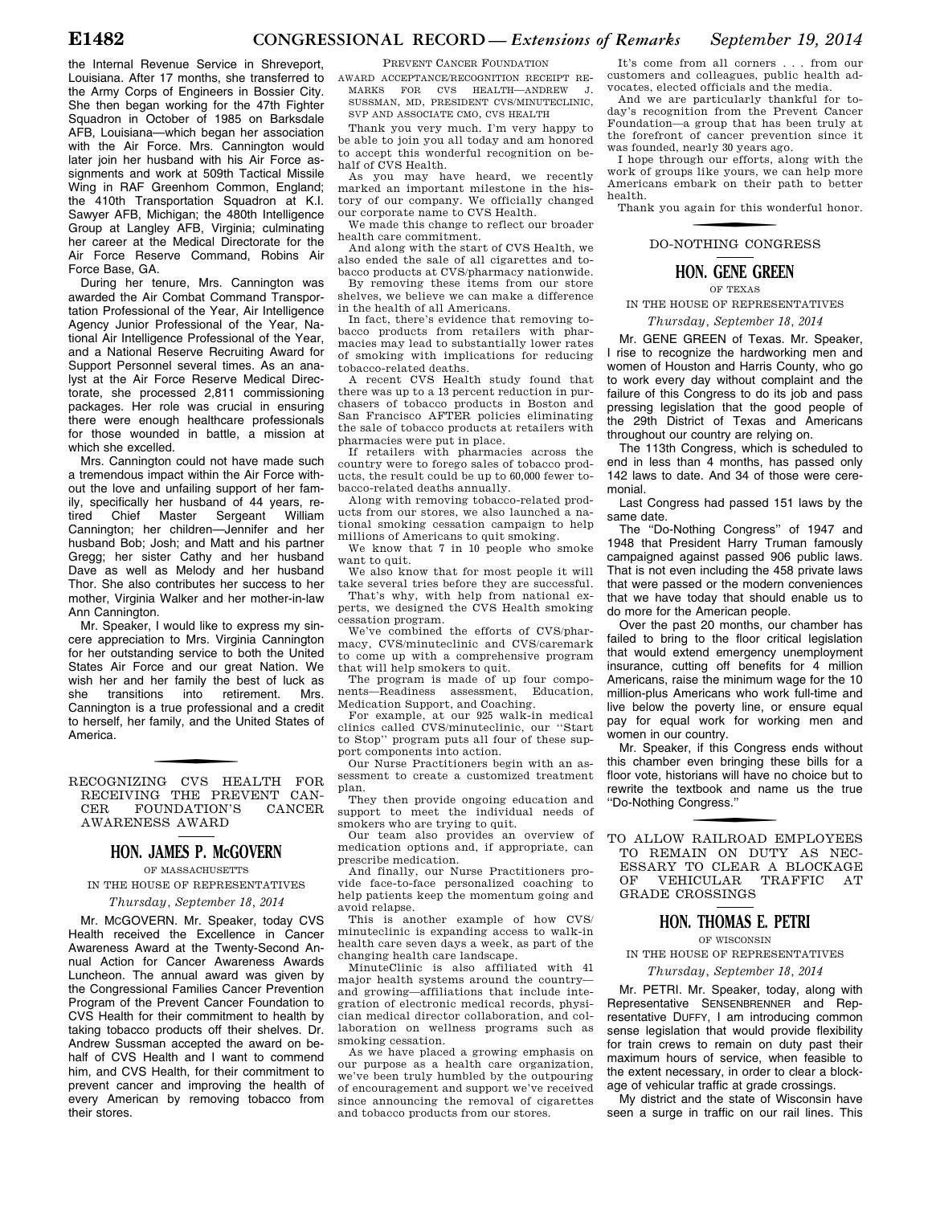the Internal Revenue Service in Shreveport, Louisiana. After 17 months, she transferred to the Army Corps of Engineers in Bossier City. She then began working for the 47th Fighter Squadron in October of 1985 on Barksdale AFB, Louisiana—which began her association with the Air Force. Mrs. Cannington would later join her husband with his Air Force assignments and work at 509th Tactical Missile Wing in RAF Greenhom Common, England; the 410th Transportation Squadron at K.I. Sawyer AFB, Michigan; the 480th Intelligence Group at Langley AFB, Virginia; culminating her career at the Medical Directorate for the Air Force Reserve Command, Robins Air Force Base, GA.

During her tenure, Mrs. Cannington was awarded the Air Combat Command Transportation Professional of the Year, Air Intelligence Agency Junior Professional of the Year, National Air Intelligence Professional of the Year, and a National Reserve Recruiting Award for Support Personnel several times. As an analyst at the Air Force Reserve Medical Directorate, she processed 2,811 commissioning packages. Her role was crucial in ensuring there were enough healthcare professionals for those wounded in battle, a mission at which she excelled.

Mrs. Cannington could not have made such a tremendous impact within the Air Force without the love and unfailing support of her family, specifically her husband of 44 years, re-Chief Master Sergeant Cannington; her children—Jennifer and her husband Bob; Josh; and Matt and his partner Gregg; her sister Cathy and her husband Dave as well as Melody and her husband Thor. She also contributes her success to her mother, Virginia Walker and her mother-in-law Ann Cannington.

Mr. Speaker, I would like to express my sincere appreciation to Mrs. Virginia Cannington for her outstanding service to both the United States Air Force and our great Nation. We wish her and her family the best of luck as she transitions into retirement. Mrs. Cannington is a true professional and a credit to herself, her family, and the United States of America.

f RECOGNIZING CVS HEALTH FOR RECEIVING THE PREVENT CAN-CER FOUNDATION'S CANCER AWARENESS AWARD

# **HON. JAMES P. McGOVERN**

OF MASSACHUSETTS

IN THE HOUSE OF REPRESENTATIVES

*Thursday, September 18, 2014* 

Mr. MCGOVERN. Mr. Speaker, today CVS Health received the Excellence in Cancer Awareness Award at the Twenty-Second Annual Action for Cancer Awareness Awards Luncheon. The annual award was given by the Congressional Families Cancer Prevention Program of the Prevent Cancer Foundation to CVS Health for their commitment to health by taking tobacco products off their shelves. Dr. Andrew Sussman accepted the award on behalf of CVS Health and I want to commend him, and CVS Health, for their commitment to prevent cancer and improving the health of every American by removing tobacco from their stores.

PREVENT CANCER FOUNDATION

AWARD ACCEPTANCE/RECOGNITION RECEIPT RE-MARKS FOR CVS HEALTH—ANDREW J. SUSSMAN, MD, PRESIDENT CVS/MINUTECLINIC, SVP AND ASSOCIATE CMO, CVS HEALTH

Thank you very much. I'm very happy to be able to join you all today and am honored to accept this wonderful recognition on behalf of CVS Health.

As you may have heard, we recently marked an important milestone in the history of our company. We officially changed our corporate name to CVS Health.

We made this change to reflect our broader health care commitment.

And along with the start of CVS Health, we also ended the sale of all cigarettes and tobacco products at CVS/pharmacy nationwide.

By removing these items from our store shelves, we believe we can make a difference in the health of all Americans.

In fact, there's evidence that removing tobacco products from retailers with pharmacies may lead to substantially lower rates of smoking with implications for reducing tobacco-related deaths.

A recent CVS Health study found that there was up to a 13 percent reduction in purchasers of tobacco products in Boston and San Francisco AFTER policies eliminating the sale of tobacco products at retailers with pharmacies were put in place.

If retailers with pharmacies across the country were to forego sales of tobacco products, the result could be up to 60,000 fewer tobacco-related deaths annually.

Along with removing tobacco-related products from our stores, we also launched a national smoking cessation campaign to help millions of Americans to quit smoking.

We know that 7 in 10 people who smoke want to quit.

We also know that for most people it will take several tries before they are successful.

That's why, with help from national experts, we designed the CVS Health smoking cessation program.

We've combined the efforts of CVS/pharmacy, CVS/minuteclinic and CVS/caremark to come up with a comprehensive program that will help smokers to quit.

The program is made of up four compo-<br>ents—Readiness assessment, Education, nents—Readiness assessment. Medication Support, and Coaching.

For example, at our 925 walk-in medical clinics called CVS/minuteclinic, our ''Start to Stop'' program puts all four of these support components into action.

Our Nurse Practitioners begin with an assessment to create a customized treatment plan.

They then provide ongoing education and support to meet the individual needs of smokers who are trying to quit.

Our team also provides an overview of medication options and, if appropriate, can prescribe medication.

And finally, our Nurse Practitioners provide face-to-face personalized coaching to help patients keep the momentum going and avoid relapse.

This is another example of how CVS/ minuteclinic is expanding access to walk-in health care seven days a week, as part of the changing health care landscape.

MinuteClinic is also affiliated with 41 major health systems around the country and growing—affiliations that include integration of electronic medical records, physician medical director collaboration, and collaboration on wellness programs such as smoking cessation.

As we have placed a growing emphasis on our purpose as a health care organization, we've been truly humbled by the outpouring of encouragement and support we've received since announcing the removal of cigarettes and tobacco products from our stores.

It's come from all corners . . . from our customers and colleagues, public health advocates, elected officials and the media.

And we are particularly thankful for today's recognition from the Prevent Cancer Foundation—a group that has been truly at the forefront of cancer prevention since it was founded, nearly 30 years ago.

I hope through our efforts, along with the work of groups like yours, we can help more Americans embark on their path to better health. Thank you again for this wonderful honor.

#### DO-NOTHING CONGRESS

#### **HON. GENE GREEN**

OF TEXAS

IN THE HOUSE OF REPRESENTATIVES *Thursday, September 18, 2014* 

Mr. GENE GREEN of Texas. Mr. Speaker, I rise to recognize the hardworking men and women of Houston and Harris County, who go to work every day without complaint and the failure of this Congress to do its job and pass pressing legislation that the good people of the 29th District of Texas and Americans throughout our country are relying on.

The 113th Congress, which is scheduled to end in less than 4 months, has passed only 142 laws to date. And 34 of those were ceremonial.

Last Congress had passed 151 laws by the same date.

The ''Do-Nothing Congress'' of 1947 and 1948 that President Harry Truman famously campaigned against passed 906 public laws. That is not even including the 458 private laws that were passed or the modern conveniences that we have today that should enable us to do more for the American people.

Over the past 20 months, our chamber has failed to bring to the floor critical legislation that would extend emergency unemployment insurance, cutting off benefits for 4 million Americans, raise the minimum wage for the 10 million-plus Americans who work full-time and live below the poverty line, or ensure equal pay for equal work for working men and women in our country.

Mr. Speaker, if this Congress ends without this chamber even bringing these bills for a floor vote, historians will have no choice but to rewrite the textbook and name us the true ''Do-Nothing Congress.''

TO ALLOW RAILROAD EMPLOYEES TO REMAIN ON DUTY AS NEC-ESSARY TO CLEAR A BLOCKAGE<br>OF VEHICULAR TRAFFIC AT VEHICULAR TRAFFIC AT GRADE CROSSINGS

#### **HON. THOMAS E. PETRI**

OF WISCONSIN

IN THE HOUSE OF REPRESENTATIVES

*Thursday, September 18, 2014* 

Mr. PETRI. Mr. Speaker, today, along with Representative SENSENBRENNER and Representative DUFFY, I am introducing common sense legislation that would provide flexibility for train crews to remain on duty past their maximum hours of service, when feasible to the extent necessary, in order to clear a blockage of vehicular traffic at grade crossings.

My district and the state of Wisconsin have seen a surge in traffic on our rail lines. This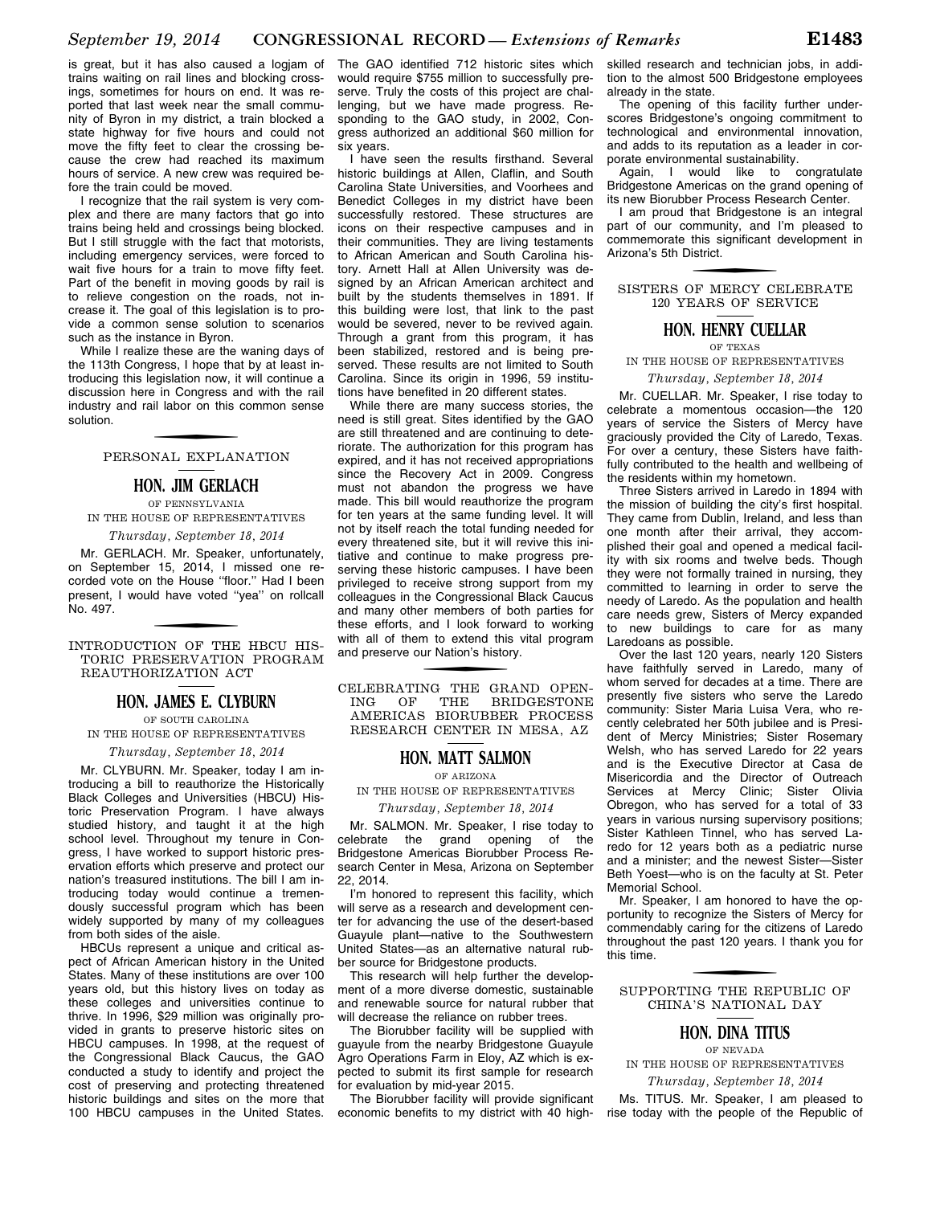is great, but it has also caused a logjam of trains waiting on rail lines and blocking crossings, sometimes for hours on end. It was reported that last week near the small community of Byron in my district, a train blocked a state highway for five hours and could not move the fifty feet to clear the crossing because the crew had reached its maximum hours of service. A new crew was required before the train could be moved.

I recognize that the rail system is very complex and there are many factors that go into trains being held and crossings being blocked. But I still struggle with the fact that motorists, including emergency services, were forced to wait five hours for a train to move fifty feet. Part of the benefit in moving goods by rail is to relieve congestion on the roads, not increase it. The goal of this legislation is to provide a common sense solution to scenarios such as the instance in Byron.

While I realize these are the waning days of the 113th Congress, I hope that by at least introducing this legislation now, it will continue a discussion here in Congress and with the rail industry and rail labor on this common sense solution.

# f PERSONAL EXPLANATION

## **HON. JIM GERLACH**

OF PENNSYLVANIA IN THE HOUSE OF REPRESENTATIVES

#### *Thursday, September 18, 2014*

Mr. GERLACH. Mr. Speaker, unfortunately, on September 15, 2014, I missed one recorded vote on the House ''floor.'' Had I been present, I would have voted ''yea'' on rollcall No. 497.

f INTRODUCTION OF THE HBCU HIS-TORIC PRESERVATION PROGRAM REAUTHORIZATION ACT

# **HON. JAMES E. CLYBURN**

OF SOUTH CAROLINA IN THE HOUSE OF REPRESENTATIVES

*Thursday, September 18, 2014* 

Mr. CLYBURN. Mr. Speaker, today I am introducing a bill to reauthorize the Historically Black Colleges and Universities (HBCU) Historic Preservation Program. I have always studied history, and taught it at the high school level. Throughout my tenure in Congress, I have worked to support historic preservation efforts which preserve and protect our nation's treasured institutions. The bill I am introducing today would continue a tremendously successful program which has been widely supported by many of my colleagues from both sides of the aisle.

HBCUs represent a unique and critical aspect of African American history in the United States. Many of these institutions are over 100 years old, but this history lives on today as these colleges and universities continue to thrive. In 1996, \$29 million was originally provided in grants to preserve historic sites on HBCU campuses. In 1998, at the request of the Congressional Black Caucus, the GAO conducted a study to identify and project the cost of preserving and protecting threatened historic buildings and sites on the more that 100 HBCU campuses in the United States. The GAO identified 712 historic sites which would require \$755 million to successfully preserve. Truly the costs of this project are challenging, but we have made progress. Responding to the GAO study, in 2002, Congress authorized an additional \$60 million for six years.

I have seen the results firsthand. Several historic buildings at Allen, Claflin, and South Carolina State Universities, and Voorhees and Benedict Colleges in my district have been successfully restored. These structures are icons on their respective campuses and in their communities. They are living testaments to African American and South Carolina history. Arnett Hall at Allen University was designed by an African American architect and built by the students themselves in 1891. If this building were lost, that link to the past would be severed, never to be revived again. Through a grant from this program, it has been stabilized, restored and is being preserved. These results are not limited to South Carolina. Since its origin in 1996, 59 institutions have benefited in 20 different states.

While there are many success stories, the need is still great. Sites identified by the GAO are still threatened and are continuing to deteriorate. The authorization for this program has expired, and it has not received appropriations since the Recovery Act in 2009. Congress must not abandon the progress we have made. This bill would reauthorize the program for ten years at the same funding level. It will not by itself reach the total funding needed for every threatened site, but it will revive this initiative and continue to make progress preserving these historic campuses. I have been privileged to receive strong support from my colleagues in the Congressional Black Caucus and many other members of both parties for these efforts, and I look forward to working with all of them to extend this vital program and preserve our Nation's history.

CELEBRATING THE GRAND OPEN-ING OF THE BRIDGESTONE AMERICAS BIORUBBER PROCESS RESEARCH CENTER IN MESA, AZ

#### **HON. MATT SALMON**

OF ARIZONA

IN THE HOUSE OF REPRESENTATIVES

*Thursday, September 18, 2014* 

Mr. SALMON. Mr. Speaker, I rise today to celebrate the grand opening of the Bridgestone Americas Biorubber Process Research Center in Mesa, Arizona on September 22, 2014.

I'm honored to represent this facility, which will serve as a research and development center for advancing the use of the desert-based Guayule plant—native to the Southwestern United States—as an alternative natural rubber source for Bridgestone products.

This research will help further the development of a more diverse domestic, sustainable and renewable source for natural rubber that will decrease the reliance on rubber trees.

The Biorubber facility will be supplied with guayule from the nearby Bridgestone Guayule Agro Operations Farm in Eloy, AZ which is expected to submit its first sample for research for evaluation by mid-year 2015.

The Biorubber facility will provide significant economic benefits to my district with 40 high-

skilled research and technician jobs, in addition to the almost 500 Bridgestone employees already in the state.

The opening of this facility further underscores Bridgestone's ongoing commitment to technological and environmental innovation, and adds to its reputation as a leader in corporate environmental sustainability.

Again, I would like to congratulate Bridgestone Americas on the grand opening of its new Biorubber Process Research Center.

I am proud that Bridgestone is an integral part of our community, and I'm pleased to commemorate this significant development in Arizona's 5th District.

SISTERS OF MERCY CELEBRATE 120 YEARS OF SERVICE

## **HON. HENRY CUELLAR**

OF TEXAS IN THE HOUSE OF REPRESENTATIVES

*Thursday, September 18, 2014* 

Mr. CUELLAR. Mr. Speaker, I rise today to celebrate a momentous occasion—the 120 years of service the Sisters of Mercy have graciously provided the City of Laredo, Texas. For over a century, these Sisters have faithfully contributed to the health and wellbeing of the residents within my hometown.

Three Sisters arrived in Laredo in 1894 with the mission of building the city's first hospital. They came from Dublin, Ireland, and less than one month after their arrival, they accomplished their goal and opened a medical facility with six rooms and twelve beds. Though they were not formally trained in nursing, they committed to learning in order to serve the needy of Laredo. As the population and health care needs grew, Sisters of Mercy expanded to new buildings to care for as many Laredoans as possible.

Over the last 120 years, nearly 120 Sisters have faithfully served in Laredo, many of whom served for decades at a time. There are presently five sisters who serve the Laredo community: Sister Maria Luisa Vera, who recently celebrated her 50th jubilee and is President of Mercy Ministries; Sister Rosemary Welsh, who has served Laredo for 22 years and is the Executive Director at Casa de Misericordia and the Director of Outreach Services at Mercy Clinic; Sister Olivia Obregon, who has served for a total of 33 years in various nursing supervisory positions; Sister Kathleen Tinnel, who has served Laredo for 12 years both as a pediatric nurse and a minister; and the newest Sister—Sister Beth Yoest—who is on the faculty at St. Peter Memorial School.

Mr. Speaker, I am honored to have the opportunity to recognize the Sisters of Mercy for commendably caring for the citizens of Laredo throughout the past 120 years. I thank you for this time.

# SUPPORTING THE REPUBLIC OF CHINA'S NATIONAL DAY

#### **HON. DINA TITUS** OF NEVADA

IN THE HOUSE OF REPRESENTATIVES *Thursday, September 18, 2014* 

Ms. TITUS. Mr. Speaker, I am pleased to rise today with the people of the Republic of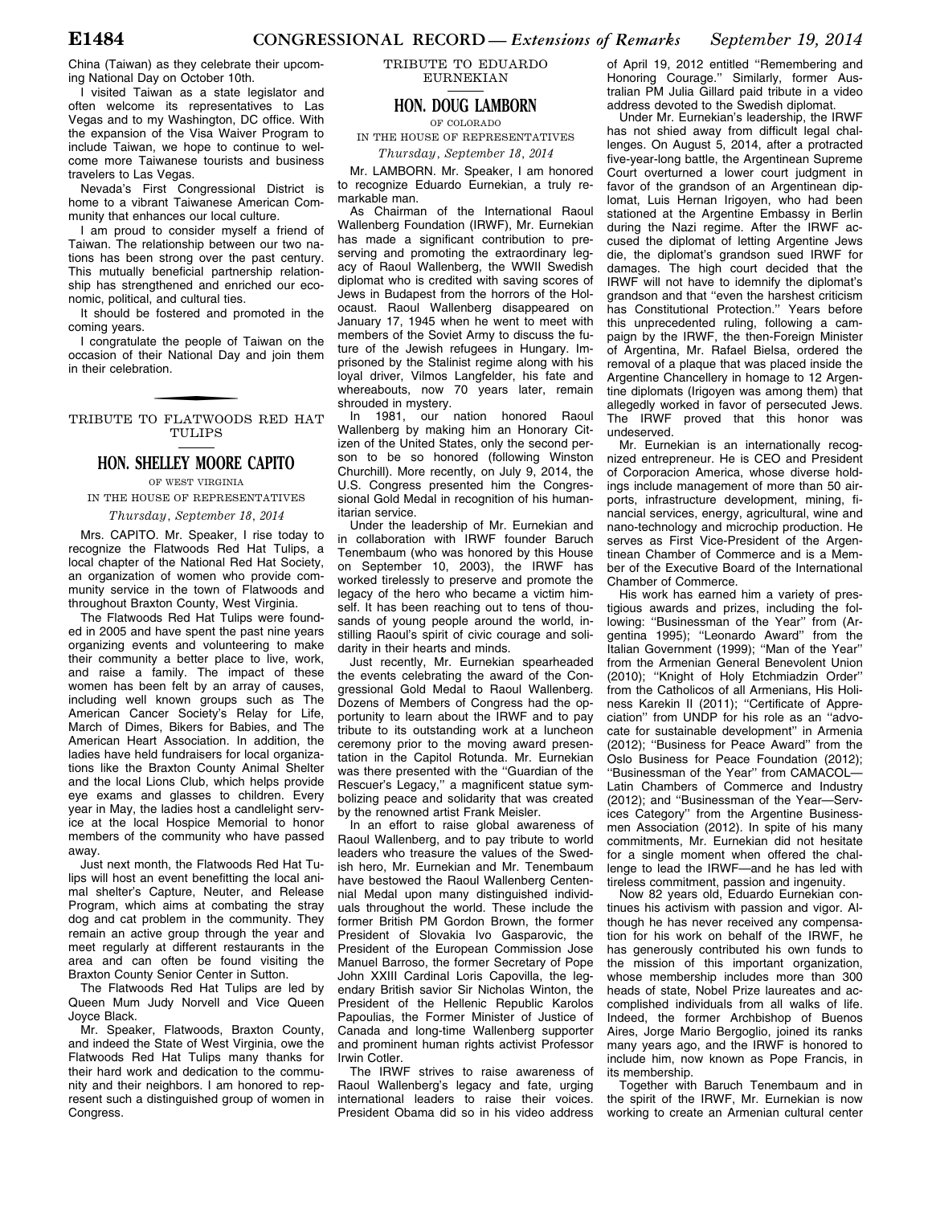China (Taiwan) as they celebrate their upcoming National Day on October 10th.

I visited Taiwan as a state legislator and often welcome its representatives to Las Vegas and to my Washington, DC office. With the expansion of the Visa Waiver Program to include Taiwan, we hope to continue to welcome more Taiwanese tourists and business travelers to Las Vegas.

Nevada's First Congressional District is home to a vibrant Taiwanese American Community that enhances our local culture.

I am proud to consider myself a friend of Taiwan. The relationship between our two nations has been strong over the past century. This mutually beneficial partnership relationship has strengthened and enriched our economic, political, and cultural ties.

It should be fostered and promoted in the coming years.

I congratulate the people of Taiwan on the occasion of their National Day and join them in their celebration.

f TRIBUTE TO FLATWOODS RED HAT **TULIPS** 

# **HON. SHELLEY MOORE CAPITO**

OF WEST VIRGINIA IN THE HOUSE OF REPRESENTATIVES

*Thursday, September 18, 2014* 

Mrs. CAPITO. Mr. Speaker, I rise today to recognize the Flatwoods Red Hat Tulips, a local chapter of the National Red Hat Society, an organization of women who provide community service in the town of Flatwoods and throughout Braxton County, West Virginia.

The Flatwoods Red Hat Tulips were founded in 2005 and have spent the past nine years organizing events and volunteering to make their community a better place to live, work, and raise a family. The impact of these women has been felt by an array of causes, including well known groups such as The American Cancer Society's Relay for Life, March of Dimes, Bikers for Babies, and The American Heart Association. In addition, the ladies have held fundraisers for local organizations like the Braxton County Animal Shelter and the local Lions Club, which helps provide eye exams and glasses to children. Every year in May, the ladies host a candlelight service at the local Hospice Memorial to honor members of the community who have passed away.

Just next month, the Flatwoods Red Hat Tulips will host an event benefitting the local animal shelter's Capture, Neuter, and Release Program, which aims at combating the stray dog and cat problem in the community. They remain an active group through the year and meet regularly at different restaurants in the area and can often be found visiting the Braxton County Senior Center in Sutton.

The Flatwoods Red Hat Tulips are led by Queen Mum Judy Norvell and Vice Queen Joyce Black.

Mr. Speaker, Flatwoods, Braxton County, and indeed the State of West Virginia, owe the Flatwoods Red Hat Tulips many thanks for their hard work and dedication to the community and their neighbors. I am honored to represent such a distinguished group of women in Congress.

TRIBUTE TO EDUARDO EURNEKIAN

#### **HON. DOUG LAMBORN**

OF COLORADO

IN THE HOUSE OF REPRESENTATIVES

*Thursday, September 18, 2014* 

Mr. LAMBORN. Mr. Speaker, I am honored to recognize Eduardo Eurnekian, a truly remarkable man.

As Chairman of the International Raoul Wallenberg Foundation (IRWF), Mr. Eurnekian has made a significant contribution to preserving and promoting the extraordinary legacy of Raoul Wallenberg, the WWII Swedish diplomat who is credited with saving scores of Jews in Budapest from the horrors of the Holocaust. Raoul Wallenberg disappeared on January 17, 1945 when he went to meet with members of the Soviet Army to discuss the future of the Jewish refugees in Hungary. Imprisoned by the Stalinist regime along with his loyal driver, Vilmos Langfelder, his fate and whereabouts, now 70 years later, remain shrouded in mystery.

In 1981, our nation honored Raoul Wallenberg by making him an Honorary Citizen of the United States, only the second person to be so honored (following Winston Churchill). More recently, on July 9, 2014, the U.S. Congress presented him the Congressional Gold Medal in recognition of his humanitarian service.

Under the leadership of Mr. Eurnekian and in collaboration with IRWF founder Baruch Tenembaum (who was honored by this House on September 10, 2003), the IRWF has worked tirelessly to preserve and promote the legacy of the hero who became a victim himself. It has been reaching out to tens of thousands of young people around the world, instilling Raoul's spirit of civic courage and solidarity in their hearts and minds.

Just recently, Mr. Eurnekian spearheaded the events celebrating the award of the Congressional Gold Medal to Raoul Wallenberg. Dozens of Members of Congress had the opportunity to learn about the IRWF and to pay tribute to its outstanding work at a luncheon ceremony prior to the moving award presentation in the Capitol Rotunda. Mr. Eurnekian was there presented with the ''Guardian of the Rescuer's Legacy," a magnificent statue symbolizing peace and solidarity that was created by the renowned artist Frank Meisler.

In an effort to raise global awareness of Raoul Wallenberg, and to pay tribute to world leaders who treasure the values of the Swedish hero, Mr. Eurnekian and Mr. Tenembaum have bestowed the Raoul Wallenberg Centennial Medal upon many distinguished individuals throughout the world. These include the former British PM Gordon Brown, the former President of Slovakia Ivo Gasparovic, the President of the European Commission Jose Manuel Barroso, the former Secretary of Pope John XXIII Cardinal Loris Capovilla, the legendary British savior Sir Nicholas Winton, the President of the Hellenic Republic Karolos Papoulias, the Former Minister of Justice of Canada and long-time Wallenberg supporter and prominent human rights activist Professor Irwin Cotler.

The IRWF strives to raise awareness of Raoul Wallenberg's legacy and fate, urging international leaders to raise their voices. President Obama did so in his video address

of April 19, 2012 entitled ''Remembering and Honoring Courage." Similarly, former Australian PM Julia Gillard paid tribute in a video address devoted to the Swedish diplomat.

Under Mr. Eurnekian's leadership, the IRWF has not shied away from difficult legal challenges. On August 5, 2014, after a protracted five-year-long battle, the Argentinean Supreme Court overturned a lower court judgment in favor of the grandson of an Argentinean diplomat, Luis Hernan Irigoyen, who had been stationed at the Argentine Embassy in Berlin during the Nazi regime. After the IRWF accused the diplomat of letting Argentine Jews die, the diplomat's grandson sued IRWF for damages. The high court decided that the IRWF will not have to idemnify the diplomat's grandson and that ''even the harshest criticism has Constitutional Protection.'' Years before this unprecedented ruling, following a campaign by the IRWF, the then-Foreign Minister of Argentina, Mr. Rafael Bielsa, ordered the removal of a plaque that was placed inside the Argentine Chancellery in homage to 12 Argentine diplomats (Irigoyen was among them) that allegedly worked in favor of persecuted Jews. The IRWF proved that this honor was undeserved.

Mr. Eurnekian is an internationally recognized entrepreneur. He is CEO and President of Corporacion America, whose diverse holdings include management of more than 50 airports, infrastructure development, mining, financial services, energy, agricultural, wine and nano-technology and microchip production. He serves as First Vice-President of the Argentinean Chamber of Commerce and is a Member of the Executive Board of the International Chamber of Commerce.

His work has earned him a variety of prestigious awards and prizes, including the following: "Businessman of the Year" from (Argentina 1995); "Leonardo Award" from the Italian Government (1999); ''Man of the Year'' from the Armenian General Benevolent Union (2010); ''Knight of Holy Etchmiadzin Order'' from the Catholicos of all Armenians, His Holiness Karekin II (2011); "Certificate of Appreciation'' from UNDP for his role as an ''advocate for sustainable development'' in Armenia (2012); ''Business for Peace Award'' from the Oslo Business for Peace Foundation (2012); ''Businessman of the Year'' from CAMACOL— Latin Chambers of Commerce and Industry (2012); and ''Businessman of the Year—Services Category'' from the Argentine Businessmen Association (2012). In spite of his many commitments, Mr. Eurnekian did not hesitate for a single moment when offered the challenge to lead the IRWF—and he has led with tireless commitment, passion and ingenuity.

Now 82 years old, Eduardo Eurnekian continues his activism with passion and vigor. Although he has never received any compensation for his work on behalf of the IRWF, he has generously contributed his own funds to the mission of this important organization, whose membership includes more than 300 heads of state, Nobel Prize laureates and accomplished individuals from all walks of life. Indeed, the former Archbishop of Buenos Aires, Jorge Mario Bergoglio, joined its ranks many years ago, and the IRWF is honored to include him, now known as Pope Francis, in its membership.

Together with Baruch Tenembaum and in the spirit of the IRWF, Mr. Eurnekian is now working to create an Armenian cultural center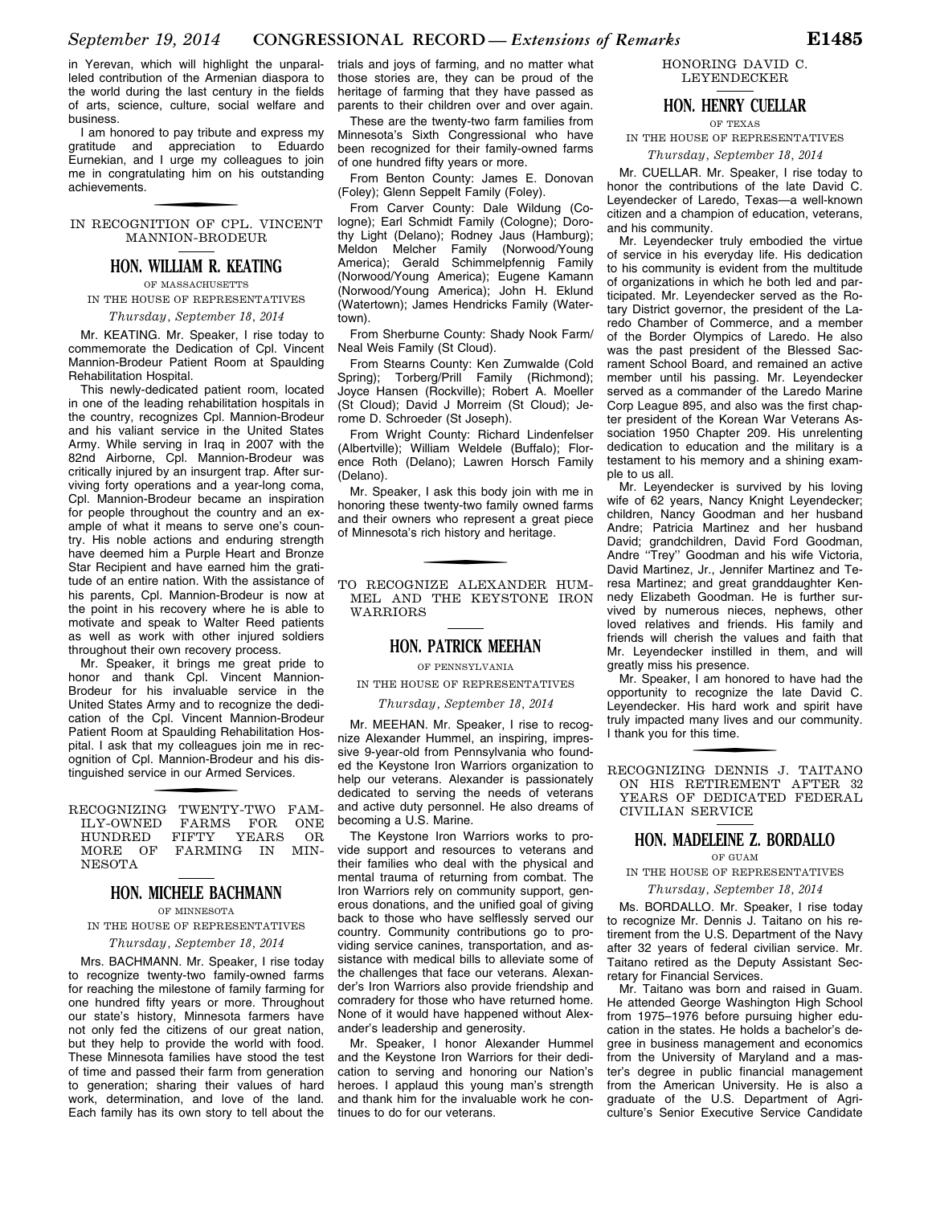in Yerevan, which will highlight the unparalleled contribution of the Armenian diaspora to the world during the last century in the fields of arts, science, culture, social welfare and business.

I am honored to pay tribute and express my gratitude and appreciation to Eduardo Eurnekian, and I urge my colleagues to join me in congratulating him on his outstanding achievements.

IN RECOGNITION OF CPL. VINCENT MANNION-BRODEUR

#### **HON. WILLIAM R. KEATING**

OF MASSACHUSETTS

IN THE HOUSE OF REPRESENTATIVES *Thursday, September 18, 2014* 

Mr. KEATING. Mr. Speaker, I rise today to commemorate the Dedication of Cpl. Vincent Mannion-Brodeur Patient Room at Spaulding Rehabilitation Hospital.

This newly-dedicated patient room, located in one of the leading rehabilitation hospitals in the country, recognizes Cpl. Mannion-Brodeur and his valiant service in the United States Army. While serving in Iraq in 2007 with the 82nd Airborne, Cpl. Mannion-Brodeur was critically injured by an insurgent trap. After surviving forty operations and a year-long coma, Cpl. Mannion-Brodeur became an inspiration for people throughout the country and an example of what it means to serve one's country. His noble actions and enduring strength have deemed him a Purple Heart and Bronze Star Recipient and have earned him the gratitude of an entire nation. With the assistance of his parents, Cpl. Mannion-Brodeur is now at the point in his recovery where he is able to motivate and speak to Walter Reed patients as well as work with other injured soldiers throughout their own recovery process.

Mr. Speaker, it brings me great pride to honor and thank Cpl. Vincent Mannion-Brodeur for his invaluable service in the United States Army and to recognize the dedication of the Cpl. Vincent Mannion-Brodeur Patient Room at Spaulding Rehabilitation Hospital. I ask that my colleagues join me in recognition of Cpl. Mannion-Brodeur and his distinguished service in our Armed Services.

f RECOGNIZING TWENTY-TWO FAM-ILY-OWNED FARMS FOR ONE HUNDRED FIFTY YEARS OR MORE OF FARMING IN MIN-NESOTA

#### **HON. MICHELE BACHMANN**

OF MINNESOTA

#### IN THE HOUSE OF REPRESENTATIVES *Thursday, September 18, 2014*

Mrs. BACHMANN. Mr. Speaker, I rise today to recognize twenty-two family-owned farms for reaching the milestone of family farming for one hundred fifty years or more. Throughout our state's history, Minnesota farmers have not only fed the citizens of our great nation, but they help to provide the world with food. These Minnesota families have stood the test of time and passed their farm from generation to generation; sharing their values of hard work, determination, and love of the land. Each family has its own story to tell about the trials and joys of farming, and no matter what those stories are, they can be proud of the heritage of farming that they have passed as parents to their children over and over again.

These are the twenty-two farm families from Minnesota's Sixth Congressional who have been recognized for their family-owned farms of one hundred fifty years or more.

From Benton County: James E. Donovan (Foley); Glenn Seppelt Family (Foley).

From Carver County: Dale Wildung (Cologne); Earl Schmidt Family (Cologne); Dorothy Light (Delano); Rodney Jaus (Hamburg);<br>Meldon Melcher Family (Norwood/Young Family (Norwood/Young America); Gerald Schimmelpfennig Family (Norwood/Young America); Eugene Kamann (Norwood/Young America); John H. Eklund (Watertown); James Hendricks Family (Watertown).

From Sherburne County: Shady Nook Farm/ Neal Weis Family (St Cloud).

From Stearns County: Ken Zumwalde (Cold Spring); Torberg/Prill Family (Richmond); Joyce Hansen (Rockville); Robert A. Moeller (St Cloud); David J Morreim (St Cloud); Jerome D. Schroeder (St Joseph).

From Wright County: Richard Lindenfelser (Albertville); William Weldele (Buffalo); Florence Roth (Delano); Lawren Horsch Family (Delano).

Mr. Speaker, I ask this body join with me in honoring these twenty-two family owned farms and their owners who represent a great piece of Minnesota's rich history and heritage.

TO RECOGNIZE ALEXANDER HUM-MEL AND THE KEYSTONE IRON WARRIORS

#### **HON. PATRICK MEEHAN**

OF PENNSYLVANIA

IN THE HOUSE OF REPRESENTATIVES

*Thursday, September 18, 2014* 

Mr. MEEHAN. Mr. Speaker, I rise to recognize Alexander Hummel, an inspiring, impressive 9-year-old from Pennsylvania who founded the Keystone Iron Warriors organization to help our veterans. Alexander is passionately dedicated to serving the needs of veterans and active duty personnel. He also dreams of becoming a U.S. Marine.

The Keystone Iron Warriors works to provide support and resources to veterans and their families who deal with the physical and mental trauma of returning from combat. The Iron Warriors rely on community support, generous donations, and the unified goal of giving back to those who have selflessly served our country. Community contributions go to providing service canines, transportation, and assistance with medical bills to alleviate some of the challenges that face our veterans. Alexander's Iron Warriors also provide friendship and comradery for those who have returned home. None of it would have happened without Alexander's leadership and generosity.

Mr. Speaker, I honor Alexander Hummel and the Keystone Iron Warriors for their dedication to serving and honoring our Nation's heroes. I applaud this young man's strength and thank him for the invaluable work he continues to do for our veterans.

HONORING DAVID C. LEYENDECKER

#### **HON. HENRY CUELLAR**

OF TEXAS

IN THE HOUSE OF REPRESENTATIVES

*Thursday, September 18, 2014* 

Mr. CUELLAR. Mr. Speaker, I rise today to honor the contributions of the late David C. Leyendecker of Laredo, Texas—a well-known citizen and a champion of education, veterans, and his community.

Mr. Leyendecker truly embodied the virtue of service in his everyday life. His dedication to his community is evident from the multitude of organizations in which he both led and participated. Mr. Leyendecker served as the Rotary District governor, the president of the Laredo Chamber of Commerce, and a member of the Border Olympics of Laredo. He also was the past president of the Blessed Sacrament School Board, and remained an active member until his passing. Mr. Leyendecker served as a commander of the Laredo Marine Corp League 895, and also was the first chapter president of the Korean War Veterans Association 1950 Chapter 209. His unrelenting dedication to education and the military is a testament to his memory and a shining example to us all.

Mr. Leyendecker is survived by his loving wife of 62 years, Nancy Knight Leyendecker; children, Nancy Goodman and her husband Andre; Patricia Martinez and her husband David; grandchildren, David Ford Goodman, Andre ''Trey'' Goodman and his wife Victoria, David Martinez, Jr., Jennifer Martinez and Teresa Martinez; and great granddaughter Kennedy Elizabeth Goodman. He is further survived by numerous nieces, nephews, other loved relatives and friends. His family and friends will cherish the values and faith that Mr. Leyendecker instilled in them, and will greatly miss his presence.

Mr. Speaker, I am honored to have had the opportunity to recognize the late David C. Leyendecker. His hard work and spirit have truly impacted many lives and our community. I thank you for this time.

f RECOGNIZING DENNIS J. TAITANO ON HIS RETIREMENT AFTER 32 YEARS OF DEDICATED FEDERAL CIVILIAN SERVICE

## **HON. MADELEINE Z. BORDALLO**

OF GUAM

IN THE HOUSE OF REPRESENTATIVES

#### *Thursday, September 18, 2014*

Ms. BORDALLO. Mr. Speaker, I rise today to recognize Mr. Dennis J. Taitano on his retirement from the U.S. Department of the Navy after 32 years of federal civilian service. Mr. Taitano retired as the Deputy Assistant Secretary for Financial Services.

Mr. Taitano was born and raised in Guam. He attended George Washington High School from 1975–1976 before pursuing higher education in the states. He holds a bachelor's degree in business management and economics from the University of Maryland and a master's degree in public financial management from the American University. He is also a graduate of the U.S. Department of Agriculture's Senior Executive Service Candidate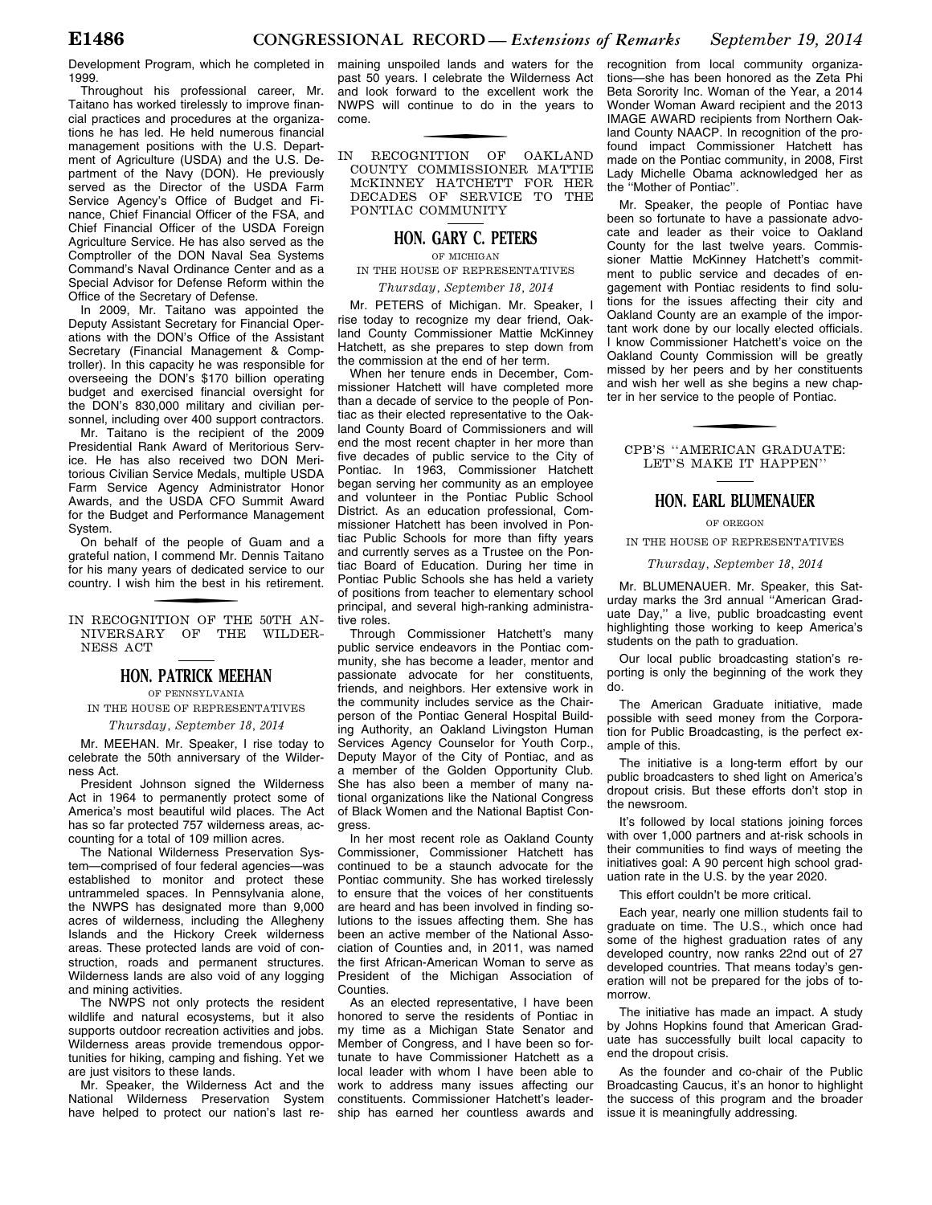Development Program, which he completed in 1999.

Throughout his professional career, Mr. Taitano has worked tirelessly to improve financial practices and procedures at the organizations he has led. He held numerous financial management positions with the U.S. Department of Agriculture (USDA) and the U.S. Department of the Navy (DON). He previously served as the Director of the USDA Farm Service Agency's Office of Budget and Finance, Chief Financial Officer of the FSA, and Chief Financial Officer of the USDA Foreign Agriculture Service. He has also served as the Comptroller of the DON Naval Sea Systems Command's Naval Ordinance Center and as a Special Advisor for Defense Reform within the Office of the Secretary of Defense.

In 2009, Mr. Taitano was appointed the Deputy Assistant Secretary for Financial Operations with the DON's Office of the Assistant Secretary (Financial Management & Comptroller). In this capacity he was responsible for overseeing the DON's \$170 billion operating budget and exercised financial oversight for the DON's 830,000 military and civilian personnel, including over 400 support contractors.

Mr. Taitano is the recipient of the 2009 Presidential Rank Award of Meritorious Service. He has also received two DON Meritorious Civilian Service Medals, multiple USDA Farm Service Agency Administrator Honor Awards, and the USDA CFO Summit Award for the Budget and Performance Management System.

On behalf of the people of Guam and a grateful nation, I commend Mr. Dennis Taitano for his many years of dedicated service to our country. I wish him the best in his retirement.

IN RECOGNITION OF THE 50TH AN-NIVERSARY OF THE WILDER-NESS ACT

#### **HON. PATRICK MEEHAN**

OF PENNSYLVANIA IN THE HOUSE OF REPRESENTATIVES

*Thursday, September 18, 2014* 

Mr. MEEHAN. Mr. Speaker, I rise today to celebrate the 50th anniversary of the Wilderness Act.

President Johnson signed the Wilderness Act in 1964 to permanently protect some of America's most beautiful wild places. The Act has so far protected 757 wilderness areas, accounting for a total of 109 million acres.

The National Wilderness Preservation System—comprised of four federal agencies—was established to monitor and protect these untrammeled spaces. In Pennsylvania alone, the NWPS has designated more than 9,000 acres of wilderness, including the Allegheny Islands and the Hickory Creek wilderness areas. These protected lands are void of construction, roads and permanent structures. Wilderness lands are also void of any logging and mining activities.

The NWPS not only protects the resident wildlife and natural ecosystems, but it also supports outdoor recreation activities and jobs. Wilderness areas provide tremendous opportunities for hiking, camping and fishing. Yet we are just visitors to these lands.

Mr. Speaker, the Wilderness Act and the National Wilderness Preservation System have helped to protect our nation's last remaining unspoiled lands and waters for the past 50 years. I celebrate the Wilderness Act and look forward to the excellent work the NWPS will continue to do in the years to come.

f IN RECOGNITION OF OAKLAND COUNTY COMMISSIONER MATTIE MCKINNEY HATCHETT FOR HER DECADES OF SERVICE TO THE PONTIAC COMMUNITY

## **HON. GARY C. PETERS**

OF MICHIGAN IN THE HOUSE OF REPRESENTATIVES

*Thursday, September 18, 2014* 

Mr. PETERS of Michigan. Mr. Speaker, I rise today to recognize my dear friend, Oakland County Commissioner Mattie McKinney Hatchett, as she prepares to step down from the commission at the end of her term.

When her tenure ends in December, Commissioner Hatchett will have completed more than a decade of service to the people of Pontiac as their elected representative to the Oakland County Board of Commissioners and will end the most recent chapter in her more than five decades of public service to the City of Pontiac. In 1963, Commissioner Hatchett began serving her community as an employee and volunteer in the Pontiac Public School District. As an education professional, Commissioner Hatchett has been involved in Pontiac Public Schools for more than fifty years and currently serves as a Trustee on the Pontiac Board of Education. During her time in Pontiac Public Schools she has held a variety of positions from teacher to elementary school principal, and several high-ranking administrative roles.

Through Commissioner Hatchett's many public service endeavors in the Pontiac community, she has become a leader, mentor and passionate advocate for her constituents, friends, and neighbors. Her extensive work in the community includes service as the Chairperson of the Pontiac General Hospital Building Authority, an Oakland Livingston Human Services Agency Counselor for Youth Corp., Deputy Mayor of the City of Pontiac, and as a member of the Golden Opportunity Club. She has also been a member of many national organizations like the National Congress of Black Women and the National Baptist Congress.

In her most recent role as Oakland County Commissioner, Commissioner Hatchett has continued to be a staunch advocate for the Pontiac community. She has worked tirelessly to ensure that the voices of her constituents are heard and has been involved in finding solutions to the issues affecting them. She has been an active member of the National Association of Counties and, in 2011, was named the first African-American Woman to serve as President of the Michigan Association of Counties.

As an elected representative, I have been honored to serve the residents of Pontiac in my time as a Michigan State Senator and Member of Congress, and I have been so fortunate to have Commissioner Hatchett as a local leader with whom I have been able to work to address many issues affecting our constituents. Commissioner Hatchett's leadership has earned her countless awards and

recognition from local community organizations—she has been honored as the Zeta Phi Beta Sorority Inc. Woman of the Year, a 2014 Wonder Woman Award recipient and the 2013 IMAGE AWARD recipients from Northern Oakland County NAACP. In recognition of the profound impact Commissioner Hatchett has made on the Pontiac community, in 2008, First Lady Michelle Obama acknowledged her as the ''Mother of Pontiac''.

Mr. Speaker, the people of Pontiac have been so fortunate to have a passionate advocate and leader as their voice to Oakland County for the last twelve years. Commissioner Mattie McKinney Hatchett's commitment to public service and decades of engagement with Pontiac residents to find solutions for the issues affecting their city and Oakland County are an example of the important work done by our locally elected officials. I know Commissioner Hatchett's voice on the Oakland County Commission will be greatly missed by her peers and by her constituents and wish her well as she begins a new chapter in her service to the people of Pontiac.

CPB'S ''AMERICAN GRADUATE: LET'S MAKE IT HAPPEN''

#### **HON. EARL BLUMENAUER**

OF OREGON

IN THE HOUSE OF REPRESENTATIVES

*Thursday, September 18, 2014* 

Mr. BLUMENAUER. Mr. Speaker, this Saturday marks the 3rd annual ''American Graduate Day,'' a live, public broadcasting event highlighting those working to keep America's students on the path to graduation.

Our local public broadcasting station's reporting is only the beginning of the work they do.

The American Graduate initiative, made possible with seed money from the Corporation for Public Broadcasting, is the perfect example of this.

The initiative is a long-term effort by our public broadcasters to shed light on America's dropout crisis. But these efforts don't stop in the newsroom.

It's followed by local stations joining forces with over 1,000 partners and at-risk schools in their communities to find ways of meeting the initiatives goal: A 90 percent high school graduation rate in the U.S. by the year 2020.

This effort couldn't be more critical.

Each year, nearly one million students fail to graduate on time. The U.S., which once had some of the highest graduation rates of any developed country, now ranks 22nd out of 27 developed countries. That means today's generation will not be prepared for the jobs of tomorrow.

The initiative has made an impact. A study by Johns Hopkins found that American Graduate has successfully built local capacity to end the dropout crisis.

As the founder and co-chair of the Public Broadcasting Caucus, it's an honor to highlight the success of this program and the broader issue it is meaningfully addressing.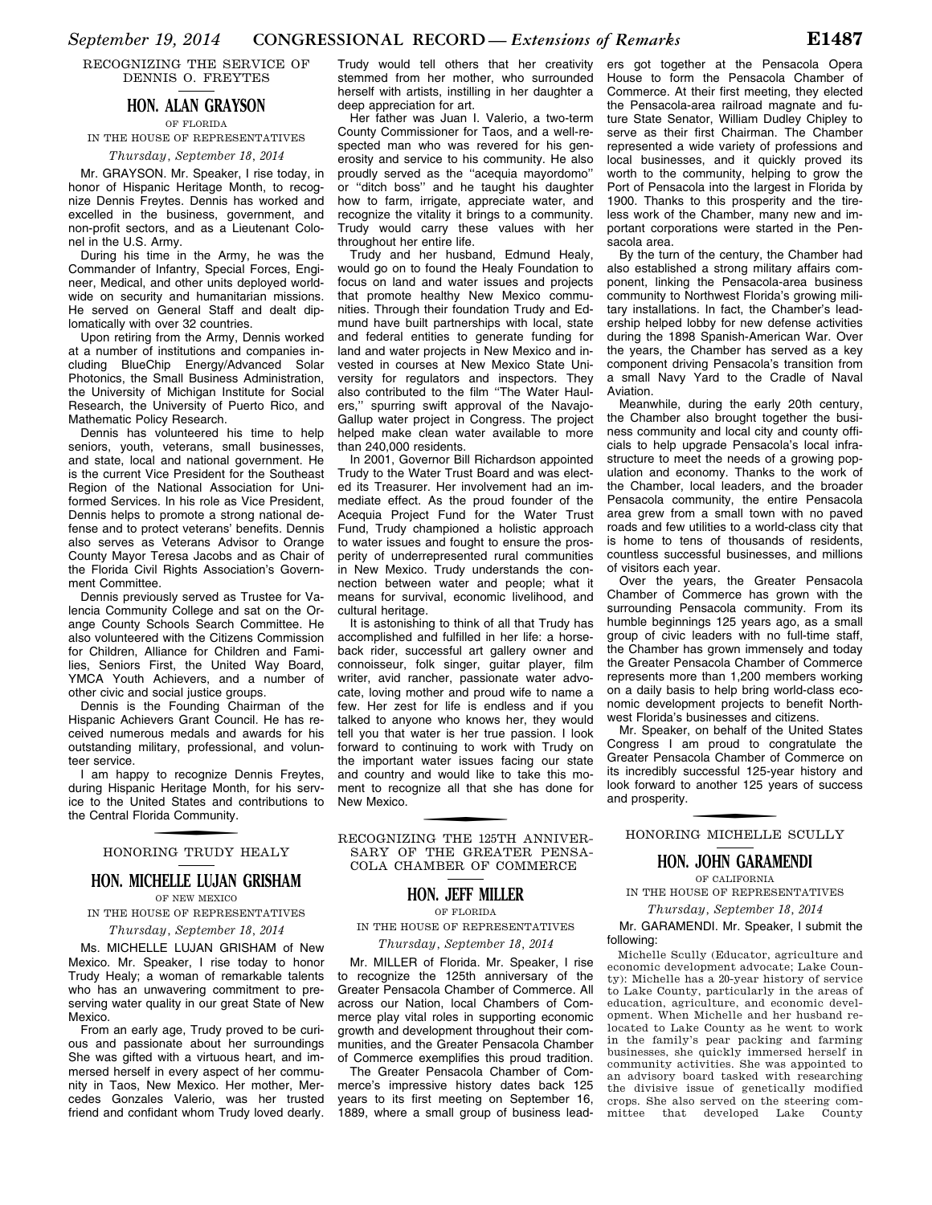RECOGNIZING THE SERVICE OF DENNIS O. FREYTES

#### **HON. ALAN GRAYSON**

OF FLORIDA

IN THE HOUSE OF REPRESENTATIVES *Thursday, September 18, 2014* 

Mr. GRAYSON. Mr. Speaker, I rise today, in honor of Hispanic Heritage Month, to recognize Dennis Freytes. Dennis has worked and excelled in the business, government, and non-profit sectors, and as a Lieutenant Colonel in the U.S. Army.

During his time in the Army, he was the Commander of Infantry, Special Forces, Engineer, Medical, and other units deployed worldwide on security and humanitarian missions. He served on General Staff and dealt diplomatically with over 32 countries.

Upon retiring from the Army, Dennis worked at a number of institutions and companies including BlueChip Energy/Advanced Solar Photonics, the Small Business Administration, the University of Michigan Institute for Social Research, the University of Puerto Rico, and Mathematic Policy Research.

Dennis has volunteered his time to help seniors, youth, veterans, small businesses, and state, local and national government. He is the current Vice President for the Southeast Region of the National Association for Uniformed Services. In his role as Vice President, Dennis helps to promote a strong national defense and to protect veterans' benefits. Dennis also serves as Veterans Advisor to Orange County Mayor Teresa Jacobs and as Chair of the Florida Civil Rights Association's Government Committee.

Dennis previously served as Trustee for Valencia Community College and sat on the Orange County Schools Search Committee. He also volunteered with the Citizens Commission for Children, Alliance for Children and Families, Seniors First, the United Way Board, YMCA Youth Achievers, and a number of other civic and social justice groups.

Dennis is the Founding Chairman of the Hispanic Achievers Grant Council. He has received numerous medals and awards for his outstanding military, professional, and volunteer service.

I am happy to recognize Dennis Freytes, during Hispanic Heritage Month, for his service to the United States and contributions to the Central Florida Community.

# f HONORING TRUDY HEALY

## **HON. MICHELLE LUJAN GRISHAM**

OF NEW MEXICO IN THE HOUSE OF REPRESENTATIVES

*Thursday, September 18, 2014* 

Ms. MICHELLE LUJAN GRISHAM of New Mexico. Mr. Speaker, I rise today to honor Trudy Healy; a woman of remarkable talents who has an unwavering commitment to preserving water quality in our great State of New Mexico.

From an early age, Trudy proved to be curious and passionate about her surroundings She was gifted with a virtuous heart, and immersed herself in every aspect of her community in Taos, New Mexico. Her mother, Mercedes Gonzales Valerio, was her trusted friend and confidant whom Trudy loved dearly.

Trudy would tell others that her creativity stemmed from her mother, who surrounded herself with artists, instilling in her daughter a deep appreciation for art.

Her father was Juan I. Valerio, a two-term County Commissioner for Taos, and a well-respected man who was revered for his generosity and service to his community. He also proudly served as the ''acequia mayordomo'' or ''ditch boss'' and he taught his daughter how to farm, irrigate, appreciate water, and recognize the vitality it brings to a community. Trudy would carry these values with her throughout her entire life.

Trudy and her husband, Edmund Healy, would go on to found the Healy Foundation to focus on land and water issues and projects that promote healthy New Mexico communities. Through their foundation Trudy and Edmund have built partnerships with local, state and federal entities to generate funding for land and water projects in New Mexico and invested in courses at New Mexico State University for regulators and inspectors. They also contributed to the film ''The Water Haulers,'' spurring swift approval of the Navajo-Gallup water project in Congress. The project helped make clean water available to more than 240,000 residents.

In 2001, Governor Bill Richardson appointed Trudy to the Water Trust Board and was elected its Treasurer. Her involvement had an immediate effect. As the proud founder of the Acequia Project Fund for the Water Trust Fund, Trudy championed a holistic approach to water issues and fought to ensure the prosperity of underrepresented rural communities in New Mexico. Trudy understands the connection between water and people; what it means for survival, economic livelihood, and cultural heritage.

It is astonishing to think of all that Trudy has accomplished and fulfilled in her life: a horseback rider, successful art gallery owner and connoisseur, folk singer, guitar player, film writer, avid rancher, passionate water advocate, loving mother and proud wife to name a few. Her zest for life is endless and if you talked to anyone who knows her, they would tell you that water is her true passion. I look forward to continuing to work with Trudy on the important water issues facing our state and country and would like to take this moment to recognize all that she has done for New Mexico.

RECOGNIZING THE 125TH ANNIVER-SARY OF THE GREATER PENSA-COLA CHAMBER OF COMMERCE

#### **HON. JEFF MILLER**

OF FLORIDA

IN THE HOUSE OF REPRESENTATIVES

*Thursday, September 18, 2014* 

Mr. MILLER of Florida. Mr. Speaker, I rise to recognize the 125th anniversary of the Greater Pensacola Chamber of Commerce. All across our Nation, local Chambers of Commerce play vital roles in supporting economic growth and development throughout their communities, and the Greater Pensacola Chamber of Commerce exemplifies this proud tradition.

The Greater Pensacola Chamber of Commerce's impressive history dates back 125 years to its first meeting on September 16, 1889, where a small group of business lead-

ers got together at the Pensacola Opera House to form the Pensacola Chamber of Commerce. At their first meeting, they elected the Pensacola-area railroad magnate and future State Senator, William Dudley Chipley to serve as their first Chairman. The Chamber represented a wide variety of professions and local businesses, and it quickly proved its worth to the community, helping to grow the Port of Pensacola into the largest in Florida by 1900. Thanks to this prosperity and the tireless work of the Chamber, many new and important corporations were started in the Pensacola area.

By the turn of the century, the Chamber had also established a strong military affairs component, linking the Pensacola-area business community to Northwest Florida's growing military installations. In fact, the Chamber's leadership helped lobby for new defense activities during the 1898 Spanish-American War. Over the years, the Chamber has served as a key component driving Pensacola's transition from a small Navy Yard to the Cradle of Naval Aviation.

Meanwhile, during the early 20th century, the Chamber also brought together the business community and local city and county officials to help upgrade Pensacola's local infrastructure to meet the needs of a growing population and economy. Thanks to the work of the Chamber, local leaders, and the broader Pensacola community, the entire Pensacola area grew from a small town with no paved roads and few utilities to a world-class city that is home to tens of thousands of residents, countless successful businesses, and millions of visitors each year.

Over the years, the Greater Pensacola Chamber of Commerce has grown with the surrounding Pensacola community. From its humble beginnings 125 years ago, as a small group of civic leaders with no full-time staff, the Chamber has grown immensely and today the Greater Pensacola Chamber of Commerce represents more than 1,200 members working on a daily basis to help bring world-class economic development projects to benefit Northwest Florida's businesses and citizens.

Mr. Speaker, on behalf of the United States Congress I am proud to congratulate the Greater Pensacola Chamber of Commerce on its incredibly successful 125-year history and look forward to another 125 years of success and prosperity.

# f HONORING MICHELLE SCULLY

#### **HON. JOHN GARAMENDI**

OF CALIFORNIA IN THE HOUSE OF REPRESENTATIVES

*Thursday, September 18, 2014* 

Mr. GARAMENDI. Mr. Speaker, I submit the following:

Michelle Scully (Educator, agriculture and economic development advocate; Lake County): Michelle has a 20-year history of service to Lake County, particularly in the areas of education, agriculture, and economic development. When Michelle and her husband relocated to Lake County as he went to work in the family's pear packing and farming businesses, she quickly immersed herself in community activities. She was appointed to an advisory board tasked with researching the divisive issue of genetically modified crops. She also served on the steering committee that developed Lake County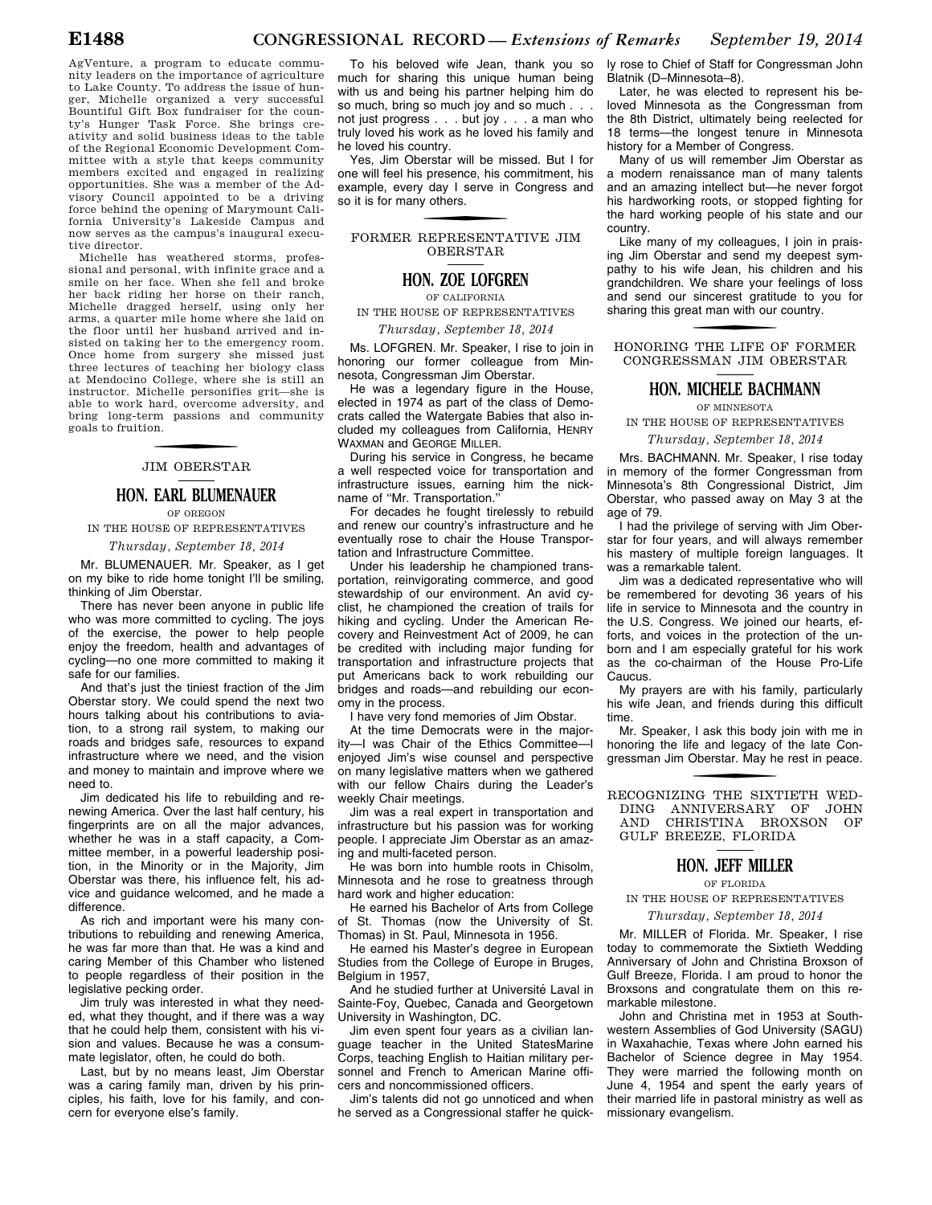AgVenture, a program to educate community leaders on the importance of agriculture to Lake County. To address the issue of hunger, Michelle organized a very successful Bountiful Gift Box fundraiser for the county's Hunger Task Force. She brings creativity and solid business ideas to the table of the Regional Economic Development Committee with a style that keeps community members excited and engaged in realizing opportunities. She was a member of the Advisory Council appointed to be a driving force behind the opening of Marymount California University's Lakeside Campus and now serves as the campus's inaugural executive director.

Michelle has weathered storms, professional and personal, with infinite grace and a smile on her face. When she fell and broke her back riding her horse on their ranch, Michelle dragged herself, using only her arms, a quarter mile home where she laid on the floor until her husband arrived and insisted on taking her to the emergency room. Once home from surgery she missed just three lectures of teaching her biology class at Mendocino College, where she is still an instructor. Michelle personifies grit—she is able to work hard, overcome adversity, and bring long-term passions and community goals to fruition.

# f JIM OBERSTAR

# **HON. EARL BLUMENAUER**

OF OREGON

#### IN THE HOUSE OF REPRESENTATIVES *Thursday, September 18, 2014*

Mr. BLUMENAUER. Mr. Speaker, as I get on my bike to ride home tonight I'll be smiling, thinking of Jim Oberstar.

There has never been anyone in public life who was more committed to cycling. The joys of the exercise, the power to help people enjoy the freedom, health and advantages of cycling—no one more committed to making it safe for our families.

And that's just the tiniest fraction of the Jim Oberstar story. We could spend the next two hours talking about his contributions to aviation, to a strong rail system, to making our roads and bridges safe, resources to expand infrastructure where we need, and the vision and money to maintain and improve where we need to.

Jim dedicated his life to rebuilding and renewing America. Over the last half century, his fingerprints are on all the major advances, whether he was in a staff capacity, a Committee member, in a powerful leadership position, in the Minority or in the Majority, Jim Oberstar was there, his influence felt, his advice and guidance welcomed, and he made a difference.

As rich and important were his many contributions to rebuilding and renewing America, he was far more than that. He was a kind and caring Member of this Chamber who listened to people regardless of their position in the legislative pecking order.

Jim truly was interested in what they needed, what they thought, and if there was a way that he could help them, consistent with his vision and values. Because he was a consummate legislator, often, he could do both.

Last, but by no means least, Jim Oberstar was a caring family man, driven by his principles, his faith, love for his family, and concern for everyone else's family.

To his beloved wife Jean, thank you so much for sharing this unique human being with us and being his partner helping him do so much, bring so much joy and so much . . . not just progress . . . but joy . . . a man who truly loved his work as he loved his family and he loved his country.

Yes, Jim Oberstar will be missed. But I for one will feel his presence, his commitment, his example, every day I serve in Congress and so it is for many others.

f FORMER REPRESENTATIVE JIM OBERSTAR

## **HON. ZOE LOFGREN**

OF CALIFORNIA

IN THE HOUSE OF REPRESENTATIVES

#### *Thursday, September 18, 2014*

Ms. LOFGREN. Mr. Speaker, I rise to join in honoring our former colleague from Minnesota, Congressman Jim Oberstar.

He was a legendary figure in the House, elected in 1974 as part of the class of Democrats called the Watergate Babies that also included my colleagues from California, HENRY WAXMAN and GEORGE MILLER.

During his service in Congress, he became a well respected voice for transportation and infrastructure issues, earning him the nickname of ''Mr. Transportation.''

For decades he fought tirelessly to rebuild and renew our country's infrastructure and he eventually rose to chair the House Transportation and Infrastructure Committee.

Under his leadership he championed transportation, reinvigorating commerce, and good stewardship of our environment. An avid cyclist, he championed the creation of trails for hiking and cycling. Under the American Recovery and Reinvestment Act of 2009, he can be credited with including major funding for transportation and infrastructure projects that put Americans back to work rebuilding our bridges and roads—and rebuilding our economy in the process.

I have very fond memories of Jim Obstar.

At the time Democrats were in the majority—I was Chair of the Ethics Committee—I enjoyed Jim's wise counsel and perspective on many legislative matters when we gathered with our fellow Chairs during the Leader's weekly Chair meetings.

Jim was a real expert in transportation and infrastructure but his passion was for working people. I appreciate Jim Oberstar as an amazing and multi-faceted person.

He was born into humble roots in Chisolm, Minnesota and he rose to greatness through hard work and higher education:

He earned his Bachelor of Arts from College of St. Thomas (now the University of St. Thomas) in St. Paul, Minnesota in 1956.

He earned his Master's degree in European Studies from the College of Europe in Bruges, Belgium in 1957.

And he studied further at Université Laval in Sainte-Foy, Quebec, Canada and Georgetown University in Washington, DC.

Jim even spent four years as a civilian language teacher in the United StatesMarine Corps, teaching English to Haitian military personnel and French to American Marine officers and noncommissioned officers.

Jim's talents did not go unnoticed and when he served as a Congressional staffer he quickly rose to Chief of Staff for Congressman John Blatnik (D–Minnesota–8).

Later, he was elected to represent his beloved Minnesota as the Congressman from the 8th District, ultimately being reelected for 18 terms—the longest tenure in Minnesota history for a Member of Congress.

Many of us will remember Jim Oberstar as a modern renaissance man of many talents and an amazing intellect but—he never forgot his hardworking roots, or stopped fighting for the hard working people of his state and our country.

Like many of my colleagues, I join in praising Jim Oberstar and send my deepest sympathy to his wife Jean, his children and his grandchildren. We share your feelings of loss and send our sincerest gratitude to you for sharing this great man with our country.

f HONORING THE LIFE OF FORMER CONGRESSMAN JIM OBERSTAR

#### **HON. MICHELE BACHMANN**

OF MINNESOTA

IN THE HOUSE OF REPRESENTATIVES

*Thursday, September 18, 2014* 

Mrs. BACHMANN. Mr. Speaker, I rise today in memory of the former Congressman from Minnesota's 8th Congressional District, Jim Oberstar, who passed away on May 3 at the age of 79.

I had the privilege of serving with Jim Oberstar for four years, and will always remember his mastery of multiple foreign languages. It was a remarkable talent.

Jim was a dedicated representative who will be remembered for devoting 36 years of his life in service to Minnesota and the country in the U.S. Congress. We joined our hearts, efforts, and voices in the protection of the unborn and I am especially grateful for his work as the co-chairman of the House Pro-Life Caucus.

My prayers are with his family, particularly his wife Jean, and friends during this difficult time.

Mr. Speaker, I ask this body join with me in honoring the life and legacy of the late Congressman Jim Oberstar. May he rest in peace.

f RECOGNIZING THE SIXTIETH WED-DING ANNIVERSARY OF JOHN AND CHRISTINA BROXSON OF GULF BREEZE, FLORIDA

#### **HON. JEFF MILLER**

OF FLORIDA

IN THE HOUSE OF REPRESENTATIVES

*Thursday, September 18, 2014* 

Mr. MILLER of Florida. Mr. Speaker, I rise today to commemorate the Sixtieth Wedding Anniversary of John and Christina Broxson of Gulf Breeze, Florida. I am proud to honor the Broxsons and congratulate them on this remarkable milestone.

John and Christina met in 1953 at Southwestern Assemblies of God University (SAGU) in Waxahachie, Texas where John earned his Bachelor of Science degree in May 1954. They were married the following month on June 4, 1954 and spent the early years of their married life in pastoral ministry as well as missionary evangelism.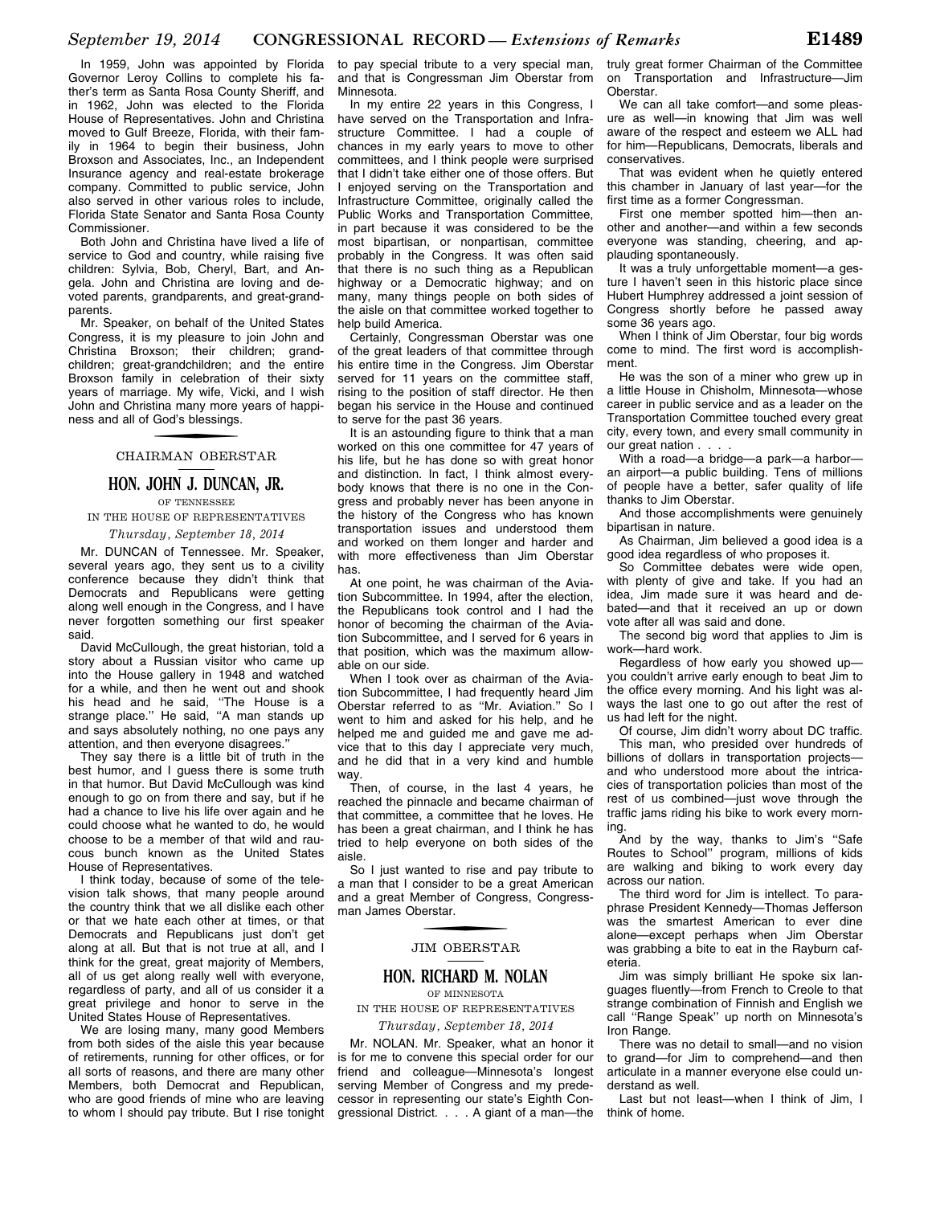In 1959, John was appointed by Florida Governor Leroy Collins to complete his father's term as Santa Rosa County Sheriff, and in 1962, John was elected to the Florida House of Representatives. John and Christina moved to Gulf Breeze, Florida, with their family in 1964 to begin their business, John Broxson and Associates, Inc., an Independent Insurance agency and real-estate brokerage company. Committed to public service, John also served in other various roles to include, Florida State Senator and Santa Rosa County Commissioner.

Both John and Christina have lived a life of service to God and country, while raising five children: Sylvia, Bob, Cheryl, Bart, and Angela. John and Christina are loving and devoted parents, grandparents, and great-grandparents.

Mr. Speaker, on behalf of the United States Congress, it is my pleasure to join John and Christina Broxson; their children; grandchildren; great-grandchildren; and the entire Broxson family in celebration of their sixty years of marriage. My wife, Vicki, and I wish John and Christina many more years of happiness and all of God's blessings.

# f CHAIRMAN OBERSTAR

#### **HON. JOHN J. DUNCAN, JR.**

OF TENNESSEE

IN THE HOUSE OF REPRESENTATIVES *Thursday, September 18, 2014* 

Mr. DUNCAN of Tennessee. Mr. Speaker, several years ago, they sent us to a civility conference because they didn't think that Democrats and Republicans were getting along well enough in the Congress, and I have never forgotten something our first speaker said.

David McCullough, the great historian, told a story about a Russian visitor who came up into the House gallery in 1948 and watched for a while, and then he went out and shook his head and he said, ''The House is a strange place.'' He said, ''A man stands up and says absolutely nothing, no one pays any attention, and then everyone disagrees.''

They say there is a little bit of truth in the best humor, and I guess there is some truth in that humor. But David McCullough was kind enough to go on from there and say, but if he had a chance to live his life over again and he could choose what he wanted to do, he would choose to be a member of that wild and raucous bunch known as the United States House of Representatives.

I think today, because of some of the television talk shows, that many people around the country think that we all dislike each other or that we hate each other at times, or that Democrats and Republicans just don't get along at all. But that is not true at all, and I think for the great, great majority of Members, all of us get along really well with everyone, regardless of party, and all of us consider it a great privilege and honor to serve in the United States House of Representatives.

We are losing many, many good Members from both sides of the aisle this year because of retirements, running for other offices, or for all sorts of reasons, and there are many other Members, both Democrat and Republican, who are good friends of mine who are leaving to whom I should pay tribute. But I rise tonight to pay special tribute to a very special man, and that is Congressman Jim Oberstar from Minnesota.

In my entire 22 years in this Congress, I have served on the Transportation and Infrastructure Committee. I had a couple of chances in my early years to move to other committees, and I think people were surprised that I didn't take either one of those offers. But I enjoyed serving on the Transportation and Infrastructure Committee, originally called the Public Works and Transportation Committee, in part because it was considered to be the most bipartisan, or nonpartisan, committee probably in the Congress. It was often said that there is no such thing as a Republican highway or a Democratic highway; and on many, many things people on both sides of the aisle on that committee worked together to help build America.

Certainly, Congressman Oberstar was one of the great leaders of that committee through his entire time in the Congress. Jim Oberstar served for 11 years on the committee staff, rising to the position of staff director. He then began his service in the House and continued to serve for the past 36 years.

It is an astounding figure to think that a man worked on this one committee for 47 years of his life, but he has done so with great honor and distinction. In fact, I think almost everybody knows that there is no one in the Congress and probably never has been anyone in the history of the Congress who has known transportation issues and understood them and worked on them longer and harder and with more effectiveness than Jim Oberstar has.

At one point, he was chairman of the Aviation Subcommittee. In 1994, after the election, the Republicans took control and I had the honor of becoming the chairman of the Aviation Subcommittee, and I served for 6 years in that position, which was the maximum allowable on our side.

When I took over as chairman of the Aviation Subcommittee, I had frequently heard Jim Oberstar referred to as ''Mr. Aviation.'' So I went to him and asked for his help, and he helped me and guided me and gave me advice that to this day I appreciate very much, and he did that in a very kind and humble way.

Then, of course, in the last 4 years, he reached the pinnacle and became chairman of that committee, a committee that he loves. He has been a great chairman, and I think he has tried to help everyone on both sides of the aisle.

So I just wanted to rise and pay tribute to a man that I consider to be a great American and a great Member of Congress, Congressman James Oberstar.

# f JIM OBERSTAR

#### **HON. RICHARD M. NOLAN**

OF MINNESOTA

IN THE HOUSE OF REPRESENTATIVES

*Thursday, September 18, 2014* 

Mr. NOLAN. Mr. Speaker, what an honor it is for me to convene this special order for our friend and colleague—Minnesota's longest serving Member of Congress and my predecessor in representing our state's Eighth Congressional District. . . . A giant of a man—the truly great former Chairman of the Committee on Transportation and Infrastructure—Jim Oberstar.

We can all take comfort—and some pleasure as well—in knowing that Jim was well aware of the respect and esteem we ALL had for him—Republicans, Democrats, liberals and conservatives.

That was evident when he quietly entered this chamber in January of last year—for the first time as a former Congressman.

First one member spotted him—then another and another—and within a few seconds everyone was standing, cheering, and applauding spontaneously.

It was a truly unforgettable moment—a gesture I haven't seen in this historic place since Hubert Humphrey addressed a joint session of Congress shortly before he passed away some 36 years ago.

When I think of Jim Oberstar, four big words come to mind. The first word is accomplishment.

He was the son of a miner who grew up in a little House in Chisholm, Minnesota—whose career in public service and as a leader on the Transportation Committee touched every great city, every town, and every small community in our great nation . . . .

With a road—a bridge—a park—a harbor an airport—a public building. Tens of millions of people have a better, safer quality of life thanks to Jim Oberstar.

And those accomplishments were genuinely bipartisan in nature.

As Chairman, Jim believed a good idea is a good idea regardless of who proposes it.

So Committee debates were wide open. with plenty of give and take. If you had an idea, Jim made sure it was heard and debated—and that it received an up or down vote after all was said and done.

The second big word that applies to Jim is work—hard work.

Regardless of how early you showed up you couldn't arrive early enough to beat Jim to the office every morning. And his light was always the last one to go out after the rest of us had left for the night.

Of course, Jim didn't worry about DC traffic. This man, who presided over hundreds of billions of dollars in transportation projects and who understood more about the intricacies of transportation policies than most of the rest of us combined—just wove through the traffic jams riding his bike to work every morning.

And by the way, thanks to Jim's ''Safe Routes to School'' program, millions of kids are walking and biking to work every day across our nation.

The third word for Jim is intellect. To paraphrase President Kennedy—Thomas Jefferson was the smartest American to ever dine alone—except perhaps when Jim Oberstar was grabbing a bite to eat in the Rayburn cafeteria.

Jim was simply brilliant He spoke six languages fluently—from French to Creole to that strange combination of Finnish and English we call ''Range Speak'' up north on Minnesota's Iron Range.

There was no detail to small—and no vision to grand—for Jim to comprehend—and then articulate in a manner everyone else could understand as well.

Last but not least—when I think of Jim, I think of home.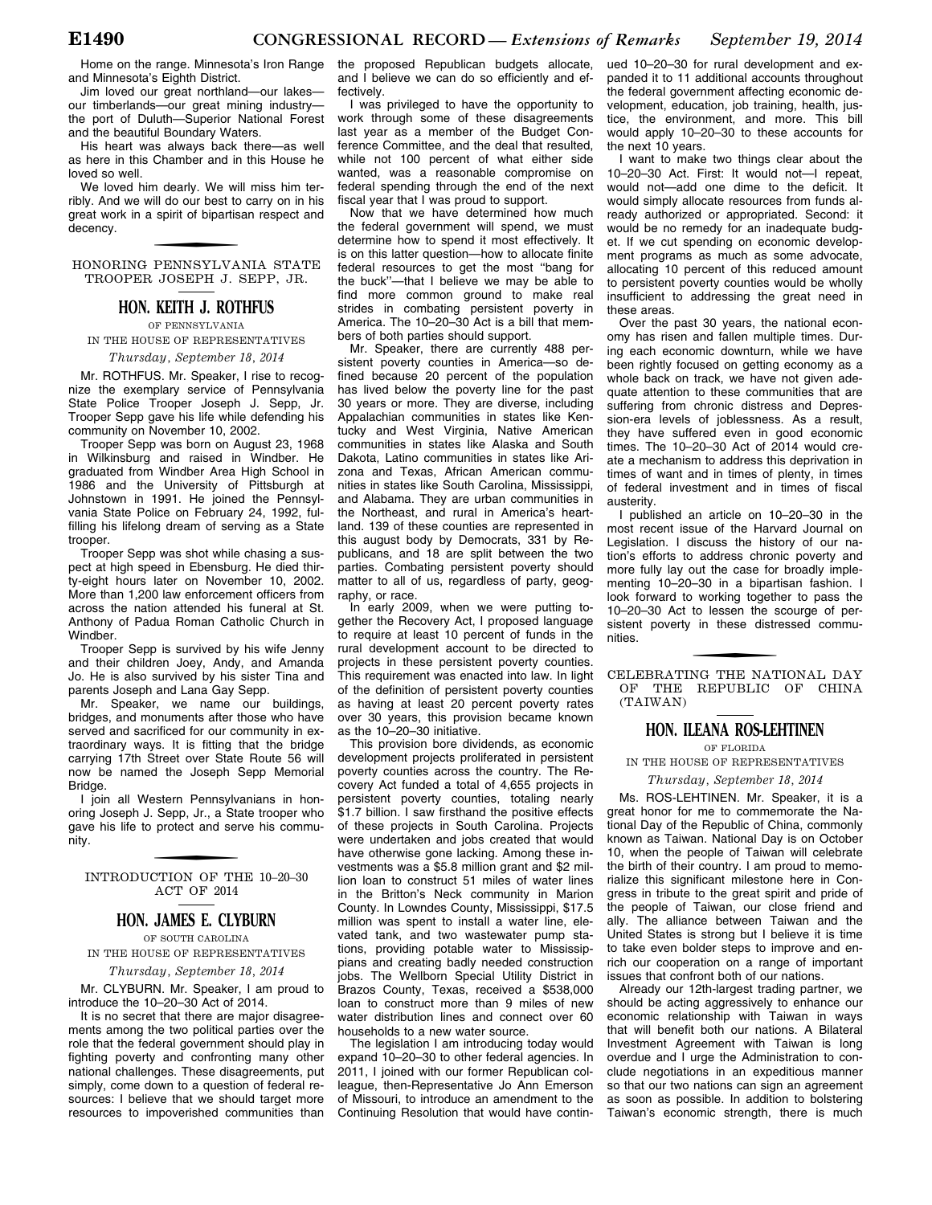Home on the range. Minnesota's Iron Range and Minnesota's Eighth District.

Jim loved our great northland—our lakes our timberlands—our great mining industry the port of Duluth—Superior National Forest and the beautiful Boundary Waters.

His heart was always back there—as well as here in this Chamber and in this House he loved so well.

We loved him dearly. We will miss him terribly. And we will do our best to carry on in his great work in a spirit of bipartisan respect and decency.

HONORING PENNSYLVANIA STATE TROOPER JOSEPH J. SEPP, JR.

## **HON. KEITH J. ROTHFUS**

OF PENNSYLVANIA IN THE HOUSE OF REPRESENTATIVES

#### *Thursday, September 18, 2014*

Mr. ROTHFUS. Mr. Speaker, I rise to recognize the exemplary service of Pennsylvania State Police Trooper Joseph J. Sepp, Jr. Trooper Sepp gave his life while defending his community on November 10, 2002.

Trooper Sepp was born on August 23, 1968 in Wilkinsburg and raised in Windber. He graduated from Windber Area High School in 1986 and the University of Pittsburgh at Johnstown in 1991. He joined the Pennsylvania State Police on February 24, 1992, fulfilling his lifelong dream of serving as a State trooper.

Trooper Sepp was shot while chasing a suspect at high speed in Ebensburg. He died thirty-eight hours later on November 10, 2002. More than 1,200 law enforcement officers from across the nation attended his funeral at St. Anthony of Padua Roman Catholic Church in Windber.

Trooper Sepp is survived by his wife Jenny and their children Joey, Andy, and Amanda Jo. He is also survived by his sister Tina and parents Joseph and Lana Gay Sepp.

Mr. Speaker, we name our buildings, bridges, and monuments after those who have served and sacrificed for our community in extraordinary ways. It is fitting that the bridge carrying 17th Street over State Route 56 will now be named the Joseph Sepp Memorial Bridge.

I join all Western Pennsylvanians in honoring Joseph J. Sepp, Jr., a State trooper who gave his life to protect and serve his community.

f INTRODUCTION OF THE 10–20–30 ACT OF 2014

#### **HON. JAMES E. CLYBURN**

OF SOUTH CAROLINA

## IN THE HOUSE OF REPRESENTATIVES *Thursday, September 18, 2014*

Mr. CLYBURN. Mr. Speaker, I am proud to introduce the 10–20–30 Act of 2014.

It is no secret that there are major disagreements among the two political parties over the role that the federal government should play in fighting poverty and confronting many other national challenges. These disagreements, put simply, come down to a question of federal resources: I believe that we should target more resources to impoverished communities than the proposed Republican budgets allocate, and I believe we can do so efficiently and effectively.

I was privileged to have the opportunity to work through some of these disagreements last year as a member of the Budget Conference Committee, and the deal that resulted, while not 100 percent of what either side wanted, was a reasonable compromise on federal spending through the end of the next fiscal year that I was proud to support.

Now that we have determined how much the federal government will spend, we must determine how to spend it most effectively. It is on this latter question—how to allocate finite federal resources to get the most ''bang for the buck''—that I believe we may be able to find more common ground to make real strides in combating persistent poverty in America. The 10–20–30 Act is a bill that members of both parties should support.

Mr. Speaker, there are currently 488 persistent poverty counties in America—so defined because 20 percent of the population has lived below the poverty line for the past 30 years or more. They are diverse, including Appalachian communities in states like Kentucky and West Virginia, Native American communities in states like Alaska and South Dakota, Latino communities in states like Arizona and Texas, African American communities in states like South Carolina, Mississippi, and Alabama. They are urban communities in the Northeast, and rural in America's heartland. 139 of these counties are represented in this august body by Democrats, 331 by Republicans, and 18 are split between the two parties. Combating persistent poverty should matter to all of us, regardless of party, geography, or race.

In early 2009, when we were putting together the Recovery Act, I proposed language to require at least 10 percent of funds in the rural development account to be directed to projects in these persistent poverty counties. This requirement was enacted into law. In light of the definition of persistent poverty counties as having at least 20 percent poverty rates over 30 years, this provision became known as the 10–20–30 initiative.

This provision bore dividends, as economic development projects proliferated in persistent poverty counties across the country. The Recovery Act funded a total of 4,655 projects in persistent poverty counties, totaling nearly \$1.7 billion. I saw firsthand the positive effects of these projects in South Carolina. Projects were undertaken and jobs created that would have otherwise gone lacking. Among these investments was a \$5.8 million grant and \$2 million loan to construct 51 miles of water lines in the Britton's Neck community in Marion County. In Lowndes County, Mississippi, \$17.5 million was spent to install a water line, elevated tank, and two wastewater pump stations, providing potable water to Mississippians and creating badly needed construction jobs. The Wellborn Special Utility District in Brazos County, Texas, received a \$538,000 loan to construct more than 9 miles of new water distribution lines and connect over 60 households to a new water source.

The legislation I am introducing today would expand 10–20–30 to other federal agencies. In 2011, I joined with our former Republican colleague, then-Representative Jo Ann Emerson of Missouri, to introduce an amendment to the Continuing Resolution that would have continued 10–20–30 for rural development and expanded it to 11 additional accounts throughout the federal government affecting economic development, education, job training, health, justice, the environment, and more. This bill would apply 10–20–30 to these accounts for the next 10 years.

I want to make two things clear about the 10–20–30 Act. First: It would not—I repeat, would not—add one dime to the deficit. It would simply allocate resources from funds already authorized or appropriated. Second: it would be no remedy for an inadequate budget. If we cut spending on economic development programs as much as some advocate, allocating 10 percent of this reduced amount to persistent poverty counties would be wholly insufficient to addressing the great need in these areas.

Over the past 30 years, the national economy has risen and fallen multiple times. During each economic downturn, while we have been rightly focused on getting economy as a whole back on track, we have not given adequate attention to these communities that are suffering from chronic distress and Depression-era levels of joblessness. As a result, they have suffered even in good economic times. The 10–20–30 Act of 2014 would create a mechanism to address this deprivation in times of want and in times of plenty, in times of federal investment and in times of fiscal austerity.

I published an article on 10–20–30 in the most recent issue of the Harvard Journal on Legislation. I discuss the history of our nation's efforts to address chronic poverty and more fully lay out the case for broadly implementing 10–20–30 in a bipartisan fashion. I look forward to working together to pass the 10–20–30 Act to lessen the scourge of persistent poverty in these distressed communities.

CELEBRATING THE NATIONAL DAY OF THE REPUBLIC OF CHINA (TAIWAN)

#### **HON. ILEANA ROS-LEHTINEN**

OF FLORIDA

IN THE HOUSE OF REPRESENTATIVES

*Thursday, September 18, 2014* 

Ms. ROS-LEHTINEN. Mr. Speaker, it is a great honor for me to commemorate the National Day of the Republic of China, commonly known as Taiwan. National Day is on October 10, when the people of Taiwan will celebrate the birth of their country. I am proud to memorialize this significant milestone here in Congress in tribute to the great spirit and pride of the people of Taiwan, our close friend and ally. The alliance between Taiwan and the United States is strong but I believe it is time to take even bolder steps to improve and enrich our cooperation on a range of important issues that confront both of our nations.

Already our 12th-largest trading partner, we should be acting aggressively to enhance our economic relationship with Taiwan in ways that will benefit both our nations. A Bilateral Investment Agreement with Taiwan is long overdue and I urge the Administration to conclude negotiations in an expeditious manner so that our two nations can sign an agreement as soon as possible. In addition to bolstering Taiwan's economic strength, there is much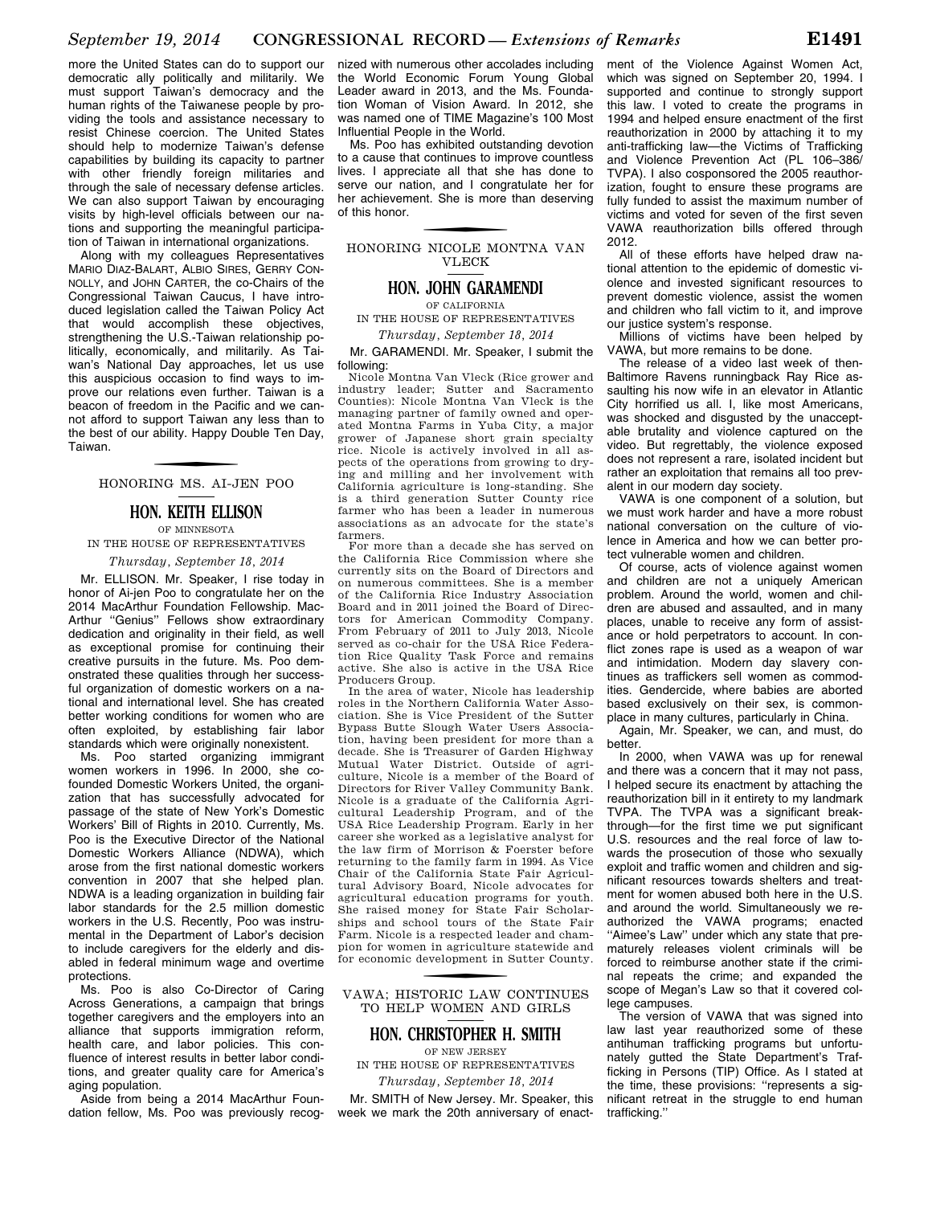more the United States can do to support our democratic ally politically and militarily. We must support Taiwan's democracy and the human rights of the Taiwanese people by providing the tools and assistance necessary to resist Chinese coercion. The United States should help to modernize Taiwan's defense capabilities by building its capacity to partner with other friendly foreign militaries and through the sale of necessary defense articles. We can also support Taiwan by encouraging visits by high-level officials between our nations and supporting the meaningful participation of Taiwan in international organizations.

Along with my colleagues Representatives MARIO DIAZ-BALART, ALBIO SIRES, GERRY CON-NOLLY, and JOHN CARTER, the co-Chairs of the Congressional Taiwan Caucus, I have introduced legislation called the Taiwan Policy Act that would accomplish these objectives, strengthening the U.S.-Taiwan relationship politically, economically, and militarily. As Taiwan's National Day approaches, let us use this auspicious occasion to find ways to improve our relations even further. Taiwan is a beacon of freedom in the Pacific and we cannot afford to support Taiwan any less than to the best of our ability. Happy Double Ten Day, Taiwan.

# f HONORING MS. AI-JEN POO

#### **HON. KEITH ELLISON**

#### OF MINNESOTA

IN THE HOUSE OF REPRESENTATIVES

#### *Thursday, September 18, 2014*

Mr. ELLISON. Mr. Speaker, I rise today in honor of Ai-jen Poo to congratulate her on the 2014 MacArthur Foundation Fellowship. Mac-Arthur "Genius" Fellows show extraordinary dedication and originality in their field, as well as exceptional promise for continuing their creative pursuits in the future. Ms. Poo demonstrated these qualities through her successful organization of domestic workers on a national and international level. She has created better working conditions for women who are often exploited, by establishing fair labor standards which were originally nonexistent.

Ms. Poo started organizing immigrant women workers in 1996. In 2000, she cofounded Domestic Workers United, the organization that has successfully advocated for passage of the state of New York's Domestic Workers' Bill of Rights in 2010. Currently, Ms. Poo is the Executive Director of the National Domestic Workers Alliance (NDWA), which arose from the first national domestic workers convention in 2007 that she helped plan. NDWA is a leading organization in building fair labor standards for the 2.5 million domestic workers in the U.S. Recently, Poo was instrumental in the Department of Labor's decision to include caregivers for the elderly and disabled in federal minimum wage and overtime protections.

Ms. Poo is also Co-Director of Caring Across Generations, a campaign that brings together caregivers and the employers into an alliance that supports immigration reform, health care, and labor policies. This confluence of interest results in better labor conditions, and greater quality care for America's aging population.

Aside from being a 2014 MacArthur Foundation fellow, Ms. Poo was previously recognized with numerous other accolades including the World Economic Forum Young Global Leader award in 2013, and the Ms. Foundation Woman of Vision Award. In 2012, she was named one of TIME Magazine's 100 Most Influential People in the World.

Ms. Poo has exhibited outstanding devotion to a cause that continues to improve countless lives. I appreciate all that she has done to serve our nation, and I congratulate her for her achievement. She is more than deserving of this honor.

f HONORING NICOLE MONTNA VAN VLECK

## **HON. JOHN GARAMENDI**

OF CALIFORNIA

IN THE HOUSE OF REPRESENTATIVES

*Thursday, September 18, 2014*  Mr. GARAMENDI. Mr. Speaker, I submit the following:

Nicole Montna Van Vleck (Rice grower and industry leader; Sutter and Sacramento Counties): Nicole Montna Van Vleck is the managing partner of family owned and operated Montna Farms in Yuba City, a major grower of Japanese short grain specialty rice. Nicole is actively involved in all aspects of the operations from growing to drying and milling and her involvement with California agriculture is long-standing. She is a third generation Sutter County rice farmer who has been a leader in numerous associations as an advocate for the state's farmers.

For more than a decade she has served on the California Rice Commission where she currently sits on the Board of Directors and on numerous committees. She is a member of the California Rice Industry Association Board and in 2011 joined the Board of Directors for American Commodity Company. From February of 2011 to July 2013, Nicole served as co-chair for the USA Rice Federation Rice Quality Task Force and remains active. She also is active in the USA Rice Producers Group.

In the area of water, Nicole has leadership roles in the Northern California Water Association. She is Vice President of the Sutter Bypass Butte Slough Water Users Association, having been president for more than a decade. She is Treasurer of Garden Highway Mutual Water District. Outside of agriculture, Nicole is a member of the Board of Directors for River Valley Community Bank. Nicole is a graduate of the California Agricultural Leadership Program, and of the USA Rice Leadership Program. Early in her career she worked as a legislative analyst for the law firm of Morrison & Foerster before returning to the family farm in 1994. As Vice Chair of the California State Fair Agricultural Advisory Board, Nicole advocates for agricultural education programs for youth. She raised money for State Fair Scholarships and school tours of the State Fair Farm. Nicole is a respected leader and champion for women in agriculture statewide and for economic development in Sutter County.

f VAWA; HISTORIC LAW CONTINUES TO HELP WOMEN AND GIRLS

#### **HON. CHRISTOPHER H. SMITH**

OF NEW JERSEY IN THE HOUSE OF REPRESENTATIVES *Thursday, September 18, 2014* 

Mr. SMITH of New Jersey. Mr. Speaker, this week we mark the 20th anniversary of enactment of the Violence Against Women Act, which was signed on September 20, 1994. I supported and continue to strongly support this law. I voted to create the programs in 1994 and helped ensure enactment of the first reauthorization in 2000 by attaching it to my anti-trafficking law—the Victims of Trafficking and Violence Prevention Act (PL 106–386/ TVPA). I also cosponsored the 2005 reauthorization, fought to ensure these programs are fully funded to assist the maximum number of victims and voted for seven of the first seven VAWA reauthorization bills offered through 2012.

All of these efforts have helped draw national attention to the epidemic of domestic violence and invested significant resources to prevent domestic violence, assist the women and children who fall victim to it, and improve our justice system's response.

Millions of victims have been helped by VAWA, but more remains to be done.

The release of a video last week of then-Baltimore Ravens runningback Ray Rice assaulting his now wife in an elevator in Atlantic City horrified us all. I, like most Americans, was shocked and disgusted by the unacceptable brutality and violence captured on the video. But regrettably, the violence exposed does not represent a rare, isolated incident but rather an exploitation that remains all too prevalent in our modern day society.

VAWA is one component of a solution, but we must work harder and have a more robust national conversation on the culture of violence in America and how we can better protect vulnerable women and children.

Of course, acts of violence against women and children are not a uniquely American problem. Around the world, women and children are abused and assaulted, and in many places, unable to receive any form of assistance or hold perpetrators to account. In conflict zones rape is used as a weapon of war and intimidation. Modern day slavery continues as traffickers sell women as commodities. Gendercide, where babies are aborted based exclusively on their sex, is commonplace in many cultures, particularly in China.

Again, Mr. Speaker, we can, and must, do better.

In 2000, when VAWA was up for renewal and there was a concern that it may not pass, I helped secure its enactment by attaching the reauthorization bill in it entirety to my landmark TVPA. The TVPA was a significant breakthrough—for the first time we put significant U.S. resources and the real force of law towards the prosecution of those who sexually exploit and traffic women and children and significant resources towards shelters and treatment for women abused both here in the U.S. and around the world. Simultaneously we reauthorized the VAWA programs; enacted ''Aimee's Law'' under which any state that prematurely releases violent criminals will be forced to reimburse another state if the criminal repeats the crime; and expanded the scope of Megan's Law so that it covered college campuses.

The version of VAWA that was signed into law last year reauthorized some of these antihuman trafficking programs but unfortunately gutted the State Department's Trafficking in Persons (TIP) Office. As I stated at the time, these provisions: ''represents a significant retreat in the struggle to end human trafficking.''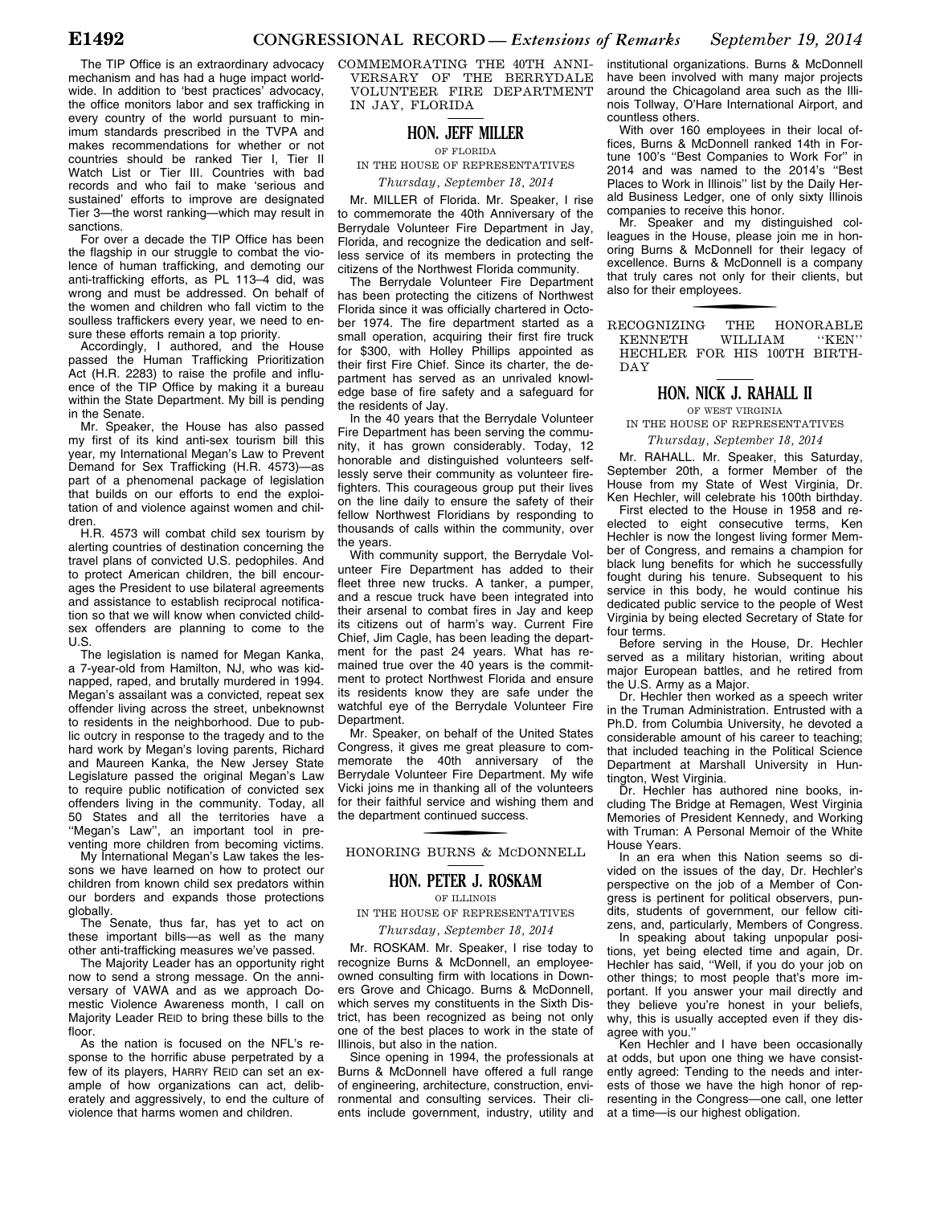The TIP Office is an extraordinary advocacy mechanism and has had a huge impact worldwide. In addition to 'best practices' advocacy, the office monitors labor and sex trafficking in every country of the world pursuant to minimum standards prescribed in the TVPA and makes recommendations for whether or not countries should be ranked Tier I, Tier II Watch List or Tier III. Countries with bad records and who fail to make 'serious and sustained' efforts to improve are designated Tier 3—the worst ranking—which may result in sanctions.

For over a decade the TIP Office has been the flagship in our struggle to combat the violence of human trafficking, and demoting our anti-trafficking efforts, as PL 113–4 did, was wrong and must be addressed. On behalf of the women and children who fall victim to the soulless traffickers every year, we need to ensure these efforts remain a top priority.

Accordingly, I authored, and the House passed the Human Trafficking Prioritization Act (H.R. 2283) to raise the profile and influence of the TIP Office by making it a bureau within the State Department. My bill is pending in the Senate.

Mr. Speaker, the House has also passed my first of its kind anti-sex tourism bill this year, my International Megan's Law to Prevent Demand for Sex Trafficking (H.R. 4573)—as part of a phenomenal package of legislation that builds on our efforts to end the exploitation of and violence against women and children.

H.R. 4573 will combat child sex tourism by alerting countries of destination concerning the travel plans of convicted U.S. pedophiles. And to protect American children, the bill encourages the President to use bilateral agreements and assistance to establish reciprocal notification so that we will know when convicted childsex offenders are planning to come to the U.S

The legislation is named for Megan Kanka, a 7-year-old from Hamilton, NJ, who was kidnapped, raped, and brutally murdered in 1994. Megan's assailant was a convicted, repeat sex offender living across the street, unbeknownst to residents in the neighborhood. Due to public outcry in response to the tragedy and to the hard work by Megan's loving parents, Richard and Maureen Kanka, the New Jersey State Legislature passed the original Megan's Law to require public notification of convicted sex offenders living in the community. Today, all 50 States and all the territories have a ''Megan's Law'', an important tool in preventing more children from becoming victims.

My International Megan's Law takes the lessons we have learned on how to protect our children from known child sex predators within our borders and expands those protections globally.

The Senate, thus far, has yet to act on these important bills—as well as the many other anti-trafficking measures we've passed.

The Majority Leader has an opportunity right now to send a strong message. On the anniversary of VAWA and as we approach Domestic Violence Awareness month, I call on Majority Leader REID to bring these bills to the floor.

As the nation is focused on the NFL's response to the horrific abuse perpetrated by a few of its players, HARRY REID can set an example of how organizations can act, deliberately and aggressively, to end the culture of violence that harms women and children.

COMMEMORATING THE 40TH ANNI-VERSARY OF THE BERRYDALE VOLUNTEER FIRE DEPARTMENT IN JAY, FLORIDA

#### **HON. JEFF MILLER**

OF FLORIDA

IN THE HOUSE OF REPRESENTATIVES

*Thursday, September 18, 2014* 

Mr. MILLER of Florida. Mr. Speaker, I rise to commemorate the 40th Anniversary of the Berrydale Volunteer Fire Department in Jay, Florida, and recognize the dedication and selfless service of its members in protecting the citizens of the Northwest Florida community.

The Berrydale Volunteer Fire Department has been protecting the citizens of Northwest Florida since it was officially chartered in October 1974. The fire department started as a small operation, acquiring their first fire truck for \$300, with Holley Phillips appointed as their first Fire Chief. Since its charter, the department has served as an unrivaled knowledge base of fire safety and a safeguard for the residents of Jay.

In the 40 years that the Berrydale Volunteer Fire Department has been serving the community, it has grown considerably. Today, 12 honorable and distinguished volunteers selflessly serve their community as volunteer firefighters. This courageous group put their lives on the line daily to ensure the safety of their fellow Northwest Floridians by responding to thousands of calls within the community, over the years.

With community support, the Berrydale Volunteer Fire Department has added to their fleet three new trucks. A tanker, a pumper, and a rescue truck have been integrated into their arsenal to combat fires in Jay and keep its citizens out of harm's way. Current Fire Chief, Jim Cagle, has been leading the department for the past 24 years. What has remained true over the 40 years is the commitment to protect Northwest Florida and ensure its residents know they are safe under the watchful eye of the Berrydale Volunteer Fire Department.

Mr. Speaker, on behalf of the United States Congress, it gives me great pleasure to commemorate the 40th anniversary of the Berrydale Volunteer Fire Department. My wife Vicki joins me in thanking all of the volunteers for their faithful service and wishing them and the department continued success.

f HONORING BURNS & MCDONNELL

## **HON. PETER J. ROSKAM**

#### OF ILLINOIS

IN THE HOUSE OF REPRESENTATIVES

*Thursday, September 18, 2014* 

Mr. ROSKAM. Mr. Speaker, I rise today to recognize Burns & McDonnell, an employeeowned consulting firm with locations in Downers Grove and Chicago. Burns & McDonnell, which serves my constituents in the Sixth District, has been recognized as being not only one of the best places to work in the state of Illinois, but also in the nation.

Since opening in 1994, the professionals at Burns & McDonnell have offered a full range of engineering, architecture, construction, environmental and consulting services. Their clients include government, industry, utility and institutional organizations. Burns & McDonnell have been involved with many major projects around the Chicagoland area such as the Illinois Tollway, O'Hare International Airport, and countless others.

With over 160 employees in their local offices, Burns & McDonnell ranked 14th in Fortune 100's ''Best Companies to Work For'' in 2014 and was named to the 2014's ''Best Places to Work in Illinois'' list by the Daily Herald Business Ledger, one of only sixty Illinois companies to receive this honor.

Mr. Speaker and my distinguished colleagues in the House, please join me in honoring Burns & McDonnell for their legacy of excellence. Burns & McDonnell is a company that truly cares not only for their clients, but also for their employees.

f RECOGNIZING THE HONORABLE KENNETH WILLIAM ''KEN'' HECHLER FOR HIS 100TH BIRTH-DAY

#### **HON. NICK J. RAHALL II** OF WEST VIRGINIA

IN THE HOUSE OF REPRESENTATIVES

*Thursday, September 18, 2014* 

Mr. RAHALL. Mr. Speaker, this Saturday, September 20th, a former Member of the House from my State of West Virginia, Dr. Ken Hechler, will celebrate his 100th birthday.

First elected to the House in 1958 and reelected to eight consecutive terms, Ken Hechler is now the longest living former Member of Congress, and remains a champion for black lung benefits for which he successfully fought during his tenure. Subsequent to his service in this body, he would continue his dedicated public service to the people of West Virginia by being elected Secretary of State for four terms.

Before serving in the House, Dr. Hechler served as a military historian, writing about major European battles, and he retired from the U.S. Army as a Major.

Dr. Hechler then worked as a speech writer in the Truman Administration. Entrusted with a Ph.D. from Columbia University, he devoted a considerable amount of his career to teaching; that included teaching in the Political Science Department at Marshall University in Huntington, West Virginia.

Dr. Hechler has authored nine books, including The Bridge at Remagen, West Virginia Memories of President Kennedy, and Working with Truman: A Personal Memoir of the White House Years.

In an era when this Nation seems so divided on the issues of the day, Dr. Hechler's perspective on the job of a Member of Congress is pertinent for political observers, pundits, students of government, our fellow citizens, and, particularly, Members of Congress.

In speaking about taking unpopular positions, yet being elected time and again, Dr. Hechler has said, ''Well, if you do your job on other things; to most people that's more important. If you answer your mail directly and they believe you're honest in your beliefs, why, this is usually accepted even if they disagree with you.''

Ken Hechler and I have been occasionally at odds, but upon one thing we have consistently agreed: Tending to the needs and interests of those we have the high honor of representing in the Congress—one call, one letter at a time—is our highest obligation.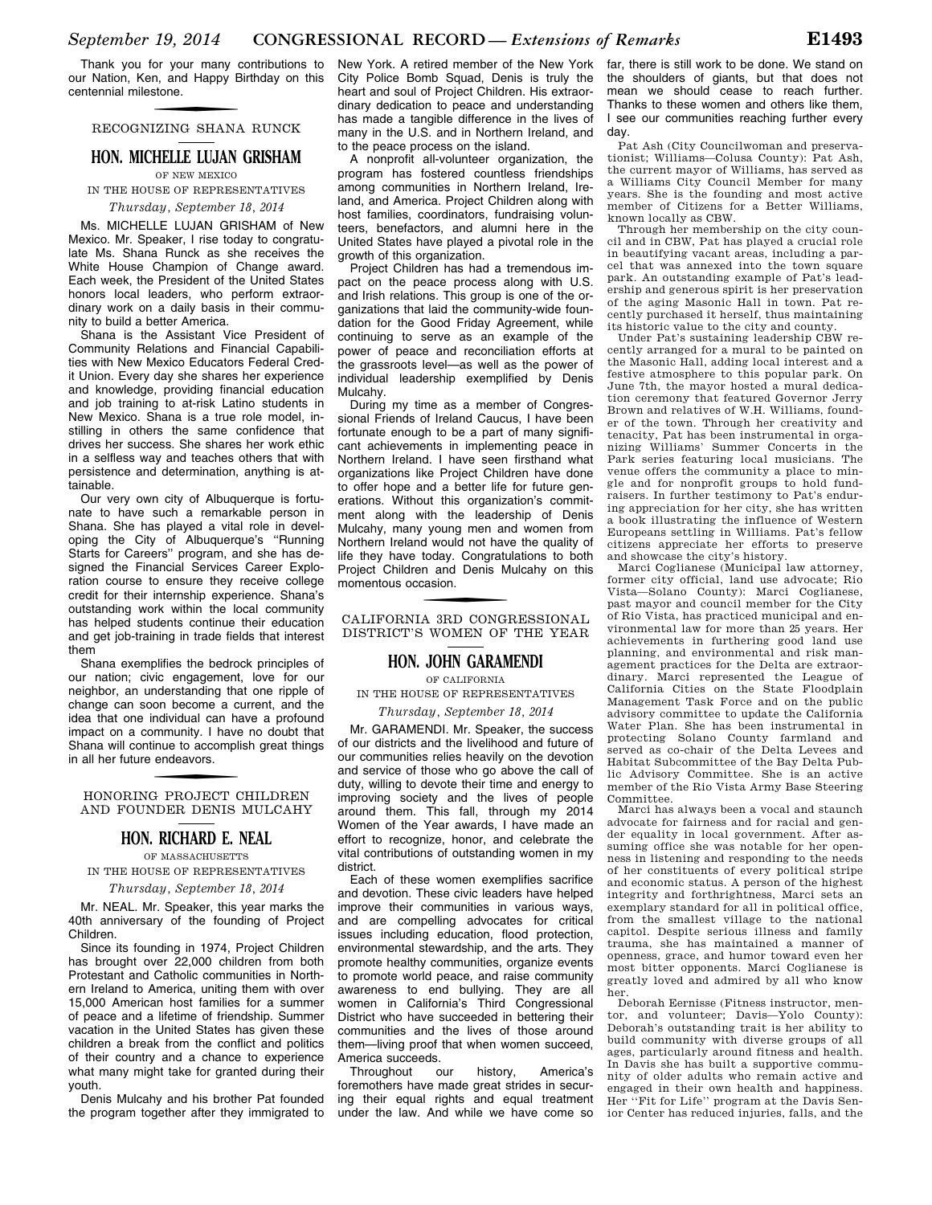Thank you for your many contributions to our Nation, Ken, and Happy Birthday on this centennial milestone.

# f RECOGNIZING SHANA RUNCK

# **HON. MICHELLE LUJAN GRISHAM**

OF NEW MEXICO IN THE HOUSE OF REPRESENTATIVES

*Thursday, September 18, 2014* 

Ms. MICHELLE LUJAN GRISHAM of New Mexico. Mr. Speaker, I rise today to congratulate Ms. Shana Runck as she receives the White House Champion of Change award. Each week, the President of the United States honors local leaders, who perform extraordinary work on a daily basis in their community to build a better America.

Shana is the Assistant Vice President of Community Relations and Financial Capabilities with New Mexico Educators Federal Credit Union. Every day she shares her experience and knowledge, providing financial education and job training to at-risk Latino students in New Mexico. Shana is a true role model, instilling in others the same confidence that drives her success. She shares her work ethic in a selfless way and teaches others that with persistence and determination, anything is attainable.

Our very own city of Albuquerque is fortunate to have such a remarkable person in Shana. She has played a vital role in developing the City of Albuquerque's ''Running Starts for Careers'' program, and she has designed the Financial Services Career Exploration course to ensure they receive college credit for their internship experience. Shana's outstanding work within the local community has helped students continue their education and get job-training in trade fields that interest them

Shana exemplifies the bedrock principles of our nation; civic engagement, love for our neighbor, an understanding that one ripple of change can soon become a current, and the idea that one individual can have a profound impact on a community. I have no doubt that Shana will continue to accomplish great things in all her future endeavors.

f HONORING PROJECT CHILDREN AND FOUNDER DENIS MULCAHY

#### **HON. RICHARD E. NEAL**

OF MASSACHUSETTS IN THE HOUSE OF REPRESENTATIVES

*Thursday, September 18, 2014* 

Mr. NEAL. Mr. Speaker, this year marks the 40th anniversary of the founding of Project Children.

Since its founding in 1974, Project Children has brought over 22,000 children from both Protestant and Catholic communities in Northern Ireland to America, uniting them with over 15,000 American host families for a summer of peace and a lifetime of friendship. Summer vacation in the United States has given these children a break from the conflict and politics of their country and a chance to experience what many might take for granted during their youth.

Denis Mulcahy and his brother Pat founded the program together after they immigrated to New York. A retired member of the New York City Police Bomb Squad, Denis is truly the heart and soul of Project Children. His extraordinary dedication to peace and understanding has made a tangible difference in the lives of many in the U.S. and in Northern Ireland, and to the peace process on the island.

A nonprofit all-volunteer organization, the program has fostered countless friendships among communities in Northern Ireland, Ireland, and America. Project Children along with host families, coordinators, fundraising volunteers, benefactors, and alumni here in the United States have played a pivotal role in the growth of this organization.

Project Children has had a tremendous impact on the peace process along with U.S. and Irish relations. This group is one of the organizations that laid the community-wide foundation for the Good Friday Agreement, while continuing to serve as an example of the power of peace and reconciliation efforts at the grassroots level—as well as the power of individual leadership exemplified by Denis Mulcahy.

During my time as a member of Congressional Friends of Ireland Caucus, I have been fortunate enough to be a part of many significant achievements in implementing peace in Northern Ireland. I have seen firsthand what organizations like Project Children have done to offer hope and a better life for future generations. Without this organization's commitment along with the leadership of Denis Mulcahy, many young men and women from Northern Ireland would not have the quality of life they have today. Congratulations to both Project Children and Denis Mulcahy on this momentous occasion.

f CALIFORNIA 3RD CONGRESSIONAL DISTRICT'S WOMEN OF THE YEAR

#### **HON. JOHN GARAMENDI**

OF CALIFORNIA

IN THE HOUSE OF REPRESENTATIVES

*Thursday, September 18, 2014* 

Mr. GARAMENDI. Mr. Speaker, the success of our districts and the livelihood and future of our communities relies heavily on the devotion and service of those who go above the call of duty, willing to devote their time and energy to improving society and the lives of people around them. This fall, through my 2014 Women of the Year awards, I have made an effort to recognize, honor, and celebrate the vital contributions of outstanding women in my district.

Each of these women exemplifies sacrifice and devotion. These civic leaders have helped improve their communities in various ways, and are compelling advocates for critical issues including education, flood protection, environmental stewardship, and the arts. They promote healthy communities, organize events to promote world peace, and raise community awareness to end bullying. They are all women in California's Third Congressional District who have succeeded in bettering their communities and the lives of those around them—living proof that when women succeed, America succeeds.

Throughout our history, America's foremothers have made great strides in securing their equal rights and equal treatment under the law. And while we have come so

far, there is still work to be done. We stand on the shoulders of giants, but that does not mean we should cease to reach further. Thanks to these women and others like them, I see our communities reaching further every day.

Pat Ash (City Councilwoman and preservationist; Williams—Colusa County): Pat Ash, the current mayor of Williams, has served as a Williams City Council Member for many years. She is the founding and most active member of Citizens for a Better Williams, known locally as CBW.

Through her membership on the city council and in CBW, Pat has played a crucial role in beautifying vacant areas, including a parcel that was annexed into the town square park. An outstanding example of Pat's leadership and generous spirit is her preservation of the aging Masonic Hall in town. Pat recently purchased it herself, thus maintaining its historic value to the city and county.

Under Pat's sustaining leadership CBW recently arranged for a mural to be painted on the Masonic Hall, adding local interest and a festive atmosphere to this popular park. On June 7th, the mayor hosted a mural dedication ceremony that featured Governor Jerry Brown and relatives of W.H. Williams, founder of the town. Through her creativity and tenacity, Pat has been instrumental in organizing Williams' Summer Concerts in the Park series featuring local musicians. The venue offers the community a place to mingle and for nonprofit groups to hold fundraisers. In further testimony to Pat's enduring appreciation for her city, she has written a book illustrating the influence of Western Europeans settling in Williams. Pat's fellow citizens appreciate her efforts to preserve and showcase the city's history.

Marci Coglianese (Municipal law attorney, former city official, land use advocate; Rio Vista—Solano County): Marci Coglianese, past mayor and council member for the City of Rio Vista, has practiced municipal and environmental law for more than 25 years. Her achievements in furthering good land use planning, and environmental and risk management practices for the Delta are extraordinary. Marci represented the League of California Cities on the State Floodplain Management Task Force and on the public advisory committee to update the California Water Plan. She has been instrumental in protecting Solano County farmland and served as co-chair of the Delta Levees and Habitat Subcommittee of the Bay Delta Public Advisory Committee. She is an active member of the Rio Vista Army Base Steering Committee.

Marci has always been a vocal and staunch advocate for fairness and for racial and gender equality in local government. After assuming office she was notable for her openness in listening and responding to the needs of her constituents of every political stripe and economic status. A person of the highest integrity and forthrightness, Marci sets an exemplary standard for all in political office, from the smallest village to the national capitol. Despite serious illness and family trauma, she has maintained a manner of openness, grace, and humor toward even her most bitter opponents. Marci Coglianese is greatly loved and admired by all who know her.

Deborah Eernisse (Fitness instructor, mentor, and volunteer; Davis—Yolo County): Deborah's outstanding trait is her ability to build community with diverse groups of all ages, particularly around fitness and health. In Davis she has built a supportive community of older adults who remain active and engaged in their own health and happiness. Her ''Fit for Life'' program at the Davis Senior Center has reduced injuries, falls, and the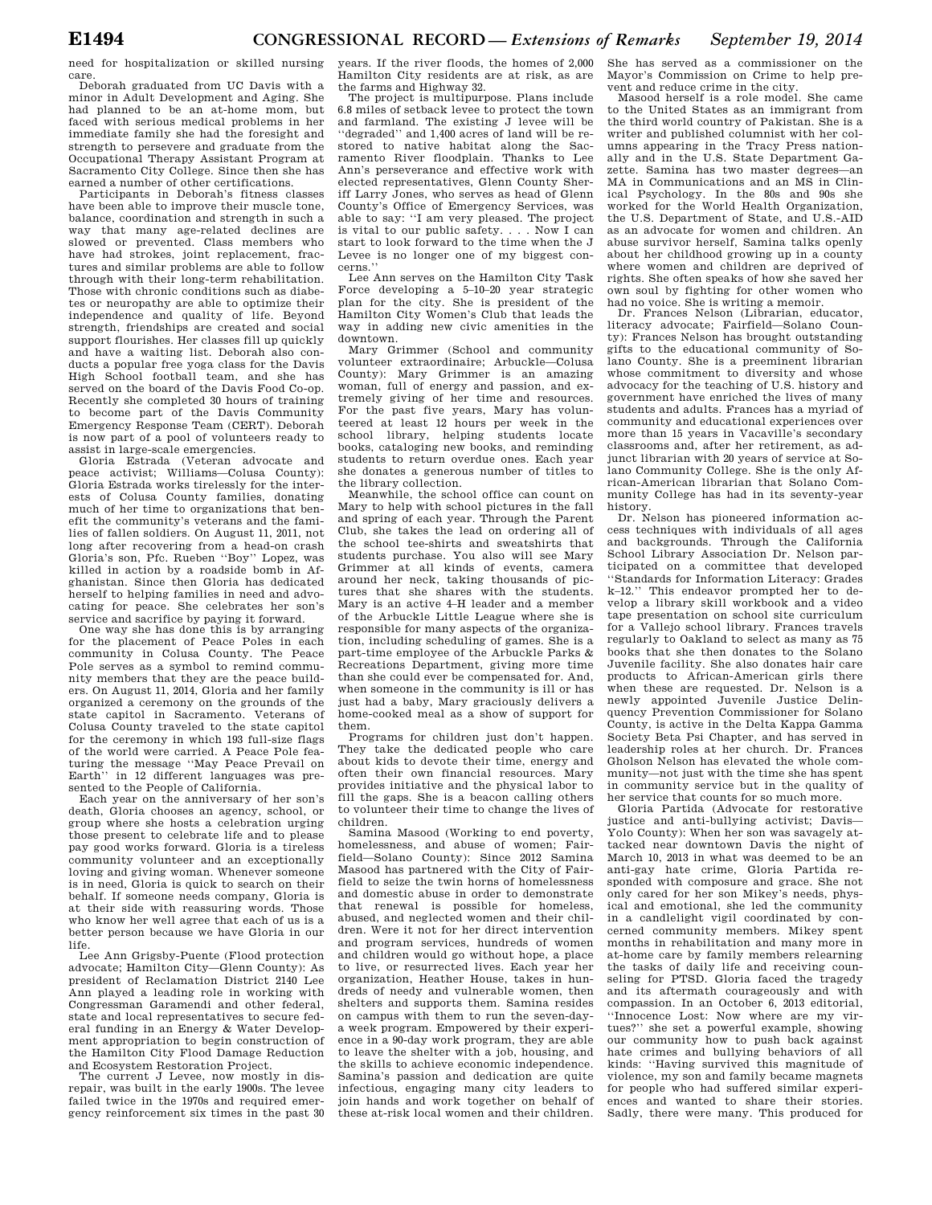need for hospitalization or skilled nursing care.

Deborah graduated from UC Davis with a minor in Adult Development and Aging. She had planned to be an at-home mom, but faced with serious medical problems in her immediate family she had the foresight and strength to persevere and graduate from the Occupational Therapy Assistant Program at Sacramento City College. Since then she has

earned a number of other certifications. Participants in Deborah's fitness classes have been able to improve their muscle tone, balance, coordination and strength in such a way that many age-related declines are slowed or prevented. Class members who have had strokes, joint replacement, fractures and similar problems are able to follow through with their long-term rehabilitation. Those with chronic conditions such as diabetes or neuropathy are able to optimize their independence and quality of life. Beyond strength, friendships are created and social support flourishes. Her classes fill up quickly and have a waiting list. Deborah also conducts a popular free yoga class for the Davis High School football team, and she has served on the board of the Davis Food Co-op. Recently she completed 30 hours of training to become part of the Davis Community Emergency Response Team (CERT). Deborah is now part of a pool of volunteers ready to assist in large-scale emergencies.

Gloria Estrada (Veteran advocate and peace activist; Williams—Colusa County): Gloria Estrada works tirelessly for the interests of Colusa County families, donating much of her time to organizations that benefit the community's veterans and the families of fallen soldiers. On August 11, 2011, not long after recovering from a head-on crash Gloria's son, Pfc. Rueben ''Boy'' Lopez, was killed in action by a roadside bomb in Afghanistan. Since then Gloria has dedicated herself to helping families in need and advocating for peace. She celebrates her son's service and sacrifice by paying it forward.

One way she has done this is by arranging for the placement of Peace Poles in each community in Colusa County. The Peace Pole serves as a symbol to remind community members that they are the peace builders. On August 11, 2014, Gloria and her family organized a ceremony on the grounds of the state capitol in Sacramento. Veterans of Colusa County traveled to the state capitol for the ceremony in which 193 full-size flags of the world were carried. A Peace Pole featuring the message ''May Peace Prevail on Earth'' in 12 different languages was presented to the People of California.

Each year on the anniversary of her son's death, Gloria chooses an agency, school, or group where she hosts a celebration urging those present to celebrate life and to please pay good works forward. Gloria is a tireless community volunteer and an exceptionally loving and giving woman. Whenever someone is in need, Gloria is quick to search on their behalf. If someone needs company, Gloria is at their side with reassuring words. Those who know her well agree that each of us is a better person because we have Gloria in our life.

Lee Ann Grigsby-Puente (Flood protection advocate; Hamilton City—Glenn County): As president of Reclamation District 2140 Lee Ann played a leading role in working with Congressman Garamendi and other federal, state and local representatives to secure federal funding in an Energy & Water Development appropriation to begin construction of the Hamilton City Flood Damage Reduction and Ecosystem Restoration Project.

The current J Levee, now mostly in disrepair, was built in the early 1900s. The levee failed twice in the 1970s and required emergency reinforcement six times in the past 30

years. If the river floods, the homes of 2,000 Hamilton City residents are at risk, as are the farms and Highway 32.

The project is multipurpose. Plans include 6.8 miles of setback levee to protect the town and farmland. The existing J levee will be ''degraded'' and 1,400 acres of land will be restored to native habitat along the Sac-ramento River floodplain. Thanks to Lee Ann's perseverance and effective work with elected representatives, Glenn County Sheriff Larry Jones, who serves as head of Glenn County's Office of Emergency Services, was able to say: ''I am very pleased. The project is vital to our public safety. . . . Now I can start to look forward to the time when the J Levee is no longer one of my biggest concerns.''

Lee Ann serves on the Hamilton City Task Force developing a 5–10–20 year strategic plan for the city. She is president of the Hamilton City Women's Club that leads the way in adding new civic amenities in the downtown.

Mary Grimmer (School and community volunteer extraordinaire; Arbuckle—Colusa County): Mary Grimmer is an amazing woman, full of energy and passion, and extremely giving of her time and resources. For the past five years, Mary has volunteered at least 12 hours per week in the school library, helping students locate books, cataloging new books, and reminding students to return overdue ones. Each year she donates a generous number of titles to the library collection.

Meanwhile, the school office can count on Mary to help with school pictures in the fall and spring of each year. Through the Parent Club, she takes the lead on ordering all of the school tee-shirts and sweatshirts that students purchase. You also will see Mary Grimmer at all kinds of events, camera around her neck, taking thousands of pictures that she shares with the students. Mary is an active 4–H leader and a member of the Arbuckle Little League where she is responsible for many aspects of the organization, including scheduling of games. She is a part-time employee of the Arbuckle Parks & Recreations Department, giving more time than she could ever be compensated for. And, when someone in the community is ill or has just had a baby, Mary graciously delivers a home-cooked meal as a show of support for them.

Programs for children just don't happen. They take the dedicated people who care about kids to devote their time, energy and often their own financial resources. Mary provides initiative and the physical labor to fill the gaps. She is a beacon calling others to volunteer their time to change the lives of children.

Samina Masood (Working to end poverty, homelessness, and abuse of women; Fairfield—Solano County): Since 2012 Samina Masood has partnered with the City of Fairfield to seize the twin horns of homelessness and domestic abuse in order to demonstrate that renewal is possible for homeless, abused, and neglected women and their children. Were it not for her direct intervention and program services, hundreds of women and children would go without hope, a place to live, or resurrected lives. Each year her organization, Heather House, takes in hundreds of needy and vulnerable women, then shelters and supports them. Samina resides on campus with them to run the seven-daya week program. Empowered by their experience in a 90-day work program, they are able to leave the shelter with a job, housing, and the skills to achieve economic independence. Samina's passion and dedication are quite infectious, engaging many city leaders to join hands and work together on behalf of these at-risk local women and their children.

She has served as a commissioner on the Mayor's Commission on Crime to help prevent and reduce crime in the city.

Masood herself is a role model. She came to the United States as an immigrant from the third world country of Pakistan. She is a writer and published columnist with her columns appearing in the Tracy Press nationally and in the U.S. State Department Gazette. Samina has two master degrees—an MA in Communications and an MS in Clinical Psychology. In the 80s and 90s she worked for the World Health Organization, the U.S. Department of State, and U.S.-AID as an advocate for women and children. An abuse survivor herself, Samina talks openly about her childhood growing up in a county where women and children are deprived of rights. She often speaks of how she saved her own soul by fighting for other women who had no voice. She is writing a memoir.

Dr. Frances Nelson (Librarian, educator, literacy advocate; Fairfield—Solano County): Frances Nelson has brought outstanding gifts to the educational community of Solano County. She is a preeminent librarian whose commitment to diversity and whose advocacy for the teaching of U.S. history and government have enriched the lives of many students and adults. Frances has a myriad of community and educational experiences over more than 15 years in Vacaville's secondary classrooms and, after her retirement, as adjunct librarian with 20 years of service at Solano Community College. She is the only African-American librarian that Solano Community College has had in its seventy-year

history. Dr. Nelson has pioneered information access techniques with individuals of all ages and backgrounds. Through the California School Library Association Dr. Nelson participated on a committee that developed ''Standards for Information Literacy: Grades k–12.'' This endeavor prompted her to develop a library skill workbook and a video tape presentation on school site curriculum for a Vallejo school library. Frances travels regularly to Oakland to select as many as 75 books that she then donates to the Solano Juvenile facility. She also donates hair care products to African-American girls there when these are requested. Dr. Nelson is a newly appointed Juvenile Justice Delinquency Prevention Commissioner for Solano County, is active in the Delta Kappa Gamma Society Beta Psi Chapter, and has served in leadership roles at her church. Dr. Frances Gholson Nelson has elevated the whole community—not just with the time she has spent in community service but in the quality of her service that counts for so much more.

Gloria Partida (Advocate for restorative justice and anti-bullying activist; Davis— Yolo County): When her son was savagely attacked near downtown Davis the night of March 10, 2013 in what was deemed to be an anti-gay hate crime, Gloria Partida responded with composure and grace. She not only cared for her son Mikey's needs, physical and emotional, she led the community in a candlelight vigil coordinated by concerned community members. Mikey spent months in rehabilitation and many more in at-home care by family members relearning the tasks of daily life and receiving counseling for PTSD. Gloria faced the tragedy and its aftermath courageously and with compassion. In an October 6, 2013 editorial, ''Innocence Lost: Now where are my virtues?'' she set a powerful example, showing our community how to push back against hate crimes and bullying behaviors of all kinds: ''Having survived this magnitude of violence, my son and family became magnets for people who had suffered similar experiences and wanted to share their stories. Sadly, there were many. This produced for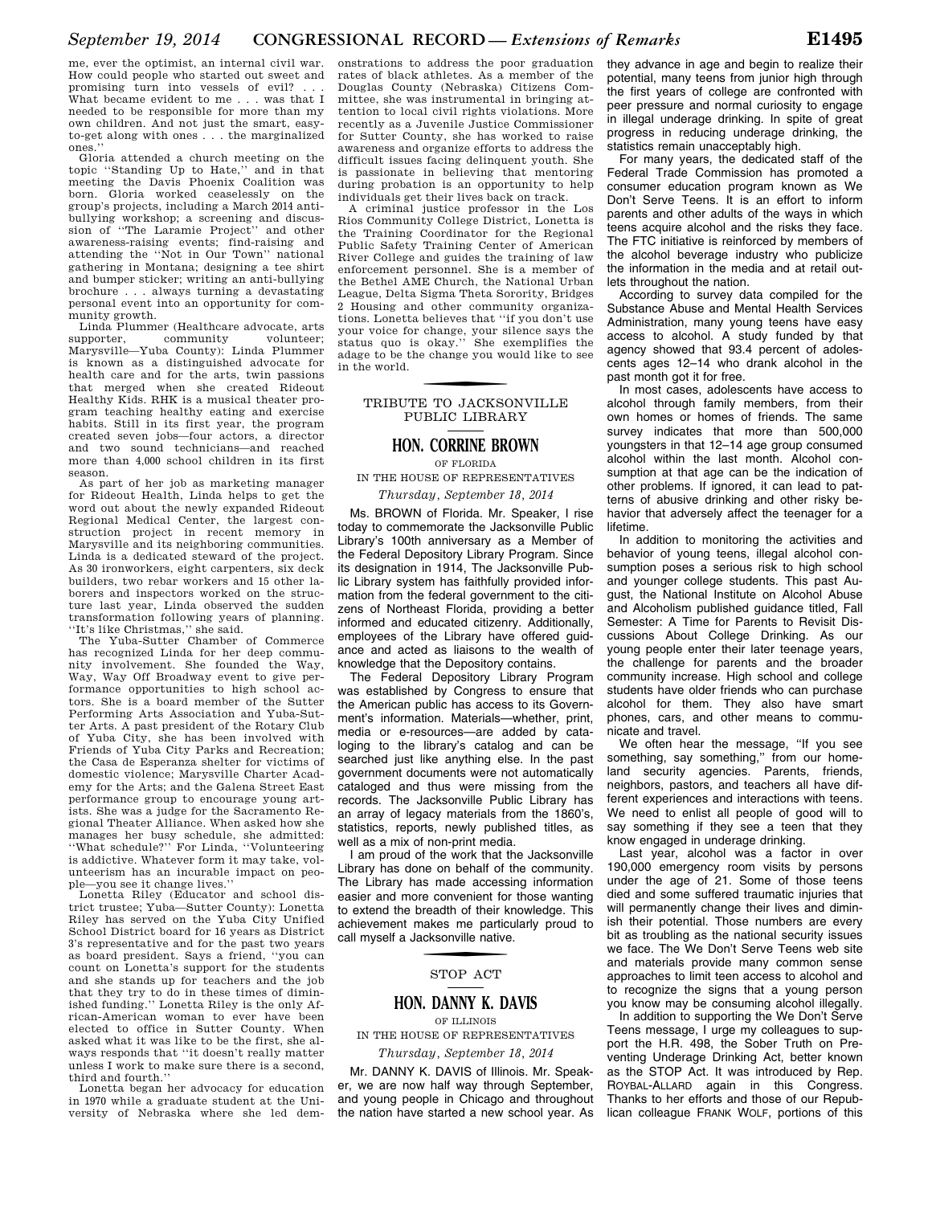me, ever the optimist, an internal civil war. How could people who started out sweet and promising turn into vessels of evil? What became evident to me . . . was that I needed to be responsible for more than my own children. And not just the smart, easyto-get along with ones . . . the marginalized ones.''

Gloria attended a church meeting on the topic ''Standing Up to Hate,'' and in that meeting the Davis Phoenix Coalition was born. Gloria worked ceaselessly on the group's projects, including a March 2014 antibullying workshop; a screening and discussion of ''The Laramie Project'' and other awareness-raising events; find-raising and attending the ''Not in Our Town'' national gathering in Montana; designing a tee shirt and bumper sticker; writing an anti-bullying brochure . . . always turning a devastating personal event into an opportunity for community growth.

Linda Plummer (Healthcare advocate, arts supporter, community volunteer; Marysville—Yuba County): Linda Plummer is known as a distinguished advocate for health care and for the arts, twin passions that merged when she created Rideout Healthy Kids. RHK is a musical theater program teaching healthy eating and exercise habits. Still in its first year, the program created seven jobs—four actors, a director and two sound technicians—and reached more than 4,000 school children in its first season.

As part of her job as marketing manager for Rideout Health, Linda helps to get the word out about the newly expanded Rideout Regional Medical Center, the largest construction project in recent memory in Marysville and its neighboring communities. Linda is a dedicated steward of the project. As 30 ironworkers, eight carpenters, six deck builders, two rebar workers and 15 other laborers and inspectors worked on the structure last year, Linda observed the sudden transformation following years of planning.

''It's like Christmas,'' she said. The Yuba-Sutter Chamber of Commerce has recognized Linda for her deep community involvement. She founded the Way, Way, Way Off Broadway event to give performance opportunities to high school actors. She is a board member of the Sutter Performing Arts Association and Yuba-Sutter Arts. A past president of the Rotary Club of Yuba City, she has been involved with Friends of Yuba City Parks and Recreation; the Casa de Esperanza shelter for victims of domestic violence; Marysville Charter Academy for the Arts; and the Galena Street East performance group to encourage young artists. She was a judge for the Sacramento Regional Theater Alliance. When asked how she manages her busy schedule, she admitted: ''What schedule?'' For Linda, ''Volunteering is addictive. Whatever form it may take, volunteerism has an incurable impact on people—you see it change lives.''

Lonetta Riley (Educator and school district trustee; Yuba—Sutter County): Lonetta Riley has served on the Yuba City Unified School District board for 16 years as District 3's representative and for the past two years as board president. Says a friend, ''you can count on Lonetta's support for the students and she stands up for teachers and the job that they try to do in these times of diminished funding.'' Lonetta Riley is the only African-American woman to ever have been elected to office in Sutter County. When asked what it was like to be the first, she always responds that ''it doesn't really matter unless I work to make sure there is a second, third and fourth.''

Lonetta began her advocacy for education in 1970 while a graduate student at the University of Nebraska where she led dem-

onstrations to address the poor graduation rates of black athletes. As a member of the Douglas County (Nebraska) Citizens Committee, she was instrumental in bringing attention to local civil rights violations. More recently as a Juvenile Justice Commissioner for Sutter County, she has worked to raise awareness and organize efforts to address the difficult issues facing delinquent youth. She is passionate in believing that mentoring during probation is an opportunity to help individuals get their lives back on track.

A criminal justice professor in the Los Rios Community College District, Lonetta is the Training Coordinator for the Regional Public Safety Training Center of American River College and guides the training of law enforcement personnel. She is a member of the Bethel AME Church, the National Urban League, Delta Sigma Theta Sorority, Bridges 2 Housing and other community organizations. Lonetta believes that ''if you don't use your voice for change, your silence says the status quo is okay.'' She exemplifies the adage to be the change you would like to see in the world.

> f TRIBUTE TO JACKSONVILLE PUBLIC LIBRARY

#### **HON. CORRINE BROWN**

OF FLORIDA

IN THE HOUSE OF REPRESENTATIVES

*Thursday, September 18, 2014* 

Ms. BROWN of Florida. Mr. Speaker, I rise today to commemorate the Jacksonville Public Library's 100th anniversary as a Member of the Federal Depository Library Program. Since its designation in 1914, The Jacksonville Public Library system has faithfully provided information from the federal government to the citizens of Northeast Florida, providing a better informed and educated citizenry. Additionally, employees of the Library have offered guidance and acted as liaisons to the wealth of knowledge that the Depository contains.

The Federal Depository Library Program was established by Congress to ensure that the American public has access to its Government's information. Materials—whether, print, media or e-resources—are added by cataloging to the library's catalog and can be searched just like anything else. In the past government documents were not automatically cataloged and thus were missing from the records. The Jacksonville Public Library has an array of legacy materials from the 1860's, statistics, reports, newly published titles, as well as a mix of non-print media.

I am proud of the work that the Jacksonville Library has done on behalf of the community. The Library has made accessing information easier and more convenient for those wanting to extend the breadth of their knowledge. This achievement makes me particularly proud to call myself a Jacksonville native.

# STOP ACT

#### **HON. DANNY K. DAVIS** OF ILLINOIS

IN THE HOUSE OF REPRESENTATIVES

*Thursday, September 18, 2014* 

Mr. DANNY K. DAVIS of Illinois. Mr. Speaker, we are now half way through September, and young people in Chicago and throughout the nation have started a new school year. As they advance in age and begin to realize their potential, many teens from junior high through the first years of college are confronted with peer pressure and normal curiosity to engage in illegal underage drinking. In spite of great progress in reducing underage drinking, the statistics remain unacceptably high.

For many years, the dedicated staff of the Federal Trade Commission has promoted a consumer education program known as We Don't Serve Teens. It is an effort to inform parents and other adults of the ways in which teens acquire alcohol and the risks they face. The FTC initiative is reinforced by members of the alcohol beverage industry who publicize the information in the media and at retail outlets throughout the nation.

According to survey data compiled for the Substance Abuse and Mental Health Services Administration, many young teens have easy access to alcohol. A study funded by that agency showed that 93.4 percent of adolescents ages 12–14 who drank alcohol in the past month got it for free.

In most cases, adolescents have access to alcohol through family members, from their own homes or homes of friends. The same survey indicates that more than 500,000 youngsters in that 12–14 age group consumed alcohol within the last month. Alcohol consumption at that age can be the indication of other problems. If ignored, it can lead to patterns of abusive drinking and other risky behavior that adversely affect the teenager for a lifetime.

In addition to monitoring the activities and behavior of young teens, illegal alcohol consumption poses a serious risk to high school and younger college students. This past August, the National Institute on Alcohol Abuse and Alcoholism published guidance titled, Fall Semester: A Time for Parents to Revisit Discussions About College Drinking. As our young people enter their later teenage years, the challenge for parents and the broader community increase. High school and college students have older friends who can purchase alcohol for them. They also have smart phones, cars, and other means to communicate and travel.

We often hear the message, "If you see something, say something,'' from our homeland security agencies. Parents, friends, neighbors, pastors, and teachers all have different experiences and interactions with teens. We need to enlist all people of good will to say something if they see a teen that they know engaged in underage drinking.

Last year, alcohol was a factor in over 190,000 emergency room visits by persons under the age of 21. Some of those teens died and some suffered traumatic injuries that will permanently change their lives and diminish their potential. Those numbers are every bit as troubling as the national security issues we face. The We Don't Serve Teens web site and materials provide many common sense approaches to limit teen access to alcohol and to recognize the signs that a young person you know may be consuming alcohol illegally.

In addition to supporting the We Don't Serve Teens message, I urge my colleagues to support the H.R. 498, the Sober Truth on Preventing Underage Drinking Act, better known as the STOP Act. It was introduced by Rep. ROYBAL-ALLARD again in this Congress. Thanks to her efforts and those of our Republican colleague FRANK WOLF, portions of this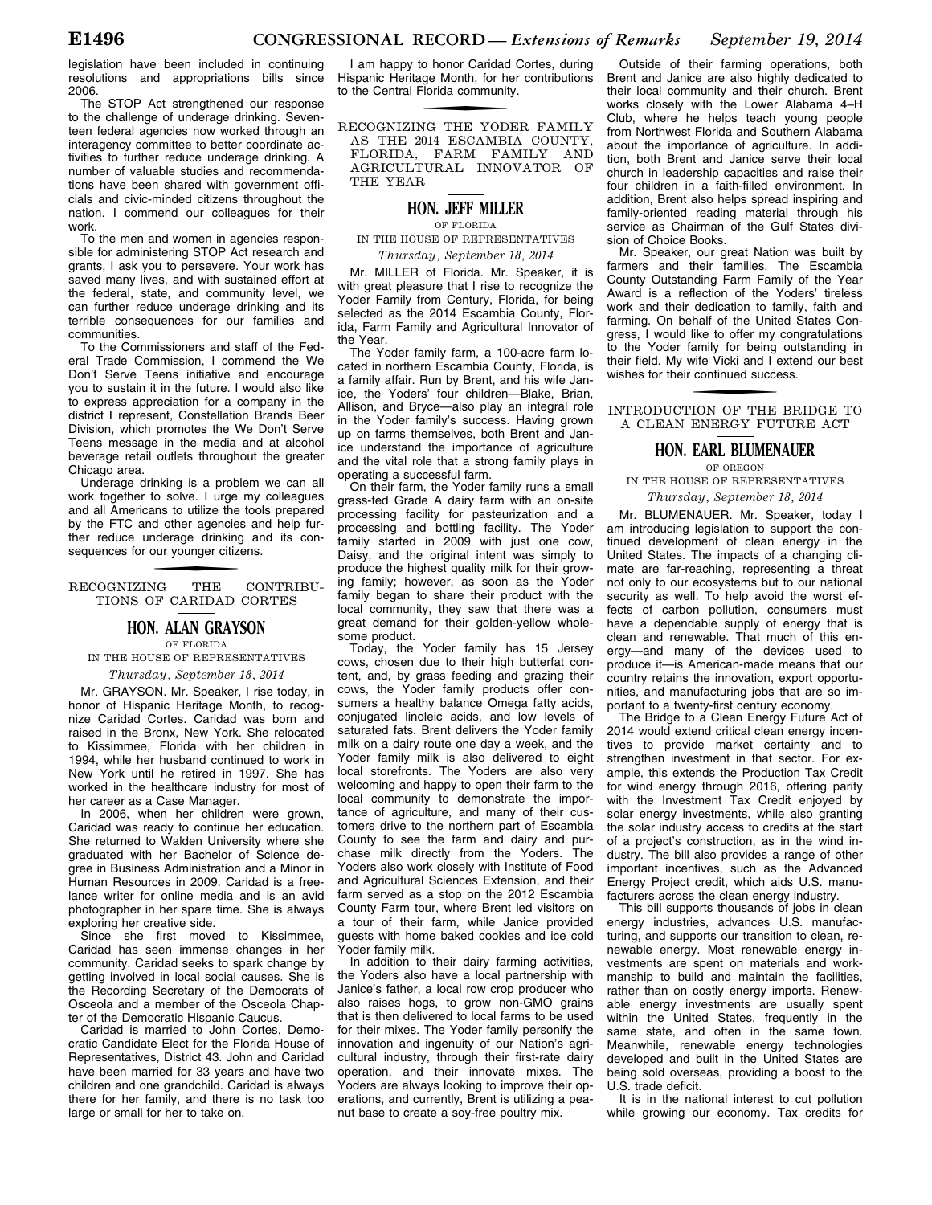legislation have been included in continuing resolutions and appropriations bills since 2006.

The STOP Act strengthened our response to the challenge of underage drinking. Seventeen federal agencies now worked through an interagency committee to better coordinate activities to further reduce underage drinking. A number of valuable studies and recommendations have been shared with government officials and civic-minded citizens throughout the nation. I commend our colleagues for their work.

To the men and women in agencies responsible for administering STOP Act research and grants, I ask you to persevere. Your work has saved many lives, and with sustained effort at the federal, state, and community level, we can further reduce underage drinking and its terrible consequences for our families and communities.

To the Commissioners and staff of the Federal Trade Commission, I commend the We Don't Serve Teens initiative and encourage you to sustain it in the future. I would also like to express appreciation for a company in the district I represent, Constellation Brands Beer Division, which promotes the We Don't Serve Teens message in the media and at alcohol beverage retail outlets throughout the greater Chicago area.

Underage drinking is a problem we can all work together to solve. I urge my colleagues and all Americans to utilize the tools prepared by the FTC and other agencies and help further reduce underage drinking and its consequences for our younger citizens.

THE RECOGNIZING THE CONTRIBU-TIONS OF CARIDAD CORTES

#### **HON. ALAN GRAYSON** OF FLORIDA

IN THE HOUSE OF REPRESENTATIVES *Thursday, September 18, 2014* 

Mr. GRAYSON. Mr. Speaker, I rise today, in honor of Hispanic Heritage Month, to recognize Caridad Cortes. Caridad was born and raised in the Bronx, New York. She relocated to Kissimmee, Florida with her children in 1994, while her husband continued to work in

New York until he retired in 1997. She has worked in the healthcare industry for most of

her career as a Case Manager. In 2006, when her children were grown, Caridad was ready to continue her education. She returned to Walden University where she graduated with her Bachelor of Science degree in Business Administration and a Minor in Human Resources in 2009. Caridad is a freelance writer for online media and is an avid photographer in her spare time. She is always exploring her creative side.

Since she first moved to Kissimmee, Caridad has seen immense changes in her community. Caridad seeks to spark change by getting involved in local social causes. She is the Recording Secretary of the Democrats of Osceola and a member of the Osceola Chapter of the Democratic Hispanic Caucus.

Caridad is married to John Cortes, Democratic Candidate Elect for the Florida House of Representatives, District 43. John and Caridad have been married for 33 years and have two children and one grandchild. Caridad is always there for her family, and there is no task too large or small for her to take on.

I am happy to honor Caridad Cortes, during Hispanic Heritage Month, for her contributions to the Central Florida community.

RECOGNIZING THE YODER FAMILY AS THE 2014 ESCAMBIA COUNTY, FLORIDA, FARM FAMILY AND AGRICULTURAL INNOVATOR OF THE YEAR

# **HON. JEFF MILLER**

OF FLORIDA

IN THE HOUSE OF REPRESENTATIVES *Thursday, September 18, 2014* 

Mr. MILLER of Florida. Mr. Speaker, it is with great pleasure that I rise to recognize the Yoder Family from Century, Florida, for being selected as the 2014 Escambia County, Florida, Farm Family and Agricultural Innovator of the Year.

The Yoder family farm, a 100-acre farm located in northern Escambia County, Florida, is a family affair. Run by Brent, and his wife Janice, the Yoders' four children—Blake, Brian, Allison, and Bryce—also play an integral role in the Yoder family's success. Having grown up on farms themselves, both Brent and Janice understand the importance of agriculture and the vital role that a strong family plays in operating a successful farm.

On their farm, the Yoder family runs a small grass-fed Grade A dairy farm with an on-site processing facility for pasteurization and a processing and bottling facility. The Yoder family started in 2009 with just one cow, Daisy, and the original intent was simply to produce the highest quality milk for their growing family; however, as soon as the Yoder family began to share their product with the local community, they saw that there was a great demand for their golden-yellow wholesome product.

Today, the Yoder family has 15 Jersey cows, chosen due to their high butterfat content, and, by grass feeding and grazing their cows, the Yoder family products offer consumers a healthy balance Omega fatty acids, conjugated linoleic acids, and low levels of saturated fats. Brent delivers the Yoder family milk on a dairy route one day a week, and the Yoder family milk is also delivered to eight local storefronts. The Yoders are also very welcoming and happy to open their farm to the local community to demonstrate the importance of agriculture, and many of their customers drive to the northern part of Escambia County to see the farm and dairy and purchase milk directly from the Yoders. The Yoders also work closely with Institute of Food and Agricultural Sciences Extension, and their farm served as a stop on the 2012 Escambia County Farm tour, where Brent led visitors on a tour of their farm, while Janice provided guests with home baked cookies and ice cold Yoder family milk.

In addition to their dairy farming activities, the Yoders also have a local partnership with Janice's father, a local row crop producer who also raises hogs, to grow non-GMO grains that is then delivered to local farms to be used for their mixes. The Yoder family personify the innovation and ingenuity of our Nation's agricultural industry, through their first-rate dairy operation, and their innovate mixes. The Yoders are always looking to improve their operations, and currently, Brent is utilizing a peanut base to create a soy-free poultry mix.

Outside of their farming operations, both Brent and Janice are also highly dedicated to their local community and their church. Brent works closely with the Lower Alabama 4–H Club, where he helps teach young people from Northwest Florida and Southern Alabama about the importance of agriculture. In addition, both Brent and Janice serve their local church in leadership capacities and raise their four children in a faith-filled environment. In addition, Brent also helps spread inspiring and family-oriented reading material through his service as Chairman of the Gulf States division of Choice Books.

Mr. Speaker, our great Nation was built by farmers and their families. The Escambia County Outstanding Farm Family of the Year Award is a reflection of the Yoders' tireless work and their dedication to family, faith and farming. On behalf of the United States Congress, I would like to offer my congratulations to the Yoder family for being outstanding in their field. My wife Vicki and I extend our best wishes for their continued success.

f INTRODUCTION OF THE BRIDGE TO A CLEAN ENERGY FUTURE ACT

## **HON. EARL BLUMENAUER**

OF OREGON IN THE HOUSE OF REPRESENTATIVES

*Thursday, September 18, 2014* 

Mr. BLUMENAUER. Mr. Speaker, today I am introducing legislation to support the continued development of clean energy in the United States. The impacts of a changing climate are far-reaching, representing a threat not only to our ecosystems but to our national security as well. To help avoid the worst effects of carbon pollution, consumers must have a dependable supply of energy that is clean and renewable. That much of this energy—and many of the devices used to produce it—is American-made means that our country retains the innovation, export opportunities, and manufacturing jobs that are so important to a twenty-first century economy.

The Bridge to a Clean Energy Future Act of 2014 would extend critical clean energy incentives to provide market certainty and to strengthen investment in that sector. For example, this extends the Production Tax Credit for wind energy through 2016, offering parity with the Investment Tax Credit enjoyed by solar energy investments, while also granting the solar industry access to credits at the start of a project's construction, as in the wind industry. The bill also provides a range of other important incentives, such as the Advanced Energy Project credit, which aids U.S. manufacturers across the clean energy industry.

This bill supports thousands of jobs in clean energy industries, advances U.S. manufacturing, and supports our transition to clean, renewable energy. Most renewable energy investments are spent on materials and workmanship to build and maintain the facilities, rather than on costly energy imports. Renewable energy investments are usually spent within the United States, frequently in the same state, and often in the same town. Meanwhile, renewable energy technologies developed and built in the United States are being sold overseas, providing a boost to the U.S. trade deficit.

It is in the national interest to cut pollution while growing our economy. Tax credits for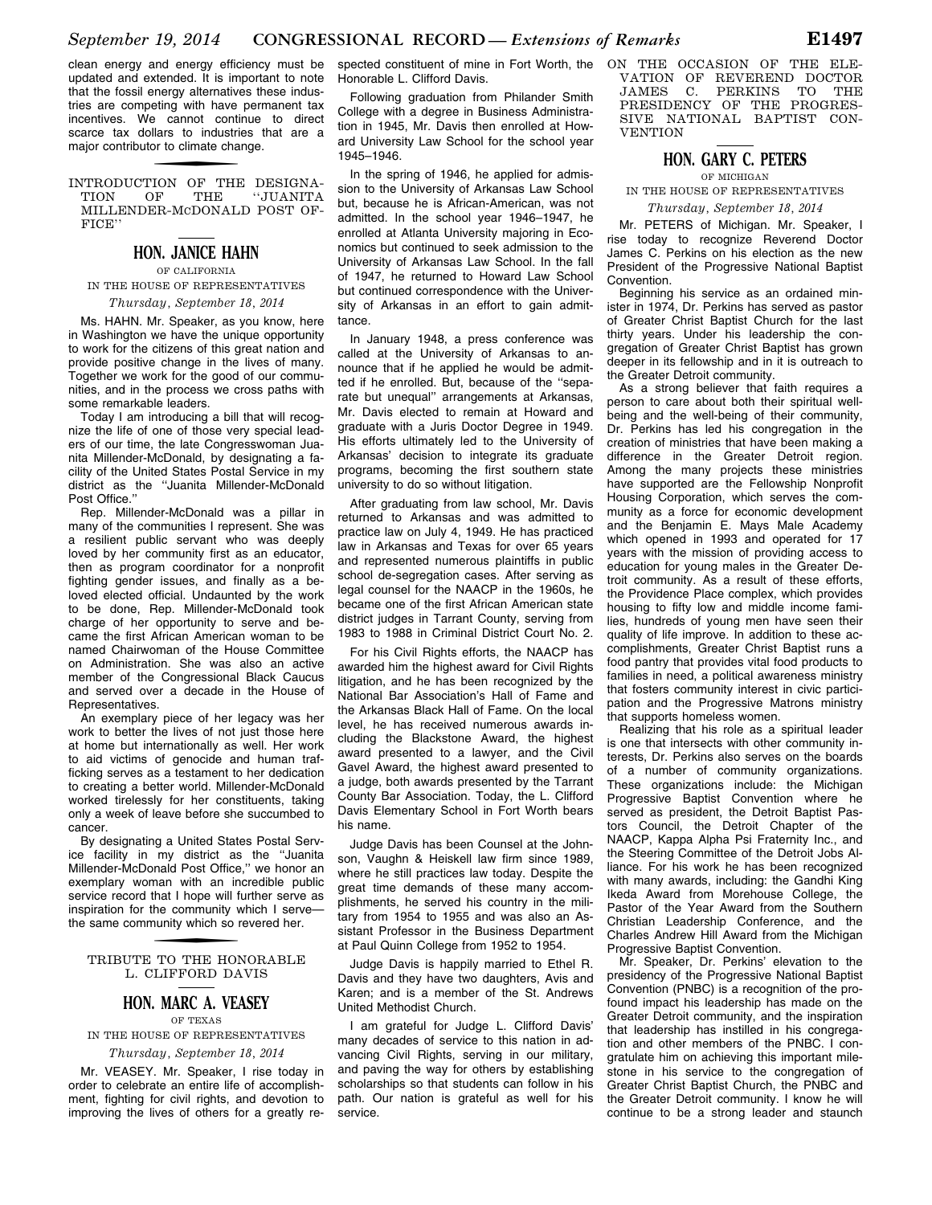clean energy and energy efficiency must be updated and extended. It is important to note that the fossil energy alternatives these industries are competing with have permanent tax incentives. We cannot continue to direct scarce tax dollars to industries that are a major contributor to climate change.

f INTRODUCTION OF THE DESIGNA-TION OF THE ''JUANITA MILLENDER-MCDONALD POST OF-FICE''

## **HON. JANICE HAHN**

OF CALIFORNIA IN THE HOUSE OF REPRESENTATIVES

*Thursday, September 18, 2014*  Ms. HAHN. Mr. Speaker, as you know, here in Washington we have the unique opportunity

to work for the citizens of this great nation and provide positive change in the lives of many. Together we work for the good of our communities, and in the process we cross paths with some remarkable leaders.

Today I am introducing a bill that will recognize the life of one of those very special leaders of our time, the late Congresswoman Juanita Millender-McDonald, by designating a facility of the United States Postal Service in my district as the ''Juanita Millender-McDonald Post Office.''

Rep. Millender-McDonald was a pillar in many of the communities I represent. She was a resilient public servant who was deeply loved by her community first as an educator, then as program coordinator for a nonprofit fighting gender issues, and finally as a beloved elected official. Undaunted by the work to be done, Rep. Millender-McDonald took charge of her opportunity to serve and became the first African American woman to be named Chairwoman of the House Committee on Administration. She was also an active member of the Congressional Black Caucus and served over a decade in the House of Representatives.

An exemplary piece of her legacy was her work to better the lives of not just those here at home but internationally as well. Her work to aid victims of genocide and human trafficking serves as a testament to her dedication to creating a better world. Millender-McDonald worked tirelessly for her constituents, taking only a week of leave before she succumbed to cancer.

By designating a United States Postal Service facility in my district as the ''Juanita Millender-McDonald Post Office,'' we honor an exemplary woman with an incredible public service record that I hope will further serve as inspiration for the community which I serve the same community which so revered her.

# f TRIBUTE TO THE HONORABLE L. CLIFFORD DAVIS

#### **HON. MARC A. VEASEY** OF TEXAS

IN THE HOUSE OF REPRESENTATIVES

*Thursday, September 18, 2014* 

Mr. VEASEY. Mr. Speaker, I rise today in order to celebrate an entire life of accomplishment, fighting for civil rights, and devotion to improving the lives of others for a greatly re-

spected constituent of mine in Fort Worth, the ON THE OCCASION OF THE ELE-Honorable L. Clifford Davis.

Following graduation from Philander Smith College with a degree in Business Administration in 1945, Mr. Davis then enrolled at Howard University Law School for the school year 1945–1946.

In the spring of 1946, he applied for admission to the University of Arkansas Law School but, because he is African-American, was not admitted. In the school year 1946–1947, he enrolled at Atlanta University majoring in Economics but continued to seek admission to the University of Arkansas Law School. In the fall of 1947, he returned to Howard Law School but continued correspondence with the University of Arkansas in an effort to gain admittance.

In January 1948, a press conference was called at the University of Arkansas to announce that if he applied he would be admitted if he enrolled. But, because of the ''separate but unequal'' arrangements at Arkansas, Mr. Davis elected to remain at Howard and graduate with a Juris Doctor Degree in 1949. His efforts ultimately led to the University of Arkansas' decision to integrate its graduate programs, becoming the first southern state university to do so without litigation.

After graduating from law school, Mr. Davis returned to Arkansas and was admitted to practice law on July 4, 1949. He has practiced law in Arkansas and Texas for over 65 years and represented numerous plaintiffs in public school de-segregation cases. After serving as legal counsel for the NAACP in the 1960s, he became one of the first African American state district judges in Tarrant County, serving from 1983 to 1988 in Criminal District Court No. 2.

For his Civil Rights efforts, the NAACP has awarded him the highest award for Civil Rights litigation, and he has been recognized by the National Bar Association's Hall of Fame and the Arkansas Black Hall of Fame. On the local level, he has received numerous awards including the Blackstone Award, the highest award presented to a lawyer, and the Civil Gavel Award, the highest award presented to a judge, both awards presented by the Tarrant County Bar Association. Today, the L. Clifford Davis Elementary School in Fort Worth bears his name.

Judge Davis has been Counsel at the Johnson, Vaughn & Heiskell law firm since 1989, where he still practices law today. Despite the great time demands of these many accomplishments, he served his country in the military from 1954 to 1955 and was also an Assistant Professor in the Business Department at Paul Quinn College from 1952 to 1954.

Judge Davis is happily married to Ethel R. Davis and they have two daughters, Avis and Karen; and is a member of the St. Andrews United Methodist Church.

I am grateful for Judge L. Clifford Davis' many decades of service to this nation in advancing Civil Rights, serving in our military, and paving the way for others by establishing scholarships so that students can follow in his path. Our nation is grateful as well for his service.

VATION OF REVEREND DOCTOR JAMES C. PERKINS TO THE PRESIDENCY OF THE PROGRES-SIVE NATIONAL BAPTIST CON-VENTION

#### **HON. GARY C. PETERS** OF MICHIGAN

IN THE HOUSE OF REPRESENTATIVES

*Thursday, September 18, 2014* 

Mr. PETERS of Michigan. Mr. Speaker, I rise today to recognize Reverend Doctor James C. Perkins on his election as the new President of the Progressive National Baptist Convention.

Beginning his service as an ordained minister in 1974, Dr. Perkins has served as pastor of Greater Christ Baptist Church for the last thirty years. Under his leadership the congregation of Greater Christ Baptist has grown deeper in its fellowship and in it is outreach to the Greater Detroit community.

As a strong believer that faith requires a person to care about both their spiritual wellbeing and the well-being of their community, Dr. Perkins has led his congregation in the creation of ministries that have been making a difference in the Greater Detroit region. Among the many projects these ministries have supported are the Fellowship Nonprofit Housing Corporation, which serves the community as a force for economic development and the Benjamin E. Mays Male Academy which opened in 1993 and operated for 17 years with the mission of providing access to education for young males in the Greater Detroit community. As a result of these efforts, the Providence Place complex, which provides housing to fifty low and middle income families, hundreds of young men have seen their quality of life improve. In addition to these accomplishments, Greater Christ Baptist runs a food pantry that provides vital food products to families in need, a political awareness ministry that fosters community interest in civic participation and the Progressive Matrons ministry that supports homeless women.

Realizing that his role as a spiritual leader is one that intersects with other community interests, Dr. Perkins also serves on the boards of a number of community organizations. These organizations include: the Michigan Progressive Baptist Convention where he served as president, the Detroit Baptist Pastors Council, the Detroit Chapter of the NAACP, Kappa Alpha Psi Fraternity Inc., and the Steering Committee of the Detroit Jobs Alliance. For his work he has been recognized with many awards, including: the Gandhi King Ikeda Award from Morehouse College, the Pastor of the Year Award from the Southern Christian Leadership Conference, and the Charles Andrew Hill Award from the Michigan Progressive Baptist Convention.

Mr. Speaker, Dr. Perkins' elevation to the presidency of the Progressive National Baptist Convention (PNBC) is a recognition of the profound impact his leadership has made on the Greater Detroit community, and the inspiration that leadership has instilled in his congregation and other members of the PNBC. I congratulate him on achieving this important milestone in his service to the congregation of Greater Christ Baptist Church, the PNBC and the Greater Detroit community. I know he will continue to be a strong leader and staunch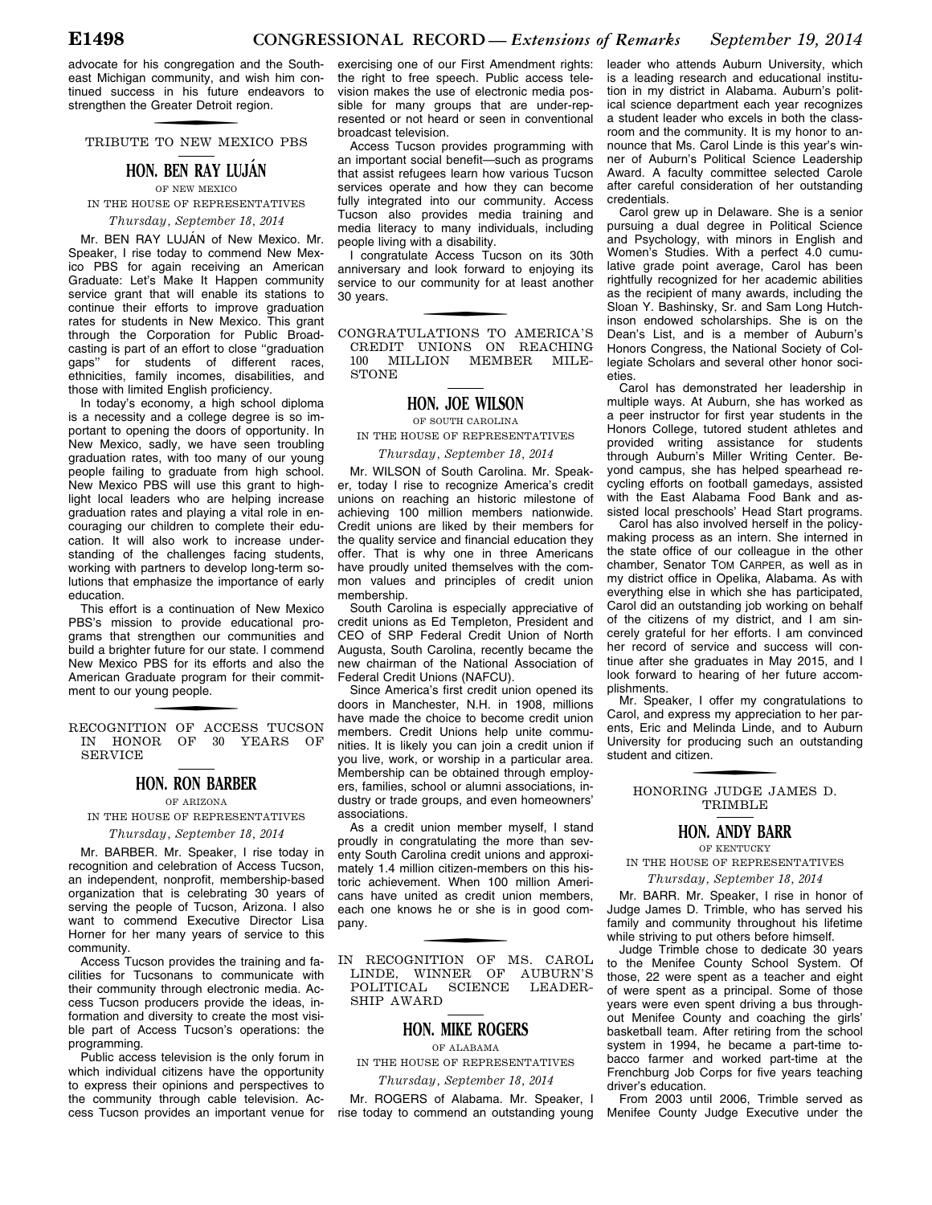advocate for his congregation and the Southeast Michigan community, and wish him continued success in his future endeavors to strengthen the Greater Detroit region.

# f TRIBUTE TO NEW MEXICO PBS

# **HON. BEN RAY LUJAN**

OF NEW MEXICO IN THE HOUSE OF REPRESENTATIVES

*Thursday, September 18, 2014* 

Mr. BEN RAY LUJÁN of New Mexico. Mr. Speaker, I rise today to commend New Mexico PBS for again receiving an American Graduate: Let's Make It Happen community service grant that will enable its stations to continue their efforts to improve graduation rates for students in New Mexico. This grant through the Corporation for Public Broadcasting is part of an effort to close "graduation<br>gaps" for students of different races. for students of different races, ethnicities, family incomes, disabilities, and those with limited English proficiency.

In today's economy, a high school diploma is a necessity and a college degree is so important to opening the doors of opportunity. In New Mexico, sadly, we have seen troubling graduation rates, with too many of our young people failing to graduate from high school. New Mexico PBS will use this grant to highlight local leaders who are helping increase graduation rates and playing a vital role in encouraging our children to complete their education. It will also work to increase understanding of the challenges facing students, working with partners to develop long-term solutions that emphasize the importance of early education.

This effort is a continuation of New Mexico PBS's mission to provide educational programs that strengthen our communities and build a brighter future for our state. I commend New Mexico PBS for its efforts and also the American Graduate program for their commitment to our young people.

RECOGNITION OF ACCESS TUCSON IN HONOR OF 30 YEARS OF SERVICE

#### **HON. RON BARBER**

OF ARIZONA IN THE HOUSE OF REPRESENTATIVES

*Thursday, September 18, 2014* 

Mr. BARBER. Mr. Speaker, I rise today in recognition and celebration of Access Tucson, an independent, nonprofit, membership-based organization that is celebrating 30 years of serving the people of Tucson, Arizona. I also want to commend Executive Director Lisa Horner for her many years of service to this community.

Access Tucson provides the training and facilities for Tucsonans to communicate with their community through electronic media. Access Tucson producers provide the ideas, information and diversity to create the most visible part of Access Tucson's operations: the programming.

Public access television is the only forum in which individual citizens have the opportunity to express their opinions and perspectives to the community through cable television. Access Tucson provides an important venue for

exercising one of our First Amendment rights: the right to free speech. Public access television makes the use of electronic media possible for many groups that are under-represented or not heard or seen in conventional broadcast television.

Access Tucson provides programming with an important social benefit—such as programs that assist refugees learn how various Tucson services operate and how they can become fully integrated into our community. Access Tucson also provides media training and media literacy to many individuals, including people living with a disability.

I congratulate Access Tucson on its 30th anniversary and look forward to enjoying its service to our community for at least another 30 years.

f CONGRATULATIONS TO AMERICA'S CREDIT UNIONS ON REACHING<br>100 MILLION MEMBER MILE-100 MILLION MEMBER **STONE** 

## **HON. JOE WILSON**

OF SOUTH CAROLINA IN THE HOUSE OF REPRESENTATIVES

*Thursday, September 18, 2014* 

Mr. WILSON of South Carolina. Mr. Speaker, today I rise to recognize America's credit unions on reaching an historic milestone of achieving 100 million members nationwide. Credit unions are liked by their members for the quality service and financial education they offer. That is why one in three Americans have proudly united themselves with the common values and principles of credit union membership.

South Carolina is especially appreciative of credit unions as Ed Templeton, President and CEO of SRP Federal Credit Union of North Augusta, South Carolina, recently became the new chairman of the National Association of Federal Credit Unions (NAFCU).

Since America's first credit union opened its doors in Manchester, N.H. in 1908, millions have made the choice to become credit union members. Credit Unions help unite communities. It is likely you can join a credit union if you live, work, or worship in a particular area. Membership can be obtained through employers, families, school or alumni associations, industry or trade groups, and even homeowners' associations.

As a credit union member myself, I stand proudly in congratulating the more than seventy South Carolina credit unions and approximately 1.4 million citizen-members on this historic achievement. When 100 million Americans have united as credit union members, each one knows he or she is in good company.

IN RECOGNITION OF MS. CAROL LINDE, WINNER OF AUBURN'S<br>POLITICAL SCIENCE LEADER-POLITICAL SHIP AWARD

# **HON. MIKE ROGERS**

OF ALABAMA

IN THE HOUSE OF REPRESENTATIVES *Thursday, September 18, 2014* 

Mr. ROGERS of Alabama. Mr. Speaker, I rise today to commend an outstanding young leader who attends Auburn University, which is a leading research and educational institution in my district in Alabama. Auburn's political science department each year recognizes a student leader who excels in both the classroom and the community. It is my honor to announce that Ms. Carol Linde is this year's winner of Auburn's Political Science Leadership Award. A faculty committee selected Carole after careful consideration of her outstanding credentials.

Carol grew up in Delaware. She is a senior pursuing a dual degree in Political Science and Psychology, with minors in English and Women's Studies. With a perfect 4.0 cumulative grade point average, Carol has been rightfully recognized for her academic abilities as the recipient of many awards, including the Sloan Y. Bashinsky, Sr. and Sam Long Hutchinson endowed scholarships. She is on the Dean's List, and is a member of Auburn's Honors Congress, the National Society of Collegiate Scholars and several other honor societies.

Carol has demonstrated her leadership in multiple ways. At Auburn, she has worked as a peer instructor for first year students in the Honors College, tutored student athletes and provided writing assistance for students through Auburn's Miller Writing Center. Beyond campus, she has helped spearhead recycling efforts on football gamedays, assisted with the East Alabama Food Bank and assisted local preschools' Head Start programs.

Carol has also involved herself in the policymaking process as an intern. She interned in the state office of our colleague in the other chamber, Senator TOM CARPER, as well as in my district office in Opelika, Alabama. As with everything else in which she has participated, Carol did an outstanding job working on behalf of the citizens of my district, and I am sincerely grateful for her efforts. I am convinced her record of service and success will continue after she graduates in May 2015, and I look forward to hearing of her future accomplishments.

Mr. Speaker, I offer my congratulations to Carol, and express my appreciation to her parents, Eric and Melinda Linde, and to Auburn University for producing such an outstanding student and citizen.

> f HONORING JUDGE JAMES D. **TRIMBLE**

#### **HON. ANDY BARR**

OF KENTUCKY IN THE HOUSE OF REPRESENTATIVES

*Thursday, September 18, 2014* 

Mr. BARR. Mr. Speaker, I rise in honor of Judge James D. Trimble, who has served his family and community throughout his lifetime while striving to put others before himself.

Judge Trimble chose to dedicate 30 years to the Menifee County School System. Of those, 22 were spent as a teacher and eight of were spent as a principal. Some of those years were even spent driving a bus throughout Menifee County and coaching the girls' basketball team. After retiring from the school system in 1994, he became a part-time tobacco farmer and worked part-time at the Frenchburg Job Corps for five years teaching driver's education.

From 2003 until 2006, Trimble served as Menifee County Judge Executive under the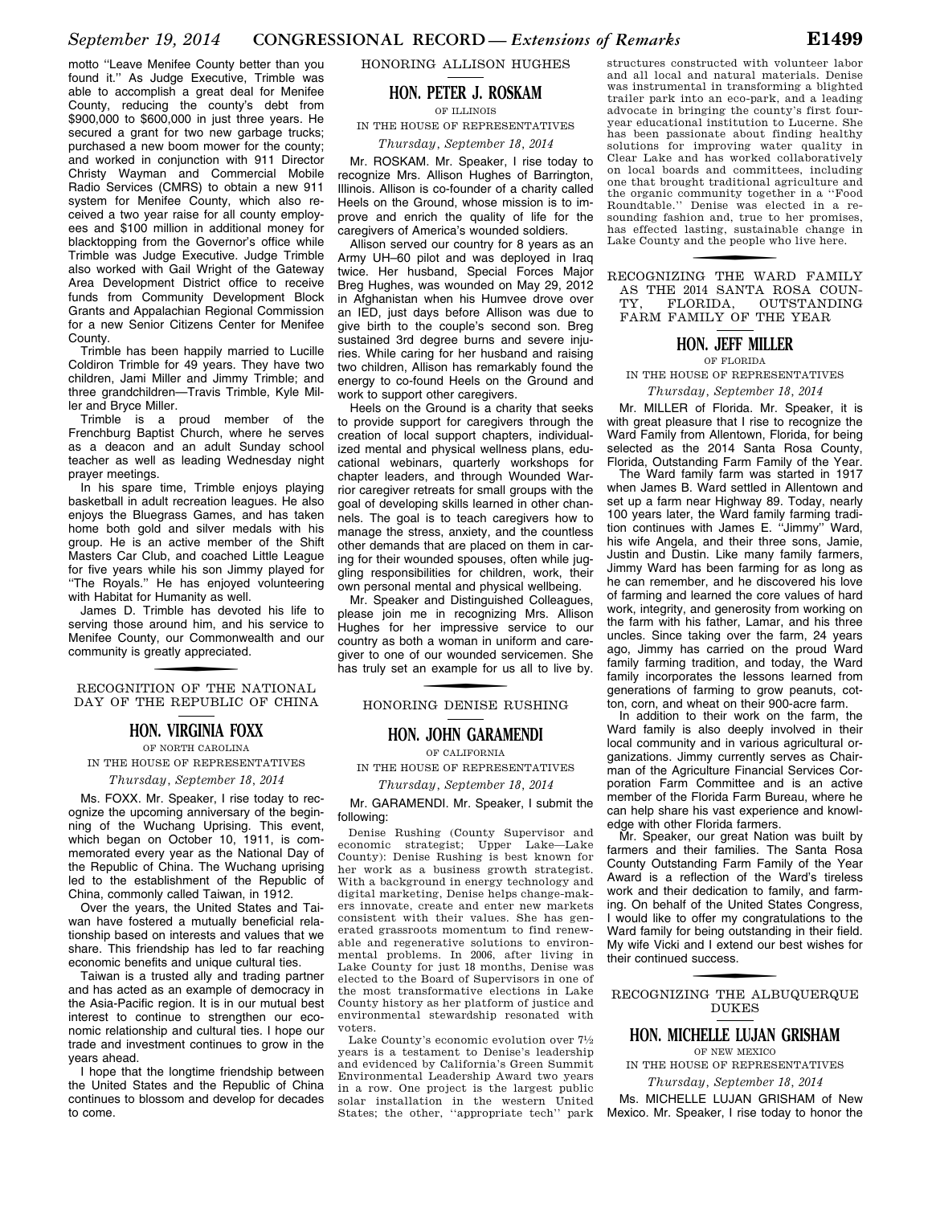motto ''Leave Menifee County better than you found it.'' As Judge Executive, Trimble was able to accomplish a great deal for Menifee County, reducing the county's debt from \$900,000 to \$600,000 in just three years. He secured a grant for two new garbage trucks; purchased a new boom mower for the county; and worked in conjunction with 911 Director Christy Wayman and Commercial Mobile Radio Services (CMRS) to obtain a new 911 system for Menifee County, which also received a two year raise for all county employees and \$100 million in additional money for blacktopping from the Governor's office while Trimble was Judge Executive. Judge Trimble also worked with Gail Wright of the Gateway Area Development District office to receive funds from Community Development Block Grants and Appalachian Regional Commission for a new Senior Citizens Center for Menifee

County. Trimble has been happily married to Lucille Coldiron Trimble for 49 years. They have two children, Jami Miller and Jimmy Trimble; and three grandchildren—Travis Trimble, Kyle Miller and Bryce Miller.

Trimble is a proud member of the Frenchburg Baptist Church, where he serves as a deacon and an adult Sunday school teacher as well as leading Wednesday night prayer meetings.

In his spare time, Trimble enjoys playing basketball in adult recreation leagues. He also enjoys the Bluegrass Games, and has taken home both gold and silver medals with his group. He is an active member of the Shift Masters Car Club, and coached Little League for five years while his son Jimmy played for "The Royals." He has enjoyed volunteering with Habitat for Humanity as well.

James D. Trimble has devoted his life to serving those around him, and his service to Menifee County, our Commonwealth and our community is greatly appreciated.

RECOGNITION OF THE NATIONAL DAY OF THE REPUBLIC OF CHINA

## **HON. VIRGINIA FOXX**

OF NORTH CAROLINA IN THE HOUSE OF REPRESENTATIVES

*Thursday, September 18, 2014* 

Ms. FOXX. Mr. Speaker, I rise today to recognize the upcoming anniversary of the beginning of the Wuchang Uprising. This event, which began on October 10, 1911, is commemorated every year as the National Day of the Republic of China. The Wuchang uprising led to the establishment of the Republic of China, commonly called Taiwan, in 1912.

Over the years, the United States and Taiwan have fostered a mutually beneficial relationship based on interests and values that we share. This friendship has led to far reaching economic benefits and unique cultural ties.

Taiwan is a trusted ally and trading partner and has acted as an example of democracy in the Asia-Pacific region. It is in our mutual best interest to continue to strengthen our economic relationship and cultural ties. I hope our trade and investment continues to grow in the years ahead.

I hope that the longtime friendship between the United States and the Republic of China continues to blossom and develop for decades to come.

HONORING ALLISON HUGHES

# **HON. PETER J. ROSKAM**

OF ILLINOIS

IN THE HOUSE OF REPRESENTATIVES

*Thursday, September 18, 2014* 

Mr. ROSKAM. Mr. Speaker, I rise today to recognize Mrs. Allison Hughes of Barrington, Illinois. Allison is co-founder of a charity called Heels on the Ground, whose mission is to improve and enrich the quality of life for the caregivers of America's wounded soldiers.

Allison served our country for 8 years as an Army UH–60 pilot and was deployed in Iraq twice. Her husband, Special Forces Major Breg Hughes, was wounded on May 29, 2012 in Afghanistan when his Humvee drove over an IED, just days before Allison was due to give birth to the couple's second son. Breg sustained 3rd degree burns and severe injuries. While caring for her husband and raising two children, Allison has remarkably found the energy to co-found Heels on the Ground and work to support other caregivers.

Heels on the Ground is a charity that seeks to provide support for caregivers through the creation of local support chapters, individualized mental and physical wellness plans, educational webinars, quarterly workshops for chapter leaders, and through Wounded Warrior caregiver retreats for small groups with the goal of developing skills learned in other channels. The goal is to teach caregivers how to manage the stress, anxiety, and the countless other demands that are placed on them in caring for their wounded spouses, often while juggling responsibilities for children, work, their own personal mental and physical wellbeing.

Mr. Speaker and Distinguished Colleagues, please join me in recognizing Mrs. Allison Hughes for her impressive service to our country as both a woman in uniform and caregiver to one of our wounded servicemen. She has truly set an example for us all to live by.

f HONORING DENISE RUSHING

#### **HON. JOHN GARAMENDI**

OF CALIFORNIA

IN THE HOUSE OF REPRESENTATIVES

*Thursday, September 18, 2014* 

Mr. GARAMENDI. Mr. Speaker, I submit the following:

Denise Rushing (County Supervisor and economic strategist; Upper Lake—Lake County): Denise Rushing is best known for her work as a business growth strategist. With a background in energy technology and digital marketing, Denise helps change-makers innovate, create and enter new markets consistent with their values. She has generated grassroots momentum to find renewable and regenerative solutions to environmental problems. In 2006, after living in Lake County for just 18 months, Denise was elected to the Board of Supervisors in one of the most transformative elections in Lake County history as her platform of justice and environmental stewardship resonated with voters.

Lake County's economic evolution over 71⁄2 years is a testament to Denise's leadership and evidenced by California's Green Summit Environmental Leadership Award two years in a row. One project is the largest public solar installation in the western United States; the other, ''appropriate tech'' park

structures constructed with volunteer labor and all local and natural materials. Denise was instrumental in transforming a blighted trailer park into an eco-park, and a leading advocate in bringing the county's first fouryear educational institution to Lucerne. She has been passionate about finding healthy solutions for improving water quality in Clear Lake and has worked collaboratively on local boards and committees, including one that brought traditional agriculture and the organic community together in a ''Food Roundtable.'' Denise was elected in a resounding fashion and, true to her promises, has effected lasting, sustainable change in Lake County and the people who live here.

f RECOGNIZING THE WARD FAMILY AS THE 2014 SANTA ROSA COUN-TY, FLORIDA, OUTSTANDING FARM FAMILY OF THE YEAR

#### **HON. JEFF MILLER** OF FLORIDA

IN THE HOUSE OF REPRESENTATIVES

*Thursday, September 18, 2014* 

Mr. MILLER of Florida. Mr. Speaker, it is with great pleasure that I rise to recognize the Ward Family from Allentown, Florida, for being selected as the 2014 Santa Rosa County, Florida, Outstanding Farm Family of the Year.

The Ward family farm was started in 1917 when James B. Ward settled in Allentown and set up a farm near Highway 89. Today, nearly 100 years later, the Ward family farming tradition continues with James E. "Jimmy" Ward. tion continues with James E. "Jimmy" his wife Angela, and their three sons, Jamie, Justin and Dustin. Like many family farmers, Jimmy Ward has been farming for as long as he can remember, and he discovered his love of farming and learned the core values of hard work, integrity, and generosity from working on the farm with his father, Lamar, and his three uncles. Since taking over the farm, 24 years ago, Jimmy has carried on the proud Ward family farming tradition, and today, the Ward family incorporates the lessons learned from generations of farming to grow peanuts, cotton, corn, and wheat on their 900-acre farm.

In addition to their work on the farm, the Ward family is also deeply involved in their local community and in various agricultural organizations. Jimmy currently serves as Chairman of the Agriculture Financial Services Corporation Farm Committee and is an active member of the Florida Farm Bureau, where he can help share his vast experience and knowledge with other Florida farmers.

Mr. Speaker, our great Nation was built by farmers and their families. The Santa Rosa County Outstanding Farm Family of the Year Award is a reflection of the Ward's tireless work and their dedication to family, and farming. On behalf of the United States Congress, I would like to offer my congratulations to the Ward family for being outstanding in their field. My wife Vicki and I extend our best wishes for their continued success.

f RECOGNIZING THE ALBUQUERQUE DUKES

# **HON. MICHELLE LUJAN GRISHAM**

OF NEW MEXICO

IN THE HOUSE OF REPRESENTATIVES *Thursday, September 18, 2014* 

Ms. MICHELLE LUJAN GRISHAM of New Mexico. Mr. Speaker, I rise today to honor the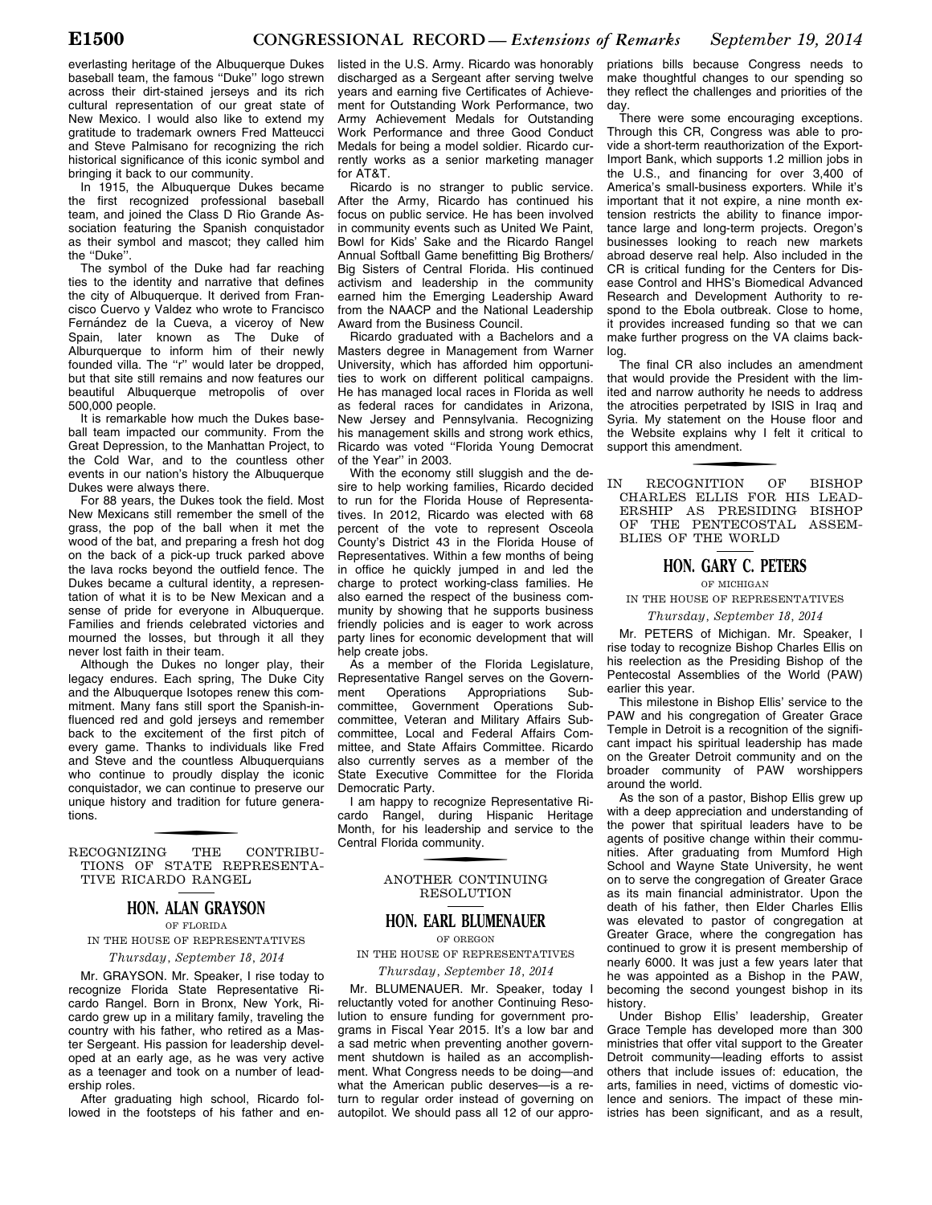everlasting heritage of the Albuquerque Dukes baseball team, the famous "Duke" logo strewn across their dirt-stained jerseys and its rich cultural representation of our great state of New Mexico. I would also like to extend my gratitude to trademark owners Fred Matteucci and Steve Palmisano for recognizing the rich historical significance of this iconic symbol and bringing it back to our community.

In 1915, the Albuquerque Dukes became the first recognized professional baseball team, and joined the Class D Rio Grande Association featuring the Spanish conquistador as their symbol and mascot; they called him the ''Duke''.

The symbol of the Duke had far reaching ties to the identity and narrative that defines the city of Albuquerque. It derived from Francisco Cuervo y Valdez who wrote to Francisco Fernández de la Cueva, a viceroy of New Spain, later known as The Duke of Alburquerque to inform him of their newly founded villa. The "r" would later be dropped, but that site still remains and now features our beautiful Albuquerque metropolis of over 500,000 people.

It is remarkable how much the Dukes baseball team impacted our community. From the Great Depression, to the Manhattan Project, to the Cold War, and to the countless other events in our nation's history the Albuquerque Dukes were always there.

For 88 years, the Dukes took the field. Most New Mexicans still remember the smell of the grass, the pop of the ball when it met the wood of the bat, and preparing a fresh hot dog on the back of a pick-up truck parked above the lava rocks beyond the outfield fence. The Dukes became a cultural identity, a representation of what it is to be New Mexican and a sense of pride for everyone in Albuquerque. Families and friends celebrated victories and mourned the losses, but through it all they never lost faith in their team.

Although the Dukes no longer play, their legacy endures. Each spring, The Duke City and the Albuquerque Isotopes renew this commitment. Many fans still sport the Spanish-influenced red and gold jerseys and remember back to the excitement of the first pitch of every game. Thanks to individuals like Fred and Steve and the countless Albuquerquians who continue to proudly display the iconic conquistador, we can continue to preserve our unique history and tradition for future generations.

RECOGNIZING THE CONTRIBU-TIONS OF STATE REPRESENTA-TIVE RICARDO RANGEL

# **HON. ALAN GRAYSON**

#### OF FLORIDA IN THE HOUSE OF REPRESENTATIVES

*Thursday, September 18, 2014* 

Mr. GRAYSON. Mr. Speaker, I rise today to recognize Florida State Representative Ricardo Rangel. Born in Bronx, New York, Ricardo grew up in a military family, traveling the country with his father, who retired as a Master Sergeant. His passion for leadership developed at an early age, as he was very active as a teenager and took on a number of leadership roles.

After graduating high school, Ricardo followed in the footsteps of his father and enlisted in the U.S. Army. Ricardo was honorably discharged as a Sergeant after serving twelve years and earning five Certificates of Achievement for Outstanding Work Performance, two Army Achievement Medals for Outstanding Work Performance and three Good Conduct Medals for being a model soldier. Ricardo currently works as a senior marketing manager for AT&T.

Ricardo is no stranger to public service. After the Army, Ricardo has continued his focus on public service. He has been involved in community events such as United We Paint, Bowl for Kids' Sake and the Ricardo Rangel Annual Softball Game benefitting Big Brothers/ Big Sisters of Central Florida. His continued activism and leadership in the community earned him the Emerging Leadership Award from the NAACP and the National Leadership Award from the Business Council.

Ricardo graduated with a Bachelors and a Masters degree in Management from Warner University, which has afforded him opportunities to work on different political campaigns. He has managed local races in Florida as well as federal races for candidates in Arizona, New Jersey and Pennsylvania. Recognizing his management skills and strong work ethics, Ricardo was voted ''Florida Young Democrat of the Year'' in 2003.

With the economy still sluggish and the desire to help working families, Ricardo decided to run for the Florida House of Representatives. In 2012, Ricardo was elected with 68 percent of the vote to represent Osceola County's District 43 in the Florida House of Representatives. Within a few months of being in office he quickly jumped in and led the charge to protect working-class families. He also earned the respect of the business community by showing that he supports business friendly policies and is eager to work across party lines for economic development that will help create jobs.

As a member of the Florida Legislature, Representative Rangel serves on the Govern-<br>ment Operations Appropriations Sub-Appropriations committee, Government Operations Subcommittee, Veteran and Military Affairs Subcommittee, Local and Federal Affairs Committee, and State Affairs Committee. Ricardo also currently serves as a member of the State Executive Committee for the Florida Democratic Party.

I am happy to recognize Representative Ricardo Rangel, during Hispanic Heritage Month, for his leadership and service to the Central Florida community.

# f ANOTHER CONTINUING RESOLUTION

## **HON. EARL BLUMENAUER**

OF OREGON

IN THE HOUSE OF REPRESENTATIVES

#### *Thursday, September 18, 2014*

Mr. BLUMENAUER. Mr. Speaker, today I reluctantly voted for another Continuing Resolution to ensure funding for government programs in Fiscal Year 2015. It's a low bar and a sad metric when preventing another government shutdown is hailed as an accomplishment. What Congress needs to be doing—and what the American public deserves—is a return to regular order instead of governing on autopilot. We should pass all 12 of our appro-

priations bills because Congress needs to make thoughtful changes to our spending so they reflect the challenges and priorities of the day.

There were some encouraging exceptions. Through this CR, Congress was able to provide a short-term reauthorization of the Export-Import Bank, which supports 1.2 million jobs in the U.S., and financing for over 3,400 of America's small-business exporters. While it's important that it not expire, a nine month extension restricts the ability to finance importance large and long-term projects. Oregon's businesses looking to reach new markets abroad deserve real help. Also included in the CR is critical funding for the Centers for Disease Control and HHS's Biomedical Advanced Research and Development Authority to respond to the Ebola outbreak. Close to home, it provides increased funding so that we can make further progress on the VA claims backlog.

The final CR also includes an amendment that would provide the President with the limited and narrow authority he needs to address the atrocities perpetrated by ISIS in Iraq and Syria. My statement on the House floor and the Website explains why I felt it critical to support this amendment.

IN RECOGNITION OF BISHOP CHARLES ELLIS FOR HIS LEAD-ERSHIP AS PRESIDING BISHOP OF THE PENTECOSTAL ASSEM-BLIES OF THE WORLD

# **HON. GARY C. PETERS**

OF MICHIGAN

IN THE HOUSE OF REPRESENTATIVES

*Thursday, September 18, 2014* 

Mr. PETERS of Michigan. Mr. Speaker, I rise today to recognize Bishop Charles Ellis on his reelection as the Presiding Bishop of the Pentecostal Assemblies of the World (PAW) earlier this year.

This milestone in Bishop Ellis' service to the PAW and his congregation of Greater Grace Temple in Detroit is a recognition of the significant impact his spiritual leadership has made on the Greater Detroit community and on the broader community of PAW worshippers around the world.

As the son of a pastor, Bishop Ellis grew up with a deep appreciation and understanding of the power that spiritual leaders have to be agents of positive change within their communities. After graduating from Mumford High School and Wayne State University, he went on to serve the congregation of Greater Grace as its main financial administrator. Upon the death of his father, then Elder Charles Ellis was elevated to pastor of congregation at Greater Grace, where the congregation has continued to grow it is present membership of nearly 6000. It was just a few years later that he was appointed as a Bishop in the PAW, becoming the second youngest bishop in its history.

Under Bishop Ellis' leadership, Greater Grace Temple has developed more than 300 ministries that offer vital support to the Greater Detroit community—leading efforts to assist others that include issues of: education, the arts, families in need, victims of domestic violence and seniors. The impact of these ministries has been significant, and as a result,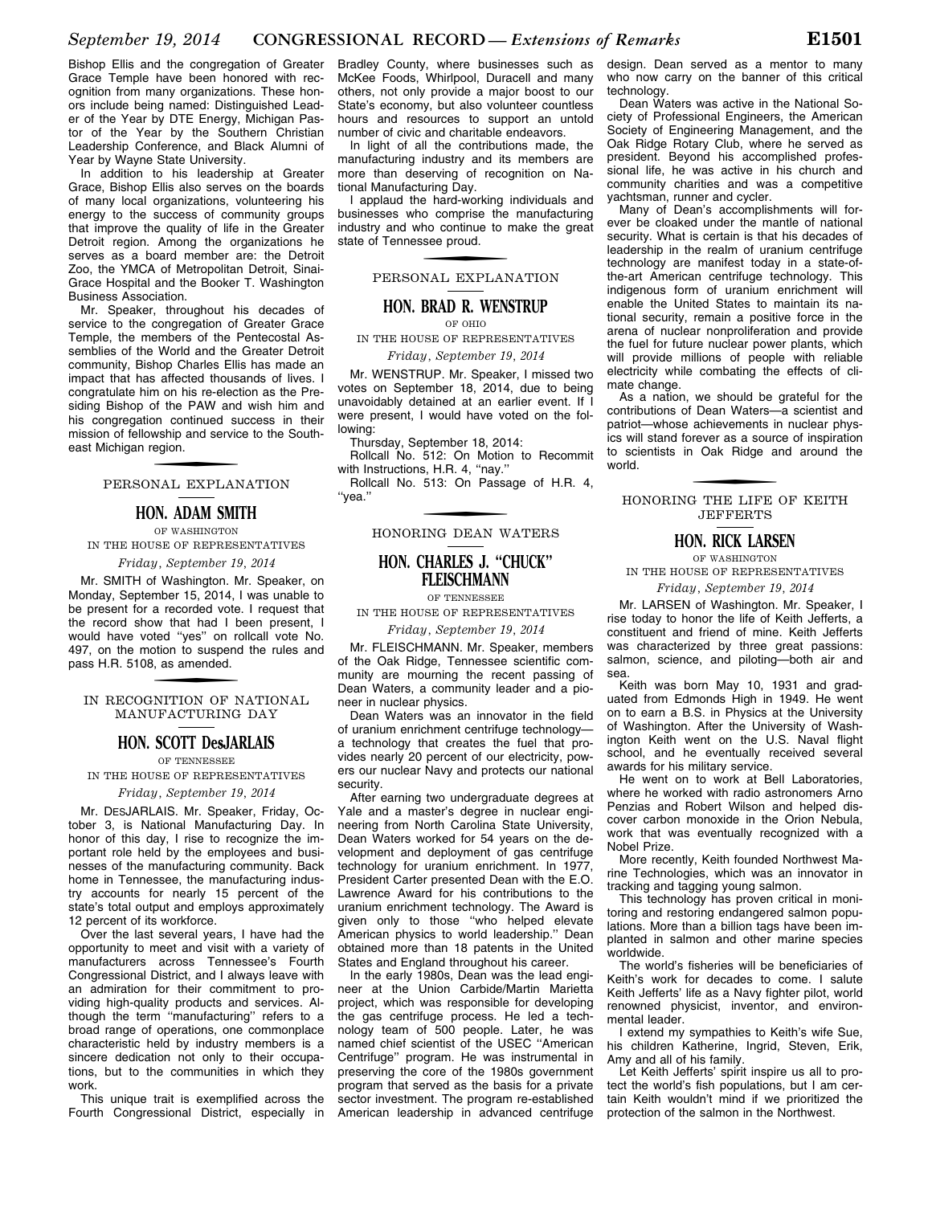Bishop Ellis and the congregation of Greater Grace Temple have been honored with recognition from many organizations. These honors include being named: Distinguished Leader of the Year by DTE Energy, Michigan Pastor of the Year by the Southern Christian Leadership Conference, and Black Alumni of Year by Wayne State University.

In addition to his leadership at Greater Grace, Bishop Ellis also serves on the boards of many local organizations, volunteering his energy to the success of community groups that improve the quality of life in the Greater Detroit region. Among the organizations he serves as a board member are: the Detroit Zoo, the YMCA of Metropolitan Detroit, Sinai-Grace Hospital and the Booker T. Washington Business Association.

Mr. Speaker, throughout his decades of service to the congregation of Greater Grace Temple, the members of the Pentecostal Assemblies of the World and the Greater Detroit community, Bishop Charles Ellis has made an impact that has affected thousands of lives. I congratulate him on his re-election as the Presiding Bishop of the PAW and wish him and his congregation continued success in their mission of fellowship and service to the Southeast Michigan region.

# f PERSONAL EXPLANATION

# **HON. ADAM SMITH**

OF WASHINGTON IN THE HOUSE OF REPRESENTATIVES

#### *Friday, September 19, 2014*

Mr. SMITH of Washington. Mr. Speaker, on Monday, September 15, 2014, I was unable to be present for a recorded vote. I request that the record show that had I been present, I would have voted ''yes'' on rollcall vote No. 497, on the motion to suspend the rules and pass H.R. 5108, as amended.

IN RECOGNITION OF NATIONAL MANUFACTURING DAY

### **HON. SCOTT DesJARLAIS**

OF TENNESSEE

IN THE HOUSE OF REPRESENTATIVES

#### *Friday, September 19, 2014*

Mr. DESJARLAIS. Mr. Speaker, Friday, October 3, is National Manufacturing Day. In honor of this day, I rise to recognize the important role held by the employees and businesses of the manufacturing community. Back home in Tennessee, the manufacturing industry accounts for nearly 15 percent of the state's total output and employs approximately 12 percent of its workforce.

Over the last several years, I have had the opportunity to meet and visit with a variety of manufacturers across Tennessee's Fourth Congressional District, and I always leave with an admiration for their commitment to providing high-quality products and services. Although the term ''manufacturing'' refers to a broad range of operations, one commonplace characteristic held by industry members is a sincere dedication not only to their occupations, but to the communities in which they work.

This unique trait is exemplified across the Fourth Congressional District, especially in Bradley County, where businesses such as McKee Foods, Whirlpool, Duracell and many others, not only provide a major boost to our State's economy, but also volunteer countless hours and resources to support an untold number of civic and charitable endeavors.

In light of all the contributions made, the manufacturing industry and its members are more than deserving of recognition on National Manufacturing Day.

I applaud the hard-working individuals and businesses who comprise the manufacturing industry and who continue to make the great state of Tennessee proud.

# f PERSONAL EXPLANATION

#### **HON. BRAD R. WENSTRUP**

OF OHIO

## IN THE HOUSE OF REPRESENTATIVES

#### *Friday, September 19, 2014*

Mr. WENSTRUP. Mr. Speaker, I missed two votes on September 18, 2014, due to being unavoidably detained at an earlier event. If I were present, I would have voted on the following:

Thursday, September 18, 2014:

Rollcall No. 512: On Motion to Recommit with Instructions, H.R. 4, "nay."

Rollcall No. 513: On Passage of H.R. 4, ''yea.''

# f HONORING DEAN WATERS

# **HON. CHARLES J. ''CHUCK'' FLEISCHMANN**

OF TENNESSEE

IN THE HOUSE OF REPRESENTATIVES

*Friday, September 19, 2014* 

Mr. FLEISCHMANN. Mr. Speaker, members of the Oak Ridge, Tennessee scientific community are mourning the recent passing of Dean Waters, a community leader and a pioneer in nuclear physics.

Dean Waters was an innovator in the field of uranium enrichment centrifuge technology a technology that creates the fuel that provides nearly 20 percent of our electricity, powers our nuclear Navy and protects our national security.

After earning two undergraduate degrees at Yale and a master's degree in nuclear engineering from North Carolina State University, Dean Waters worked for 54 years on the development and deployment of gas centrifuge technology for uranium enrichment. In 1977, President Carter presented Dean with the E.O. Lawrence Award for his contributions to the uranium enrichment technology. The Award is given only to those ''who helped elevate American physics to world leadership.'' Dean obtained more than 18 patents in the United States and England throughout his career.

In the early 1980s, Dean was the lead engineer at the Union Carbide/Martin Marietta project, which was responsible for developing the gas centrifuge process. He led a technology team of 500 people. Later, he was named chief scientist of the USEC ''American Centrifuge'' program. He was instrumental in preserving the core of the 1980s government program that served as the basis for a private sector investment. The program re-established American leadership in advanced centrifuge

design. Dean served as a mentor to many who now carry on the banner of this critical technology.

Dean Waters was active in the National Society of Professional Engineers, the American Society of Engineering Management, and the Oak Ridge Rotary Club, where he served as president. Beyond his accomplished professional life, he was active in his church and community charities and was a competitive yachtsman, runner and cycler.

Many of Dean's accomplishments will forever be cloaked under the mantle of national security. What is certain is that his decades of leadership in the realm of uranium centrifuge technology are manifest today in a state-ofthe-art American centrifuge technology. This indigenous form of uranium enrichment will enable the United States to maintain its national security, remain a positive force in the arena of nuclear nonproliferation and provide the fuel for future nuclear power plants, which will provide millions of people with reliable electricity while combating the effects of climate change.

As a nation, we should be grateful for the contributions of Dean Waters—a scientist and patriot—whose achievements in nuclear physics will stand forever as a source of inspiration to scientists in Oak Ridge and around the world.

# f HONORING THE LIFE OF KEITH JEFFERTS

#### **HON. RICK LARSEN**

OF WASHINGTON IN THE HOUSE OF REPRESENTATIVES

*Friday, September 19, 2014* 

Mr. LARSEN of Washington. Mr. Speaker, I rise today to honor the life of Keith Jefferts, a constituent and friend of mine. Keith Jefferts was characterized by three great passions: salmon, science, and piloting—both air and sea.

Keith was born May 10, 1931 and graduated from Edmonds High in 1949. He went on to earn a B.S. in Physics at the University of Washington. After the University of Washington Keith went on the U.S. Naval flight school, and he eventually received several awards for his military service.

He went on to work at Bell Laboratories, where he worked with radio astronomers Arno Penzias and Robert Wilson and helped discover carbon monoxide in the Orion Nebula, work that was eventually recognized with a Nobel Prize.

More recently, Keith founded Northwest Marine Technologies, which was an innovator in tracking and tagging young salmon.

This technology has proven critical in monitoring and restoring endangered salmon populations. More than a billion tags have been implanted in salmon and other marine species worldwide.

The world's fisheries will be beneficiaries of Keith's work for decades to come. I salute Keith Jefferts' life as a Navy fighter pilot, world renowned physicist, inventor, and environmental leader.

I extend my sympathies to Keith's wife Sue, his children Katherine, Ingrid, Steven, Erik, Amy and all of his family.

Let Keith Jefferts' spirit inspire us all to protect the world's fish populations, but I am certain Keith wouldn't mind if we prioritized the protection of the salmon in the Northwest.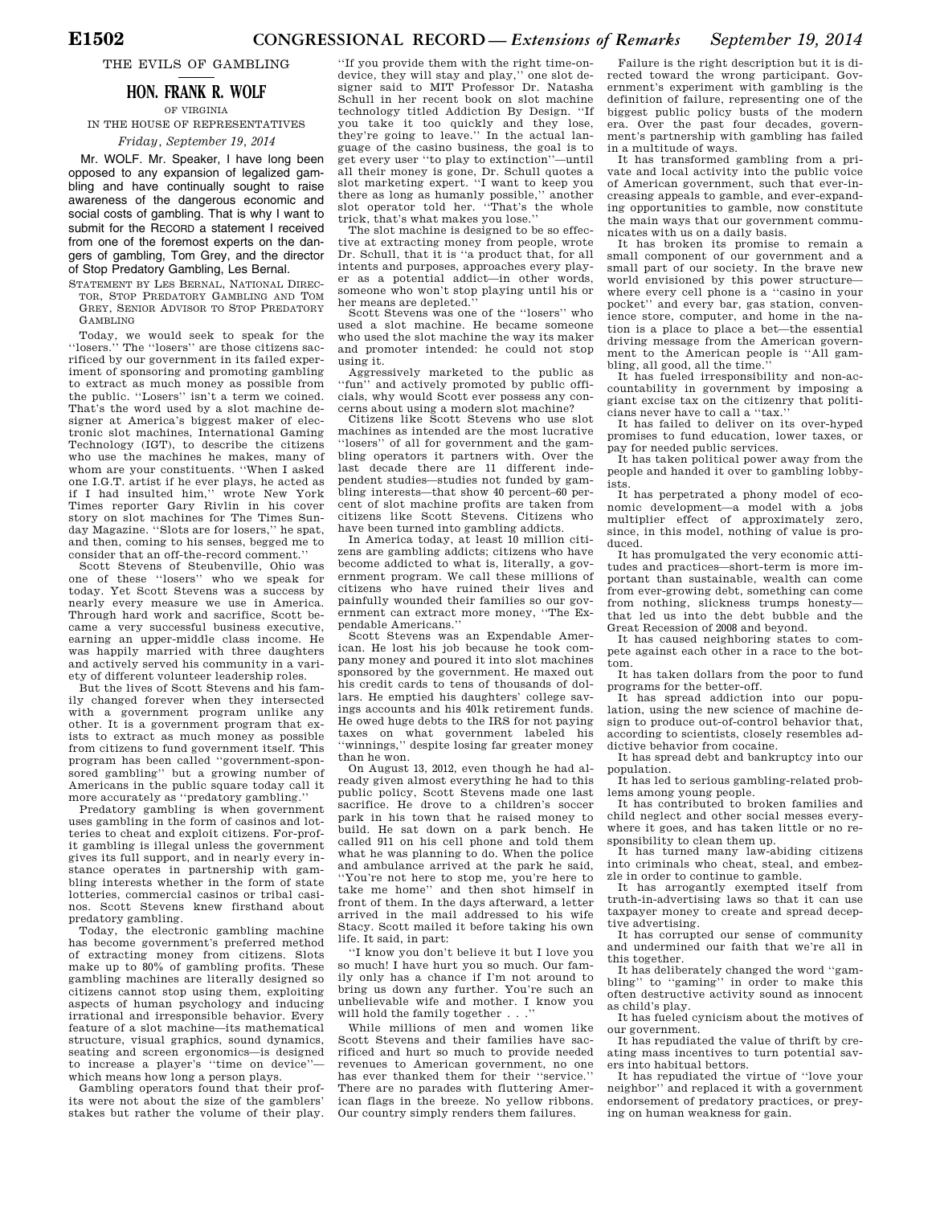THE EVILS OF GAMBLING

#### **HON. FRANK R. WOLF** OF VIRGINIA

## IN THE HOUSE OF REPRESENTATIVES

*Friday, September 19, 2014* 

Mr. WOLF. Mr. Speaker, I have long been opposed to any expansion of legalized gambling and have continually sought to raise awareness of the dangerous economic and social costs of gambling. That is why I want to submit for the RECORD a statement I received from one of the foremost experts on the dangers of gambling, Tom Grey, and the director of Stop Predatory Gambling, Les Bernal.

STATEMENT BY LES BERNAL, NATIONAL DIREC-TOR, STOP PREDATORY GAMBLING AND TOM GREY, SENIOR ADVISOR TO STOP PREDATORY GAMBLING

Today, we would seek to speak for the ''losers.'' The ''losers'' are those citizens sacrificed by our government in its failed experiment of sponsoring and promoting gambling to extract as much money as possible from the public. ''Losers'' isn't a term we coined. That's the word used by a slot machine designer at America's biggest maker of electronic slot machines, International Gaming Technology (IGT), to describe the citizens who use the machines he makes, many of whom are your constituents. ''When I asked one I.G.T. artist if he ever plays, he acted as if I had insulted him,'' wrote New York Times reporter Gary Rivlin in his cover story on slot machines for The Times Sunday Magazine. ''Slots are for losers,'' he spat, and then, coming to his senses, begged me to consider that an off-the-record comment.''

Scott Stevens of Steubenville, Ohio was one of these ''losers'' who we speak for today. Yet Scott Stevens was a success by nearly every measure we use in America. Through hard work and sacrifice, Scott became a very successful business executive, earning an upper-middle class income. He was happily married with three daughters and actively served his community in a variety of different volunteer leadership roles.

But the lives of Scott Stevens and his family changed forever when they intersected with a government program unlike any other. It is a government program that exists to extract as much money as possible from citizens to fund government itself. This program has been called ''government-sponsored gambling'' but a growing number of Americans in the public square today call it more accurately as ''predatory gambling.''

Predatory gambling is when government uses gambling in the form of casinos and lotteries to cheat and exploit citizens. For-profit gambling is illegal unless the government gives its full support, and in nearly every instance operates in partnership with gambling interests whether in the form of state lotteries, commercial casinos or tribal casinos. Scott Stevens knew firsthand about predatory gambling.

Today, the electronic gambling machine has become government's preferred method of extracting money from citizens. Slots make up to 80% of gambling profits. These gambling machines are literally designed so citizens cannot stop using them, exploiting aspects of human psychology and inducing irrational and irresponsible behavior. Every feature of a slot machine—its mathematical structure, visual graphics, sound dynamics, seating and screen ergonomics—is designed to increase a player's "time on device" which means how long a person plays.

Gambling operators found that their profits were not about the size of the gamblers' stakes but rather the volume of their play. ''If you provide them with the right time-ondevice, they will stay and play,'' one slot designer said to MIT Professor Dr. Natasha Schull in her recent book on slot machine technology titled Addiction By Design. ''If you take it too quickly and they lose, they're going to leave.'' In the actual language of the casino business, the goal is to get every user ''to play to extinction''—until all their money is gone, Dr. Schull quotes a slot marketing expert. ''I want to keep you there as long as humanly possible,'' another slot operator told her. ''That's the whole trick, that's what makes you lose.''

The slot machine is designed to be so effective at extracting money from people, wrote Dr. Schull, that it is "a product that, for all intents and purposes, approaches every player as a potential addict—in other words, someone who won't stop playing until his or her means are depleted.''

Scott Stevens was one of the ''losers'' who used a slot machine. He became someone who used the slot machine the way its maker and promoter intended: he could not stop using it.

Aggressively marketed to the public as 'fun" and actively promoted by public officials, why would Scott ever possess any concerns about using a modern slot machine?

Citizens like Scott Stevens who use slot machines as intended are the most lucrative 'losers'' of all for government and the gambling operators it partners with. Over the last decade there are 11 different independent studies—studies not funded by gambling interests—that show 40 percent–60 percent of slot machine profits are taken from citizens like Scott Stevens. Citizens who have been turned into gambling addicts.

In America today, at least 10 million citizens are gambling addicts; citizens who have become addicted to what is, literally, a government program. We call these millions of citizens who have ruined their lives and painfully wounded their families so our government can extract more money, ''The Expendable Americans.''

Scott Stevens was an Expendable American. He lost his job because he took company money and poured it into slot machines sponsored by the government. He maxed out his credit cards to tens of thousands of dollars. He emptied his daughters' college savings accounts and his 401k retirement funds. He owed huge debts to the IRS for not paying taxes on what government labeled his ''winnings,'' despite losing far greater money than he won.

On August 13, 2012, even though he had already given almost everything he had to this public policy, Scott Stevens made one last sacrifice. He drove to a children's soccer park in his town that he raised money to build. He sat down on a park bench. He called 911 on his cell phone and told them what he was planning to do. When the police and ambulance arrived at the park he said, ''You're not here to stop me, you're here to take me home'' and then shot himself in front of them. In the days afterward, a letter arrived in the mail addressed to his wife Stacy. Scott mailed it before taking his own life. It said, in part:

''I know you don't believe it but I love you so much! I have hurt you so much. Our family only has a chance if I'm not around to bring us down any further. You're such an unbelievable wife and mother. I know you will hold the family together  $.\ .\ .$ 

While millions of men and women like Scott Stevens and their families have sacrificed and hurt so much to provide needed revenues to American government, no one has ever thanked them for their ''service.'' There are no parades with fluttering American flags in the breeze. No yellow ribbons. Our country simply renders them failures.

Failure is the right description but it is directed toward the wrong participant. Government's experiment with gambling is the definition of failure, representing one of the biggest public policy busts of the modern era. Over the past four decades, government's partnership with gambling has failed in a multitude of ways.

It has transformed gambling from a private and local activity into the public voice of American government, such that ever-increasing appeals to gamble, and ever-expanding opportunities to gamble, now constitute the main ways that our government communicates with us on a daily basis.

It has broken its promise to remain a small component of our government and a small part of our society. In the brave new world envisioned by this power structure where every cell phone is a ''casino in your pocket'' and every bar, gas station, convenience store, computer, and home in the nation is a place to place a bet—the essential driving message from the American government to the American people is ''All gambling, all good, all the time.

It has fueled irresponsibility and non-accountability in government by imposing a giant excise tax on the citizenry that politicians never have to call a ''tax.''

It has failed to deliver on its over-hyped promises to fund education, lower taxes, or pay for needed public services.

It has taken political power away from the people and handed it over to gambling lobbyists.

It has perpetrated a phony model of economic development—a model with a jobs multiplier effect of approximately zero, since, in this model, nothing of value is produced.

It has promulgated the very economic attitudes and practices—short-term is more important than sustainable, wealth can come from ever-growing debt, something can come from nothing, slickness trumps honesty that led us into the debt bubble and the Great Recession of 2008 and beyond.

It has caused neighboring states to compete against each other in a race to the bottom.

It has taken dollars from the poor to fund programs for the better-off.

It has spread addiction into our population, using the new science of machine design to produce out-of-control behavior that, according to scientists, closely resembles addictive behavior from cocaine.

It has spread debt and bankruptcy into our population.

It has led to serious gambling-related problems among young people.

It has contributed to broken families and child neglect and other social messes everywhere it goes, and has taken little or no responsibility to clean them up.

It has turned many law-abiding citizens into criminals who cheat, steal, and embezzle in order to continue to gamble.

It has arrogantly exempted itself from truth-in-advertising laws so that it can use taxpayer money to create and spread deceptive advertising.

It has corrupted our sense of community and undermined our faith that we're all in this together.

It has deliberately changed the word ''gambling'' to ''gaming'' in order to make this often destructive activity sound as innocent as child's play.

It has fueled cynicism about the motives of our government.

It has repudiated the value of thrift by creating mass incentives to turn potential savers into habitual bettors.

It has repudiated the virtue of ''love your neighbor'' and replaced it with a government endorsement of predatory practices, or preying on human weakness for gain.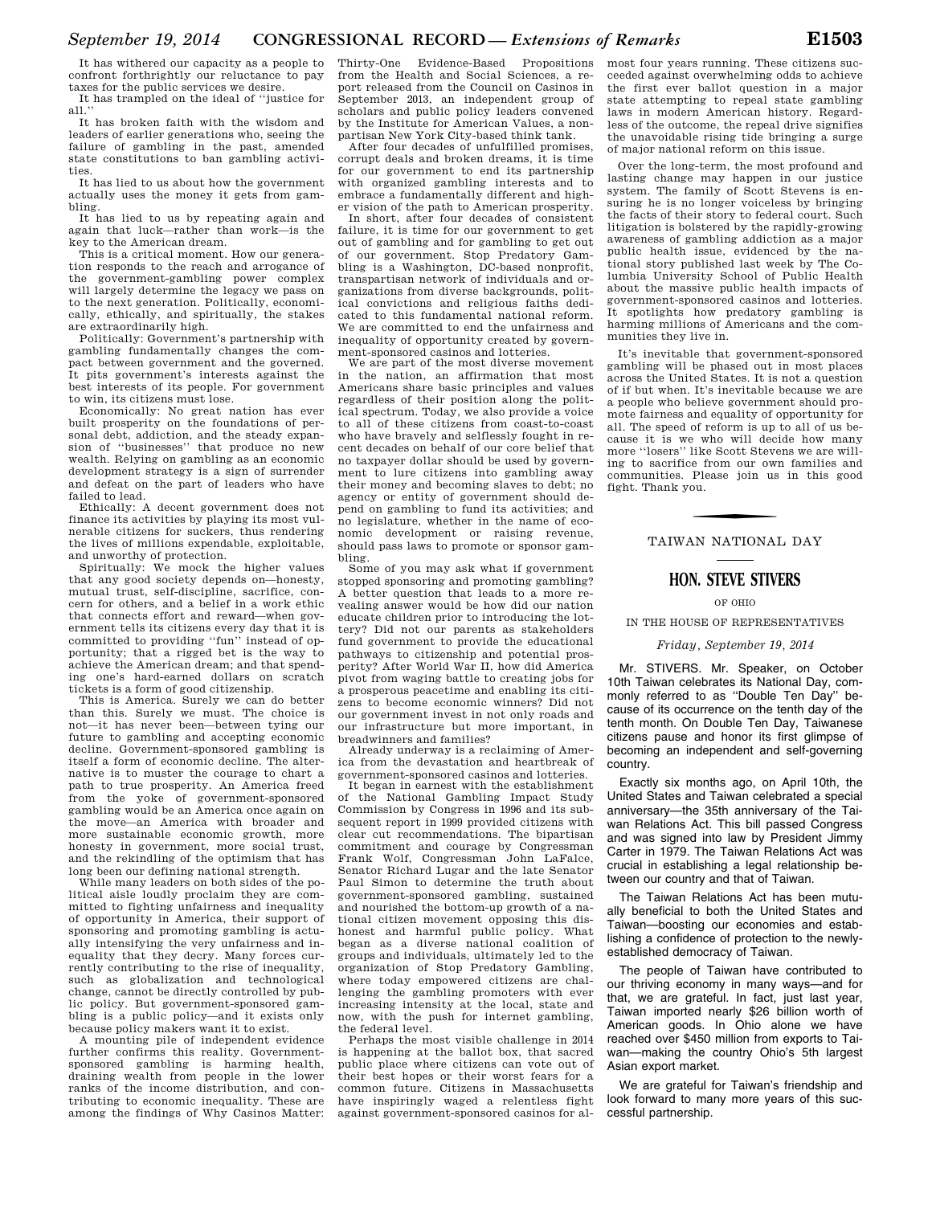It has withered our capacity as a people to confront forthrightly our reluctance to pay taxes for the public services we desire.

It has trampled on the ideal of ''justice for all.''

It has broken faith with the wisdom and leaders of earlier generations who, seeing the failure of gambling in the past, amended state constitutions to ban gambling activities.

It has lied to us about how the government actually uses the money it gets from gambling.

It has lied to us by repeating again and again that luck—rather than work—is the key to the American dream.

This is a critical moment. How our generation responds to the reach and arrogance of the government-gambling power complex will largely determine the legacy we pass on to the next generation. Politically, economically, ethically, and spiritually, the stakes are extraordinarily high.

Politically: Government's partnership with gambling fundamentally changes the compact between government and the governed. It pits government's interests against the best interests of its people. For government to win, its citizens must lose.

Economically: No great nation has ever built prosperity on the foundations of personal debt, addiction, and the steady expansion of ''businesses'' that produce no new wealth. Relying on gambling as an economic development strategy is a sign of surrender and defeat on the part of leaders who have failed to lead.

Ethically: A decent government does not finance its activities by playing its most vulnerable citizens for suckers, thus rendering the lives of millions expendable, exploitable, and unworthy of protection.

Spiritually: We mock the higher values that any good society depends on—honesty, mutual trust, self-discipline, sacrifice, concern for others, and a belief in a work ethic that connects effort and reward—when government tells its citizens every day that it is committed to providing ''fun'' instead of opportunity; that a rigged bet is the way to achieve the American dream; and that spending one's hard-earned dollars on scratch tickets is a form of good citizenship.

This is America. Surely we can do better than this. Surely we must. The choice is not—it has never been—between tying our future to gambling and accepting economic decline. Government-sponsored gambling is itself a form of economic decline. The alternative is to muster the courage to chart a path to true prosperity. An America freed from the yoke of government-sponsored gambling would be an America once again on the move—an America with broader and more sustainable economic growth, more honesty in government, more social trust, and the rekindling of the optimism that has long been our defining national strength.

While many leaders on both sides of the political aisle loudly proclaim they are committed to fighting unfairness and inequality of opportunity in America, their support of sponsoring and promoting gambling is actually intensifying the very unfairness and inequality that they decry. Many forces currently contributing to the rise of inequality, such as globalization and technological change, cannot be directly controlled by public policy. But government-sponsored gambling is a public policy—and it exists only because policy makers want it to exist.

A mounting pile of independent evidence further confirms this reality. Governmentsponsored gambling is harming health, draining wealth from people in the lower ranks of the income distribution, and contributing to economic inequality. These are among the findings of Why Casinos Matter: Thirty-One Evidence-Based Propositions from the Health and Social Sciences, a report released from the Council on Casinos in September 2013, an independent group of scholars and public policy leaders convened by the Institute for American Values, a nonpartisan New York City-based think tank.

After four decades of unfulfilled promises, corrupt deals and broken dreams, it is time for our government to end its partnership with organized gambling interests and to embrace a fundamentally different and higher vision of the path to American prosperity.

In short, after four decades of consistent failure, it is time for our government to get out of gambling and for gambling to get out of our government. Stop Predatory Gambling is a Washington, DC-based nonprofit. transpartisan network of individuals and organizations from diverse backgrounds, political convictions and religious faiths dedicated to this fundamental national reform. We are committed to end the unfairness and inequality of opportunity created by government-sponsored casinos and lotteries.

We are part of the most diverse movement in the nation, an affirmation that most Americans share basic principles and values regardless of their position along the political spectrum. Today, we also provide a voice to all of these citizens from coast-to-coast who have bravely and selflessly fought in recent decades on behalf of our core belief that no taxpayer dollar should be used by government to lure citizens into gambling away their money and becoming slaves to debt; no agency or entity of government should depend on gambling to fund its activities; and no legislature, whether in the name of economic development or raising revenue, should pass laws to promote or sponsor gambling.

Some of you may ask what if government stopped sponsoring and promoting gambling? A better question that leads to a more revealing answer would be how did our nation educate children prior to introducing the lottery? Did not our parents as stakeholders fund government to provide the educational pathways to citizenship and potential prosperity? After World War II, how did America pivot from waging battle to creating jobs for a prosperous peacetime and enabling its citizens to become economic winners? Did not our government invest in not only roads and our infrastructure but more important, in breadwinners and families?

Already underway is a reclaiming of America from the devastation and heartbreak of government-sponsored casinos and lotteries.

It began in earnest with the establishment of the National Gambling Impact Study Commission by Congress in 1996 and its subsequent report in 1999 provided citizens with clear cut recommendations. The bipartisan commitment and courage by Congressman Frank Wolf, Congressman John LaFalce, Senator Richard Lugar and the late Senator Paul Simon to determine the truth about government-sponsored gambling, sustained and nourished the bottom-up growth of a national citizen movement opposing this dishonest and harmful public policy. What began as a diverse national coalition of groups and individuals, ultimately led to the organization of Stop Predatory Gambling, where today empowered citizens are challenging the gambling promoters with ever increasing intensity at the local, state and now, with the push for internet gambling, the federal level.

Perhaps the most visible challenge in 2014 is happening at the ballot box, that sacred public place where citizens can vote out of their best hopes or their worst fears for a common future. Citizens in Massachusetts have inspiringly waged a relentless fight against government-sponsored casinos for al-

most four years running. These citizens succeeded against overwhelming odds to achieve the first ever ballot question in a major state attempting to repeal state gambling laws in modern American history. Regardless of the outcome, the repeal drive signifies the unavoidable rising tide bringing a surge of major national reform on this issue.

Over the long-term, the most profound and lasting change may happen in our justice system. The family of Scott Stevens is ensuring he is no longer voiceless by bringing the facts of their story to federal court. Such litigation is bolstered by the rapidly-growing awareness of gambling addiction as a major public health issue, evidenced by the national story published last week by The Columbia University School of Public Health about the massive public health impacts of government-sponsored casinos and lotteries. It spotlights how predatory gambling is harming millions of Americans and the communities they live in.

It's inevitable that government-sponsored gambling will be phased out in most places across the United States. It is not a question of if but when. It's inevitable because we are a people who believe government should promote fairness and equality of opportunity for all. The speed of reform is up to all of us because it is we who will decide how many more ''losers'' like Scott Stevens we are willing to sacrifice from our own families and communities. Please join us in this good fight. Thank you.

#### TAIWAN NATIONAL DAY

## **HON. STEVE STIVERS**

#### OF OHIO

IN THE HOUSE OF REPRESENTATIVES

*Friday, September 19, 2014* 

Mr. STIVERS. Mr. Speaker, on October 10th Taiwan celebrates its National Day, commonly referred to as ''Double Ten Day'' because of its occurrence on the tenth day of the tenth month. On Double Ten Day, Taiwanese citizens pause and honor its first glimpse of becoming an independent and self-governing country.

Exactly six months ago, on April 10th, the United States and Taiwan celebrated a special anniversary—the 35th anniversary of the Taiwan Relations Act. This bill passed Congress and was signed into law by President Jimmy Carter in 1979. The Taiwan Relations Act was crucial in establishing a legal relationship between our country and that of Taiwan.

The Taiwan Relations Act has been mutually beneficial to both the United States and Taiwan—boosting our economies and establishing a confidence of protection to the newlyestablished democracy of Taiwan.

The people of Taiwan have contributed to our thriving economy in many ways—and for that, we are grateful. In fact, just last year, Taiwan imported nearly \$26 billion worth of American goods. In Ohio alone we have reached over \$450 million from exports to Taiwan—making the country Ohio's 5th largest Asian export market.

We are grateful for Taiwan's friendship and look forward to many more years of this successful partnership.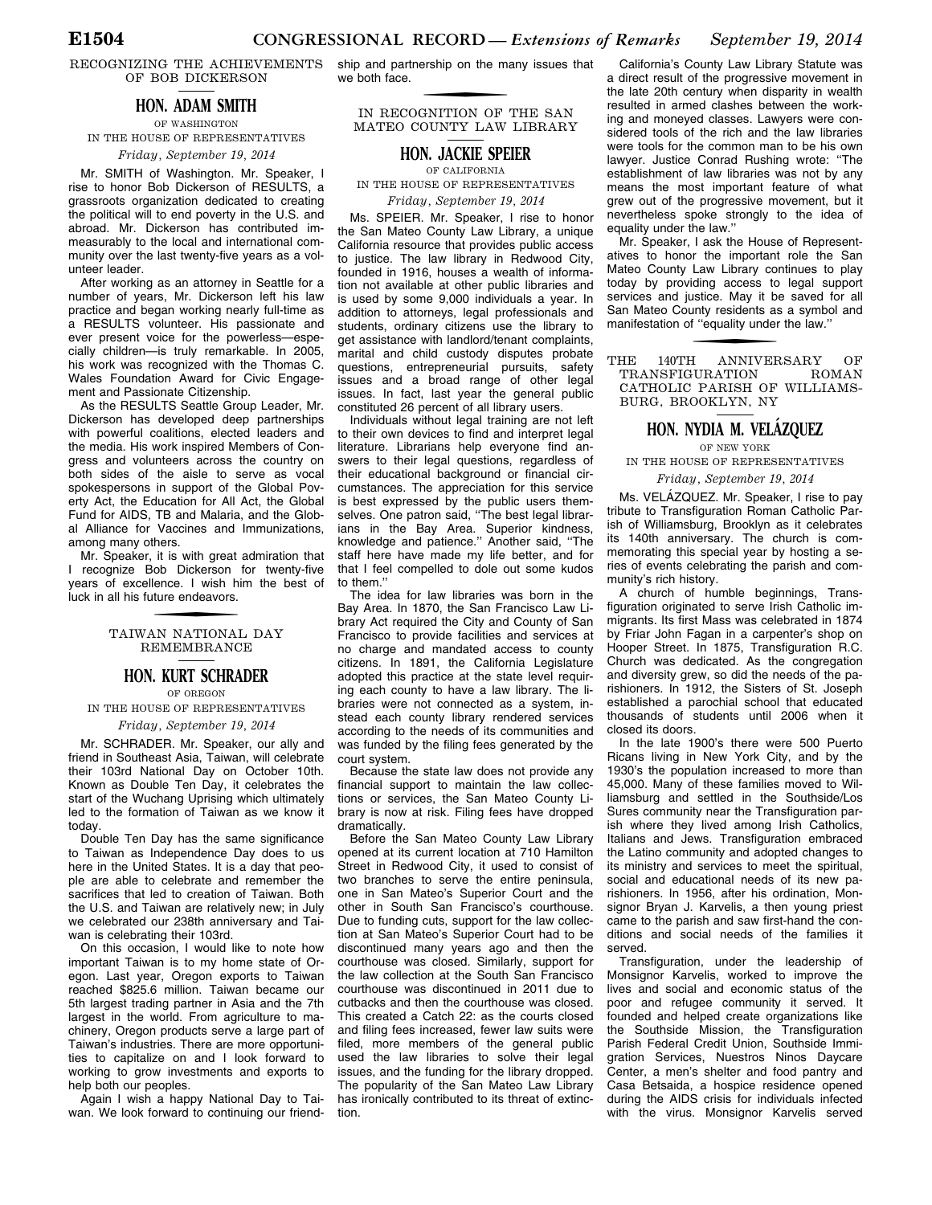RECOGNIZING THE ACHIEVEMENTS OF BOB DICKERSON

#### **HON. ADAM SMITH**

OF WASHINGTON IN THE HOUSE OF REPRESENTATIVES

*Friday, September 19, 2014* 

Mr. SMITH of Washington. Mr. Speaker, I rise to honor Bob Dickerson of RESULTS, a grassroots organization dedicated to creating the political will to end poverty in the U.S. and abroad. Mr. Dickerson has contributed immeasurably to the local and international community over the last twenty-five years as a volunteer leader.

After working as an attorney in Seattle for a number of years, Mr. Dickerson left his law practice and began working nearly full-time as a RESULTS volunteer. His passionate and ever present voice for the powerless—especially children—is truly remarkable. In 2005, his work was recognized with the Thomas C. Wales Foundation Award for Civic Engagement and Passionate Citizenship.

As the RESULTS Seattle Group Leader, Mr. Dickerson has developed deep partnerships with powerful coalitions, elected leaders and the media. His work inspired Members of Congress and volunteers across the country on both sides of the aisle to serve as vocal spokespersons in support of the Global Poverty Act, the Education for All Act, the Global Fund for AIDS, TB and Malaria, and the Global Alliance for Vaccines and Immunizations, among many others.

Mr. Speaker, it is with great admiration that I recognize Bob Dickerson for twenty-five years of excellence. I wish him the best of luck in all his future endeavors.

# f TAIWAN NATIONAL DAY REMEMBRANCE

#### **HON. KURT SCHRADER** OF OREGON

IN THE HOUSE OF REPRESENTATIVES

#### *Friday, September 19, 2014*

Mr. SCHRADER. Mr. Speaker, our ally and friend in Southeast Asia, Taiwan, will celebrate their 103rd National Day on October 10th. Known as Double Ten Day, it celebrates the start of the Wuchang Uprising which ultimately led to the formation of Taiwan as we know it today.

Double Ten Day has the same significance to Taiwan as Independence Day does to us here in the United States. It is a day that people are able to celebrate and remember the sacrifices that led to creation of Taiwan. Both the U.S. and Taiwan are relatively new; in July we celebrated our 238th anniversary and Taiwan is celebrating their 103rd.

On this occasion, I would like to note how important Taiwan is to my home state of Oregon. Last year, Oregon exports to Taiwan reached \$825.6 million. Taiwan became our 5th largest trading partner in Asia and the 7th largest in the world. From agriculture to machinery, Oregon products serve a large part of Taiwan's industries. There are more opportunities to capitalize on and I look forward to working to grow investments and exports to help both our peoples.

Again I wish a happy National Day to Taiwan. We look forward to continuing our friend-

ship and partnership on the many issues that we both face.

IN RECOGNITION OF THE SAN MATEO COUNTY LAW LIBRARY

# **HON. JACKIE SPEIER**

OF CALIFORNIA IN THE HOUSE OF REPRESENTATIVES

*Friday, September 19, 2014* 

Ms. SPEIER. Mr. Speaker, I rise to honor the San Mateo County Law Library, a unique California resource that provides public access to justice. The law library in Redwood City, founded in 1916, houses a wealth of information not available at other public libraries and is used by some 9,000 individuals a year. In addition to attorneys, legal professionals and students, ordinary citizens use the library to get assistance with landlord/tenant complaints, marital and child custody disputes probate questions, entrepreneurial pursuits, safety issues and a broad range of other legal issues. In fact, last year the general public constituted 26 percent of all library users.

Individuals without legal training are not left to their own devices to find and interpret legal literature. Librarians help everyone find answers to their legal questions, regardless of their educational background or financial circumstances. The appreciation for this service is best expressed by the public users themselves. One patron said, "The best legal librarians in the Bay Area. Superior kindness, knowledge and patience.'' Another said, ''The staff here have made my life better, and for that I feel compelled to dole out some kudos to them."

The idea for law libraries was born in the Bay Area. In 1870, the San Francisco Law Library Act required the City and County of San Francisco to provide facilities and services at no charge and mandated access to county citizens. In 1891, the California Legislature adopted this practice at the state level requiring each county to have a law library. The libraries were not connected as a system, instead each county library rendered services according to the needs of its communities and was funded by the filing fees generated by the court system.

Because the state law does not provide any financial support to maintain the law collections or services, the San Mateo County Library is now at risk. Filing fees have dropped dramatically.

Before the San Mateo County Law Library opened at its current location at 710 Hamilton Street in Redwood City, it used to consist of two branches to serve the entire peninsula, one in San Mateo's Superior Court and the other in South San Francisco's courthouse. Due to funding cuts, support for the law collection at San Mateo's Superior Court had to be discontinued many years ago and then the courthouse was closed. Similarly, support for the law collection at the South San Francisco courthouse was discontinued in 2011 due to cutbacks and then the courthouse was closed. This created a Catch 22: as the courts closed and filing fees increased, fewer law suits were filed, more members of the general public used the law libraries to solve their legal issues, and the funding for the library dropped. The popularity of the San Mateo Law Library has ironically contributed to its threat of extinction.

California's County Law Library Statute was a direct result of the progressive movement in the late 20th century when disparity in wealth resulted in armed clashes between the working and moneyed classes. Lawyers were considered tools of the rich and the law libraries were tools for the common man to be his own lawyer. Justice Conrad Rushing wrote: "The establishment of law libraries was not by any means the most important feature of what grew out of the progressive movement, but it nevertheless spoke strongly to the idea of equality under the law.''

Mr. Speaker, I ask the House of Representatives to honor the important role the San Mateo County Law Library continues to play today by providing access to legal support services and justice. May it be saved for all San Mateo County residents as a symbol and manifestation of ''equality under the law.''

THE 140TH ANNIVERSARY OF<br>TRANSFIGURATION ROMAN TRANSFIGURATION CATHOLIC PARISH OF WILLIAMS-BURG, BROOKLYN, NY

# **HON. NYDIA M. VELÁZOUEZ**

OF NEW YORK

IN THE HOUSE OF REPRESENTATIVES

#### *Friday, September 19, 2014*

Ms. VELÁZQUEZ. Mr. Speaker, I rise to pay tribute to Transfiguration Roman Catholic Parish of Williamsburg, Brooklyn as it celebrates its 140th anniversary. The church is commemorating this special year by hosting a series of events celebrating the parish and community's rich history.

A church of humble beginnings, Transfiguration originated to serve Irish Catholic immigrants. Its first Mass was celebrated in 1874 by Friar John Fagan in a carpenter's shop on Hooper Street. In 1875, Transfiguration R.C. Church was dedicated. As the congregation and diversity grew, so did the needs of the parishioners. In 1912, the Sisters of St. Joseph established a parochial school that educated thousands of students until 2006 when it closed its doors.

In the late 1900's there were 500 Puerto Ricans living in New York City, and by the 1930's the population increased to more than 45,000. Many of these families moved to Williamsburg and settled in the Southside/Los Sures community near the Transfiguration parish where they lived among Irish Catholics, Italians and Jews. Transfiguration embraced the Latino community and adopted changes to its ministry and services to meet the spiritual, social and educational needs of its new parishioners. In 1956, after his ordination, Monsignor Bryan J. Karvelis, a then young priest came to the parish and saw first-hand the conditions and social needs of the families it served.

Transfiguration, under the leadership of Monsignor Karvelis, worked to improve the lives and social and economic status of the poor and refugee community it served. It founded and helped create organizations like the Southside Mission, the Transfiguration Parish Federal Credit Union, Southside Immigration Services, Nuestros Ninos Daycare Center, a men's shelter and food pantry and Casa Betsaida, a hospice residence opened during the AIDS crisis for individuals infected with the virus. Monsignor Karvelis served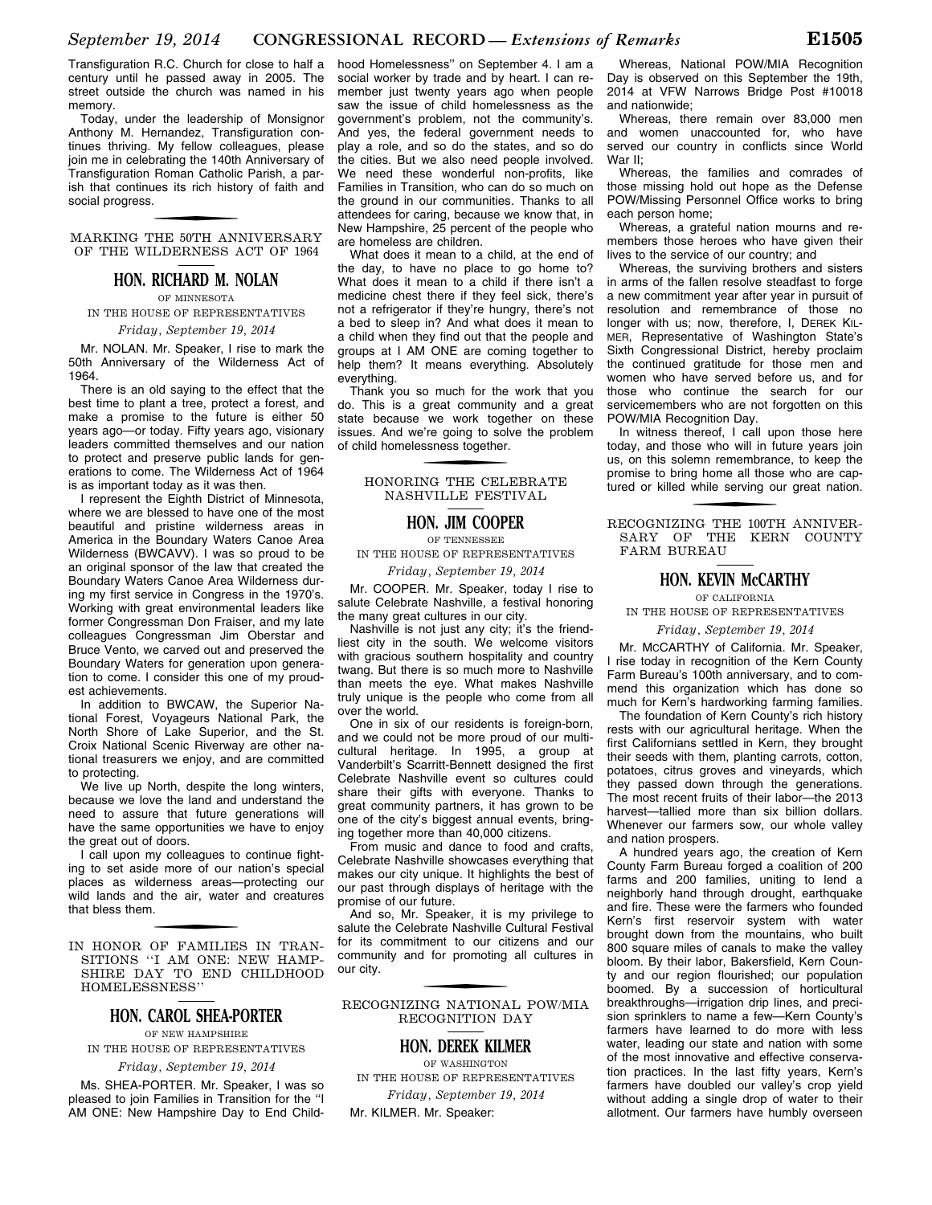Transfiguration R.C. Church for close to half a century until he passed away in 2005. The street outside the church was named in his memory.

Today, under the leadership of Monsignor Anthony M. Hernandez, Transfiguration continues thriving. My fellow colleagues, please join me in celebrating the 140th Anniversary of Transfiguration Roman Catholic Parish, a parish that continues its rich history of faith and social progress.

f MARKING THE 50TH ANNIVERSARY OF THE WILDERNESS ACT OF 1964

# **HON. RICHARD M. NOLAN**

OF MINNESOTA

IN THE HOUSE OF REPRESENTATIVES *Friday, September 19, 2014* 

Mr. NOLAN. Mr. Speaker, I rise to mark the 50th Anniversary of the Wilderness Act of  $1964.$ 

There is an old saying to the effect that the best time to plant a tree, protect a forest, and make a promise to the future is either 50 years ago—or today. Fifty years ago, visionary leaders committed themselves and our nation to protect and preserve public lands for generations to come. The Wilderness Act of 1964 is as important today as it was then.

I represent the Eighth District of Minnesota, where we are blessed to have one of the most beautiful and pristine wilderness areas in America in the Boundary Waters Canoe Area Wilderness (BWCAVV). I was so proud to be an original sponsor of the law that created the Boundary Waters Canoe Area Wilderness during my first service in Congress in the 1970's. Working with great environmental leaders like former Congressman Don Fraiser, and my late colleagues Congressman Jim Oberstar and Bruce Vento, we carved out and preserved the Boundary Waters for generation upon generation to come. I consider this one of my proudest achievements.

In addition to BWCAW, the Superior National Forest, Voyageurs National Park, the North Shore of Lake Superior, and the St. Croix National Scenic Riverway are other national treasurers we enjoy, and are committed to protecting.

We live up North, despite the long winters, because we love the land and understand the need to assure that future generations will have the same opportunities we have to enjoy the great out of doors.

I call upon my colleagues to continue fighting to set aside more of our nation's special places as wilderness areas—protecting our wild lands and the air, water and creatures that bless them.

f IN HONOR OF FAMILIES IN TRAN-SITIONS ''I AM ONE: NEW HAMP-SHIRE DAY TO END CHILDHOOD HOMELESSNESS''

## **HON. CAROL SHEA-PORTER**

OF NEW HAMPSHIRE IN THE HOUSE OF REPRESENTATIVES

*Friday, September 19, 2014* 

Ms. SHEA-PORTER. Mr. Speaker, I was so pleased to join Families in Transition for the ''I AM ONE: New Hampshire Day to End Childhood Homelessness'' on September 4. I am a social worker by trade and by heart. I can remember just twenty years ago when people saw the issue of child homelessness as the government's problem, not the community's. And yes, the federal government needs to play a role, and so do the states, and so do the cities. But we also need people involved. We need these wonderful non-profits. like Families in Transition, who can do so much on the ground in our communities. Thanks to all attendees for caring, because we know that, in New Hampshire, 25 percent of the people who are homeless are children.

What does it mean to a child, at the end of the day, to have no place to go home to? What does it mean to a child if there isn't a medicine chest there if they feel sick, there's not a refrigerator if they're hungry, there's not a bed to sleep in? And what does it mean to a child when they find out that the people and groups at I AM ONE are coming together to help them? It means everything. Absolutely everything.

Thank you so much for the work that you do. This is a great community and a great state because we work together on these issues. And we're going to solve the problem of child homelessness together.

# f HONORING THE CELEBRATE NASHVILLE FESTIVAL

#### **HON. JIM COOPER**

OF TENNESSEE

IN THE HOUSE OF REPRESENTATIVES *Friday, September 19, 2014* 

Mr. COOPER. Mr. Speaker, today I rise to salute Celebrate Nashville, a festival honoring the many great cultures in our city.

Nashville is not just any city; it's the friendliest city in the south. We welcome visitors with gracious southern hospitality and country twang. But there is so much more to Nashville than meets the eye. What makes Nashville truly unique is the people who come from all over the world.

One in six of our residents is foreign-born, and we could not be more proud of our multicultural heritage. In 1995, a group at Vanderbilt's Scarritt-Bennett designed the first Celebrate Nashville event so cultures could share their gifts with everyone. Thanks to great community partners, it has grown to be one of the city's biggest annual events, bringing together more than 40,000 citizens.

From music and dance to food and crafts, Celebrate Nashville showcases everything that makes our city unique. It highlights the best of our past through displays of heritage with the promise of our future.

And so, Mr. Speaker, it is my privilege to salute the Celebrate Nashville Cultural Festival for its commitment to our citizens and our community and for promoting all cultures in our city.

f RECOGNIZING NATIONAL POW/MIA RECOGNITION DAY

#### **HON. DEREK KILMER**

OF WASHINGTON

IN THE HOUSE OF REPRESENTATIVES *Friday, September 19, 2014* 

Mr. KILMER. Mr. Speaker:

Whereas, National POW/MIA Recognition Day is observed on this September the 19th, 2014 at VFW Narrows Bridge Post #10018 and nationwide;

Whereas, there remain over 83,000 men and women unaccounted for, who have served our country in conflicts since World War II;

Whereas, the families and comrades of those missing hold out hope as the Defense POW/Missing Personnel Office works to bring each person home;

Whereas, a grateful nation mourns and remembers those heroes who have given their lives to the service of our country; and

Whereas, the surviving brothers and sisters in arms of the fallen resolve steadfast to forge a new commitment year after year in pursuit of resolution and remembrance of those no longer with us; now, therefore, I, DEREK KIL-MER, Representative of Washington State's Sixth Congressional District, hereby proclaim the continued gratitude for those men and women who have served before us, and for those who continue the search for our servicemembers who are not forgotten on this POW/MIA Recognition Day.

In witness thereof, I call upon those here today, and those who will in future years join us, on this solemn remembrance, to keep the promise to bring home all those who are captured or killed while serving our great nation.

f RECOGNIZING THE 100TH ANNIVER-SARY OF THE KERN COUNTY FARM BUREAU

#### **HON. KEVIN McCARTHY** OF CALIFORNIA

IN THE HOUSE OF REPRESENTATIVES

*Friday, September 19, 2014* 

Mr. MCCARTHY of California. Mr. Speaker, I rise today in recognition of the Kern County Farm Bureau's 100th anniversary, and to commend this organization which has done so much for Kern's hardworking farming families.

The foundation of Kern County's rich history rests with our agricultural heritage. When the first Californians settled in Kern, they brought their seeds with them, planting carrots, cotton, potatoes, citrus groves and vineyards, which they passed down through the generations. The most recent fruits of their labor—the 2013 harvest—tallied more than six billion dollars. Whenever our farmers sow, our whole valley and nation prospers.

A hundred years ago, the creation of Kern County Farm Bureau forged a coalition of 200 farms and 200 families, uniting to lend a neighborly hand through drought, earthquake and fire. These were the farmers who founded Kern's first reservoir system with water brought down from the mountains, who built 800 square miles of canals to make the valley bloom. By their labor, Bakersfield, Kern County and our region flourished; our population boomed. By a succession of horticultural breakthroughs—irrigation drip lines, and precision sprinklers to name a few—Kern County's farmers have learned to do more with less water, leading our state and nation with some of the most innovative and effective conservation practices. In the last fifty years, Kern's farmers have doubled our valley's crop yield without adding a single drop of water to their allotment. Our farmers have humbly overseen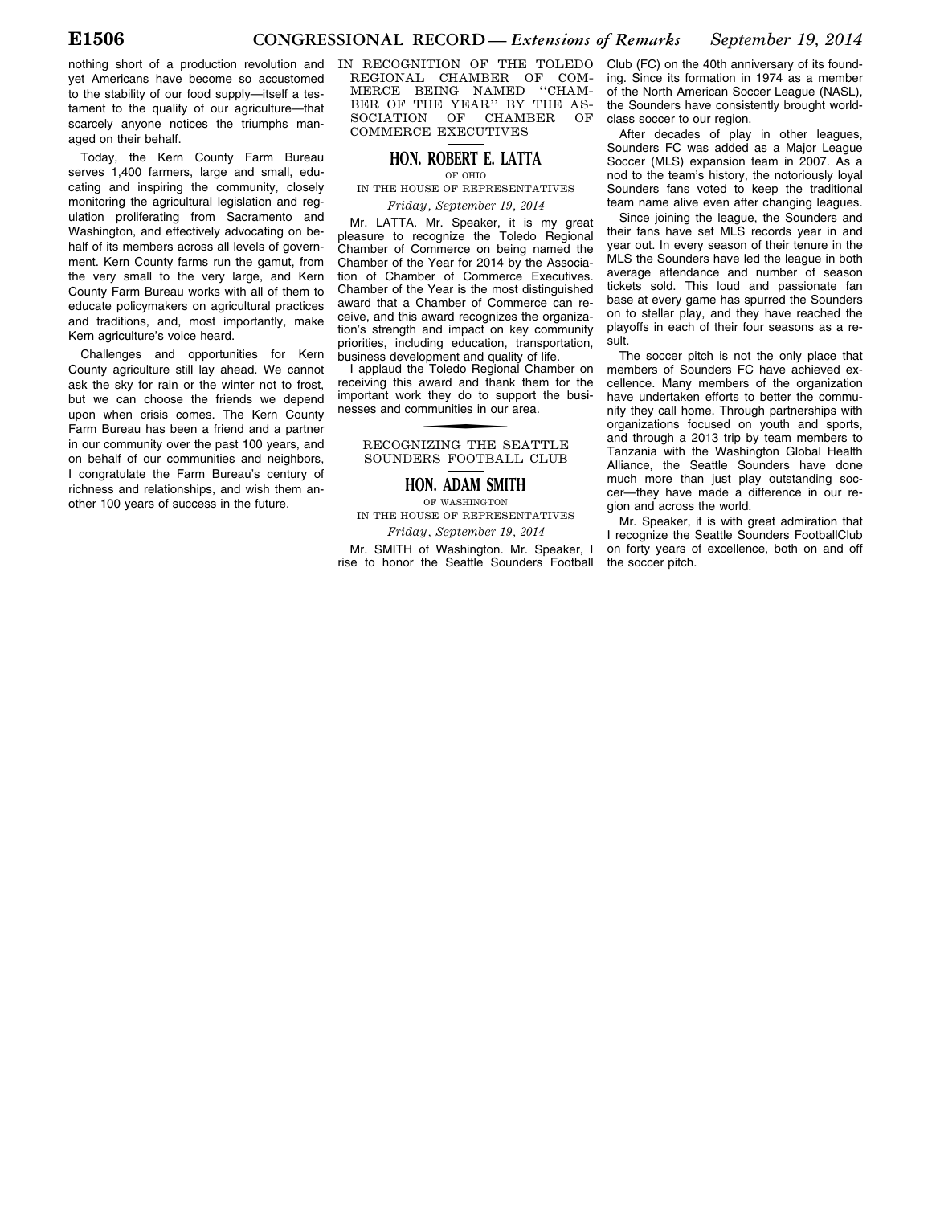nothing short of a production revolution and yet Americans have become so accustomed to the stability of our food supply—itself a testament to the quality of our agriculture—that scarcely anyone notices the triumphs managed on their behalf.

Today, the Kern County Farm Bureau serves 1,400 farmers, large and small, educating and inspiring the community, closely monitoring the agricultural legislation and regulation proliferating from Sacramento and Washington, and effectively advocating on behalf of its members across all levels of government. Kern County farms run the gamut, from the very small to the very large, and Kern County Farm Bureau works with all of them to educate policymakers on agricultural practices and traditions, and, most importantly, make Kern agriculture's voice heard.

Challenges and opportunities for Kern County agriculture still lay ahead. We cannot ask the sky for rain or the winter not to frost, but we can choose the friends we depend upon when crisis comes. The Kern County Farm Bureau has been a friend and a partner in our community over the past 100 years, and on behalf of our communities and neighbors, I congratulate the Farm Bureau's century of richness and relationships, and wish them another 100 years of success in the future.

IN RECOGNITION OF THE TOLEDO REGIONAL CHAMBER OF COM-MERCE BEING NAMED ''CHAM-BER OF THE YEAR'' BY THE AS-SOCIATION OF CHAMBER OF COMMERCE EXECUTIVES

**HON. ROBERT E. LATTA** 

OF OHIO

IN THE HOUSE OF REPRESENTATIVES *Friday, September 19, 2014* 

Mr. LATTA. Mr. Speaker, it is my great pleasure to recognize the Toledo Regional Chamber of Commerce on being named the Chamber of the Year for 2014 by the Association of Chamber of Commerce Executives. Chamber of the Year is the most distinguished award that a Chamber of Commerce can receive, and this award recognizes the organization's strength and impact on key community priorities, including education, transportation, business development and quality of life.

I applaud the Toledo Regional Chamber on receiving this award and thank them for the important work they do to support the businesses and communities in our area.

f RECOGNIZING THE SEATTLE SOUNDERS FOOTBALL CLUB

#### **HON. ADAM SMITH**

OF WASHINGTON IN THE HOUSE OF REPRESENTATIVES

*Friday, September 19, 2014*  Mr. SMITH of Washington. Mr. Speaker, I

rise to honor the Seattle Sounders Football

Club (FC) on the 40th anniversary of its founding. Since its formation in 1974 as a member of the North American Soccer League (NASL), the Sounders have consistently brought worldclass soccer to our region.

After decades of play in other leagues, Sounders FC was added as a Major League Soccer (MLS) expansion team in 2007. As a nod to the team's history, the notoriously loyal Sounders fans voted to keep the traditional team name alive even after changing leagues.

Since joining the league, the Sounders and their fans have set MLS records year in and year out. In every season of their tenure in the MLS the Sounders have led the league in both average attendance and number of season tickets sold. This loud and passionate fan base at every game has spurred the Sounders on to stellar play, and they have reached the playoffs in each of their four seasons as a result.

The soccer pitch is not the only place that members of Sounders FC have achieved excellence. Many members of the organization have undertaken efforts to better the community they call home. Through partnerships with organizations focused on youth and sports, and through a 2013 trip by team members to Tanzania with the Washington Global Health Alliance, the Seattle Sounders have done much more than just play outstanding soccer—they have made a difference in our region and across the world.

Mr. Speaker, it is with great admiration that I recognize the Seattle Sounders FootballClub on forty years of excellence, both on and off the soccer pitch.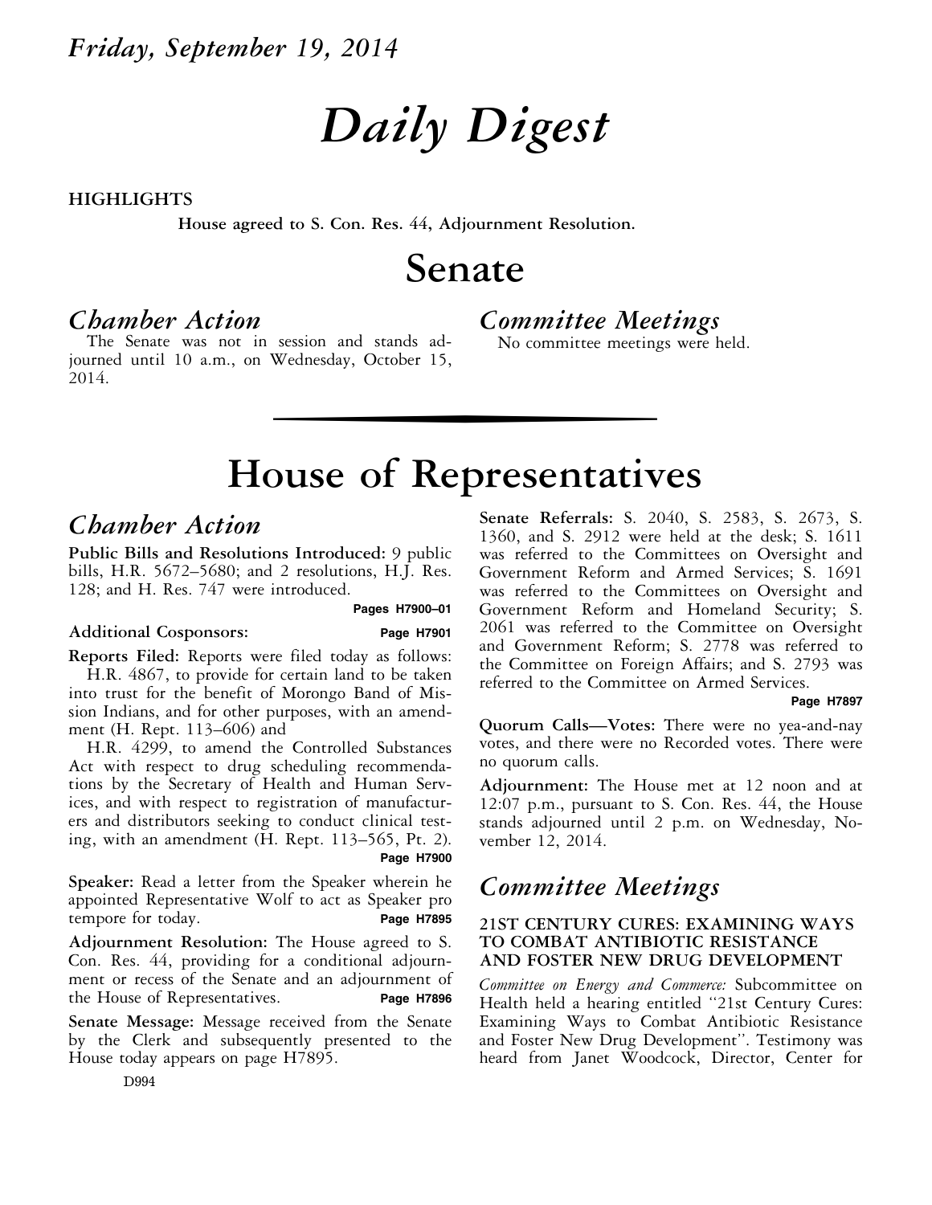# *Daily Digest*

# **HIGHLIGHTS**

**House agreed to S. Con. Res. 44, Adjournment Resolution.** 

# **Senate**

# *Chamber Action*

The Senate was not in session and stands adjourned until 10 a.m., on Wednesday, October 15, 2014.

# *Committee Meetings*

No committee meetings were held.

# wise of Representative **House of Representatives**

# *Chamber Action*

**Public Bills and Resolutions Introduced:** 9 public bills, H.R. 5672–5680; and 2 resolutions, H.J. Res. 128; and H. Res. 747 were introduced.

# **Additional Cosponsors: Page H7901**

# **Pages H7900–01**

**Reports Filed:** Reports were filed today as follows: H.R. 4867, to provide for certain land to be taken into trust for the benefit of Morongo Band of Mission Indians, and for other purposes, with an amendment (H. Rept. 113–606) and

H.R. 4299, to amend the Controlled Substances Act with respect to drug scheduling recommendations by the Secretary of Health and Human Services, and with respect to registration of manufacturers and distributors seeking to conduct clinical testing, with an amendment (H. Rept. 113–565, Pt. 2).  **Page H7900** 

**Speaker:** Read a letter from the Speaker wherein he appointed Representative Wolf to act as Speaker pro tempore for today. **Page H7895** 

**Adjournment Resolution:** The House agreed to S. Con. Res. 44, providing for a conditional adjournment or recess of the Senate and an adjournment of the House of Representatives. **Page H7896** 

**Senate Message:** Message received from the Senate by the Clerk and subsequently presented to the House today appears on page H7895.

**Senate Referrals:** S. 2040, S. 2583, S. 2673, S. 1360, and S. 2912 were held at the desk; S. 1611 was referred to the Committees on Oversight and Government Reform and Armed Services; S. 1691 was referred to the Committees on Oversight and Government Reform and Homeland Security; S. 2061 was referred to the Committee on Oversight and Government Reform; S. 2778 was referred to the Committee on Foreign Affairs; and S. 2793 was referred to the Committee on Armed Services.

#### **Page H7897**

**Quorum Calls—Votes:** There were no yea-and-nay votes, and there were no Recorded votes. There were no quorum calls.

**Adjournment:** The House met at 12 noon and at 12:07 p.m., pursuant to S. Con. Res. 44, the House stands adjourned until 2 p.m. on Wednesday, November 12, 2014.

# *Committee Meetings*

# **21ST CENTURY CURES: EXAMINING WAYS TO COMBAT ANTIBIOTIC RESISTANCE AND FOSTER NEW DRUG DEVELOPMENT**

*Committee on Energy and Commerce:* Subcommittee on Health held a hearing entitled ''21st Century Cures: Examining Ways to Combat Antibiotic Resistance and Foster New Drug Development''. Testimony was heard from Janet Woodcock, Director, Center for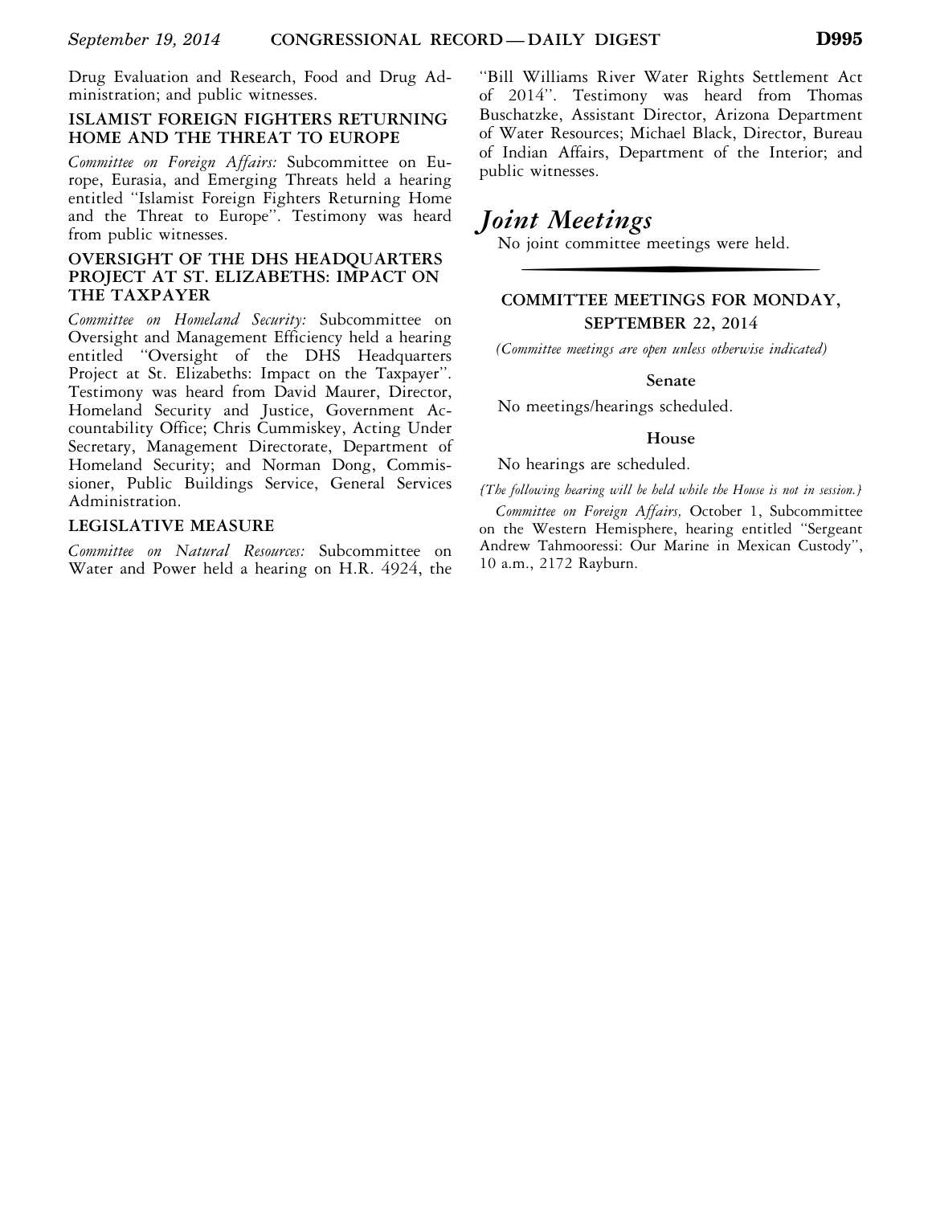Drug Evaluation and Research, Food and Drug Administration; and public witnesses.

### **ISLAMIST FOREIGN FIGHTERS RETURNING HOME AND THE THREAT TO EUROPE**

*Committee on Foreign Affairs:* Subcommittee on Europe, Eurasia, and Emerging Threats held a hearing entitled ''Islamist Foreign Fighters Returning Home and the Threat to Europe''. Testimony was heard from public witnesses.

## **OVERSIGHT OF THE DHS HEADQUARTERS PROJECT AT ST. ELIZABETHS: IMPACT ON THE TAXPAYER**

*Committee on Homeland Security:* Subcommittee on Oversight and Management Efficiency held a hearing entitled ''Oversight of the DHS Headquarters Project at St. Elizabeths: Impact on the Taxpayer''. Testimony was heard from David Maurer, Director, Homeland Security and Justice, Government Accountability Office; Chris Cummiskey, Acting Under Secretary, Management Directorate, Department of Homeland Security; and Norman Dong, Commissioner, Public Buildings Service, General Services Administration.

## **LEGISLATIVE MEASURE**

*Committee on Natural Resources:* Subcommittee on Water and Power held a hearing on H.R. 4924, the

''Bill Williams River Water Rights Settlement Act of 2014''. Testimony was heard from Thomas Buschatzke, Assistant Director, Arizona Department of Water Resources; Michael Black, Director, Bureau of Indian Affairs, Department of the Interior; and public witnesses.

# *Joint Meetings*

No joint committee meetings were held.

# f **COMMITTEE MEETINGS FOR MONDAY, SEPTEMBER 22, 2014**

*(Committee meetings are open unless otherwise indicated)* 

#### **Senate**

No meetings/hearings scheduled.

#### **House**

No hearings are scheduled.

*[The following hearing will be held while the House is not in session.]* 

*Committee on Foreign Affairs,* October 1, Subcommittee on the Western Hemisphere, hearing entitled ''Sergeant Andrew Tahmooressi: Our Marine in Mexican Custody'', 10 a.m., 2172 Rayburn.